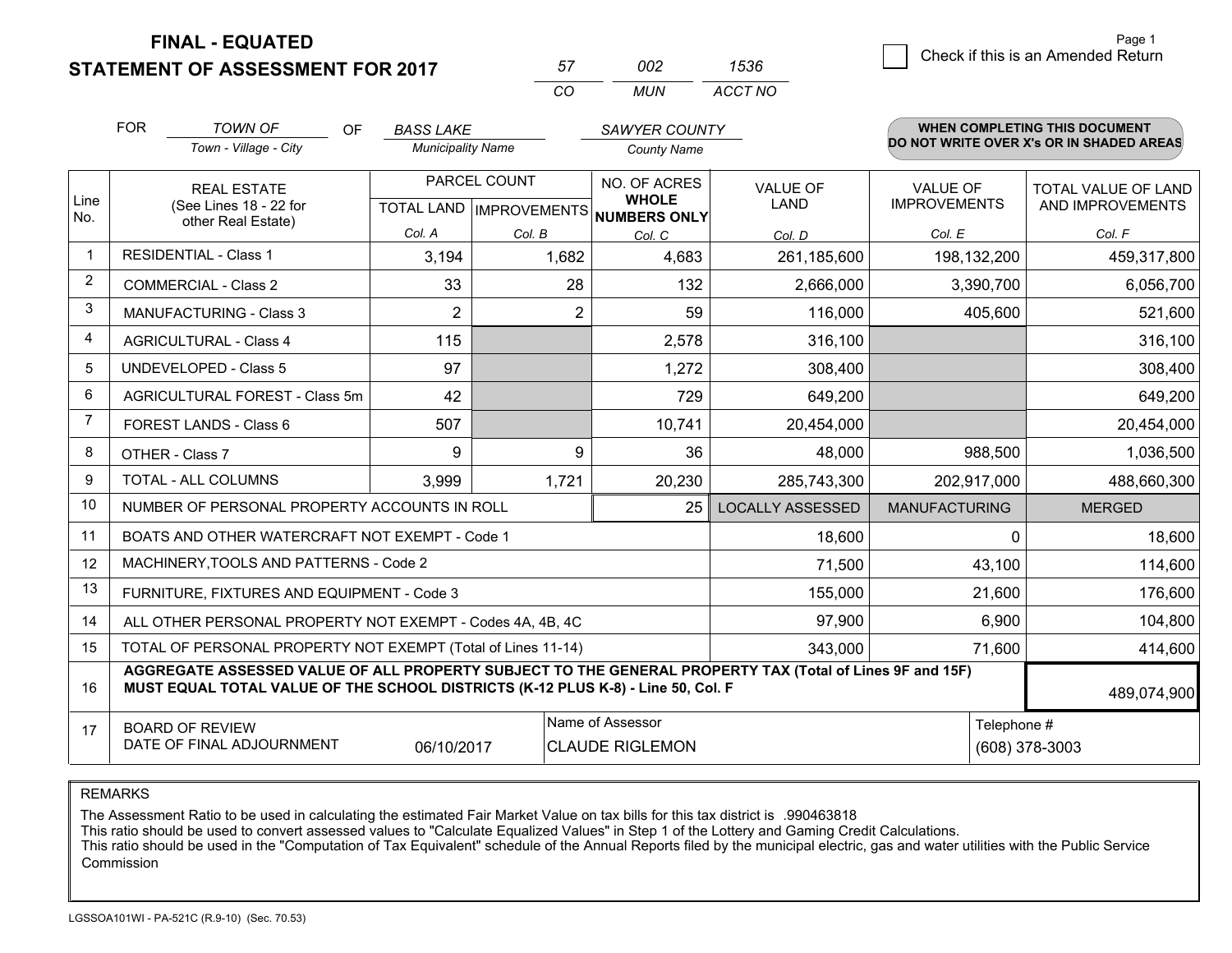**STATEMENT OF ASSESSMENT FOR 2017** 

| 57  | nn2  | 1536    |
|-----|------|---------|
| CO. | MUN. | ACCT NO |

|                | <b>FOR</b><br><b>TOWN OF</b><br><b>OF</b><br>Town - Village - City                                                                                                                           | <b>BASS LAKE</b><br><b>Municipality Name</b> |                | <b>SAWYER COUNTY</b><br><b>County Name</b>                          |                                |                                        | <b>WHEN COMPLETING THIS DOCUMENT</b><br>DO NOT WRITE OVER X's OR IN SHADED AREAS |
|----------------|----------------------------------------------------------------------------------------------------------------------------------------------------------------------------------------------|----------------------------------------------|----------------|---------------------------------------------------------------------|--------------------------------|----------------------------------------|----------------------------------------------------------------------------------|
| Line<br>No.    | <b>REAL ESTATE</b><br>(See Lines 18 - 22 for                                                                                                                                                 |                                              | PARCEL COUNT   | NO. OF ACRES<br><b>WHOLE</b><br>TOTAL LAND MPROVEMENTS NUMBERS ONLY | <b>VALUE OF</b><br><b>LAND</b> | <b>VALUE OF</b><br><b>IMPROVEMENTS</b> | <b>TOTAL VALUE OF LAND</b><br>AND IMPROVEMENTS                                   |
|                | other Real Estate)                                                                                                                                                                           | Col. A                                       | Col. B         | Col. C                                                              | Col. D                         | Col. E                                 | Col. F                                                                           |
| $\mathbf 1$    | <b>RESIDENTIAL - Class 1</b>                                                                                                                                                                 | 3,194                                        | 1,682          | 4,683                                                               | 261,185,600                    | 198,132,200                            | 459,317,800                                                                      |
| $\overline{2}$ | <b>COMMERCIAL - Class 2</b>                                                                                                                                                                  | 33                                           | 28             | 132                                                                 | 2,666,000                      | 3,390,700                              | 6,056,700                                                                        |
| 3              | MANUFACTURING - Class 3                                                                                                                                                                      | $\overline{2}$                               | $\overline{2}$ | 59                                                                  | 116,000                        | 405,600                                | 521,600                                                                          |
| $\overline{4}$ | <b>AGRICULTURAL - Class 4</b>                                                                                                                                                                | 115                                          |                | 2,578                                                               | 316,100                        |                                        | 316,100                                                                          |
| 5              | <b>UNDEVELOPED - Class 5</b>                                                                                                                                                                 | 97                                           |                | 1,272                                                               | 308,400                        |                                        | 308,400                                                                          |
| 6              | AGRICULTURAL FOREST - Class 5m<br>42                                                                                                                                                         |                                              |                | 729                                                                 | 649,200                        |                                        | 649,200                                                                          |
| $\overline{7}$ | FOREST LANDS - Class 6                                                                                                                                                                       | 507                                          |                | 10,741                                                              | 20,454,000                     |                                        | 20,454,000                                                                       |
| 8              | OTHER - Class 7                                                                                                                                                                              | 9                                            | 9              | 36                                                                  | 48,000                         | 988,500                                | 1,036,500                                                                        |
| 9              | TOTAL - ALL COLUMNS                                                                                                                                                                          | 3,999                                        | 1,721          | 20,230                                                              | 285,743,300                    | 202,917,000                            | 488,660,300                                                                      |
| 10             | NUMBER OF PERSONAL PROPERTY ACCOUNTS IN ROLL                                                                                                                                                 |                                              |                | 25                                                                  | <b>LOCALLY ASSESSED</b>        | <b>MANUFACTURING</b>                   | <b>MERGED</b>                                                                    |
| 11             | BOATS AND OTHER WATERCRAFT NOT EXEMPT - Code 1                                                                                                                                               |                                              |                |                                                                     | 18,600                         | 0                                      | 18,600                                                                           |
| 12             | MACHINERY, TOOLS AND PATTERNS - Code 2                                                                                                                                                       |                                              |                |                                                                     | 71,500                         | 43,100                                 | 114,600                                                                          |
| 13             | FURNITURE, FIXTURES AND EQUIPMENT - Code 3                                                                                                                                                   |                                              |                |                                                                     | 155,000                        | 21,600                                 | 176,600                                                                          |
| 14             | ALL OTHER PERSONAL PROPERTY NOT EXEMPT - Codes 4A, 4B, 4C                                                                                                                                    | 6,900                                        | 104,800        |                                                                     |                                |                                        |                                                                                  |
| 15             | TOTAL OF PERSONAL PROPERTY NOT EXEMPT (Total of Lines 11-14)<br>343,000<br>71,600                                                                                                            |                                              |                |                                                                     |                                |                                        | 414,600                                                                          |
| 16             | AGGREGATE ASSESSED VALUE OF ALL PROPERTY SUBJECT TO THE GENERAL PROPERTY TAX (Total of Lines 9F and 15F)<br>MUST EQUAL TOTAL VALUE OF THE SCHOOL DISTRICTS (K-12 PLUS K-8) - Line 50, Col. F |                                              |                |                                                                     |                                |                                        | 489,074,900                                                                      |
| 17             | Name of Assessor<br>Telephone #<br><b>BOARD OF REVIEW</b><br>DATE OF FINAL ADJOURNMENT<br><b>CLAUDE RIGLEMON</b><br>06/10/2017                                                               |                                              |                |                                                                     |                                |                                        | (608) 378-3003                                                                   |

REMARKS

The Assessment Ratio to be used in calculating the estimated Fair Market Value on tax bills for this tax district is .990463818

This ratio should be used to convert assessed values to "Calculate Equalized Values" in Step 1 of the Lottery and Gaming Credit Calculations.<br>This ratio should be used in the "Computation of Tax Equivalent" schedule of the Commission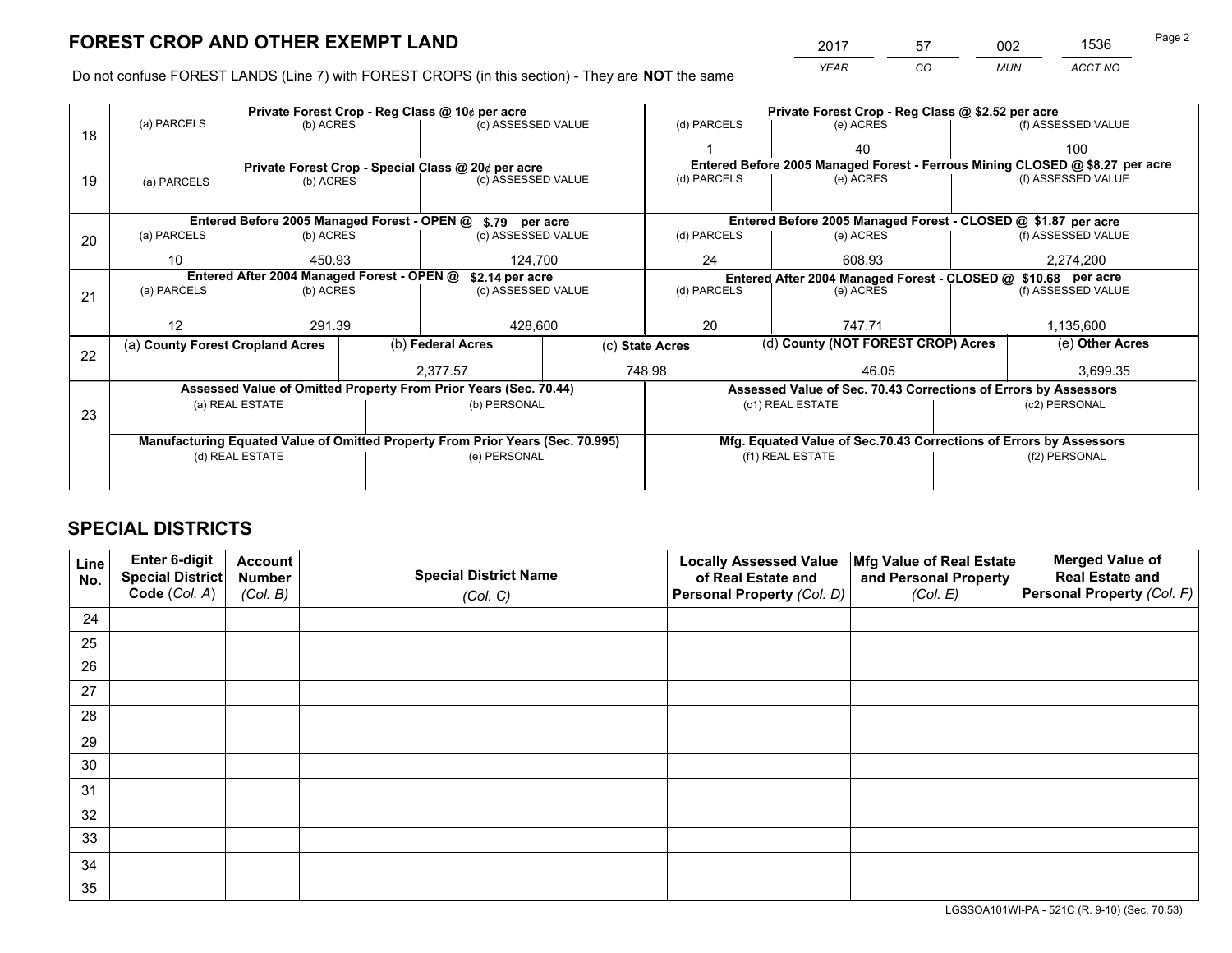*YEAR CO MUN ACCT NO* <sup>2017</sup> <sup>57</sup> <sup>002</sup> <sup>1536</sup> Page 2

Do not confuse FOREST LANDS (Line 7) with FOREST CROPS (in this section) - They are **NOT** the same

|    |                                                                                                                                |                 |  | Private Forest Crop - Reg Class @ 10¢ per acre                                 |                 | Private Forest Crop - Reg Class @ \$2.52 per acre |                                                                    |  |                                                                              |  |  |
|----|--------------------------------------------------------------------------------------------------------------------------------|-----------------|--|--------------------------------------------------------------------------------|-----------------|---------------------------------------------------|--------------------------------------------------------------------|--|------------------------------------------------------------------------------|--|--|
| 18 | (a) PARCELS                                                                                                                    | (b) ACRES       |  | (c) ASSESSED VALUE                                                             |                 | (d) PARCELS                                       | (e) ACRES                                                          |  | (f) ASSESSED VALUE                                                           |  |  |
|    |                                                                                                                                |                 |  |                                                                                |                 |                                                   | 40                                                                 |  | 100                                                                          |  |  |
|    |                                                                                                                                |                 |  | Private Forest Crop - Special Class @ 20¢ per acre                             |                 |                                                   |                                                                    |  | Entered Before 2005 Managed Forest - Ferrous Mining CLOSED @ \$8.27 per acre |  |  |
| 19 | (a) PARCELS                                                                                                                    | (b) ACRES       |  | (c) ASSESSED VALUE                                                             |                 | (d) PARCELS                                       | (e) ACRES                                                          |  | (f) ASSESSED VALUE                                                           |  |  |
|    |                                                                                                                                |                 |  |                                                                                |                 |                                                   |                                                                    |  |                                                                              |  |  |
|    |                                                                                                                                |                 |  | Entered Before 2005 Managed Forest - OPEN @ \$.79 per acre                     |                 |                                                   | Entered Before 2005 Managed Forest - CLOSED @ \$1.87 per acre      |  |                                                                              |  |  |
| 20 | (a) PARCELS                                                                                                                    | (b) ACRES       |  | (c) ASSESSED VALUE                                                             |                 | (d) PARCELS                                       | (e) ACRES                                                          |  | (f) ASSESSED VALUE                                                           |  |  |
|    | 10                                                                                                                             | 450.93          |  | 124.700                                                                        |                 | 24                                                | 608.93                                                             |  | 2,274,200                                                                    |  |  |
|    | Entered After 2004 Managed Forest - OPEN @<br>\$2.14 per acre<br>Entered After 2004 Managed Forest - CLOSED @ \$10.68 per acre |                 |  |                                                                                |                 |                                                   |                                                                    |  |                                                                              |  |  |
| 21 | (a) PARCELS                                                                                                                    | (b) ACRES       |  | (c) ASSESSED VALUE                                                             |                 | (d) PARCELS                                       | (e) ACRES                                                          |  | (f) ASSESSED VALUE                                                           |  |  |
|    |                                                                                                                                |                 |  |                                                                                |                 |                                                   |                                                                    |  |                                                                              |  |  |
|    | 12                                                                                                                             | 291.39          |  | 20<br>428,600<br>747.71                                                        |                 | 1,135,600                                         |                                                                    |  |                                                                              |  |  |
| 22 | (a) County Forest Cropland Acres                                                                                               |                 |  | (b) Federal Acres                                                              | (c) State Acres |                                                   | (d) County (NOT FOREST CROP) Acres                                 |  | (e) Other Acres                                                              |  |  |
|    |                                                                                                                                |                 |  | 2,377.57                                                                       |                 | 748.98<br>46.05                                   |                                                                    |  | 3,699.35                                                                     |  |  |
|    |                                                                                                                                |                 |  | Assessed Value of Omitted Property From Prior Years (Sec. 70.44)               |                 |                                                   | Assessed Value of Sec. 70.43 Corrections of Errors by Assessors    |  |                                                                              |  |  |
|    |                                                                                                                                | (a) REAL ESTATE |  | (b) PERSONAL                                                                   |                 |                                                   | (c1) REAL ESTATE                                                   |  | (c2) PERSONAL                                                                |  |  |
| 23 |                                                                                                                                |                 |  |                                                                                |                 |                                                   |                                                                    |  |                                                                              |  |  |
|    |                                                                                                                                |                 |  | Manufacturing Equated Value of Omitted Property From Prior Years (Sec. 70.995) |                 |                                                   | Mfg. Equated Value of Sec.70.43 Corrections of Errors by Assessors |  |                                                                              |  |  |
|    |                                                                                                                                | (d) REAL ESTATE |  | (e) PERSONAL                                                                   |                 |                                                   | (f1) REAL ESTATE                                                   |  | (f2) PERSONAL                                                                |  |  |
|    |                                                                                                                                |                 |  |                                                                                |                 |                                                   |                                                                    |  |                                                                              |  |  |

# **SPECIAL DISTRICTS**

| Line<br>No. | Enter 6-digit<br>Special District<br>Code (Col. A) | <b>Account</b><br><b>Number</b> | <b>Special District Name</b> | <b>Locally Assessed Value</b><br>of Real Estate and | Mfg Value of Real Estate<br>and Personal Property | <b>Merged Value of</b><br><b>Real Estate and</b><br>Personal Property (Col. F) |
|-------------|----------------------------------------------------|---------------------------------|------------------------------|-----------------------------------------------------|---------------------------------------------------|--------------------------------------------------------------------------------|
|             |                                                    | (Col. B)                        | (Col. C)                     | Personal Property (Col. D)                          | (Col. E)                                          |                                                                                |
| 24          |                                                    |                                 |                              |                                                     |                                                   |                                                                                |
| 25          |                                                    |                                 |                              |                                                     |                                                   |                                                                                |
| 26          |                                                    |                                 |                              |                                                     |                                                   |                                                                                |
| 27          |                                                    |                                 |                              |                                                     |                                                   |                                                                                |
| 28          |                                                    |                                 |                              |                                                     |                                                   |                                                                                |
| 29          |                                                    |                                 |                              |                                                     |                                                   |                                                                                |
| 30          |                                                    |                                 |                              |                                                     |                                                   |                                                                                |
| 31          |                                                    |                                 |                              |                                                     |                                                   |                                                                                |
| 32          |                                                    |                                 |                              |                                                     |                                                   |                                                                                |
| 33          |                                                    |                                 |                              |                                                     |                                                   |                                                                                |
| 34          |                                                    |                                 |                              |                                                     |                                                   |                                                                                |
| 35          |                                                    |                                 |                              |                                                     |                                                   |                                                                                |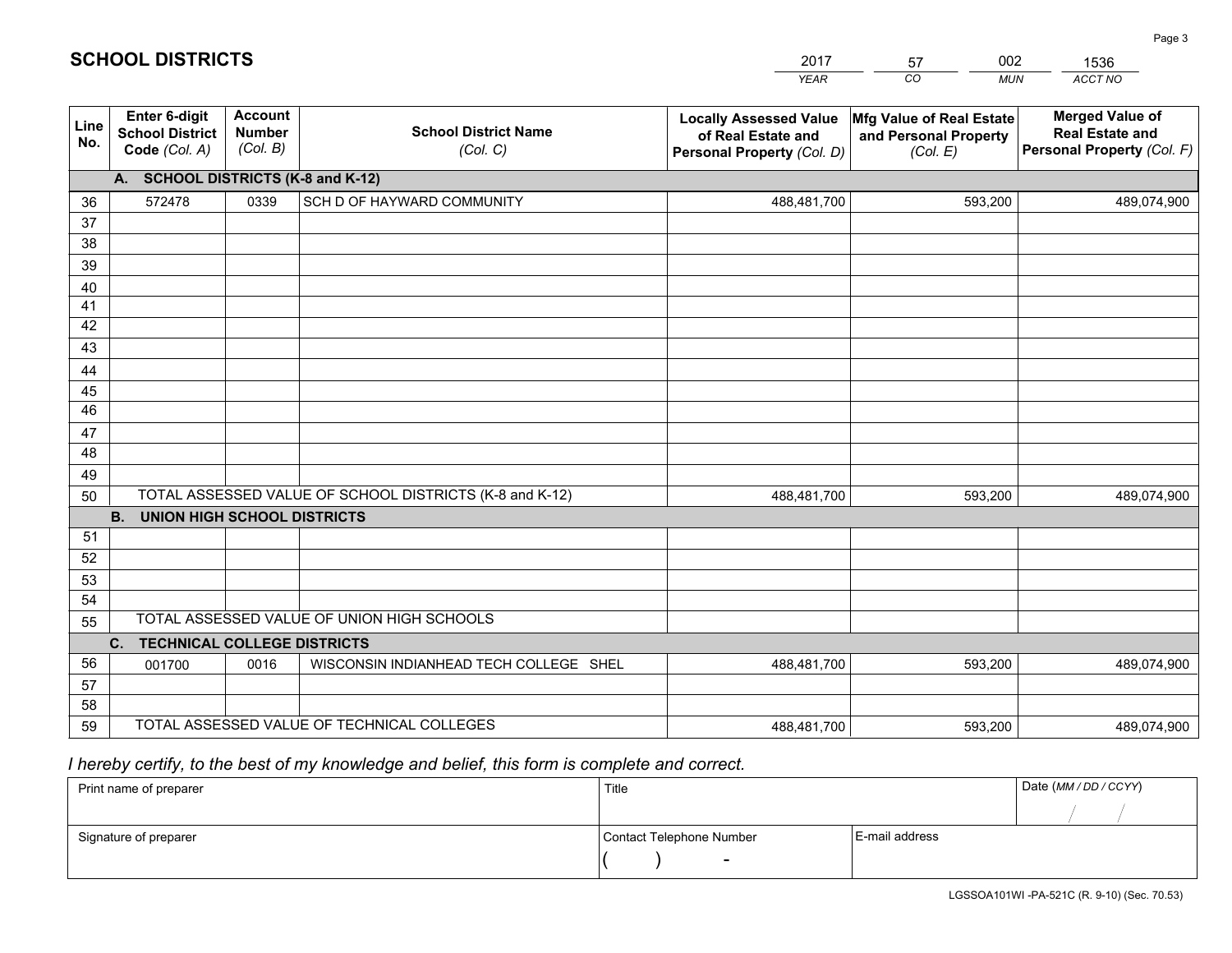|             |                                                                 |                                             |                                                         | <b>YEAR</b>                                                                       | CO<br><b>MUN</b>                                              | <b>ACCT NO</b>                                                                 |
|-------------|-----------------------------------------------------------------|---------------------------------------------|---------------------------------------------------------|-----------------------------------------------------------------------------------|---------------------------------------------------------------|--------------------------------------------------------------------------------|
| Line<br>No. | <b>Enter 6-digit</b><br><b>School District</b><br>Code (Col. A) | <b>Account</b><br><b>Number</b><br>(Col. B) | <b>School District Name</b><br>(Col. C)                 | <b>Locally Assessed Value</b><br>of Real Estate and<br>Personal Property (Col. D) | Mfg Value of Real Estate<br>and Personal Property<br>(Col. E) | <b>Merged Value of</b><br><b>Real Estate and</b><br>Personal Property (Col. F) |
|             | A. SCHOOL DISTRICTS (K-8 and K-12)                              |                                             |                                                         |                                                                                   |                                                               |                                                                                |
| 36          | 572478                                                          | 0339                                        | SCH D OF HAYWARD COMMUNITY                              | 488,481,700                                                                       | 593,200                                                       | 489,074,900                                                                    |
| 37          |                                                                 |                                             |                                                         |                                                                                   |                                                               |                                                                                |
| 38          |                                                                 |                                             |                                                         |                                                                                   |                                                               |                                                                                |
| 39          |                                                                 |                                             |                                                         |                                                                                   |                                                               |                                                                                |
| 40          |                                                                 |                                             |                                                         |                                                                                   |                                                               |                                                                                |
| 41<br>42    |                                                                 |                                             |                                                         |                                                                                   |                                                               |                                                                                |
| 43          |                                                                 |                                             |                                                         |                                                                                   |                                                               |                                                                                |
| 44          |                                                                 |                                             |                                                         |                                                                                   |                                                               |                                                                                |
| 45          |                                                                 |                                             |                                                         |                                                                                   |                                                               |                                                                                |
| 46          |                                                                 |                                             |                                                         |                                                                                   |                                                               |                                                                                |
| 47          |                                                                 |                                             |                                                         |                                                                                   |                                                               |                                                                                |
| 48          |                                                                 |                                             |                                                         |                                                                                   |                                                               |                                                                                |
| 49          |                                                                 |                                             |                                                         |                                                                                   |                                                               |                                                                                |
| 50          |                                                                 |                                             | TOTAL ASSESSED VALUE OF SCHOOL DISTRICTS (K-8 and K-12) | 488,481,700                                                                       | 593,200                                                       | 489,074,900                                                                    |
|             | <b>B.</b><br><b>UNION HIGH SCHOOL DISTRICTS</b>                 |                                             |                                                         |                                                                                   |                                                               |                                                                                |
| 51          |                                                                 |                                             |                                                         |                                                                                   |                                                               |                                                                                |
| 52          |                                                                 |                                             |                                                         |                                                                                   |                                                               |                                                                                |
| 53          |                                                                 |                                             |                                                         |                                                                                   |                                                               |                                                                                |
| 54          |                                                                 |                                             | TOTAL ASSESSED VALUE OF UNION HIGH SCHOOLS              |                                                                                   |                                                               |                                                                                |
| 55          |                                                                 |                                             |                                                         |                                                                                   |                                                               |                                                                                |
|             | C.<br><b>TECHNICAL COLLEGE DISTRICTS</b>                        |                                             |                                                         |                                                                                   |                                                               |                                                                                |
| 56<br>57    | 001700                                                          | 0016                                        | WISCONSIN INDIANHEAD TECH COLLEGE SHEL                  | 488,481,700                                                                       | 593,200                                                       | 489,074,900                                                                    |
| 58          |                                                                 |                                             |                                                         |                                                                                   |                                                               |                                                                                |
| 59          |                                                                 |                                             | TOTAL ASSESSED VALUE OF TECHNICAL COLLEGES              | 488,481,700                                                                       | 593,200                                                       | 489,074,900                                                                    |
|             |                                                                 |                                             |                                                         |                                                                                   |                                                               |                                                                                |

2017

57

002

 *I hereby certify, to the best of my knowledge and belief, this form is complete and correct.*

**SCHOOL DISTRICTS**

| Print name of preparer | Title                    |                | Date (MM / DD / CCYY) |
|------------------------|--------------------------|----------------|-----------------------|
|                        |                          |                |                       |
| Signature of preparer  | Contact Telephone Number | E-mail address |                       |
|                        | $\sim$                   |                |                       |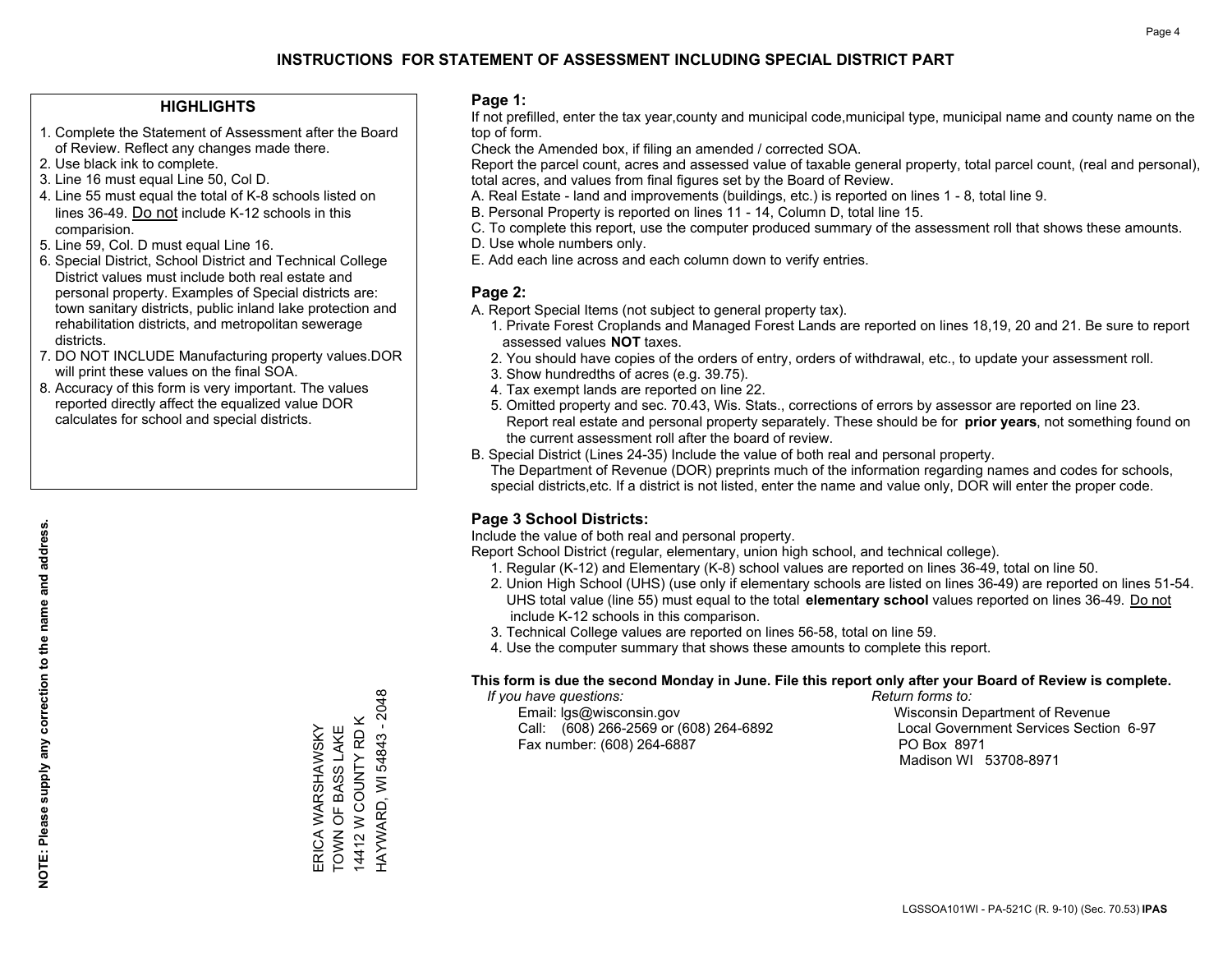### **HIGHLIGHTS**

- 1. Complete the Statement of Assessment after the Board of Review. Reflect any changes made there.
- 2. Use black ink to complete.
- 3. Line 16 must equal Line 50, Col D.
- 4. Line 55 must equal the total of K-8 schools listed on lines 36-49. Do not include K-12 schools in this comparision.
- 5. Line 59, Col. D must equal Line 16.
- 6. Special District, School District and Technical College District values must include both real estate and personal property. Examples of Special districts are: town sanitary districts, public inland lake protection and rehabilitation districts, and metropolitan sewerage districts.
- 7. DO NOT INCLUDE Manufacturing property values.DOR will print these values on the final SOA.
- 8. Accuracy of this form is very important. The values reported directly affect the equalized value DOR calculates for school and special districts.

### **Page 1:**

 If not prefilled, enter the tax year,county and municipal code,municipal type, municipal name and county name on the top of form.

Check the Amended box, if filing an amended / corrected SOA.

 Report the parcel count, acres and assessed value of taxable general property, total parcel count, (real and personal), total acres, and values from final figures set by the Board of Review.

- A. Real Estate land and improvements (buildings, etc.) is reported on lines 1 8, total line 9.
- B. Personal Property is reported on lines 11 14, Column D, total line 15.
- C. To complete this report, use the computer produced summary of the assessment roll that shows these amounts.
- D. Use whole numbers only.
- E. Add each line across and each column down to verify entries.

### **Page 2:**

- A. Report Special Items (not subject to general property tax).
- 1. Private Forest Croplands and Managed Forest Lands are reported on lines 18,19, 20 and 21. Be sure to report assessed values **NOT** taxes.
- 2. You should have copies of the orders of entry, orders of withdrawal, etc., to update your assessment roll.
	- 3. Show hundredths of acres (e.g. 39.75).
- 4. Tax exempt lands are reported on line 22.
- 5. Omitted property and sec. 70.43, Wis. Stats., corrections of errors by assessor are reported on line 23. Report real estate and personal property separately. These should be for **prior years**, not something found on the current assessment roll after the board of review.
- B. Special District (Lines 24-35) Include the value of both real and personal property.
- The Department of Revenue (DOR) preprints much of the information regarding names and codes for schools, special districts,etc. If a district is not listed, enter the name and value only, DOR will enter the proper code.

# **Page 3 School Districts:**

Include the value of both real and personal property.

Report School District (regular, elementary, union high school, and technical college).

- 1. Regular (K-12) and Elementary (K-8) school values are reported on lines 36-49, total on line 50.
- 2. Union High School (UHS) (use only if elementary schools are listed on lines 36-49) are reported on lines 51-54. UHS total value (line 55) must equal to the total **elementary school** values reported on lines 36-49. Do notinclude K-12 schools in this comparison.
- 3. Technical College values are reported on lines 56-58, total on line 59.
- 4. Use the computer summary that shows these amounts to complete this report.

#### **This form is due the second Monday in June. File this report only after your Board of Review is complete.**

 *If you have questions: Return forms to:*

 Email: lgs@wisconsin.gov Wisconsin Department of RevenueCall:  $(608)$  266-2569 or  $(608)$  264-6892 Fax number: (608) 264-6887 PO Box 8971

Local Government Services Section 6-97 Madison WI 53708-8971

HAYWARD, WI 54843 - 2048 HAYWARD, WI 54843 - 2048 14412 W COUNTY RD K 14412 W COUNTY RD K TOWN OF BASS LAKE ERICA WARSHAWSKY<br>TOWN OF BASS LAKE ERICA WARSHAWSKY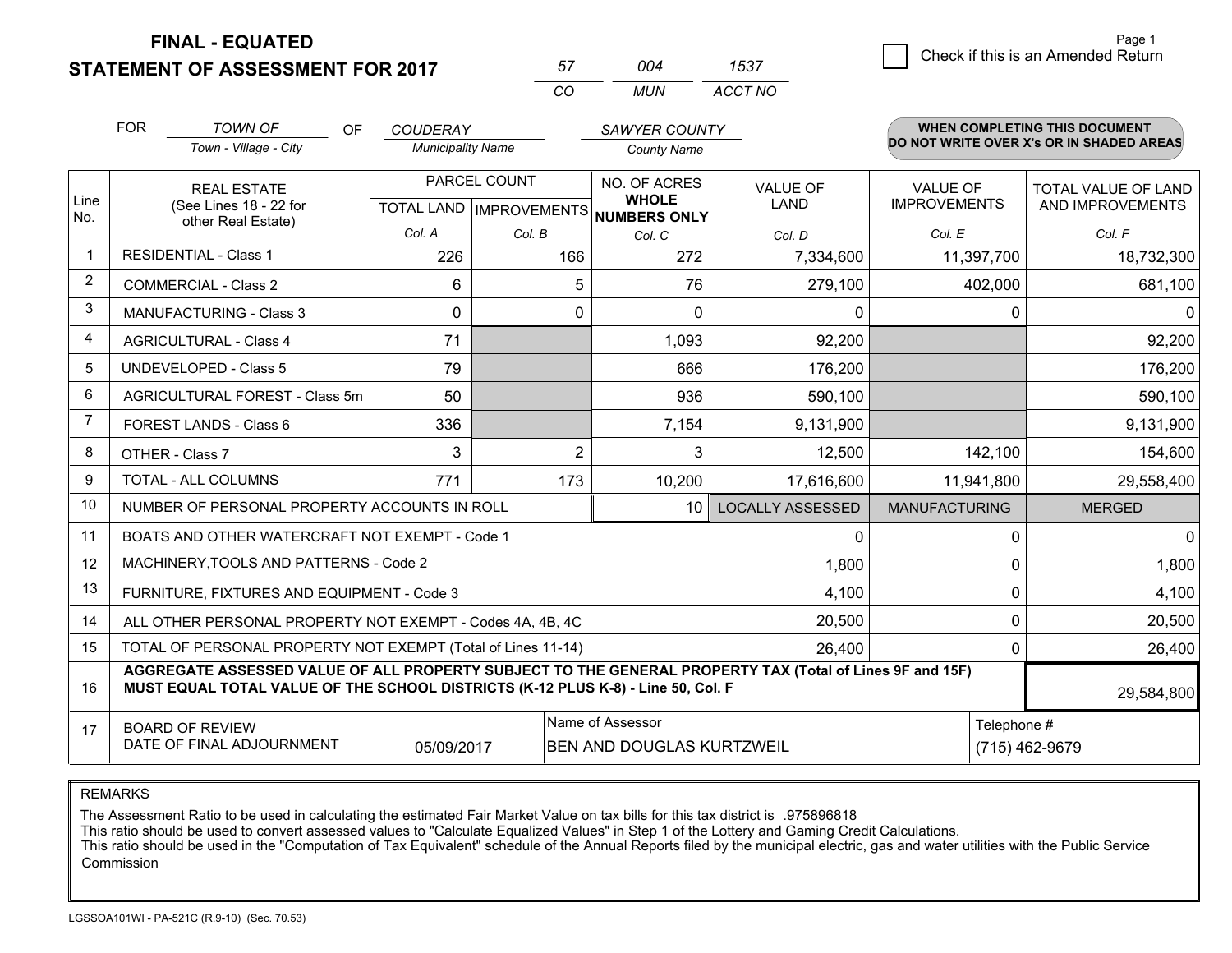**STATEMENT OF ASSESSMENT FOR 2017** 

| 57       | ∩∩⊿ | 1537    |
|----------|-----|---------|
| $\cdots$ | MUN | ACCT NO |

|                | <b>FOR</b><br><b>TOWN OF</b><br><b>OF</b><br><b>COUDERAY</b><br><b>SAWYER COUNTY</b> |                                                                                                                                                                                              |                          |                |                                                     | <b>WHEN COMPLETING THIS DOCUMENT</b> |                      |                                          |
|----------------|--------------------------------------------------------------------------------------|----------------------------------------------------------------------------------------------------------------------------------------------------------------------------------------------|--------------------------|----------------|-----------------------------------------------------|--------------------------------------|----------------------|------------------------------------------|
|                |                                                                                      | Town - Village - City                                                                                                                                                                        | <b>Municipality Name</b> |                | <b>County Name</b>                                  |                                      |                      | DO NOT WRITE OVER X's OR IN SHADED AREAS |
|                |                                                                                      | <b>REAL ESTATE</b>                                                                                                                                                                           |                          | PARCEL COUNT   | NO. OF ACRES                                        | <b>VALUE OF</b>                      | VALUE OF             | TOTAL VALUE OF LAND                      |
| Line<br>No.    |                                                                                      | (See Lines 18 - 22 for<br>other Real Estate)                                                                                                                                                 |                          |                | <b>WHOLE</b><br>TOTAL LAND MPROVEMENTS NUMBERS ONLY | <b>LAND</b>                          | <b>IMPROVEMENTS</b>  | AND IMPROVEMENTS                         |
|                |                                                                                      |                                                                                                                                                                                              | Col. A                   | Col. B         | Col. C                                              | Col. D                               | Col. E               | Col. F                                   |
| $\mathbf 1$    |                                                                                      | <b>RESIDENTIAL - Class 1</b>                                                                                                                                                                 | 226                      | 166            | 272                                                 | 7,334,600                            | 11,397,700           | 18,732,300                               |
| $\overline{2}$ |                                                                                      | <b>COMMERCIAL - Class 2</b>                                                                                                                                                                  | 6                        | 5              | 76                                                  | 279,100                              | 402,000              | 681,100                                  |
| 3              |                                                                                      | <b>MANUFACTURING - Class 3</b>                                                                                                                                                               | $\Omega$                 | $\Omega$       | $\Omega$                                            | $\mathbf{0}$                         | 0                    | $\Omega$                                 |
| 4              |                                                                                      | <b>AGRICULTURAL - Class 4</b>                                                                                                                                                                | 71                       |                | 1,093                                               | 92,200                               |                      | 92,200                                   |
| 5              |                                                                                      | <b>UNDEVELOPED - Class 5</b>                                                                                                                                                                 | 79                       |                | 666                                                 | 176,200                              |                      | 176,200                                  |
| 6              |                                                                                      | AGRICULTURAL FOREST - Class 5m                                                                                                                                                               | 50                       |                | 936                                                 | 590,100                              |                      | 590,100                                  |
| 7              |                                                                                      | FOREST LANDS - Class 6                                                                                                                                                                       | 336                      |                | 7,154                                               | 9,131,900                            |                      | 9,131,900                                |
| 8              |                                                                                      | OTHER - Class 7                                                                                                                                                                              | 3                        | $\overline{2}$ | 3                                                   | 12,500                               | 142,100              | 154,600                                  |
| 9              |                                                                                      | TOTAL - ALL COLUMNS                                                                                                                                                                          | 771                      | 173            | 10,200                                              | 17,616,600                           | 11,941,800           | 29,558,400                               |
| 10             |                                                                                      | NUMBER OF PERSONAL PROPERTY ACCOUNTS IN ROLL                                                                                                                                                 |                          |                | 10 <sup>1</sup>                                     | <b>LOCALLY ASSESSED</b>              | <b>MANUFACTURING</b> | <b>MERGED</b>                            |
| 11             |                                                                                      | BOATS AND OTHER WATERCRAFT NOT EXEMPT - Code 1                                                                                                                                               |                          |                |                                                     | $\mathbf{0}$                         | 0                    | $\mathbf{0}$                             |
| 12             |                                                                                      | MACHINERY, TOOLS AND PATTERNS - Code 2                                                                                                                                                       |                          |                |                                                     | 1,800                                | 0                    | 1,800                                    |
| 13             |                                                                                      | FURNITURE, FIXTURES AND EQUIPMENT - Code 3                                                                                                                                                   |                          |                |                                                     | 4,100                                | 0                    | 4,100                                    |
| 14             | 20,500<br>ALL OTHER PERSONAL PROPERTY NOT EXEMPT - Codes 4A, 4B, 4C                  |                                                                                                                                                                                              |                          |                |                                                     |                                      | 0                    | 20,500                                   |
| 15             | TOTAL OF PERSONAL PROPERTY NOT EXEMPT (Total of Lines 11-14)<br>26,400               |                                                                                                                                                                                              |                          |                |                                                     |                                      | 0                    | 26,400                                   |
| 16             |                                                                                      | AGGREGATE ASSESSED VALUE OF ALL PROPERTY SUBJECT TO THE GENERAL PROPERTY TAX (Total of Lines 9F and 15F)<br>MUST EQUAL TOTAL VALUE OF THE SCHOOL DISTRICTS (K-12 PLUS K-8) - Line 50, Col. F |                          |                |                                                     |                                      |                      | 29,584,800                               |
| 17             |                                                                                      | <b>BOARD OF REVIEW</b>                                                                                                                                                                       |                          |                | Name of Assessor                                    |                                      | Telephone #          |                                          |
|                |                                                                                      | DATE OF FINAL ADJOURNMENT                                                                                                                                                                    | 05/09/2017               |                | BEN AND DOUGLAS KURTZWEIL                           |                                      |                      | (715) 462-9679                           |

REMARKS

The Assessment Ratio to be used in calculating the estimated Fair Market Value on tax bills for this tax district is .975896818

This ratio should be used to convert assessed values to "Calculate Equalized Values" in Step 1 of the Lottery and Gaming Credit Calculations.<br>This ratio should be used in the "Computation of Tax Equivalent" schedule of the Commission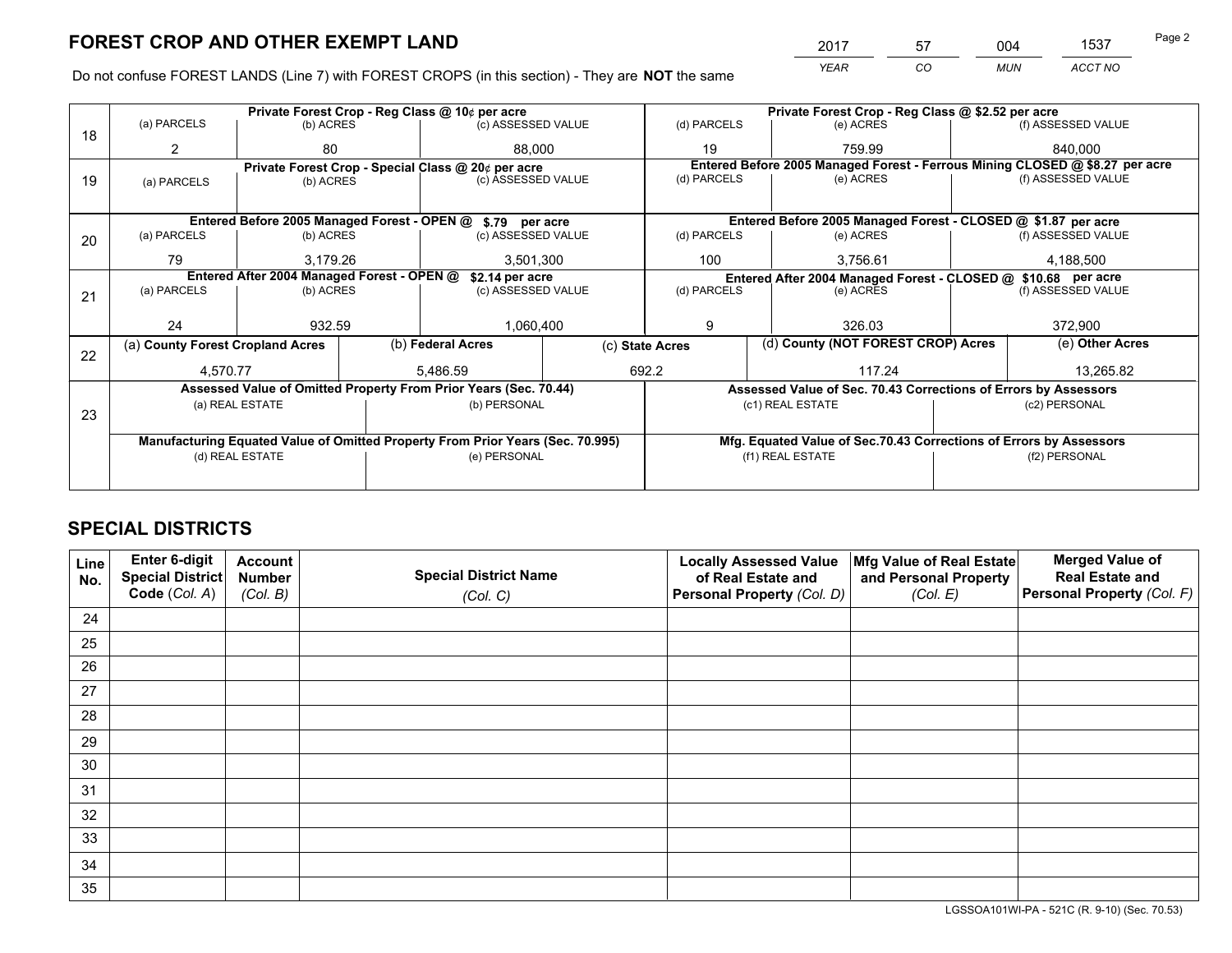*YEAR CO MUN ACCT NO* 2017 57 004 1537 Page 2

Do not confuse FOREST LANDS (Line 7) with FOREST CROPS (in this section) - They are **NOT** the same

|    |                                                               |                                             |           | Private Forest Crop - Reg Class @ 10¢ per acre                                 |     | Private Forest Crop - Reg Class @ \$2.52 per acre                            |                  |                                    |                    |                                                                    |
|----|---------------------------------------------------------------|---------------------------------------------|-----------|--------------------------------------------------------------------------------|-----|------------------------------------------------------------------------------|------------------|------------------------------------|--------------------|--------------------------------------------------------------------|
| 18 | (a) PARCELS                                                   | (b) ACRES                                   |           | (c) ASSESSED VALUE                                                             |     | (d) PARCELS                                                                  |                  | (e) ACRES                          |                    | (f) ASSESSED VALUE                                                 |
|    |                                                               | 80<br>88.000                                |           | 19                                                                             |     | 759.99                                                                       |                  | 840.000                            |                    |                                                                    |
|    |                                                               |                                             |           | Private Forest Crop - Special Class @ 20¢ per acre                             |     | Entered Before 2005 Managed Forest - Ferrous Mining CLOSED @ \$8.27 per acre |                  |                                    |                    |                                                                    |
| 19 | (a) PARCELS                                                   | (c) ASSESSED VALUE<br>(b) ACRES             |           | (d) PARCELS                                                                    |     | (e) ACRES                                                                    |                  | (f) ASSESSED VALUE                 |                    |                                                                    |
|    |                                                               |                                             |           |                                                                                |     |                                                                              |                  |                                    |                    |                                                                    |
|    |                                                               | Entered Before 2005 Managed Forest - OPEN @ |           | \$.79 per acre                                                                 |     |                                                                              |                  |                                    |                    | Entered Before 2005 Managed Forest - CLOSED @ \$1.87 per acre      |
| 20 | (a) PARCELS                                                   | (b) ACRES                                   |           | (c) ASSESSED VALUE                                                             |     | (d) PARCELS                                                                  |                  | (e) ACRES                          |                    | (f) ASSESSED VALUE                                                 |
|    | 3,179.26<br>79                                                |                                             | 3,501,300 |                                                                                | 100 |                                                                              | 3,756.61         |                                    | 4,188,500          |                                                                    |
|    | Entered After 2004 Managed Forest - OPEN @<br>\$2.14 per acre |                                             |           |                                                                                |     | Entered After 2004 Managed Forest - CLOSED @ \$10.68 per acre                |                  |                                    |                    |                                                                    |
| 21 | (a) PARCELS                                                   | (b) ACRES                                   |           | (c) ASSESSED VALUE                                                             |     | (d) PARCELS<br>(e) ACRES                                                     |                  |                                    | (f) ASSESSED VALUE |                                                                    |
|    |                                                               |                                             |           |                                                                                |     |                                                                              |                  |                                    |                    |                                                                    |
|    | 24                                                            | 932.59                                      |           | 1,060,400<br>9<br>326.03                                                       |     |                                                                              |                  | 372,900                            |                    |                                                                    |
|    | (a) County Forest Cropland Acres                              |                                             |           | (b) Federal Acres                                                              |     | (c) State Acres                                                              |                  | (d) County (NOT FOREST CROP) Acres |                    | (e) Other Acres                                                    |
| 22 | 4.570.77                                                      |                                             |           | 5.486.59                                                                       |     | 692.2                                                                        | 117.24           |                                    |                    | 13,265.82                                                          |
|    |                                                               |                                             |           | Assessed Value of Omitted Property From Prior Years (Sec. 70.44)               |     |                                                                              |                  |                                    |                    | Assessed Value of Sec. 70.43 Corrections of Errors by Assessors    |
|    |                                                               | (a) REAL ESTATE                             |           | (b) PERSONAL                                                                   |     |                                                                              | (c1) REAL ESTATE |                                    | (c2) PERSONAL      |                                                                    |
| 23 |                                                               |                                             |           |                                                                                |     |                                                                              |                  |                                    |                    |                                                                    |
|    |                                                               |                                             |           | Manufacturing Equated Value of Omitted Property From Prior Years (Sec. 70.995) |     |                                                                              |                  |                                    |                    | Mfg. Equated Value of Sec.70.43 Corrections of Errors by Assessors |
|    |                                                               | (d) REAL ESTATE                             |           | (e) PERSONAL                                                                   |     |                                                                              | (f1) REAL ESTATE |                                    |                    | (f2) PERSONAL                                                      |
|    |                                                               |                                             |           |                                                                                |     |                                                                              |                  |                                    |                    |                                                                    |

# **SPECIAL DISTRICTS**

| Line<br>No. | Enter 6-digit<br>Special District<br>Code (Col. A) | <b>Account</b><br><b>Number</b><br>(Col. B) | <b>Special District Name</b><br>(Col. C) | <b>Locally Assessed Value</b><br>of Real Estate and<br>Personal Property (Col. D) | Mfg Value of Real Estate<br>and Personal Property<br>(Col. E) | <b>Merged Value of</b><br><b>Real Estate and</b><br>Personal Property (Col. F) |
|-------------|----------------------------------------------------|---------------------------------------------|------------------------------------------|-----------------------------------------------------------------------------------|---------------------------------------------------------------|--------------------------------------------------------------------------------|
| 24          |                                                    |                                             |                                          |                                                                                   |                                                               |                                                                                |
| 25          |                                                    |                                             |                                          |                                                                                   |                                                               |                                                                                |
| 26          |                                                    |                                             |                                          |                                                                                   |                                                               |                                                                                |
| 27          |                                                    |                                             |                                          |                                                                                   |                                                               |                                                                                |
| 28          |                                                    |                                             |                                          |                                                                                   |                                                               |                                                                                |
| 29          |                                                    |                                             |                                          |                                                                                   |                                                               |                                                                                |
| 30          |                                                    |                                             |                                          |                                                                                   |                                                               |                                                                                |
| 31          |                                                    |                                             |                                          |                                                                                   |                                                               |                                                                                |
| 32          |                                                    |                                             |                                          |                                                                                   |                                                               |                                                                                |
| 33          |                                                    |                                             |                                          |                                                                                   |                                                               |                                                                                |
| 34          |                                                    |                                             |                                          |                                                                                   |                                                               |                                                                                |
| 35          |                                                    |                                             |                                          |                                                                                   |                                                               |                                                                                |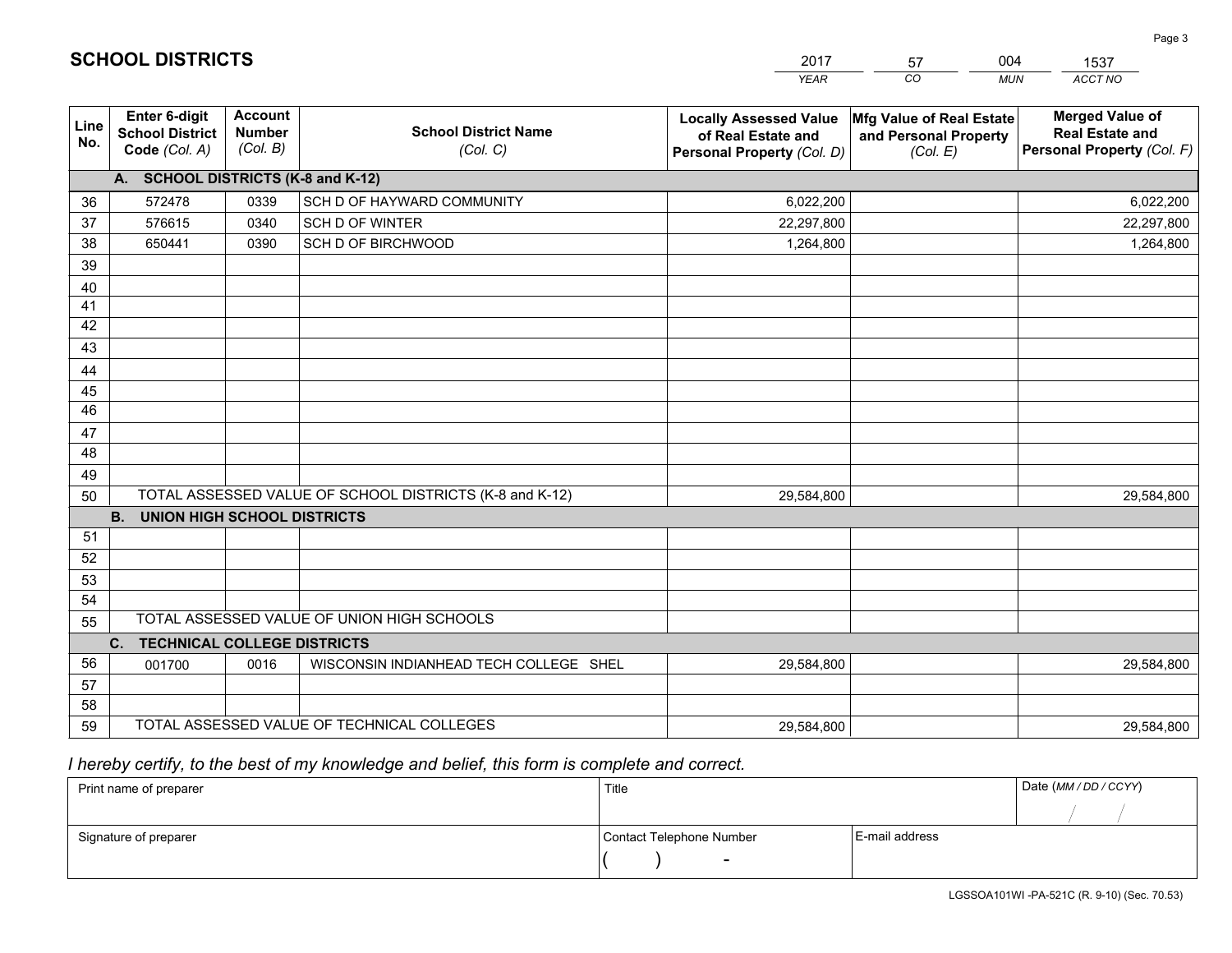| <b>Account</b><br><b>Merged Value of</b><br>Enter 6-digit<br><b>Locally Assessed Value</b><br>Mfg Value of Real Estate<br>Line<br><b>Number</b><br><b>School District Name</b><br><b>School District</b><br><b>Real Estate and</b><br>of Real Estate and<br>and Personal Property<br>No.<br>(Col. B)<br>Code (Col. A)<br>(Col. C)<br>Personal Property (Col. D)<br>(Col. E)<br>A. SCHOOL DISTRICTS (K-8 and K-12)<br>572478<br>0339<br>SCH D OF HAYWARD COMMUNITY<br>36<br>6,022,200<br>37<br>576615<br>0340<br>SCH D OF WINTER<br>22,297,800<br>38<br>650441<br>0390<br>SCH D OF BIRCHWOOD<br>1,264,800<br>39<br>40<br>41 | <b>MUN</b><br>ACCT NO      |
|----------------------------------------------------------------------------------------------------------------------------------------------------------------------------------------------------------------------------------------------------------------------------------------------------------------------------------------------------------------------------------------------------------------------------------------------------------------------------------------------------------------------------------------------------------------------------------------------------------------------------|----------------------------|
|                                                                                                                                                                                                                                                                                                                                                                                                                                                                                                                                                                                                                            | Personal Property (Col. F) |
|                                                                                                                                                                                                                                                                                                                                                                                                                                                                                                                                                                                                                            |                            |
|                                                                                                                                                                                                                                                                                                                                                                                                                                                                                                                                                                                                                            | 6,022,200                  |
|                                                                                                                                                                                                                                                                                                                                                                                                                                                                                                                                                                                                                            | 22,297,800                 |
|                                                                                                                                                                                                                                                                                                                                                                                                                                                                                                                                                                                                                            | 1,264,800                  |
|                                                                                                                                                                                                                                                                                                                                                                                                                                                                                                                                                                                                                            |                            |
|                                                                                                                                                                                                                                                                                                                                                                                                                                                                                                                                                                                                                            |                            |
|                                                                                                                                                                                                                                                                                                                                                                                                                                                                                                                                                                                                                            |                            |
| 42                                                                                                                                                                                                                                                                                                                                                                                                                                                                                                                                                                                                                         |                            |
| 43                                                                                                                                                                                                                                                                                                                                                                                                                                                                                                                                                                                                                         |                            |
| 44                                                                                                                                                                                                                                                                                                                                                                                                                                                                                                                                                                                                                         |                            |
| 45                                                                                                                                                                                                                                                                                                                                                                                                                                                                                                                                                                                                                         |                            |
| 46                                                                                                                                                                                                                                                                                                                                                                                                                                                                                                                                                                                                                         |                            |
| 47                                                                                                                                                                                                                                                                                                                                                                                                                                                                                                                                                                                                                         |                            |
| 48                                                                                                                                                                                                                                                                                                                                                                                                                                                                                                                                                                                                                         |                            |
| 49                                                                                                                                                                                                                                                                                                                                                                                                                                                                                                                                                                                                                         |                            |
| TOTAL ASSESSED VALUE OF SCHOOL DISTRICTS (K-8 and K-12)<br>50<br>29,584,800                                                                                                                                                                                                                                                                                                                                                                                                                                                                                                                                                | 29,584,800                 |
| <b>B.</b><br><b>UNION HIGH SCHOOL DISTRICTS</b>                                                                                                                                                                                                                                                                                                                                                                                                                                                                                                                                                                            |                            |
| 51                                                                                                                                                                                                                                                                                                                                                                                                                                                                                                                                                                                                                         |                            |
| 52                                                                                                                                                                                                                                                                                                                                                                                                                                                                                                                                                                                                                         |                            |
| 53<br>54                                                                                                                                                                                                                                                                                                                                                                                                                                                                                                                                                                                                                   |                            |
| TOTAL ASSESSED VALUE OF UNION HIGH SCHOOLS                                                                                                                                                                                                                                                                                                                                                                                                                                                                                                                                                                                 |                            |
| 55<br>C.<br><b>TECHNICAL COLLEGE DISTRICTS</b>                                                                                                                                                                                                                                                                                                                                                                                                                                                                                                                                                                             |                            |
| 56<br>WISCONSIN INDIANHEAD TECH COLLEGE SHEL<br>001700<br>0016<br>29,584,800                                                                                                                                                                                                                                                                                                                                                                                                                                                                                                                                               | 29,584,800                 |
| 57                                                                                                                                                                                                                                                                                                                                                                                                                                                                                                                                                                                                                         |                            |
| 58                                                                                                                                                                                                                                                                                                                                                                                                                                                                                                                                                                                                                         |                            |
| TOTAL ASSESSED VALUE OF TECHNICAL COLLEGES<br>59<br>29,584,800                                                                                                                                                                                                                                                                                                                                                                                                                                                                                                                                                             | 29,584,800                 |

2017

57

004

 *I hereby certify, to the best of my knowledge and belief, this form is complete and correct.*

**SCHOOL DISTRICTS**

| Print name of preparer | Title                    |                | Date (MM / DD / CCYY) |
|------------------------|--------------------------|----------------|-----------------------|
|                        |                          |                |                       |
| Signature of preparer  | Contact Telephone Number | E-mail address |                       |
|                        | $\overline{\phantom{0}}$ |                |                       |

Page 3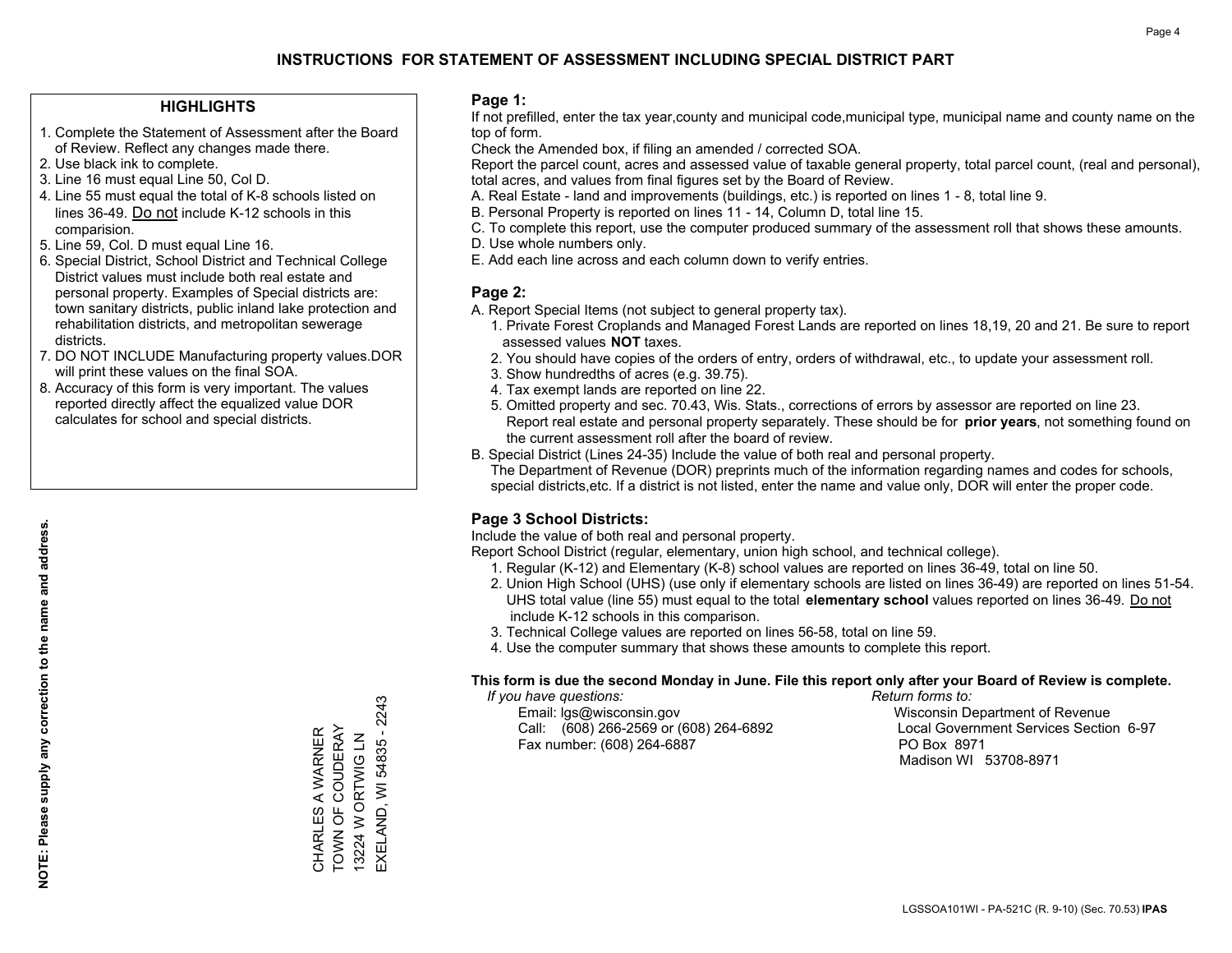### **HIGHLIGHTS**

- 1. Complete the Statement of Assessment after the Board of Review. Reflect any changes made there.
- 2. Use black ink to complete.
- 3. Line 16 must equal Line 50, Col D.
- 4. Line 55 must equal the total of K-8 schools listed on lines 36-49. Do not include K-12 schools in this comparision.
- 5. Line 59, Col. D must equal Line 16.
- 6. Special District, School District and Technical College District values must include both real estate and personal property. Examples of Special districts are: town sanitary districts, public inland lake protection and rehabilitation districts, and metropolitan sewerage districts.
- 7. DO NOT INCLUDE Manufacturing property values.DOR will print these values on the final SOA.

CHARLES A WARNER TOWN OF COUDERAY 13224 W ORTWIG LN EXELAND, WI 54835 - 2243

CHARLES A WARNER<br>TOWN OF COUDERAY 13224 W ORTWIG LN

EXELAND, WI 54835 - 2243

 8. Accuracy of this form is very important. The values reported directly affect the equalized value DOR calculates for school and special districts.

### **Page 1:**

 If not prefilled, enter the tax year,county and municipal code,municipal type, municipal name and county name on the top of form.

Check the Amended box, if filing an amended / corrected SOA.

 Report the parcel count, acres and assessed value of taxable general property, total parcel count, (real and personal), total acres, and values from final figures set by the Board of Review.

- A. Real Estate land and improvements (buildings, etc.) is reported on lines 1 8, total line 9.
- B. Personal Property is reported on lines 11 14, Column D, total line 15.
- C. To complete this report, use the computer produced summary of the assessment roll that shows these amounts.
- D. Use whole numbers only.
- E. Add each line across and each column down to verify entries.

### **Page 2:**

- A. Report Special Items (not subject to general property tax).
- 1. Private Forest Croplands and Managed Forest Lands are reported on lines 18,19, 20 and 21. Be sure to report assessed values **NOT** taxes.
- 2. You should have copies of the orders of entry, orders of withdrawal, etc., to update your assessment roll.
	- 3. Show hundredths of acres (e.g. 39.75).
- 4. Tax exempt lands are reported on line 22.
- 5. Omitted property and sec. 70.43, Wis. Stats., corrections of errors by assessor are reported on line 23. Report real estate and personal property separately. These should be for **prior years**, not something found on the current assessment roll after the board of review.
- B. Special District (Lines 24-35) Include the value of both real and personal property.

 The Department of Revenue (DOR) preprints much of the information regarding names and codes for schools, special districts,etc. If a district is not listed, enter the name and value only, DOR will enter the proper code.

### **Page 3 School Districts:**

Include the value of both real and personal property.

Report School District (regular, elementary, union high school, and technical college).

- 1. Regular (K-12) and Elementary (K-8) school values are reported on lines 36-49, total on line 50.
- 2. Union High School (UHS) (use only if elementary schools are listed on lines 36-49) are reported on lines 51-54. UHS total value (line 55) must equal to the total **elementary school** values reported on lines 36-49. Do notinclude K-12 schools in this comparison.
- 3. Technical College values are reported on lines 56-58, total on line 59.
- 4. Use the computer summary that shows these amounts to complete this report.

#### **This form is due the second Monday in June. File this report only after your Board of Review is complete.**

 *If you have questions: Return forms to:*

 Email: lgs@wisconsin.gov Wisconsin Department of RevenueCall:  $(608)$  266-2569 or  $(608)$  264-6892 Fax number: (608) 264-6887 PO Box 8971

Local Government Services Section 6-97 Madison WI 53708-8971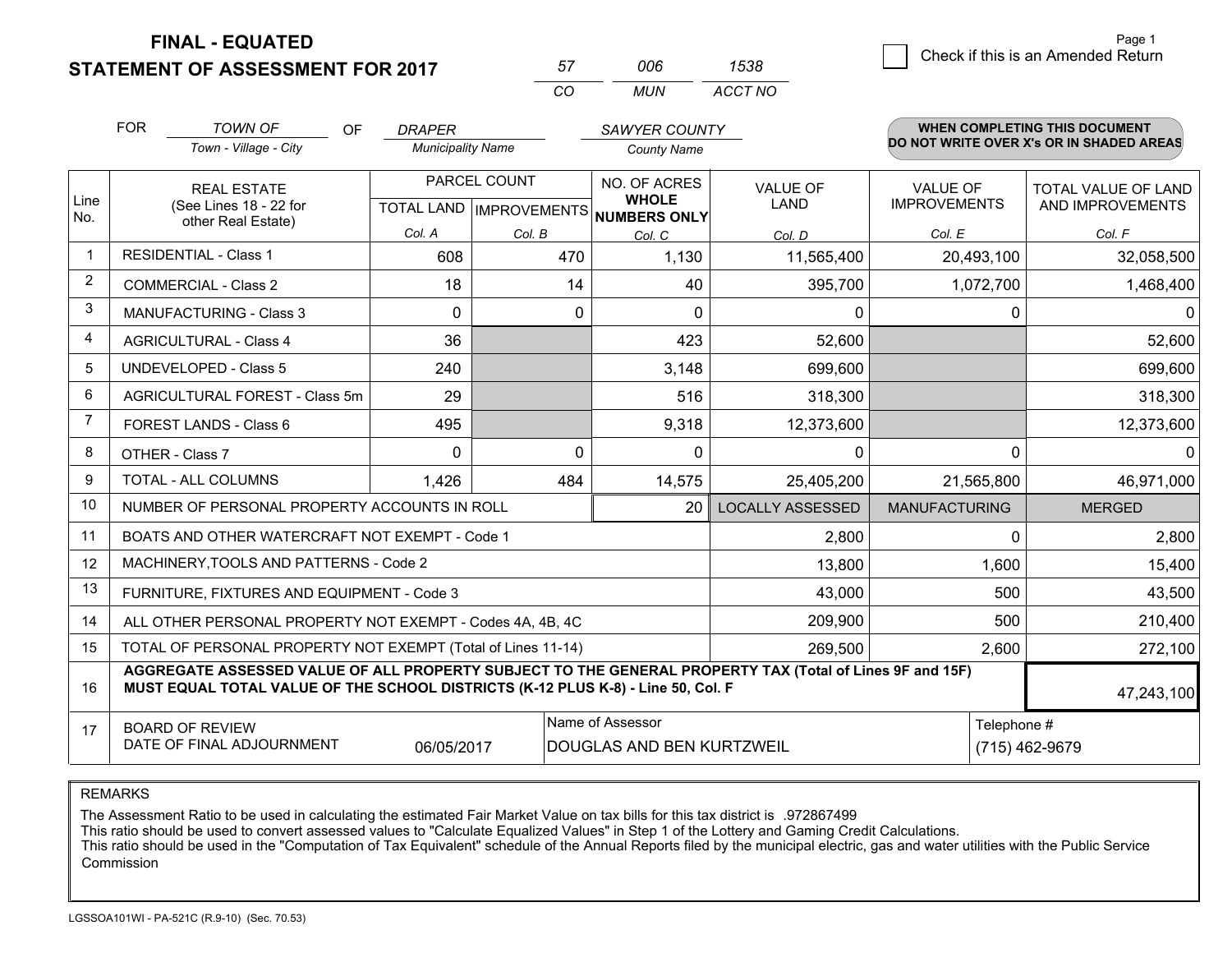**STATEMENT OF ASSESSMENT FOR 2017** 

| 57 | nnr | 1538    |
|----|-----|---------|
| rη | MUN | ACCT NO |

|                | <b>FOR</b><br><b>TOWN OF</b><br>OF<br><b>DRAPER</b>                                                                                                                                          |                                                              |                          |              | SAWYER COUNTY                                       |                         | <b>WHEN COMPLETING THIS DOCUMENT</b><br>DO NOT WRITE OVER X's OR IN SHADED AREAS |                     |
|----------------|----------------------------------------------------------------------------------------------------------------------------------------------------------------------------------------------|--------------------------------------------------------------|--------------------------|--------------|-----------------------------------------------------|-------------------------|----------------------------------------------------------------------------------|---------------------|
|                |                                                                                                                                                                                              | Town - Village - City                                        | <b>Municipality Name</b> |              | <b>County Name</b>                                  |                         |                                                                                  |                     |
|                |                                                                                                                                                                                              | <b>REAL ESTATE</b>                                           |                          | PARCEL COUNT | NO. OF ACRES                                        | <b>VALUE OF</b>         | <b>VALUE OF</b>                                                                  | TOTAL VALUE OF LAND |
| Line<br>No.    |                                                                                                                                                                                              | (See Lines 18 - 22 for<br>other Real Estate)                 |                          |              | <b>WHOLE</b><br>TOTAL LAND MPROVEMENTS NUMBERS ONLY | <b>LAND</b>             | <b>IMPROVEMENTS</b>                                                              | AND IMPROVEMENTS    |
|                |                                                                                                                                                                                              |                                                              | Col. A                   | Col. B       | Col. C                                              | Col. D                  | Col. E                                                                           | Col. F              |
| -1             |                                                                                                                                                                                              | <b>RESIDENTIAL - Class 1</b>                                 | 608                      | 470          | 1,130                                               | 11,565,400              | 20,493,100                                                                       | 32,058,500          |
| 2              |                                                                                                                                                                                              | <b>COMMERCIAL - Class 2</b>                                  | 18                       | 14           | 40                                                  | 395,700                 | 1,072,700                                                                        | 1,468,400           |
| 3              |                                                                                                                                                                                              | MANUFACTURING - Class 3                                      | $\Omega$                 | 0            | $\mathbf{0}$                                        | 0                       | 0                                                                                | $\Omega$            |
| 4              |                                                                                                                                                                                              | <b>AGRICULTURAL - Class 4</b>                                | 36                       |              | 423                                                 | 52,600                  |                                                                                  | 52,600              |
| 5              |                                                                                                                                                                                              | UNDEVELOPED - Class 5                                        | 240                      |              | 3,148                                               | 699,600                 |                                                                                  | 699,600             |
| 6              |                                                                                                                                                                                              | AGRICULTURAL FOREST - Class 5m                               | 29                       |              | 516                                                 | 318,300                 |                                                                                  | 318,300             |
| $\overline{7}$ |                                                                                                                                                                                              | FOREST LANDS - Class 6                                       | 495                      |              | 9,318                                               | 12,373,600              |                                                                                  | 12,373,600          |
| 8              |                                                                                                                                                                                              | OTHER - Class 7                                              | $\Omega$                 | $\Omega$     | $\Omega$                                            | $\mathbf{0}$            | $\Omega$                                                                         | $\Omega$            |
| 9              |                                                                                                                                                                                              | TOTAL - ALL COLUMNS                                          | 1,426                    | 484          | 14,575                                              | 25,405,200              | 21,565,800                                                                       | 46,971,000          |
| 10             |                                                                                                                                                                                              | NUMBER OF PERSONAL PROPERTY ACCOUNTS IN ROLL                 |                          |              | 20                                                  | <b>LOCALLY ASSESSED</b> | <b>MANUFACTURING</b>                                                             | <b>MERGED</b>       |
| 11             |                                                                                                                                                                                              | BOATS AND OTHER WATERCRAFT NOT EXEMPT - Code 1               |                          |              |                                                     | 2,800                   | 0                                                                                | 2,800               |
| 12             |                                                                                                                                                                                              | MACHINERY, TOOLS AND PATTERNS - Code 2                       |                          |              |                                                     | 13,800                  | 1,600                                                                            | 15,400              |
| 13             |                                                                                                                                                                                              | FURNITURE, FIXTURES AND EQUIPMENT - Code 3                   |                          |              |                                                     | 43,000                  | 500                                                                              | 43,500              |
| 14             |                                                                                                                                                                                              | ALL OTHER PERSONAL PROPERTY NOT EXEMPT - Codes 4A, 4B, 4C    |                          |              |                                                     | 209,900                 | 500                                                                              | 210,400             |
| 15             |                                                                                                                                                                                              | TOTAL OF PERSONAL PROPERTY NOT EXEMPT (Total of Lines 11-14) | 269,500                  | 2,600        | 272,100                                             |                         |                                                                                  |                     |
| 16             | AGGREGATE ASSESSED VALUE OF ALL PROPERTY SUBJECT TO THE GENERAL PROPERTY TAX (Total of Lines 9F and 15F)<br>MUST EQUAL TOTAL VALUE OF THE SCHOOL DISTRICTS (K-12 PLUS K-8) - Line 50, Col. F |                                                              |                          |              |                                                     |                         | 47,243,100                                                                       |                     |
| 17             |                                                                                                                                                                                              | <b>BOARD OF REVIEW</b>                                       |                          |              | Name of Assessor                                    |                         | Telephone #                                                                      |                     |
|                |                                                                                                                                                                                              | DATE OF FINAL ADJOURNMENT                                    | 06/05/2017               |              | DOUGLAS AND BEN KURTZWEIL                           |                         |                                                                                  | (715) 462-9679      |

REMARKS

The Assessment Ratio to be used in calculating the estimated Fair Market Value on tax bills for this tax district is .972867499

This ratio should be used to convert assessed values to "Calculate Equalized Values" in Step 1 of the Lottery and Gaming Credit Calculations.<br>This ratio should be used in the "Computation of Tax Equivalent" schedule of the Commission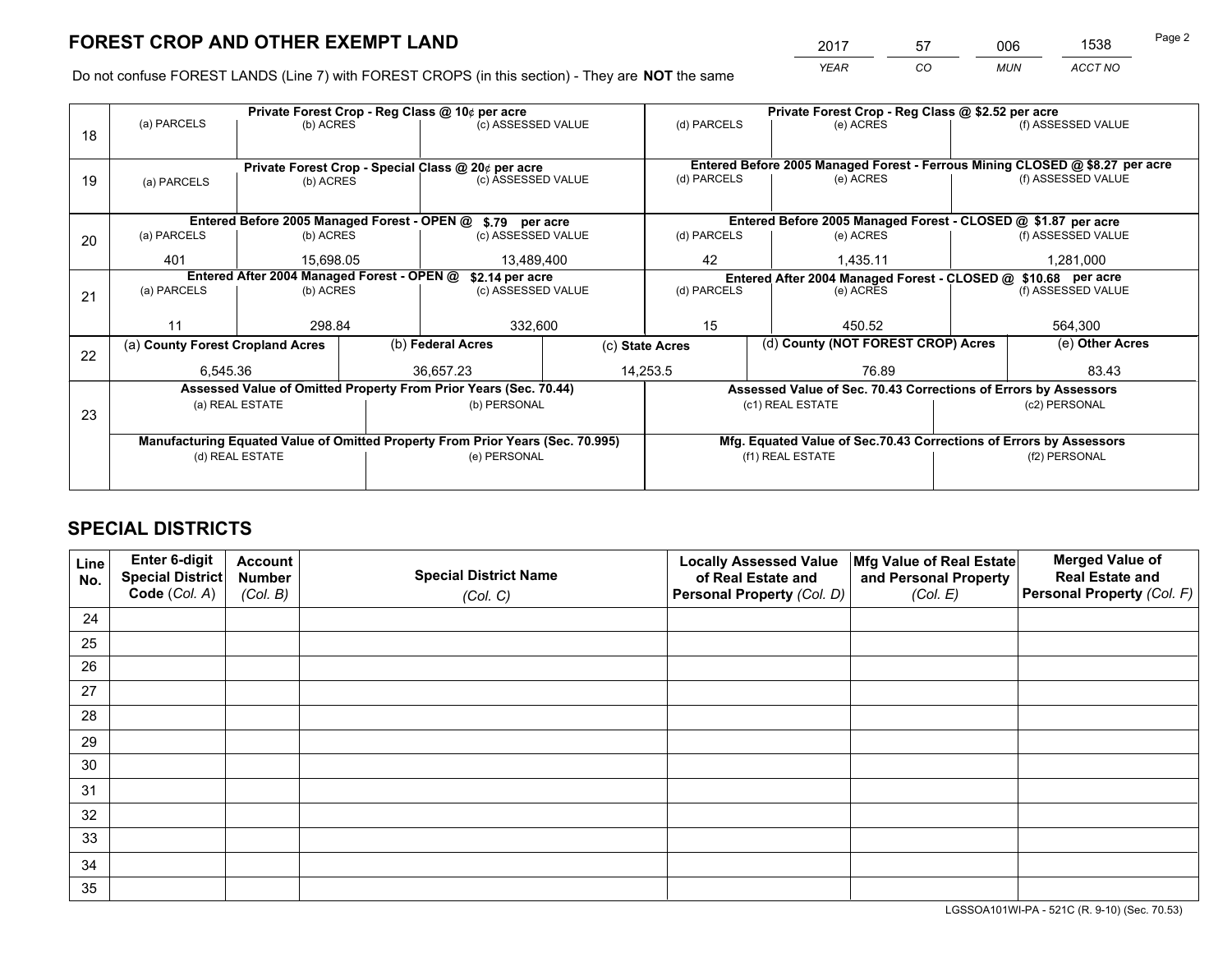*YEAR CO MUN ACCT NO* <sup>2017</sup> <sup>57</sup> <sup>006</sup> <sup>1538</sup>

Do not confuse FOREST LANDS (Line 7) with FOREST CROPS (in this section) - They are **NOT** the same

|    |                                                                                |                                            |  | Private Forest Crop - Reg Class @ 10¢ per acre                   |                 | Private Forest Crop - Reg Class @ \$2.52 per acre                                   |                                                                              |               |                    |
|----|--------------------------------------------------------------------------------|--------------------------------------------|--|------------------------------------------------------------------|-----------------|-------------------------------------------------------------------------------------|------------------------------------------------------------------------------|---------------|--------------------|
| 18 | (a) PARCELS                                                                    | (b) ACRES                                  |  | (c) ASSESSED VALUE                                               |                 | (d) PARCELS                                                                         | (e) ACRES                                                                    |               | (f) ASSESSED VALUE |
|    |                                                                                |                                            |  |                                                                  |                 |                                                                                     |                                                                              |               |                    |
|    |                                                                                |                                            |  | Private Forest Crop - Special Class @ 20¢ per acre               |                 |                                                                                     | Entered Before 2005 Managed Forest - Ferrous Mining CLOSED @ \$8.27 per acre |               |                    |
| 19 | (a) PARCELS                                                                    | (b) ACRES                                  |  | (c) ASSESSED VALUE                                               |                 | (d) PARCELS                                                                         | (e) ACRES                                                                    |               | (f) ASSESSED VALUE |
|    |                                                                                |                                            |  |                                                                  |                 |                                                                                     |                                                                              |               |                    |
|    |                                                                                |                                            |  | Entered Before 2005 Managed Forest - OPEN @ \$.79 per acre       |                 |                                                                                     | Entered Before 2005 Managed Forest - CLOSED @ \$1.87 per acre                |               |                    |
| 20 | (a) PARCELS                                                                    | (b) ACRES                                  |  | (c) ASSESSED VALUE                                               |                 | (d) PARCELS                                                                         | (e) ACRES                                                                    |               | (f) ASSESSED VALUE |
|    | 401                                                                            | 15.698.05                                  |  | 13,489,400                                                       |                 | 42                                                                                  | 1.435.11                                                                     |               | 1.281.000          |
|    |                                                                                | Entered After 2004 Managed Forest - OPEN @ |  | \$2.14 per acre                                                  |                 | Entered After 2004 Managed Forest - CLOSED @ \$10.68 per acre<br>(f) ASSESSED VALUE |                                                                              |               |                    |
| 21 | (a) PARCELS                                                                    | (b) ACRES                                  |  | (c) ASSESSED VALUE                                               |                 | (d) PARCELS                                                                         | (e) ACRES                                                                    |               |                    |
|    |                                                                                |                                            |  |                                                                  |                 |                                                                                     |                                                                              |               |                    |
|    | 11                                                                             | 298.84                                     |  | 332,600                                                          |                 | 15<br>450.52                                                                        |                                                                              | 564,300       |                    |
| 22 | (a) County Forest Cropland Acres                                               |                                            |  | (b) Federal Acres                                                | (c) State Acres |                                                                                     | (d) County (NOT FOREST CROP) Acres                                           |               | (e) Other Acres    |
|    | 6,545.36                                                                       |                                            |  | 36,657.23                                                        |                 | 14,253.5<br>76.89                                                                   |                                                                              |               | 83.43              |
|    |                                                                                |                                            |  | Assessed Value of Omitted Property From Prior Years (Sec. 70.44) |                 |                                                                                     | Assessed Value of Sec. 70.43 Corrections of Errors by Assessors              |               |                    |
| 23 |                                                                                | (a) REAL ESTATE                            |  | (b) PERSONAL                                                     |                 |                                                                                     | (c1) REAL ESTATE                                                             |               | (c2) PERSONAL      |
|    |                                                                                |                                            |  |                                                                  |                 |                                                                                     |                                                                              |               |                    |
|    | Manufacturing Equated Value of Omitted Property From Prior Years (Sec. 70.995) |                                            |  |                                                                  |                 |                                                                                     | Mfg. Equated Value of Sec.70.43 Corrections of Errors by Assessors           |               |                    |
|    | (d) REAL ESTATE                                                                |                                            |  | (e) PERSONAL                                                     |                 | (f1) REAL ESTATE                                                                    |                                                                              | (f2) PERSONAL |                    |
|    |                                                                                |                                            |  |                                                                  |                 |                                                                                     |                                                                              |               |                    |

# **SPECIAL DISTRICTS**

| Line<br>No. | Enter 6-digit<br><b>Special District</b> | <b>Account</b><br><b>Number</b> | <b>Special District Name</b> | <b>Locally Assessed Value</b><br>of Real Estate and | Mfg Value of Real Estate<br>and Personal Property | <b>Merged Value of</b><br><b>Real Estate and</b> |
|-------------|------------------------------------------|---------------------------------|------------------------------|-----------------------------------------------------|---------------------------------------------------|--------------------------------------------------|
|             | Code (Col. A)                            | (Col. B)                        | (Col. C)                     | Personal Property (Col. D)                          | (Col. E)                                          | Personal Property (Col. F)                       |
| 24          |                                          |                                 |                              |                                                     |                                                   |                                                  |
| 25          |                                          |                                 |                              |                                                     |                                                   |                                                  |
| 26          |                                          |                                 |                              |                                                     |                                                   |                                                  |
| 27          |                                          |                                 |                              |                                                     |                                                   |                                                  |
| 28          |                                          |                                 |                              |                                                     |                                                   |                                                  |
| 29          |                                          |                                 |                              |                                                     |                                                   |                                                  |
| 30          |                                          |                                 |                              |                                                     |                                                   |                                                  |
| 31          |                                          |                                 |                              |                                                     |                                                   |                                                  |
| 32          |                                          |                                 |                              |                                                     |                                                   |                                                  |
| 33          |                                          |                                 |                              |                                                     |                                                   |                                                  |
| 34          |                                          |                                 |                              |                                                     |                                                   |                                                  |
| 35          |                                          |                                 |                              |                                                     |                                                   |                                                  |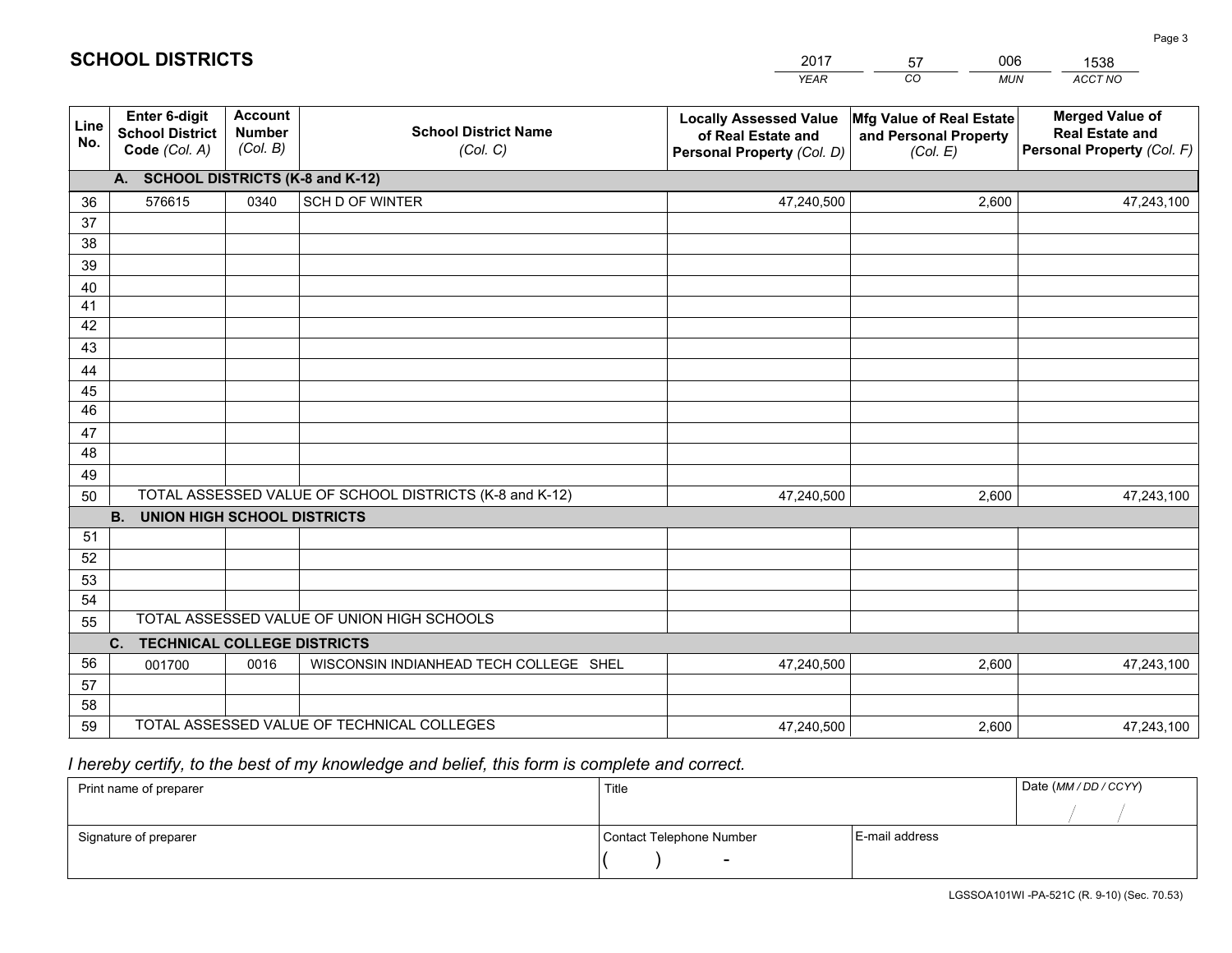|             |                                                                 |                                             |                                                         | <b>YEAR</b>                                                                       | CO<br><b>MUN</b>                                              | ACCT NO                                                                        |
|-------------|-----------------------------------------------------------------|---------------------------------------------|---------------------------------------------------------|-----------------------------------------------------------------------------------|---------------------------------------------------------------|--------------------------------------------------------------------------------|
| Line<br>No. | <b>Enter 6-digit</b><br><b>School District</b><br>Code (Col. A) | <b>Account</b><br><b>Number</b><br>(Col. B) | <b>School District Name</b><br>(Col. C)                 | <b>Locally Assessed Value</b><br>of Real Estate and<br>Personal Property (Col. D) | Mfg Value of Real Estate<br>and Personal Property<br>(Col. E) | <b>Merged Value of</b><br><b>Real Estate and</b><br>Personal Property (Col. F) |
|             | A. SCHOOL DISTRICTS (K-8 and K-12)                              |                                             |                                                         |                                                                                   |                                                               |                                                                                |
| 36          | 576615                                                          | 0340                                        | SCH D OF WINTER                                         | 47,240,500                                                                        | 2,600                                                         | 47,243,100                                                                     |
| 37          |                                                                 |                                             |                                                         |                                                                                   |                                                               |                                                                                |
| 38          |                                                                 |                                             |                                                         |                                                                                   |                                                               |                                                                                |
| 39          |                                                                 |                                             |                                                         |                                                                                   |                                                               |                                                                                |
| 40          |                                                                 |                                             |                                                         |                                                                                   |                                                               |                                                                                |
| 41<br>42    |                                                                 |                                             |                                                         |                                                                                   |                                                               |                                                                                |
| 43          |                                                                 |                                             |                                                         |                                                                                   |                                                               |                                                                                |
|             |                                                                 |                                             |                                                         |                                                                                   |                                                               |                                                                                |
| 44<br>45    |                                                                 |                                             |                                                         |                                                                                   |                                                               |                                                                                |
| 46          |                                                                 |                                             |                                                         |                                                                                   |                                                               |                                                                                |
| 47          |                                                                 |                                             |                                                         |                                                                                   |                                                               |                                                                                |
| 48          |                                                                 |                                             |                                                         |                                                                                   |                                                               |                                                                                |
| 49          |                                                                 |                                             |                                                         |                                                                                   |                                                               |                                                                                |
| 50          |                                                                 |                                             | TOTAL ASSESSED VALUE OF SCHOOL DISTRICTS (K-8 and K-12) | 47,240,500                                                                        | 2,600                                                         | 47,243,100                                                                     |
|             | <b>B.</b><br>UNION HIGH SCHOOL DISTRICTS                        |                                             |                                                         |                                                                                   |                                                               |                                                                                |
| 51          |                                                                 |                                             |                                                         |                                                                                   |                                                               |                                                                                |
| 52          |                                                                 |                                             |                                                         |                                                                                   |                                                               |                                                                                |
| 53          |                                                                 |                                             |                                                         |                                                                                   |                                                               |                                                                                |
| 54          |                                                                 |                                             |                                                         |                                                                                   |                                                               |                                                                                |
| 55          |                                                                 |                                             | TOTAL ASSESSED VALUE OF UNION HIGH SCHOOLS              |                                                                                   |                                                               |                                                                                |
|             | C.<br><b>TECHNICAL COLLEGE DISTRICTS</b>                        |                                             |                                                         |                                                                                   |                                                               |                                                                                |
| 56          | 001700                                                          | 0016                                        | WISCONSIN INDIANHEAD TECH COLLEGE SHEL                  | 47,240,500                                                                        | 2,600                                                         | 47,243,100                                                                     |
| 57<br>58    |                                                                 |                                             |                                                         |                                                                                   |                                                               |                                                                                |
| 59          |                                                                 |                                             | TOTAL ASSESSED VALUE OF TECHNICAL COLLEGES              | 47,240,500                                                                        | 2,600                                                         | 47,243,100                                                                     |
|             |                                                                 |                                             |                                                         |                                                                                   |                                                               |                                                                                |

2017

57

006

 *I hereby certify, to the best of my knowledge and belief, this form is complete and correct.*

**SCHOOL DISTRICTS**

| Print name of preparer | Title                    |                | Date (MM / DD / CCYY) |
|------------------------|--------------------------|----------------|-----------------------|
|                        |                          |                |                       |
| Signature of preparer  | Contact Telephone Number | E-mail address |                       |
|                        | $\overline{\phantom{0}}$ |                |                       |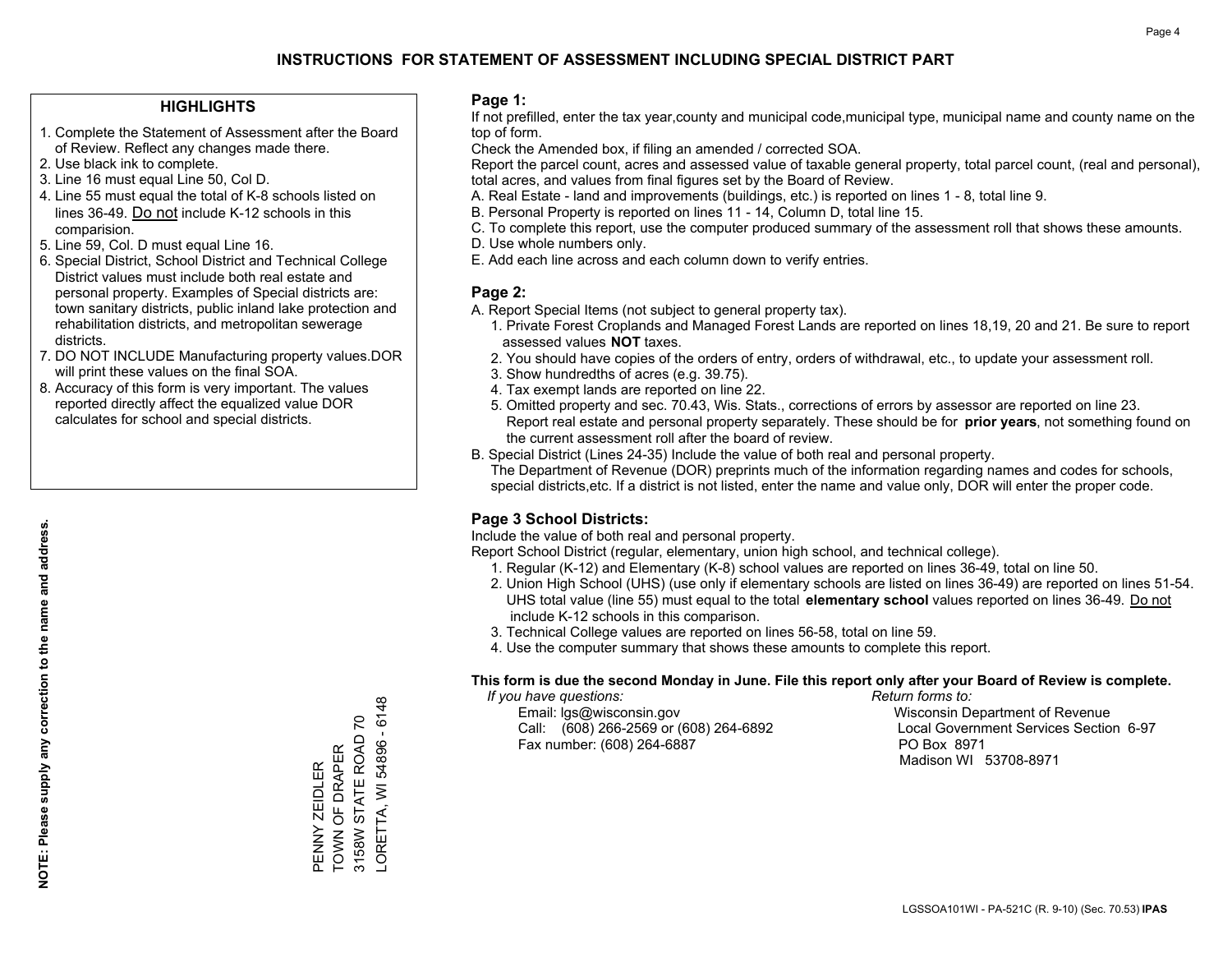### **HIGHLIGHTS**

- 1. Complete the Statement of Assessment after the Board of Review. Reflect any changes made there.
- 2. Use black ink to complete.
- 3. Line 16 must equal Line 50, Col D.
- 4. Line 55 must equal the total of K-8 schools listed on lines 36-49. Do not include K-12 schools in this comparision.
- 5. Line 59, Col. D must equal Line 16.
- 6. Special District, School District and Technical College District values must include both real estate and personal property. Examples of Special districts are: town sanitary districts, public inland lake protection and rehabilitation districts, and metropolitan sewerage districts.
- 7. DO NOT INCLUDE Manufacturing property values.DOR will print these values on the final SOA.
- 8. Accuracy of this form is very important. The values reported directly affect the equalized value DOR calculates for school and special districts.

#### **Page 1:**

 If not prefilled, enter the tax year,county and municipal code,municipal type, municipal name and county name on the top of form.

Check the Amended box, if filing an amended / corrected SOA.

 Report the parcel count, acres and assessed value of taxable general property, total parcel count, (real and personal), total acres, and values from final figures set by the Board of Review.

- A. Real Estate land and improvements (buildings, etc.) is reported on lines 1 8, total line 9.
- B. Personal Property is reported on lines 11 14, Column D, total line 15.
- C. To complete this report, use the computer produced summary of the assessment roll that shows these amounts.
- D. Use whole numbers only.
- E. Add each line across and each column down to verify entries.

### **Page 2:**

- A. Report Special Items (not subject to general property tax).
- 1. Private Forest Croplands and Managed Forest Lands are reported on lines 18,19, 20 and 21. Be sure to report assessed values **NOT** taxes.
- 2. You should have copies of the orders of entry, orders of withdrawal, etc., to update your assessment roll.
	- 3. Show hundredths of acres (e.g. 39.75).
- 4. Tax exempt lands are reported on line 22.
- 5. Omitted property and sec. 70.43, Wis. Stats., corrections of errors by assessor are reported on line 23. Report real estate and personal property separately. These should be for **prior years**, not something found on the current assessment roll after the board of review.
- B. Special District (Lines 24-35) Include the value of both real and personal property.
- The Department of Revenue (DOR) preprints much of the information regarding names and codes for schools, special districts,etc. If a district is not listed, enter the name and value only, DOR will enter the proper code.

### **Page 3 School Districts:**

Include the value of both real and personal property.

Report School District (regular, elementary, union high school, and technical college).

- 1. Regular (K-12) and Elementary (K-8) school values are reported on lines 36-49, total on line 50.
- 2. Union High School (UHS) (use only if elementary schools are listed on lines 36-49) are reported on lines 51-54. UHS total value (line 55) must equal to the total **elementary school** values reported on lines 36-49. Do notinclude K-12 schools in this comparison.
- 3. Technical College values are reported on lines 56-58, total on line 59.
- 4. Use the computer summary that shows these amounts to complete this report.

#### **This form is due the second Monday in June. File this report only after your Board of Review is complete.**

 *If you have questions: Return forms to:*

 Email: lgs@wisconsin.gov Wisconsin Department of RevenueCall:  $(608)$  266-2569 or  $(608)$  264-6892 Fax number: (608) 264-6887 PO Box 8971

Local Government Services Section 6-97 Madison WI 53708-8971

-ORETTA, WI 54896 - 6148 LORETTA, WI 54896 - 6148 PENNY ZEIDLER<br>TOWN OF DRAPER<br>3158W STATE ROAD 70 3158W STATE ROAD 70 TOWN OF DRAPER PENNY ZEIDLER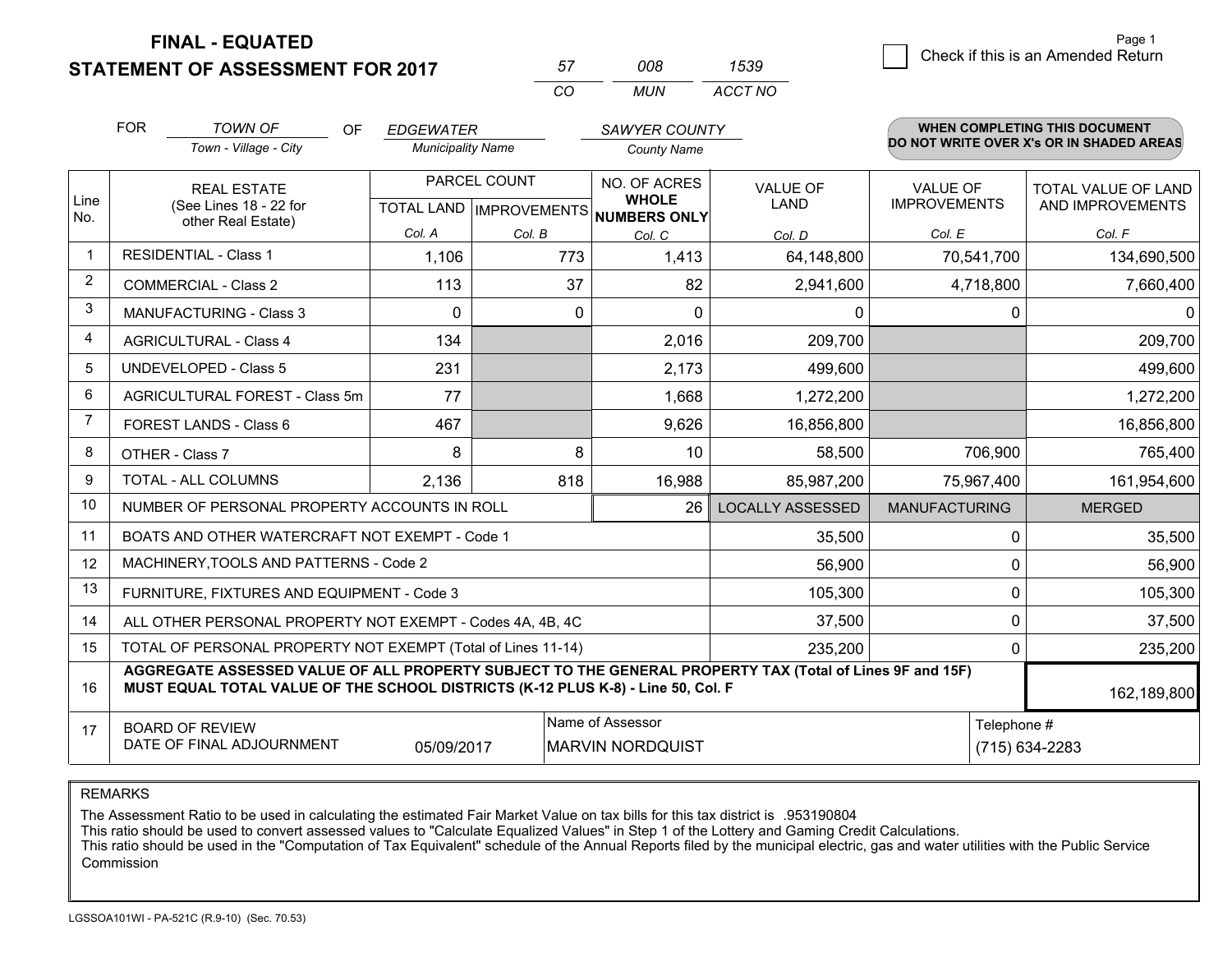**STATEMENT OF ASSESSMENT FOR 2017** 

| 57       | nnr | 1539    |
|----------|-----|---------|
| $\cdots$ | MUN | ACCT NO |

|                | <b>FOR</b><br><b>TOWN OF</b><br>OF.<br><b>EDGEWATER</b><br><b>Municipality Name</b>                                                                                                          |                                                           |          | <b>SAWYER COUNTY</b> |                                                     | <b>WHEN COMPLETING THIS DOCUMENT</b><br>DO NOT WRITE OVER X's OR IN SHADED AREAS |                      |                     |  |  |
|----------------|----------------------------------------------------------------------------------------------------------------------------------------------------------------------------------------------|-----------------------------------------------------------|----------|----------------------|-----------------------------------------------------|----------------------------------------------------------------------------------|----------------------|---------------------|--|--|
|                | Town - Village - City                                                                                                                                                                        |                                                           |          |                      | <b>County Name</b>                                  |                                                                                  |                      |                     |  |  |
|                |                                                                                                                                                                                              | <b>REAL ESTATE</b>                                        |          | PARCEL COUNT         | NO. OF ACRES                                        | <b>VALUE OF</b>                                                                  | <b>VALUE OF</b>      | TOTAL VALUE OF LAND |  |  |
| Line<br>No.    |                                                                                                                                                                                              | (See Lines 18 - 22 for<br>other Real Estate)              |          |                      | <b>WHOLE</b><br>TOTAL LAND MPROVEMENTS NUMBERS ONLY | <b>LAND</b>                                                                      | <b>IMPROVEMENTS</b>  | AND IMPROVEMENTS    |  |  |
|                |                                                                                                                                                                                              |                                                           | Col. A   | Col. B               | Col. C                                              | Col. D                                                                           | Col. E               | Col. F              |  |  |
| $\mathbf{1}$   |                                                                                                                                                                                              | <b>RESIDENTIAL - Class 1</b>                              | 1,106    | 773                  | 1,413                                               | 64,148,800                                                                       | 70,541,700           | 134,690,500         |  |  |
| $\overline{2}$ |                                                                                                                                                                                              | <b>COMMERCIAL - Class 2</b>                               | 113      | 37                   | 82                                                  | 2,941,600                                                                        | 4,718,800            | 7,660,400           |  |  |
| 3              |                                                                                                                                                                                              | <b>MANUFACTURING - Class 3</b>                            | $\Omega$ | $\mathbf 0$          | $\Omega$                                            | $\mathbf 0$                                                                      | $\mathbf 0$          | 0                   |  |  |
| 4              |                                                                                                                                                                                              | <b>AGRICULTURAL - Class 4</b>                             | 134      |                      | 2,016                                               | 209,700                                                                          |                      | 209,700             |  |  |
| 5              |                                                                                                                                                                                              | <b>UNDEVELOPED - Class 5</b>                              | 231      |                      | 2,173                                               | 499,600                                                                          |                      | 499,600             |  |  |
| 6              | AGRICULTURAL FOREST - Class 5m                                                                                                                                                               |                                                           | 77       |                      | 1,668                                               | 1,272,200                                                                        |                      | 1,272,200           |  |  |
| $\overline{7}$ |                                                                                                                                                                                              | FOREST LANDS - Class 6                                    | 467      |                      | 9,626                                               | 16,856,800                                                                       |                      | 16,856,800          |  |  |
| 8              |                                                                                                                                                                                              | OTHER - Class 7                                           | 8        | 8                    | 10                                                  | 58,500                                                                           | 706,900              | 765,400             |  |  |
| 9              |                                                                                                                                                                                              | TOTAL - ALL COLUMNS                                       | 2,136    | 818                  | 16,988                                              | 85,987,200                                                                       | 75,967,400           | 161,954,600         |  |  |
| 10             |                                                                                                                                                                                              | NUMBER OF PERSONAL PROPERTY ACCOUNTS IN ROLL              |          |                      | 26                                                  | <b>LOCALLY ASSESSED</b>                                                          | <b>MANUFACTURING</b> | <b>MERGED</b>       |  |  |
| 11             |                                                                                                                                                                                              | BOATS AND OTHER WATERCRAFT NOT EXEMPT - Code 1            |          |                      |                                                     | 35,500                                                                           | 0                    | 35,500              |  |  |
| 12             |                                                                                                                                                                                              | MACHINERY, TOOLS AND PATTERNS - Code 2                    |          |                      |                                                     | 56,900                                                                           | 0                    | 56,900              |  |  |
| 13             |                                                                                                                                                                                              | FURNITURE, FIXTURES AND EQUIPMENT - Code 3                |          |                      |                                                     | 105,300                                                                          | $\pmb{0}$            | 105,300             |  |  |
| 14             |                                                                                                                                                                                              | ALL OTHER PERSONAL PROPERTY NOT EXEMPT - Codes 4A, 4B, 4C |          |                      |                                                     | 37,500                                                                           | 0                    | 37,500              |  |  |
| 15             | TOTAL OF PERSONAL PROPERTY NOT EXEMPT (Total of Lines 11-14)<br>235,200<br>0                                                                                                                 |                                                           |          |                      |                                                     |                                                                                  |                      | 235,200             |  |  |
| 16             | AGGREGATE ASSESSED VALUE OF ALL PROPERTY SUBJECT TO THE GENERAL PROPERTY TAX (Total of Lines 9F and 15F)<br>MUST EQUAL TOTAL VALUE OF THE SCHOOL DISTRICTS (K-12 PLUS K-8) - Line 50, Col. F |                                                           |          |                      |                                                     |                                                                                  | 162,189,800          |                     |  |  |
| 17             |                                                                                                                                                                                              | <b>BOARD OF REVIEW</b>                                    |          |                      | Name of Assessor                                    |                                                                                  | Telephone #          |                     |  |  |
|                | DATE OF FINAL ADJOURNMENT<br>05/09/2017<br><b>MARVIN NORDQUIST</b>                                                                                                                           |                                                           |          |                      |                                                     | (715) 634-2283                                                                   |                      |                     |  |  |

REMARKS

The Assessment Ratio to be used in calculating the estimated Fair Market Value on tax bills for this tax district is .953190804

This ratio should be used to convert assessed values to "Calculate Equalized Values" in Step 1 of the Lottery and Gaming Credit Calculations.<br>This ratio should be used in the "Computation of Tax Equivalent" schedule of the Commission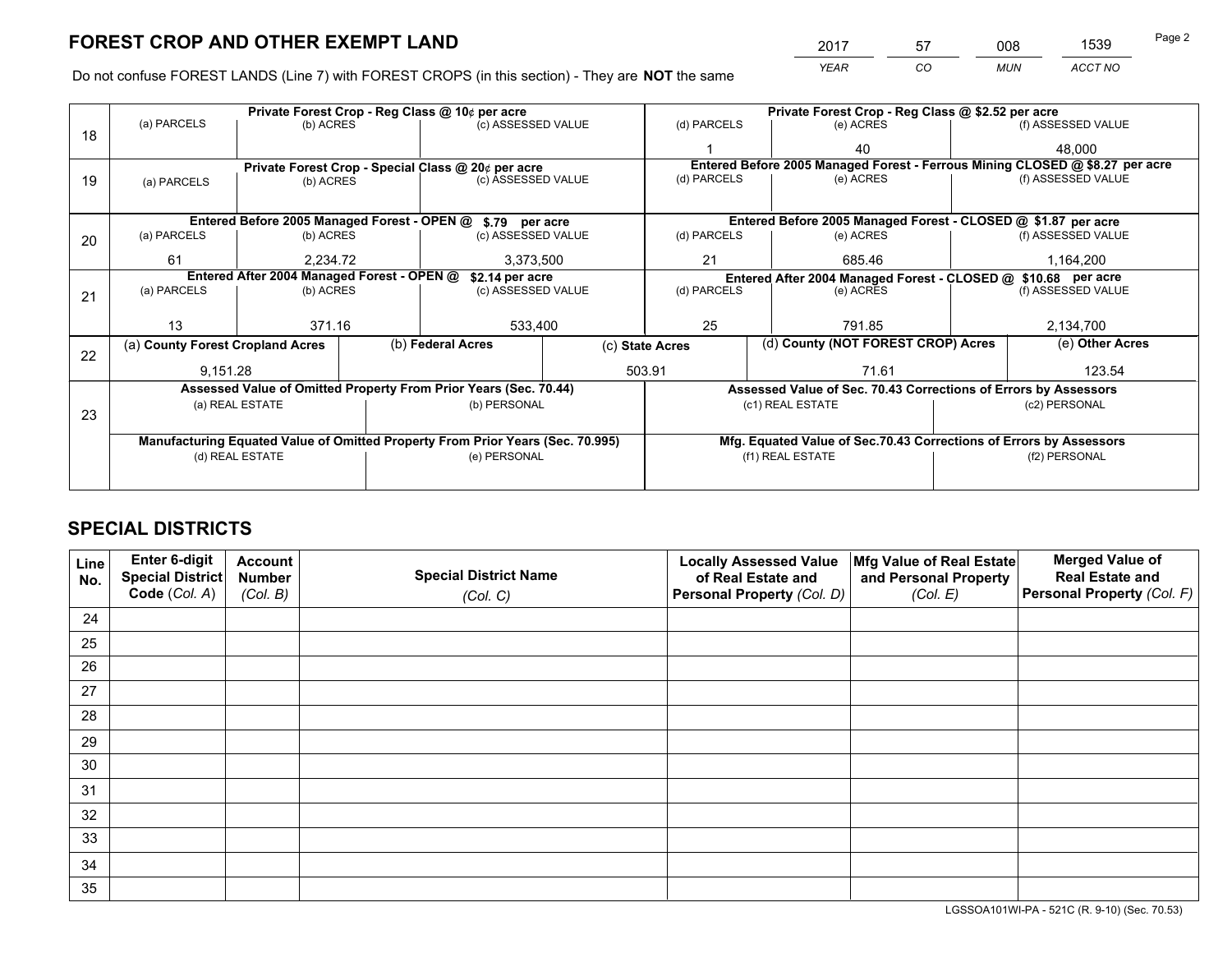*YEAR CO MUN ACCT NO* <sup>2017</sup> <sup>57</sup> <sup>008</sup> <sup>1539</sup>

Do not confuse FOREST LANDS (Line 7) with FOREST CROPS (in this section) - They are **NOT** the same

|                                                               |             |                                                                 |                                                                        |                                                                     | (d) PARCELS                                                                                                                                                                                                                                                                                                                                                                                    |  | (e) ACRES                  |                               | (f) ASSESSED VALUE                                                                                                                                                                                                                                                                                                                                                                |
|---------------------------------------------------------------|-------------|-----------------------------------------------------------------|------------------------------------------------------------------------|---------------------------------------------------------------------|------------------------------------------------------------------------------------------------------------------------------------------------------------------------------------------------------------------------------------------------------------------------------------------------------------------------------------------------------------------------------------------------|--|----------------------------|-------------------------------|-----------------------------------------------------------------------------------------------------------------------------------------------------------------------------------------------------------------------------------------------------------------------------------------------------------------------------------------------------------------------------------|
|                                                               |             |                                                                 |                                                                        |                                                                     |                                                                                                                                                                                                                                                                                                                                                                                                |  | 40                         |                               | 48,000                                                                                                                                                                                                                                                                                                                                                                            |
|                                                               |             |                                                                 |                                                                        |                                                                     |                                                                                                                                                                                                                                                                                                                                                                                                |  |                            |                               |                                                                                                                                                                                                                                                                                                                                                                                   |
| (a) PARCELS                                                   |             |                                                                 |                                                                        |                                                                     |                                                                                                                                                                                                                                                                                                                                                                                                |  |                            |                               | (f) ASSESSED VALUE                                                                                                                                                                                                                                                                                                                                                                |
|                                                               |             |                                                                 |                                                                        |                                                                     |                                                                                                                                                                                                                                                                                                                                                                                                |  |                            |                               |                                                                                                                                                                                                                                                                                                                                                                                   |
|                                                               |             |                                                                 |                                                                        |                                                                     |                                                                                                                                                                                                                                                                                                                                                                                                |  |                            |                               |                                                                                                                                                                                                                                                                                                                                                                                   |
| (a) PARCELS                                                   |             |                                                                 |                                                                        |                                                                     | (d) PARCELS                                                                                                                                                                                                                                                                                                                                                                                    |  | (e) ACRES                  |                               | (f) ASSESSED VALUE                                                                                                                                                                                                                                                                                                                                                                |
| 61                                                            |             |                                                                 | 3,373,500                                                              |                                                                     | 21                                                                                                                                                                                                                                                                                                                                                                                             |  | 685.46                     |                               | 1,164,200                                                                                                                                                                                                                                                                                                                                                                         |
| Entered After 2004 Managed Forest - OPEN @<br>\$2.14 per acre |             |                                                                 |                                                                        | Entered After 2004 Managed Forest - CLOSED @ \$10.68 per acre       |                                                                                                                                                                                                                                                                                                                                                                                                |  |                            |                               |                                                                                                                                                                                                                                                                                                                                                                                   |
| (a) PARCELS                                                   |             |                                                                 |                                                                        |                                                                     |                                                                                                                                                                                                                                                                                                                                                                                                |  | (e) ACRES                  |                               | (f) ASSESSED VALUE                                                                                                                                                                                                                                                                                                                                                                |
|                                                               |             |                                                                 |                                                                        |                                                                     |                                                                                                                                                                                                                                                                                                                                                                                                |  |                            |                               |                                                                                                                                                                                                                                                                                                                                                                                   |
| 13                                                            |             |                                                                 | 533,400                                                                |                                                                     | 25                                                                                                                                                                                                                                                                                                                                                                                             |  | 791.85                     |                               | 2,134,700                                                                                                                                                                                                                                                                                                                                                                         |
|                                                               |             |                                                                 |                                                                        | (c) State Acres                                                     |                                                                                                                                                                                                                                                                                                                                                                                                |  |                            |                               | (e) Other Acres                                                                                                                                                                                                                                                                                                                                                                   |
|                                                               |             |                                                                 |                                                                        | 503.91                                                              |                                                                                                                                                                                                                                                                                                                                                                                                |  | 71.61                      |                               | 123.54                                                                                                                                                                                                                                                                                                                                                                            |
|                                                               |             |                                                                 |                                                                        |                                                                     |                                                                                                                                                                                                                                                                                                                                                                                                |  |                            |                               |                                                                                                                                                                                                                                                                                                                                                                                   |
|                                                               |             |                                                                 |                                                                        |                                                                     |                                                                                                                                                                                                                                                                                                                                                                                                |  |                            |                               | (c2) PERSONAL                                                                                                                                                                                                                                                                                                                                                                     |
|                                                               |             |                                                                 |                                                                        |                                                                     |                                                                                                                                                                                                                                                                                                                                                                                                |  |                            |                               |                                                                                                                                                                                                                                                                                                                                                                                   |
|                                                               |             |                                                                 |                                                                        |                                                                     |                                                                                                                                                                                                                                                                                                                                                                                                |  |                            |                               |                                                                                                                                                                                                                                                                                                                                                                                   |
| (d) REAL ESTATE                                               |             |                                                                 |                                                                        |                                                                     | (f1) REAL ESTATE                                                                                                                                                                                                                                                                                                                                                                               |  |                            | (f2) PERSONAL                 |                                                                                                                                                                                                                                                                                                                                                                                   |
|                                                               |             |                                                                 |                                                                        |                                                                     |                                                                                                                                                                                                                                                                                                                                                                                                |  |                            |                               |                                                                                                                                                                                                                                                                                                                                                                                   |
|                                                               | (a) PARCELS | (a) County Forest Cropland Acres<br>9,151.28<br>(a) REAL ESTATE | (b) ACRES<br>(b) ACRES<br>(b) ACRES<br>2.234.72<br>(b) ACRES<br>371.16 | Private Forest Crop - Reg Class @ 10¢ per acre<br>(b) Federal Acres | (c) ASSESSED VALUE<br>Private Forest Crop - Special Class @ 20¢ per acre<br>(c) ASSESSED VALUE<br>Entered Before 2005 Managed Forest - OPEN @ \$.79 per acre<br>(c) ASSESSED VALUE<br>(c) ASSESSED VALUE<br>Assessed Value of Omitted Property From Prior Years (Sec. 70.44)<br>(b) PERSONAL<br>Manufacturing Equated Value of Omitted Property From Prior Years (Sec. 70.995)<br>(e) PERSONAL |  | (d) PARCELS<br>(d) PARCELS | (e) ACRES<br>(c1) REAL ESTATE | Private Forest Crop - Reg Class @ \$2.52 per acre<br>Entered Before 2005 Managed Forest - Ferrous Mining CLOSED @ \$8.27 per acre<br>Entered Before 2005 Managed Forest - CLOSED @ \$1.87 per acre<br>(d) County (NOT FOREST CROP) Acres<br>Assessed Value of Sec. 70.43 Corrections of Errors by Assessors<br>Mfg. Equated Value of Sec.70.43 Corrections of Errors by Assessors |

# **SPECIAL DISTRICTS**

| Line<br>No. | Enter 6-digit<br>Special District<br>Code (Col. A) | <b>Account</b><br><b>Number</b><br>(Col. B) | <b>Special District Name</b><br>(Col. C) | <b>Locally Assessed Value</b><br>of Real Estate and<br>Personal Property (Col. D) | Mfg Value of Real Estate<br>and Personal Property<br>(Col. E) | <b>Merged Value of</b><br><b>Real Estate and</b><br>Personal Property (Col. F) |
|-------------|----------------------------------------------------|---------------------------------------------|------------------------------------------|-----------------------------------------------------------------------------------|---------------------------------------------------------------|--------------------------------------------------------------------------------|
| 24          |                                                    |                                             |                                          |                                                                                   |                                                               |                                                                                |
| 25          |                                                    |                                             |                                          |                                                                                   |                                                               |                                                                                |
| 26          |                                                    |                                             |                                          |                                                                                   |                                                               |                                                                                |
| 27          |                                                    |                                             |                                          |                                                                                   |                                                               |                                                                                |
| 28          |                                                    |                                             |                                          |                                                                                   |                                                               |                                                                                |
| 29          |                                                    |                                             |                                          |                                                                                   |                                                               |                                                                                |
| 30          |                                                    |                                             |                                          |                                                                                   |                                                               |                                                                                |
| 31          |                                                    |                                             |                                          |                                                                                   |                                                               |                                                                                |
| 32          |                                                    |                                             |                                          |                                                                                   |                                                               |                                                                                |
| 33          |                                                    |                                             |                                          |                                                                                   |                                                               |                                                                                |
| 34          |                                                    |                                             |                                          |                                                                                   |                                                               |                                                                                |
| 35          |                                                    |                                             |                                          |                                                                                   |                                                               |                                                                                |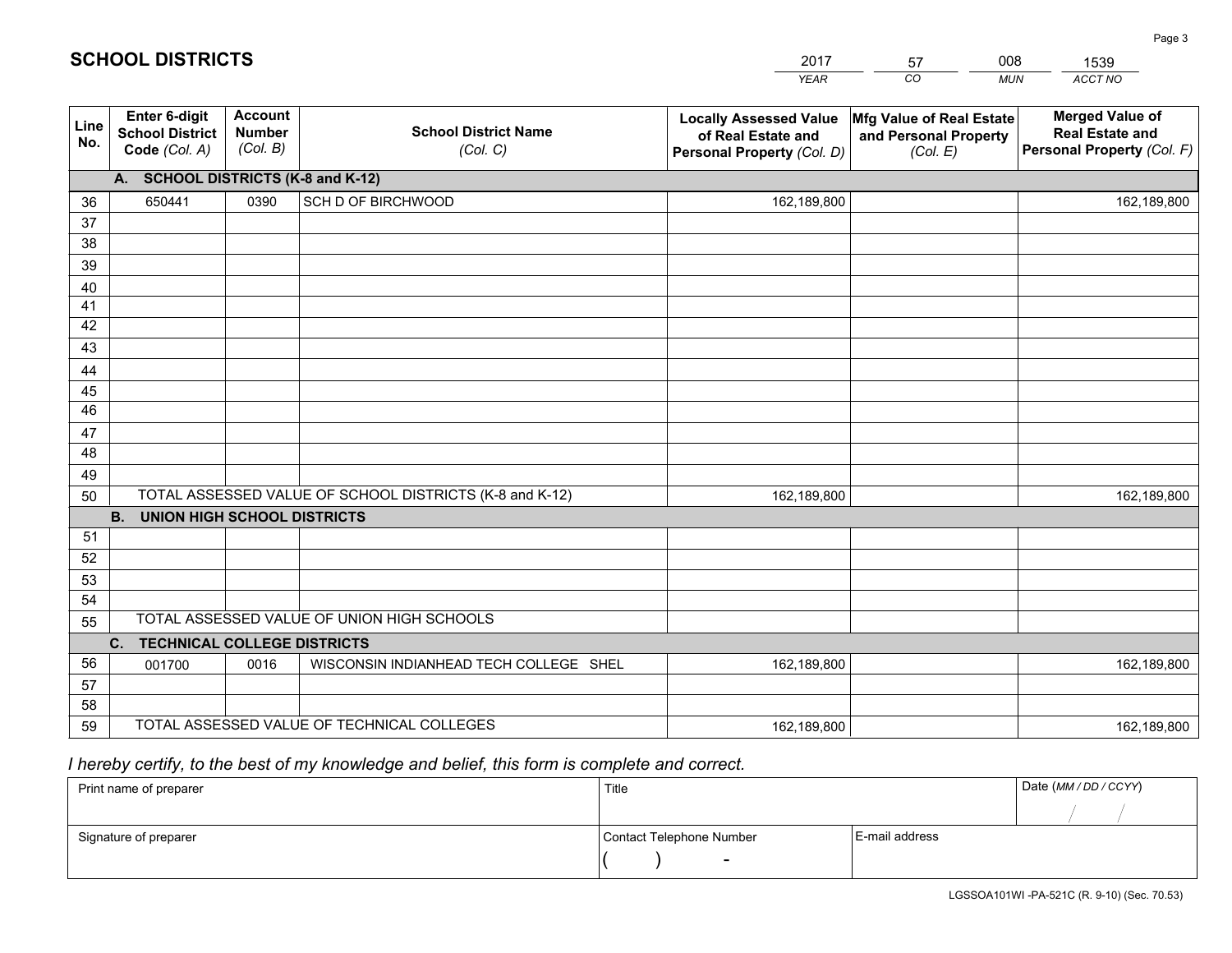|             |                                                          |                                             |                                                         | <b>YEAR</b>                                                                       | CO<br><b>MUN</b>                                              | ACCT NO                                                                        |
|-------------|----------------------------------------------------------|---------------------------------------------|---------------------------------------------------------|-----------------------------------------------------------------------------------|---------------------------------------------------------------|--------------------------------------------------------------------------------|
| Line<br>No. | Enter 6-digit<br><b>School District</b><br>Code (Col. A) | <b>Account</b><br><b>Number</b><br>(Col. B) | <b>School District Name</b><br>(Col. C)                 | <b>Locally Assessed Value</b><br>of Real Estate and<br>Personal Property (Col. D) | Mfg Value of Real Estate<br>and Personal Property<br>(Col. E) | <b>Merged Value of</b><br><b>Real Estate and</b><br>Personal Property (Col. F) |
|             | A. SCHOOL DISTRICTS (K-8 and K-12)                       |                                             |                                                         |                                                                                   |                                                               |                                                                                |
| 36          | 650441                                                   | 0390                                        | SCH D OF BIRCHWOOD                                      | 162,189,800                                                                       |                                                               | 162,189,800                                                                    |
| 37          |                                                          |                                             |                                                         |                                                                                   |                                                               |                                                                                |
| 38          |                                                          |                                             |                                                         |                                                                                   |                                                               |                                                                                |
| 39          |                                                          |                                             |                                                         |                                                                                   |                                                               |                                                                                |
| 40          |                                                          |                                             |                                                         |                                                                                   |                                                               |                                                                                |
| 41          |                                                          |                                             |                                                         |                                                                                   |                                                               |                                                                                |
| 42          |                                                          |                                             |                                                         |                                                                                   |                                                               |                                                                                |
| 43          |                                                          |                                             |                                                         |                                                                                   |                                                               |                                                                                |
| 44<br>45    |                                                          |                                             |                                                         |                                                                                   |                                                               |                                                                                |
| 46          |                                                          |                                             |                                                         |                                                                                   |                                                               |                                                                                |
| 47          |                                                          |                                             |                                                         |                                                                                   |                                                               |                                                                                |
| 48          |                                                          |                                             |                                                         |                                                                                   |                                                               |                                                                                |
| 49          |                                                          |                                             |                                                         |                                                                                   |                                                               |                                                                                |
| 50          |                                                          |                                             | TOTAL ASSESSED VALUE OF SCHOOL DISTRICTS (K-8 and K-12) | 162,189,800                                                                       |                                                               | 162,189,800                                                                    |
|             | <b>B.</b><br><b>UNION HIGH SCHOOL DISTRICTS</b>          |                                             |                                                         |                                                                                   |                                                               |                                                                                |
| 51          |                                                          |                                             |                                                         |                                                                                   |                                                               |                                                                                |
| 52          |                                                          |                                             |                                                         |                                                                                   |                                                               |                                                                                |
| 53          |                                                          |                                             |                                                         |                                                                                   |                                                               |                                                                                |
| 54          |                                                          |                                             |                                                         |                                                                                   |                                                               |                                                                                |
| 55          |                                                          |                                             | TOTAL ASSESSED VALUE OF UNION HIGH SCHOOLS              |                                                                                   |                                                               |                                                                                |
|             | C.<br><b>TECHNICAL COLLEGE DISTRICTS</b>                 |                                             |                                                         |                                                                                   |                                                               |                                                                                |
| 56          | 001700                                                   | 0016                                        | WISCONSIN INDIANHEAD TECH COLLEGE SHEL                  | 162,189,800                                                                       |                                                               | 162,189,800                                                                    |
| 57          |                                                          |                                             |                                                         |                                                                                   |                                                               |                                                                                |
| 58          |                                                          |                                             |                                                         |                                                                                   |                                                               |                                                                                |
| 59          |                                                          |                                             | TOTAL ASSESSED VALUE OF TECHNICAL COLLEGES              | 162,189,800                                                                       |                                                               | 162,189,800                                                                    |

2017

57

008

 *I hereby certify, to the best of my knowledge and belief, this form is complete and correct.*

**SCHOOL DISTRICTS**

| Print name of preparer | Title                    |                | Date (MM / DD / CCYY) |
|------------------------|--------------------------|----------------|-----------------------|
|                        |                          |                |                       |
| Signature of preparer  | Contact Telephone Number | E-mail address |                       |
|                        | $\sim$                   |                |                       |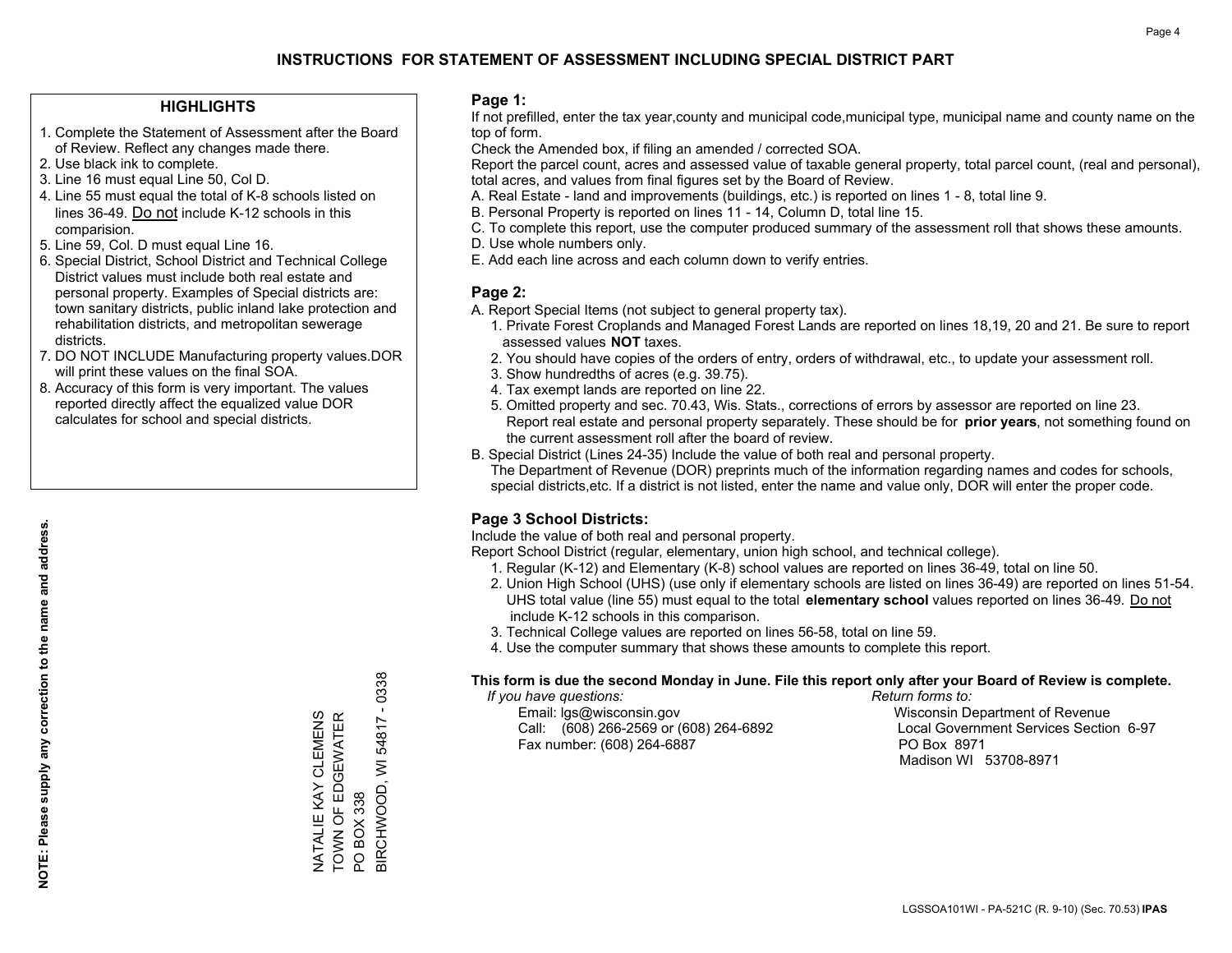### **HIGHLIGHTS**

- 1. Complete the Statement of Assessment after the Board of Review. Reflect any changes made there.
- 2. Use black ink to complete.
- 3. Line 16 must equal Line 50, Col D.
- 4. Line 55 must equal the total of K-8 schools listed on lines 36-49. Do not include K-12 schools in this comparision.
- 5. Line 59, Col. D must equal Line 16.
- 6. Special District, School District and Technical College District values must include both real estate and personal property. Examples of Special districts are: town sanitary districts, public inland lake protection and rehabilitation districts, and metropolitan sewerage districts.
- 7. DO NOT INCLUDE Manufacturing property values.DOR will print these values on the final SOA.
- 8. Accuracy of this form is very important. The values reported directly affect the equalized value DOR calculates for school and special districts.

### **Page 1:**

 If not prefilled, enter the tax year,county and municipal code,municipal type, municipal name and county name on the top of form.

Check the Amended box, if filing an amended / corrected SOA.

 Report the parcel count, acres and assessed value of taxable general property, total parcel count, (real and personal), total acres, and values from final figures set by the Board of Review.

- A. Real Estate land and improvements (buildings, etc.) is reported on lines 1 8, total line 9.
- B. Personal Property is reported on lines 11 14, Column D, total line 15.
- C. To complete this report, use the computer produced summary of the assessment roll that shows these amounts.
- D. Use whole numbers only.
- E. Add each line across and each column down to verify entries.

### **Page 2:**

- A. Report Special Items (not subject to general property tax).
- 1. Private Forest Croplands and Managed Forest Lands are reported on lines 18,19, 20 and 21. Be sure to report assessed values **NOT** taxes.
- 2. You should have copies of the orders of entry, orders of withdrawal, etc., to update your assessment roll.
	- 3. Show hundredths of acres (e.g. 39.75).
- 4. Tax exempt lands are reported on line 22.
- 5. Omitted property and sec. 70.43, Wis. Stats., corrections of errors by assessor are reported on line 23. Report real estate and personal property separately. These should be for **prior years**, not something found on the current assessment roll after the board of review.
- B. Special District (Lines 24-35) Include the value of both real and personal property.

 The Department of Revenue (DOR) preprints much of the information regarding names and codes for schools, special districts,etc. If a district is not listed, enter the name and value only, DOR will enter the proper code.

### **Page 3 School Districts:**

Include the value of both real and personal property.

Report School District (regular, elementary, union high school, and technical college).

- 1. Regular (K-12) and Elementary (K-8) school values are reported on lines 36-49, total on line 50.
- 2. Union High School (UHS) (use only if elementary schools are listed on lines 36-49) are reported on lines 51-54. UHS total value (line 55) must equal to the total **elementary school** values reported on lines 36-49. Do notinclude K-12 schools in this comparison.
- 3. Technical College values are reported on lines 56-58, total on line 59.
- 4. Use the computer summary that shows these amounts to complete this report.

#### **This form is due the second Monday in June. File this report only after your Board of Review is complete.**

 *If you have questions: Return forms to:*

 Email: lgs@wisconsin.gov Wisconsin Department of RevenueCall:  $(608)$  266-2569 or  $(608)$  264-6892 Fax number: (608) 264-6887 PO Box 8971

Local Government Services Section 6-97 Madison WI 53708-8971

 $-0338$ BIRCHWOOD, WI 54817 - 0338 TOWN OF EDGEWATER NATALIE KAY CLEMENS<br>TOWN OF EDGEWATER NATALIE KAY CLEMENS BIRCHWOOD, WI 54817 PO BOX 338 PO BOX 338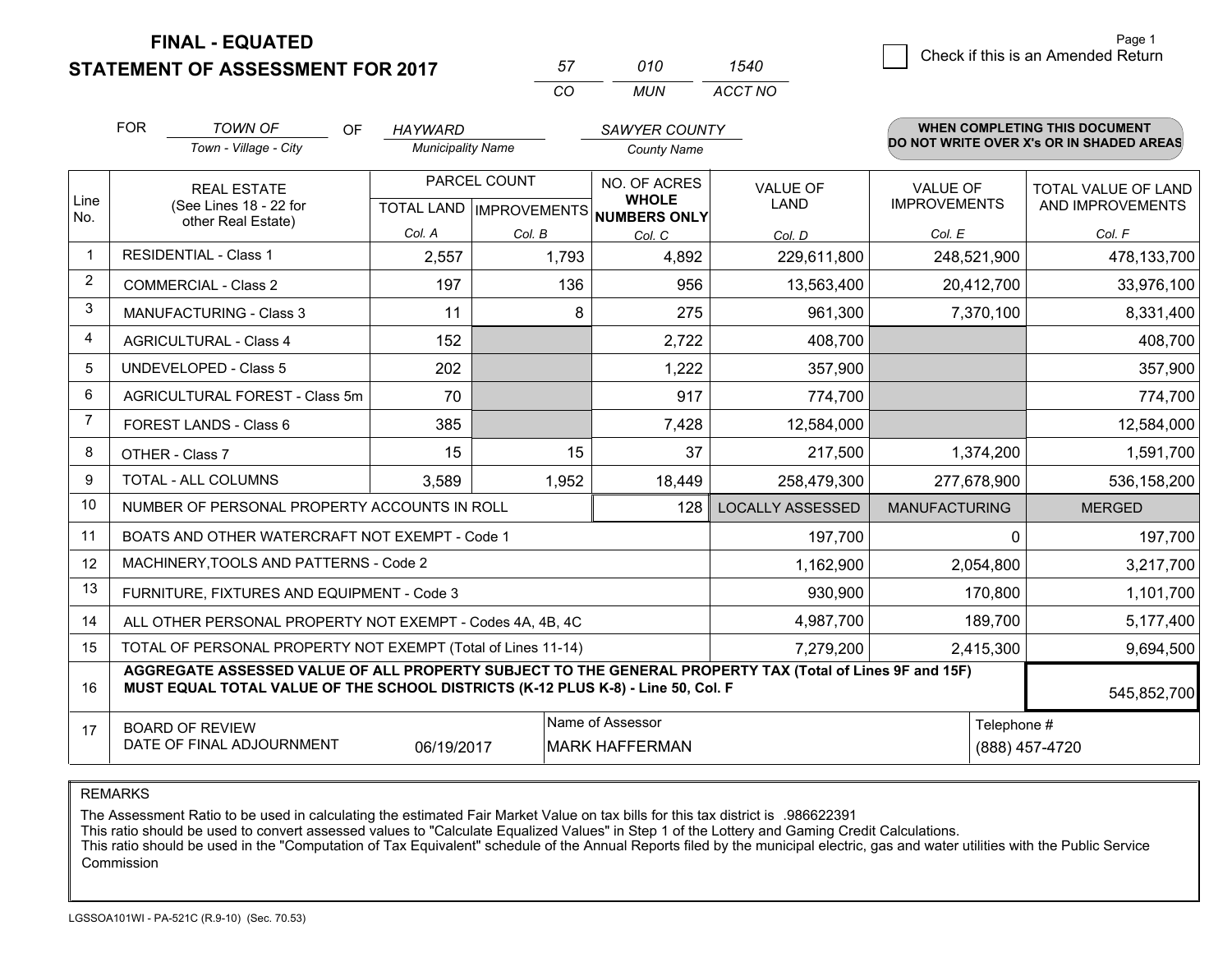**STATEMENT OF ASSESSMENT FOR 2017** 

| 57   | 01 O | 540.    |
|------|------|---------|
| ∫ ∩′ | MUN. | ACCT NO |

|                         | <b>FOR</b>                                                                                                                                                                                   | <b>TOWN OF</b><br><b>OF</b>                                  | <b>HAYWARD</b>           |           | SAWYER COUNTY                                            |                         |                      | <b>WHEN COMPLETING THIS DOCUMENT</b>     |  |
|-------------------------|----------------------------------------------------------------------------------------------------------------------------------------------------------------------------------------------|--------------------------------------------------------------|--------------------------|-----------|----------------------------------------------------------|-------------------------|----------------------|------------------------------------------|--|
|                         |                                                                                                                                                                                              | Town - Village - City                                        | <b>Municipality Name</b> |           | <b>County Name</b>                                       |                         |                      | DO NOT WRITE OVER X's OR IN SHADED AREAS |  |
|                         |                                                                                                                                                                                              | <b>REAL ESTATE</b>                                           | PARCEL COUNT             |           | NO. OF ACRES                                             | <b>VALUE OF</b>         | <b>VALUE OF</b>      | TOTAL VALUE OF LAND                      |  |
| Line<br>No.             |                                                                                                                                                                                              | (See Lines 18 - 22 for<br>other Real Estate)                 |                          |           | <b>WHOLE</b><br>TOTAL LAND   IMPROVEMENTS   NUMBERS ONLY | <b>LAND</b>             | <b>IMPROVEMENTS</b>  | AND IMPROVEMENTS                         |  |
|                         |                                                                                                                                                                                              |                                                              | Col. A                   | Col. B    | Col. C                                                   | Col. D                  | Col. E               | Col. F                                   |  |
| $\overline{\mathbf{1}}$ | <b>RESIDENTIAL - Class 1</b>                                                                                                                                                                 |                                                              | 2,557                    | 1,793     | 4,892                                                    | 229,611,800             | 248,521,900          | 478,133,700                              |  |
| 2                       |                                                                                                                                                                                              | <b>COMMERCIAL - Class 2</b>                                  | 197                      | 136       | 956                                                      | 13,563,400              | 20,412,700           | 33,976,100                               |  |
| 3                       |                                                                                                                                                                                              | <b>MANUFACTURING - Class 3</b>                               | 11                       |           | 8<br>275                                                 | 961,300                 | 7,370,100            | 8,331,400                                |  |
| 4                       |                                                                                                                                                                                              | <b>AGRICULTURAL - Class 4</b>                                | 152                      |           | 2,722                                                    | 408,700                 |                      | 408,700                                  |  |
| 5                       |                                                                                                                                                                                              | <b>UNDEVELOPED - Class 5</b>                                 | 202                      |           | 1,222                                                    | 357,900                 |                      | 357,900                                  |  |
| 6                       |                                                                                                                                                                                              | AGRICULTURAL FOREST - Class 5m                               | 70                       |           | 917                                                      | 774,700                 |                      | 774,700                                  |  |
| 7                       |                                                                                                                                                                                              | FOREST LANDS - Class 6                                       | 385                      |           | 7,428                                                    | 12,584,000              |                      | 12,584,000                               |  |
| 8                       |                                                                                                                                                                                              | OTHER - Class 7                                              | 15                       | 15        | 37                                                       | 217,500                 | 1,374,200            | 1,591,700                                |  |
| 9                       |                                                                                                                                                                                              | TOTAL - ALL COLUMNS                                          | 3,589                    | 1,952     | 18,449                                                   | 258,479,300             | 277,678,900          | 536,158,200                              |  |
| 10                      |                                                                                                                                                                                              | NUMBER OF PERSONAL PROPERTY ACCOUNTS IN ROLL                 |                          |           | 128                                                      | <b>LOCALLY ASSESSED</b> | <b>MANUFACTURING</b> | <b>MERGED</b>                            |  |
| 11                      |                                                                                                                                                                                              | BOATS AND OTHER WATERCRAFT NOT EXEMPT - Code 1               |                          |           |                                                          | 197,700                 | $\Omega$             | 197,700                                  |  |
| 12                      |                                                                                                                                                                                              | MACHINERY, TOOLS AND PATTERNS - Code 2                       |                          |           |                                                          | 1,162,900               | 2,054,800            | 3,217,700                                |  |
| 13                      |                                                                                                                                                                                              | FURNITURE, FIXTURES AND EQUIPMENT - Code 3                   |                          |           |                                                          | 930,900                 | 170,800              | 1,101,700                                |  |
| 14                      |                                                                                                                                                                                              | ALL OTHER PERSONAL PROPERTY NOT EXEMPT - Codes 4A, 4B, 4C    |                          |           |                                                          | 4,987,700               | 189,700              | 5,177,400                                |  |
| 15                      |                                                                                                                                                                                              | TOTAL OF PERSONAL PROPERTY NOT EXEMPT (Total of Lines 11-14) |                          | 7,279,200 | 2,415,300                                                | 9,694,500               |                      |                                          |  |
| 16                      | AGGREGATE ASSESSED VALUE OF ALL PROPERTY SUBJECT TO THE GENERAL PROPERTY TAX (Total of Lines 9F and 15F)<br>MUST EQUAL TOTAL VALUE OF THE SCHOOL DISTRICTS (K-12 PLUS K-8) - Line 50, Col. F |                                                              |                          |           |                                                          |                         |                      | 545,852,700                              |  |
| 17                      | Name of Assessor<br><b>BOARD OF REVIEW</b><br>DATE OF FINAL ADJOURNMENT<br>06/19/2017<br><b>MARK HAFFERMAN</b>                                                                               |                                                              |                          |           | Telephone #                                              | (888) 457-4720          |                      |                                          |  |

REMARKS

The Assessment Ratio to be used in calculating the estimated Fair Market Value on tax bills for this tax district is .986622391<br>This ratio should be used to convert assessed values to "Calculate Equalized Values" in Step 1 Commission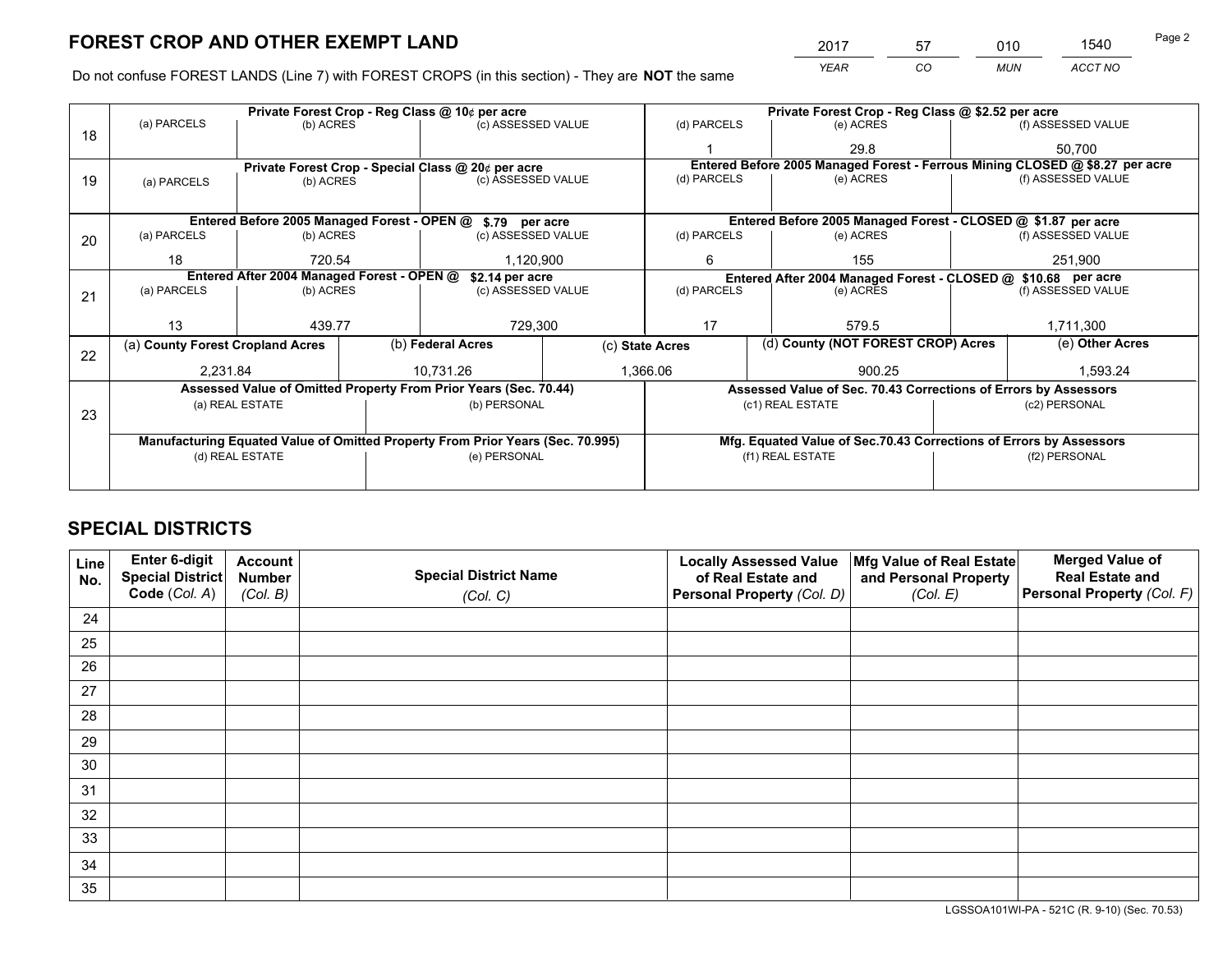*YEAR CO MUN ACCT NO* <sup>2017</sup> <sup>57</sup> <sup>010</sup> <sup>1540</sup>

Do not confuse FOREST LANDS (Line 7) with FOREST CROPS (in this section) - They are **NOT** the same

|    |                                                                                |                 |  | Private Forest Crop - Reg Class @ 10¢ per acre                   |                 | Private Forest Crop - Reg Class @ \$2.52 per acre |                                                                              |  |                    |  |
|----|--------------------------------------------------------------------------------|-----------------|--|------------------------------------------------------------------|-----------------|---------------------------------------------------|------------------------------------------------------------------------------|--|--------------------|--|
| 18 | (a) PARCELS                                                                    | (b) ACRES       |  | (c) ASSESSED VALUE                                               |                 | (d) PARCELS                                       | (e) ACRES                                                                    |  | (f) ASSESSED VALUE |  |
|    |                                                                                |                 |  |                                                                  |                 |                                                   | 29.8                                                                         |  | 50.700             |  |
|    |                                                                                |                 |  | Private Forest Crop - Special Class @ 20¢ per acre               |                 |                                                   | Entered Before 2005 Managed Forest - Ferrous Mining CLOSED @ \$8.27 per acre |  |                    |  |
| 19 | (a) PARCELS                                                                    | (b) ACRES       |  | (c) ASSESSED VALUE                                               |                 | (d) PARCELS                                       | (e) ACRES                                                                    |  | (f) ASSESSED VALUE |  |
|    |                                                                                |                 |  |                                                                  |                 |                                                   |                                                                              |  |                    |  |
|    |                                                                                |                 |  | Entered Before 2005 Managed Forest - OPEN @ \$.79 per acre       |                 |                                                   | Entered Before 2005 Managed Forest - CLOSED @ \$1.87 per acre                |  |                    |  |
| 20 | (a) PARCELS                                                                    | (b) ACRES       |  | (c) ASSESSED VALUE                                               |                 | (d) PARCELS                                       | (e) ACRES                                                                    |  | (f) ASSESSED VALUE |  |
|    | 18                                                                             | 720.54          |  | 1,120,900                                                        |                 | 155<br>6                                          |                                                                              |  | 251,900            |  |
|    | Entered After 2004 Managed Forest - OPEN @<br>\$2.14 per acre                  |                 |  |                                                                  |                 |                                                   | Entered After 2004 Managed Forest - CLOSED @ \$10.68 per acre                |  |                    |  |
| 21 | (a) PARCELS                                                                    | (b) ACRES       |  | (c) ASSESSED VALUE                                               |                 | (d) PARCELS<br>(e) ACRES                          |                                                                              |  | (f) ASSESSED VALUE |  |
|    |                                                                                |                 |  |                                                                  |                 |                                                   |                                                                              |  |                    |  |
|    | 13                                                                             | 439.77          |  | 729,300                                                          |                 | 17<br>579.5                                       |                                                                              |  | 1,711,300          |  |
| 22 | (a) County Forest Cropland Acres                                               |                 |  | (b) Federal Acres                                                | (c) State Acres |                                                   | (d) County (NOT FOREST CROP) Acres                                           |  | (e) Other Acres    |  |
|    | 2,231.84                                                                       |                 |  | 10,731.26                                                        |                 | 1,366.06<br>900.25                                |                                                                              |  | 1,593.24           |  |
|    |                                                                                |                 |  | Assessed Value of Omitted Property From Prior Years (Sec. 70.44) |                 |                                                   | Assessed Value of Sec. 70.43 Corrections of Errors by Assessors              |  |                    |  |
| 23 |                                                                                | (a) REAL ESTATE |  | (b) PERSONAL                                                     |                 |                                                   | (c1) REAL ESTATE                                                             |  | (c2) PERSONAL      |  |
|    |                                                                                |                 |  |                                                                  |                 |                                                   |                                                                              |  |                    |  |
|    | Manufacturing Equated Value of Omitted Property From Prior Years (Sec. 70.995) |                 |  |                                                                  |                 |                                                   | Mfg. Equated Value of Sec.70.43 Corrections of Errors by Assessors           |  |                    |  |
|    | (d) REAL ESTATE                                                                |                 |  | (e) PERSONAL                                                     |                 | (f1) REAL ESTATE                                  |                                                                              |  | (f2) PERSONAL      |  |
|    |                                                                                |                 |  |                                                                  |                 |                                                   |                                                                              |  |                    |  |

# **SPECIAL DISTRICTS**

| Line<br>No. | Enter 6-digit<br>Special District<br>Code (Col. A) | <b>Account</b><br><b>Number</b><br>(Col. B) | <b>Special District Name</b><br>(Col. C) | <b>Locally Assessed Value</b><br>of Real Estate and<br>Personal Property (Col. D) | Mfg Value of Real Estate<br>and Personal Property<br>(Col. E) | <b>Merged Value of</b><br><b>Real Estate and</b><br>Personal Property (Col. F) |
|-------------|----------------------------------------------------|---------------------------------------------|------------------------------------------|-----------------------------------------------------------------------------------|---------------------------------------------------------------|--------------------------------------------------------------------------------|
|             |                                                    |                                             |                                          |                                                                                   |                                                               |                                                                                |
| 24          |                                                    |                                             |                                          |                                                                                   |                                                               |                                                                                |
| 25          |                                                    |                                             |                                          |                                                                                   |                                                               |                                                                                |
| 26          |                                                    |                                             |                                          |                                                                                   |                                                               |                                                                                |
| 27          |                                                    |                                             |                                          |                                                                                   |                                                               |                                                                                |
| 28          |                                                    |                                             |                                          |                                                                                   |                                                               |                                                                                |
| 29          |                                                    |                                             |                                          |                                                                                   |                                                               |                                                                                |
| 30          |                                                    |                                             |                                          |                                                                                   |                                                               |                                                                                |
| 31          |                                                    |                                             |                                          |                                                                                   |                                                               |                                                                                |
| 32          |                                                    |                                             |                                          |                                                                                   |                                                               |                                                                                |
| 33          |                                                    |                                             |                                          |                                                                                   |                                                               |                                                                                |
| 34          |                                                    |                                             |                                          |                                                                                   |                                                               |                                                                                |
| 35          |                                                    |                                             |                                          |                                                                                   |                                                               |                                                                                |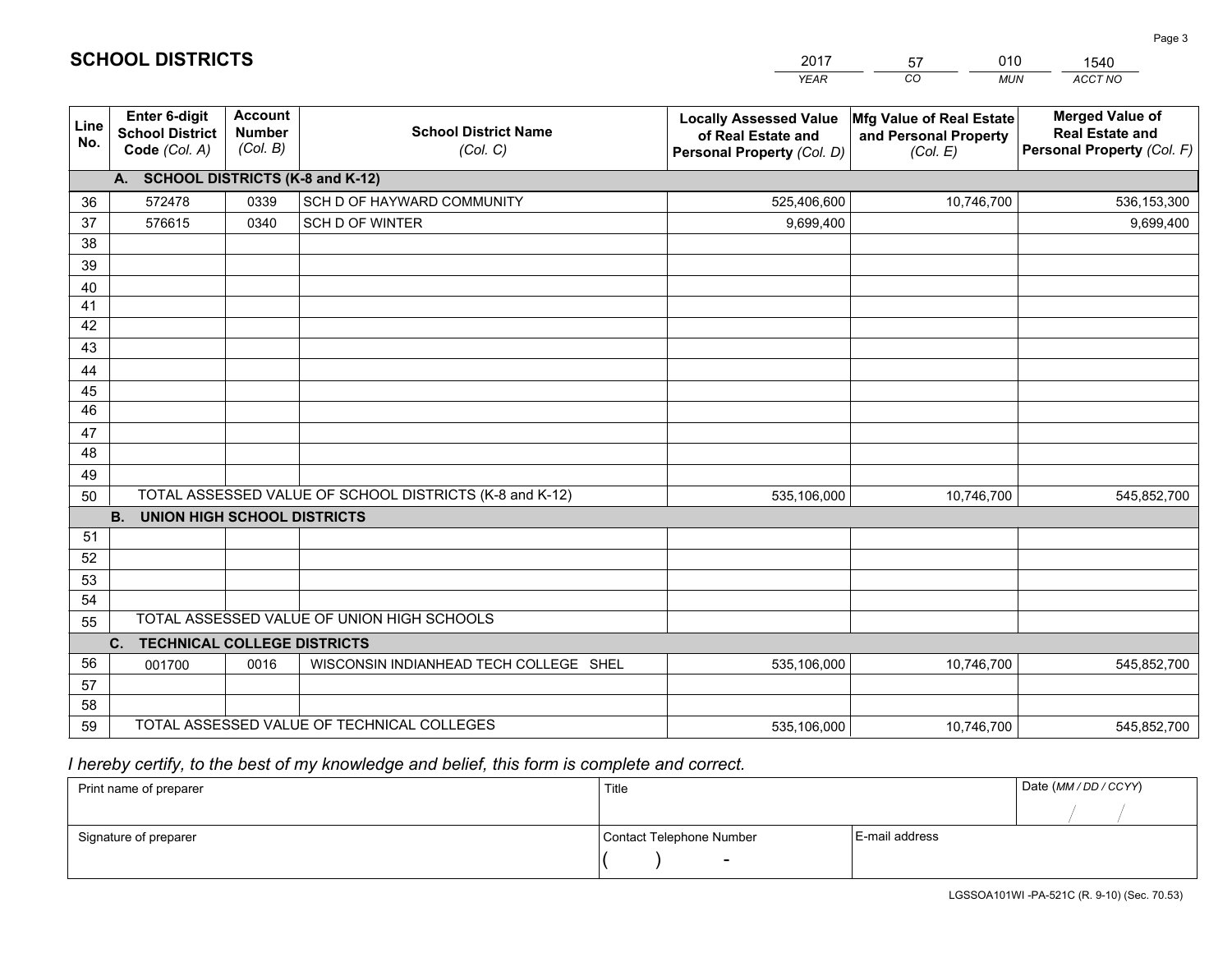|                       |                                                                 |                                             |                                                         | <b>YEAR</b>                                                                       | CO<br><b>MUN</b>                                              | ACCT NO                                                                        |
|-----------------------|-----------------------------------------------------------------|---------------------------------------------|---------------------------------------------------------|-----------------------------------------------------------------------------------|---------------------------------------------------------------|--------------------------------------------------------------------------------|
| Line<br>No.           | <b>Enter 6-digit</b><br><b>School District</b><br>Code (Col. A) | <b>Account</b><br><b>Number</b><br>(Col. B) | <b>School District Name</b><br>(Col. C)                 | <b>Locally Assessed Value</b><br>of Real Estate and<br>Personal Property (Col. D) | Mfg Value of Real Estate<br>and Personal Property<br>(Col. E) | <b>Merged Value of</b><br><b>Real Estate and</b><br>Personal Property (Col. F) |
|                       | A. SCHOOL DISTRICTS (K-8 and K-12)                              |                                             |                                                         |                                                                                   |                                                               |                                                                                |
| 36                    | 572478                                                          | 0339                                        | SCH D OF HAYWARD COMMUNITY                              | 525,406,600                                                                       | 10,746,700                                                    | 536,153,300                                                                    |
| 37                    | 576615                                                          | 0340                                        | SCH D OF WINTER                                         | 9,699,400                                                                         |                                                               | 9,699,400                                                                      |
| 38                    |                                                                 |                                             |                                                         |                                                                                   |                                                               |                                                                                |
| 39                    |                                                                 |                                             |                                                         |                                                                                   |                                                               |                                                                                |
| 40                    |                                                                 |                                             |                                                         |                                                                                   |                                                               |                                                                                |
| 41                    |                                                                 |                                             |                                                         |                                                                                   |                                                               |                                                                                |
| 42                    |                                                                 |                                             |                                                         |                                                                                   |                                                               |                                                                                |
| 43                    |                                                                 |                                             |                                                         |                                                                                   |                                                               |                                                                                |
| 44                    |                                                                 |                                             |                                                         |                                                                                   |                                                               |                                                                                |
| 45<br>$\overline{46}$ |                                                                 |                                             |                                                         |                                                                                   |                                                               |                                                                                |
| 47                    |                                                                 |                                             |                                                         |                                                                                   |                                                               |                                                                                |
| 48                    |                                                                 |                                             |                                                         |                                                                                   |                                                               |                                                                                |
| 49                    |                                                                 |                                             |                                                         |                                                                                   |                                                               |                                                                                |
| 50                    |                                                                 |                                             | TOTAL ASSESSED VALUE OF SCHOOL DISTRICTS (K-8 and K-12) | 535,106,000                                                                       | 10,746,700                                                    | 545,852,700                                                                    |
|                       | <b>B.</b><br><b>UNION HIGH SCHOOL DISTRICTS</b>                 |                                             |                                                         |                                                                                   |                                                               |                                                                                |
| 51                    |                                                                 |                                             |                                                         |                                                                                   |                                                               |                                                                                |
| 52                    |                                                                 |                                             |                                                         |                                                                                   |                                                               |                                                                                |
| 53                    |                                                                 |                                             |                                                         |                                                                                   |                                                               |                                                                                |
| 54                    |                                                                 |                                             |                                                         |                                                                                   |                                                               |                                                                                |
| 55                    |                                                                 |                                             | TOTAL ASSESSED VALUE OF UNION HIGH SCHOOLS              |                                                                                   |                                                               |                                                                                |
|                       | C.<br><b>TECHNICAL COLLEGE DISTRICTS</b>                        |                                             |                                                         |                                                                                   |                                                               |                                                                                |
| 56                    | 001700                                                          | 0016                                        | WISCONSIN INDIANHEAD TECH COLLEGE SHEL                  | 535,106,000                                                                       | 10,746,700                                                    | 545,852,700                                                                    |
| 57                    |                                                                 |                                             |                                                         |                                                                                   |                                                               |                                                                                |
| 58                    |                                                                 |                                             |                                                         |                                                                                   |                                                               |                                                                                |
| 59                    |                                                                 |                                             | TOTAL ASSESSED VALUE OF TECHNICAL COLLEGES              | 535,106,000                                                                       | 10,746,700                                                    | 545,852,700                                                                    |

2017

57

010

 *I hereby certify, to the best of my knowledge and belief, this form is complete and correct.*

**SCHOOL DISTRICTS**

| Print name of preparer | Title                    |                | Date (MM / DD / CCYY) |
|------------------------|--------------------------|----------------|-----------------------|
|                        |                          |                |                       |
| Signature of preparer  | Contact Telephone Number | E-mail address |                       |
|                        | $\sim$                   |                |                       |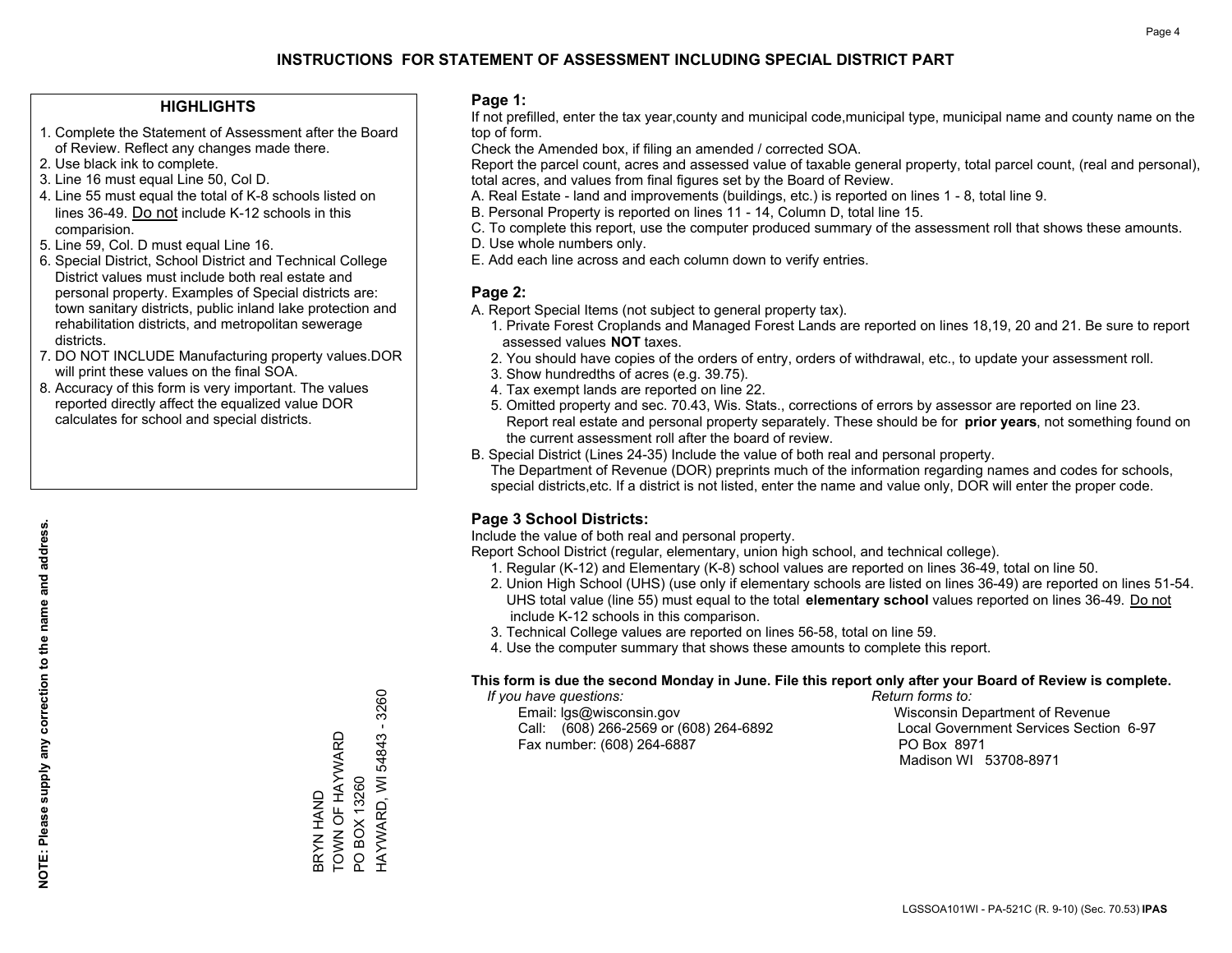### **HIGHLIGHTS**

- 1. Complete the Statement of Assessment after the Board of Review. Reflect any changes made there.
- 2. Use black ink to complete.
- 3. Line 16 must equal Line 50, Col D.
- 4. Line 55 must equal the total of K-8 schools listed on lines 36-49. Do not include K-12 schools in this comparision.
- 5. Line 59, Col. D must equal Line 16.
- 6. Special District, School District and Technical College District values must include both real estate and personal property. Examples of Special districts are: town sanitary districts, public inland lake protection and rehabilitation districts, and metropolitan sewerage districts.
- 7. DO NOT INCLUDE Manufacturing property values.DOR will print these values on the final SOA.
- 8. Accuracy of this form is very important. The values reported directly affect the equalized value DOR calculates for school and special districts.

#### **Page 1:**

 If not prefilled, enter the tax year,county and municipal code,municipal type, municipal name and county name on the top of form.

Check the Amended box, if filing an amended / corrected SOA.

 Report the parcel count, acres and assessed value of taxable general property, total parcel count, (real and personal), total acres, and values from final figures set by the Board of Review.

- A. Real Estate land and improvements (buildings, etc.) is reported on lines 1 8, total line 9.
- B. Personal Property is reported on lines 11 14, Column D, total line 15.
- C. To complete this report, use the computer produced summary of the assessment roll that shows these amounts.
- D. Use whole numbers only.
- E. Add each line across and each column down to verify entries.

### **Page 2:**

- A. Report Special Items (not subject to general property tax).
- 1. Private Forest Croplands and Managed Forest Lands are reported on lines 18,19, 20 and 21. Be sure to report assessed values **NOT** taxes.
- 2. You should have copies of the orders of entry, orders of withdrawal, etc., to update your assessment roll.
	- 3. Show hundredths of acres (e.g. 39.75).
- 4. Tax exempt lands are reported on line 22.
- 5. Omitted property and sec. 70.43, Wis. Stats., corrections of errors by assessor are reported on line 23. Report real estate and personal property separately. These should be for **prior years**, not something found on the current assessment roll after the board of review.
- B. Special District (Lines 24-35) Include the value of both real and personal property.
- The Department of Revenue (DOR) preprints much of the information regarding names and codes for schools, special districts,etc. If a district is not listed, enter the name and value only, DOR will enter the proper code.

# **Page 3 School Districts:**

Include the value of both real and personal property.

Report School District (regular, elementary, union high school, and technical college).

- 1. Regular (K-12) and Elementary (K-8) school values are reported on lines 36-49, total on line 50.
- 2. Union High School (UHS) (use only if elementary schools are listed on lines 36-49) are reported on lines 51-54. UHS total value (line 55) must equal to the total **elementary school** values reported on lines 36-49. Do notinclude K-12 schools in this comparison.
- 3. Technical College values are reported on lines 56-58, total on line 59.
- 4. Use the computer summary that shows these amounts to complete this report.

#### **This form is due the second Monday in June. File this report only after your Board of Review is complete.**

 *If you have questions: Return forms to:*

 Email: lgs@wisconsin.gov Wisconsin Department of RevenueCall:  $(608)$  266-2569 or  $(608)$  264-6892 Fax number: (608) 264-6887 PO Box 8971

Local Government Services Section 6-97 Madison WI 53708-8971

HAYWARD, WI 54843 - 3260 HAYWARD, WI 54843 - 3260 TOWN OF HAYWARD BRYN HAND<br>TOWN OF HAYWARD PO BOX 13260 PO BOX 13260 BRYN HAND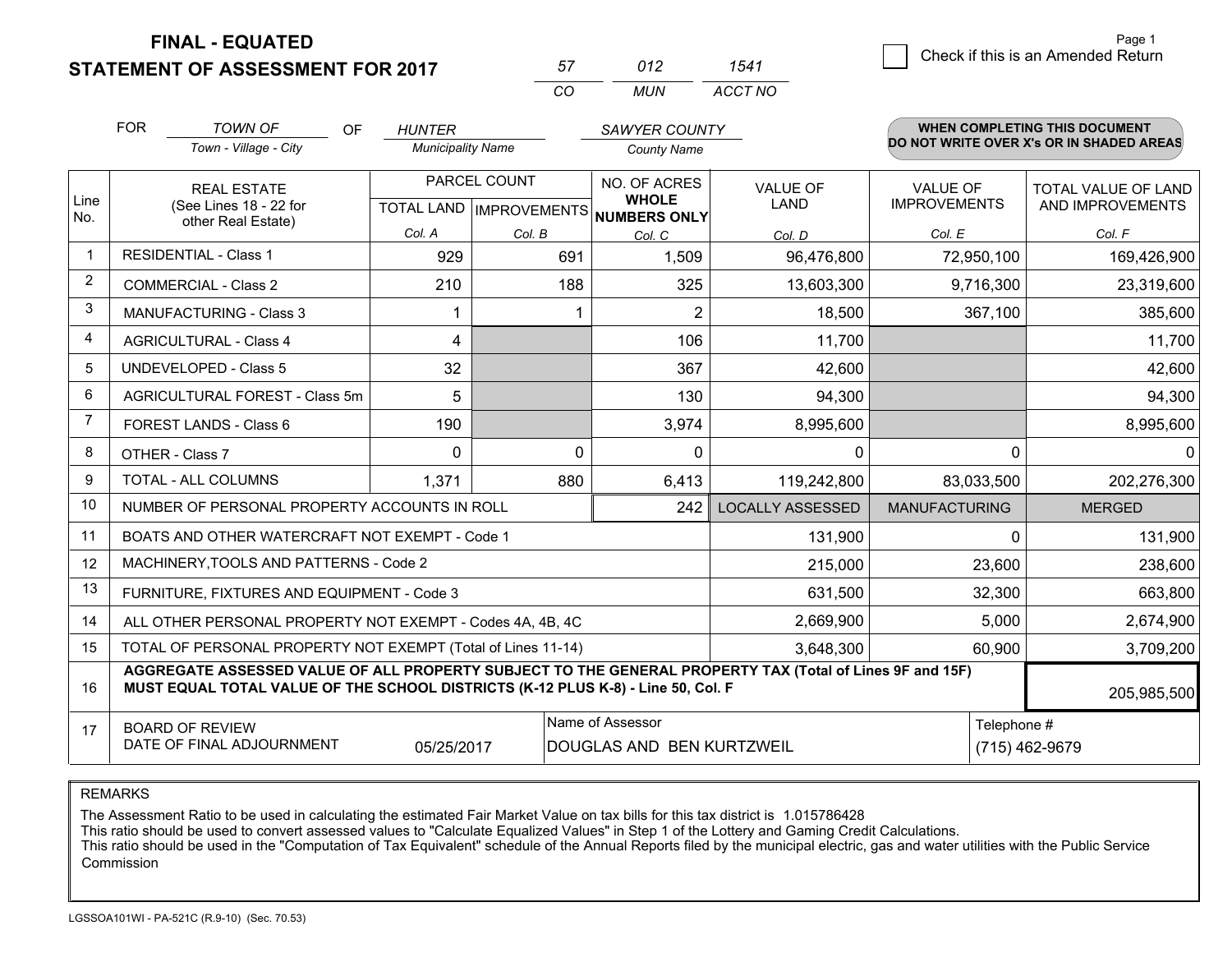**STATEMENT OF ASSESSMENT FOR 2017** 

| 57       | 1172  |         |
|----------|-------|---------|
| $\cdots$ | MI IN | ACCT NO |

|             | <b>FOR</b>                                                                                                                                                                                   | <b>TOWN OF</b><br><b>OF</b>                                  | <b>HUNTER</b>            |              | SAWYER COUNTY                                                        |                                |                                        | <b>WHEN COMPLETING THIS DOCUMENT</b>           |  |
|-------------|----------------------------------------------------------------------------------------------------------------------------------------------------------------------------------------------|--------------------------------------------------------------|--------------------------|--------------|----------------------------------------------------------------------|--------------------------------|----------------------------------------|------------------------------------------------|--|
|             |                                                                                                                                                                                              | Town - Village - City                                        | <b>Municipality Name</b> |              | <b>County Name</b>                                                   |                                |                                        | DO NOT WRITE OVER X's OR IN SHADED AREAS       |  |
| Line        |                                                                                                                                                                                              | <b>REAL ESTATE</b><br>(See Lines 18 - 22 for                 |                          | PARCEL COUNT | NO. OF ACRES<br><b>WHOLE</b><br>TOTAL LAND IMPROVEMENTS NUMBERS ONLY | <b>VALUE OF</b><br><b>LAND</b> | <b>VALUE OF</b><br><b>IMPROVEMENTS</b> | <b>TOTAL VALUE OF LAND</b><br>AND IMPROVEMENTS |  |
| No.         |                                                                                                                                                                                              | other Real Estate)                                           | Col. A                   | Col. B       | Col. C                                                               | Col. D                         | Col. E                                 | Col. F                                         |  |
| $\mathbf 1$ |                                                                                                                                                                                              | <b>RESIDENTIAL - Class 1</b>                                 | 929                      | 691          | 1,509                                                                | 96,476,800                     | 72,950,100                             | 169,426,900                                    |  |
| 2           |                                                                                                                                                                                              | <b>COMMERCIAL - Class 2</b>                                  | 210                      | 188          | 325                                                                  | 13,603,300                     | 9,716,300                              | 23,319,600                                     |  |
| 3           |                                                                                                                                                                                              | <b>MANUFACTURING - Class 3</b>                               |                          |              | 2                                                                    | 18,500                         | 367,100                                | 385,600                                        |  |
| 4           |                                                                                                                                                                                              | <b>AGRICULTURAL - Class 4</b>                                | 4                        |              | 106                                                                  | 11,700                         |                                        | 11,700                                         |  |
| 5           |                                                                                                                                                                                              | <b>UNDEVELOPED - Class 5</b>                                 | 32                       |              | 367                                                                  | 42,600                         |                                        | 42,600                                         |  |
| 6           |                                                                                                                                                                                              | AGRICULTURAL FOREST - Class 5m                               | 5                        |              | 130                                                                  | 94,300                         |                                        | 94,300                                         |  |
| 7           |                                                                                                                                                                                              | FOREST LANDS - Class 6                                       | 190                      |              | 3,974                                                                | 8,995,600                      |                                        | 8,995,600                                      |  |
| 8           |                                                                                                                                                                                              | OTHER - Class 7                                              | $\Omega$                 |              | 0<br>$\Omega$                                                        | $\mathbf 0$                    | $\Omega$                               | $\Omega$                                       |  |
| 9           |                                                                                                                                                                                              | TOTAL - ALL COLUMNS                                          | 1,371                    | 880          | 6,413                                                                | 119,242,800                    | 83,033,500                             | 202,276,300                                    |  |
| 10          |                                                                                                                                                                                              | NUMBER OF PERSONAL PROPERTY ACCOUNTS IN ROLL                 |                          |              | 242                                                                  | <b>LOCALLY ASSESSED</b>        | <b>MANUFACTURING</b>                   | <b>MERGED</b>                                  |  |
| 11          |                                                                                                                                                                                              | BOATS AND OTHER WATERCRAFT NOT EXEMPT - Code 1               |                          |              |                                                                      | 131,900                        | $\Omega$                               | 131,900                                        |  |
| 12          |                                                                                                                                                                                              | MACHINERY, TOOLS AND PATTERNS - Code 2                       |                          |              |                                                                      | 215,000                        | 23,600                                 | 238,600                                        |  |
| 13          |                                                                                                                                                                                              | FURNITURE, FIXTURES AND EQUIPMENT - Code 3                   |                          |              |                                                                      | 631,500                        | 32,300                                 | 663,800                                        |  |
| 14          |                                                                                                                                                                                              | ALL OTHER PERSONAL PROPERTY NOT EXEMPT - Codes 4A, 4B, 4C    |                          |              |                                                                      | 2,669,900                      | 5,000                                  | 2,674,900                                      |  |
| 15          |                                                                                                                                                                                              | TOTAL OF PERSONAL PROPERTY NOT EXEMPT (Total of Lines 11-14) |                          | 3,648,300    | 60,900                                                               | 3,709,200                      |                                        |                                                |  |
| 16          | AGGREGATE ASSESSED VALUE OF ALL PROPERTY SUBJECT TO THE GENERAL PROPERTY TAX (Total of Lines 9F and 15F)<br>MUST EQUAL TOTAL VALUE OF THE SCHOOL DISTRICTS (K-12 PLUS K-8) - Line 50, Col. F |                                                              |                          |              |                                                                      |                                | 205,985,500                            |                                                |  |
| 17          | Name of Assessor<br><b>BOARD OF REVIEW</b><br>DATE OF FINAL ADJOURNMENT<br>05/25/2017<br>DOUGLAS AND BEN KURTZWEIL                                                                           |                                                              |                          |              | Telephone #                                                          | (715) 462-9679                 |                                        |                                                |  |

REMARKS

The Assessment Ratio to be used in calculating the estimated Fair Market Value on tax bills for this tax district is 1.015786428<br>This ratio should be used to convert assessed values to "Calculate Equalized Values" in Step Commission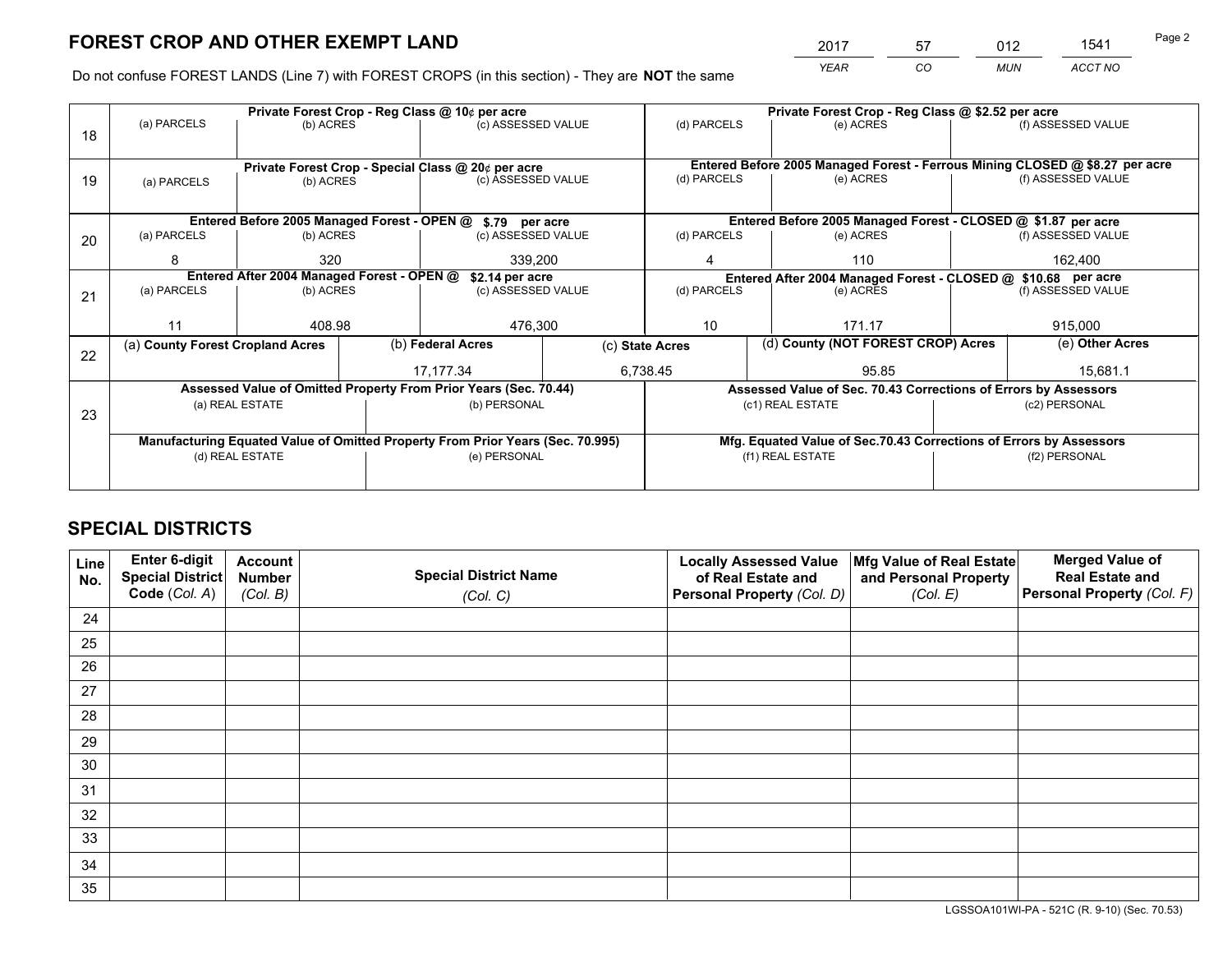*YEAR CO MUN ACCT NO* <sup>2017</sup> <sup>57</sup> <sup>012</sup> <sup>1541</sup>

Do not confuse FOREST LANDS (Line 7) with FOREST CROPS (in this section) - They are **NOT** the same

|    |                                                                                |                                                               |  | Private Forest Crop - Reg Class @ 10¢ per acre                   |                 | Private Forest Crop - Reg Class @ \$2.52 per acre |                                    |                                                                    |                    |                                                                              |
|----|--------------------------------------------------------------------------------|---------------------------------------------------------------|--|------------------------------------------------------------------|-----------------|---------------------------------------------------|------------------------------------|--------------------------------------------------------------------|--------------------|------------------------------------------------------------------------------|
| 18 | (a) PARCELS                                                                    | (b) ACRES                                                     |  | (c) ASSESSED VALUE                                               |                 | (d) PARCELS                                       |                                    | (e) ACRES                                                          |                    | (f) ASSESSED VALUE                                                           |
|    |                                                                                |                                                               |  |                                                                  |                 |                                                   |                                    |                                                                    |                    |                                                                              |
|    | Private Forest Crop - Special Class @ 20¢ per acre                             |                                                               |  |                                                                  |                 |                                                   |                                    |                                                                    |                    | Entered Before 2005 Managed Forest - Ferrous Mining CLOSED @ \$8.27 per acre |
| 19 | (a) PARCELS                                                                    | (b) ACRES                                                     |  | (c) ASSESSED VALUE                                               |                 | (d) PARCELS                                       |                                    | (e) ACRES                                                          |                    | (f) ASSESSED VALUE                                                           |
|    |                                                                                |                                                               |  |                                                                  |                 |                                                   |                                    |                                                                    |                    |                                                                              |
|    |                                                                                |                                                               |  | Entered Before 2005 Managed Forest - OPEN @ \$.79 per acre       |                 |                                                   |                                    | Entered Before 2005 Managed Forest - CLOSED @ \$1.87 per acre      |                    |                                                                              |
| 20 | (a) PARCELS                                                                    | (b) ACRES                                                     |  | (c) ASSESSED VALUE                                               |                 | (d) PARCELS                                       |                                    | (e) ACRES                                                          |                    | (f) ASSESSED VALUE                                                           |
|    | 8                                                                              | 320                                                           |  | 339.200                                                          |                 | 4                                                 | 110                                |                                                                    | 162.400            |                                                                              |
|    |                                                                                | Entered After 2004 Managed Forest - OPEN @<br>\$2.14 per acre |  |                                                                  |                 |                                                   |                                    | Entered After 2004 Managed Forest - CLOSED @ \$10.68 per acre      |                    |                                                                              |
| 21 | (a) PARCELS                                                                    | (b) ACRES                                                     |  | (c) ASSESSED VALUE                                               |                 | (d) PARCELS                                       |                                    | (e) ACRES                                                          | (f) ASSESSED VALUE |                                                                              |
|    |                                                                                |                                                               |  |                                                                  |                 |                                                   |                                    |                                                                    |                    |                                                                              |
|    | 11                                                                             | 408.98                                                        |  | 476,300                                                          |                 | 10                                                |                                    | 171.17                                                             |                    | 915,000                                                                      |
| 22 | (a) County Forest Cropland Acres                                               |                                                               |  | (b) Federal Acres                                                | (c) State Acres |                                                   | (d) County (NOT FOREST CROP) Acres |                                                                    |                    | (e) Other Acres                                                              |
|    |                                                                                |                                                               |  | 6,738.45<br>17,177.34                                            |                 |                                                   | 95.85                              |                                                                    |                    | 15,681.1                                                                     |
|    |                                                                                |                                                               |  | Assessed Value of Omitted Property From Prior Years (Sec. 70.44) |                 |                                                   |                                    | Assessed Value of Sec. 70.43 Corrections of Errors by Assessors    |                    |                                                                              |
| 23 |                                                                                | (a) REAL ESTATE                                               |  | (b) PERSONAL                                                     |                 |                                                   | (c1) REAL ESTATE                   |                                                                    |                    | (c2) PERSONAL                                                                |
|    |                                                                                |                                                               |  |                                                                  |                 |                                                   |                                    |                                                                    |                    |                                                                              |
|    | Manufacturing Equated Value of Omitted Property From Prior Years (Sec. 70.995) |                                                               |  |                                                                  |                 |                                                   |                                    | Mfg. Equated Value of Sec.70.43 Corrections of Errors by Assessors |                    |                                                                              |
|    |                                                                                | (d) REAL ESTATE                                               |  | (e) PERSONAL                                                     |                 | (f1) REAL ESTATE                                  |                                    |                                                                    | (f2) PERSONAL      |                                                                              |
|    |                                                                                |                                                               |  |                                                                  |                 |                                                   |                                    |                                                                    |                    |                                                                              |

# **SPECIAL DISTRICTS**

| Line<br>No. | Enter 6-digit<br>Special District<br>Code (Col. A) | <b>Account</b><br><b>Number</b> | <b>Special District Name</b> | <b>Locally Assessed Value</b><br>of Real Estate and | Mfg Value of Real Estate<br>and Personal Property | <b>Merged Value of</b><br><b>Real Estate and</b><br>Personal Property (Col. F) |
|-------------|----------------------------------------------------|---------------------------------|------------------------------|-----------------------------------------------------|---------------------------------------------------|--------------------------------------------------------------------------------|
|             |                                                    | (Col. B)                        | (Col. C)                     | Personal Property (Col. D)                          | (Col. E)                                          |                                                                                |
| 24          |                                                    |                                 |                              |                                                     |                                                   |                                                                                |
| 25          |                                                    |                                 |                              |                                                     |                                                   |                                                                                |
| 26          |                                                    |                                 |                              |                                                     |                                                   |                                                                                |
| 27          |                                                    |                                 |                              |                                                     |                                                   |                                                                                |
| 28          |                                                    |                                 |                              |                                                     |                                                   |                                                                                |
| 29          |                                                    |                                 |                              |                                                     |                                                   |                                                                                |
| 30          |                                                    |                                 |                              |                                                     |                                                   |                                                                                |
| 31          |                                                    |                                 |                              |                                                     |                                                   |                                                                                |
| 32          |                                                    |                                 |                              |                                                     |                                                   |                                                                                |
| 33          |                                                    |                                 |                              |                                                     |                                                   |                                                                                |
| 34          |                                                    |                                 |                              |                                                     |                                                   |                                                                                |
| 35          |                                                    |                                 |                              |                                                     |                                                   |                                                                                |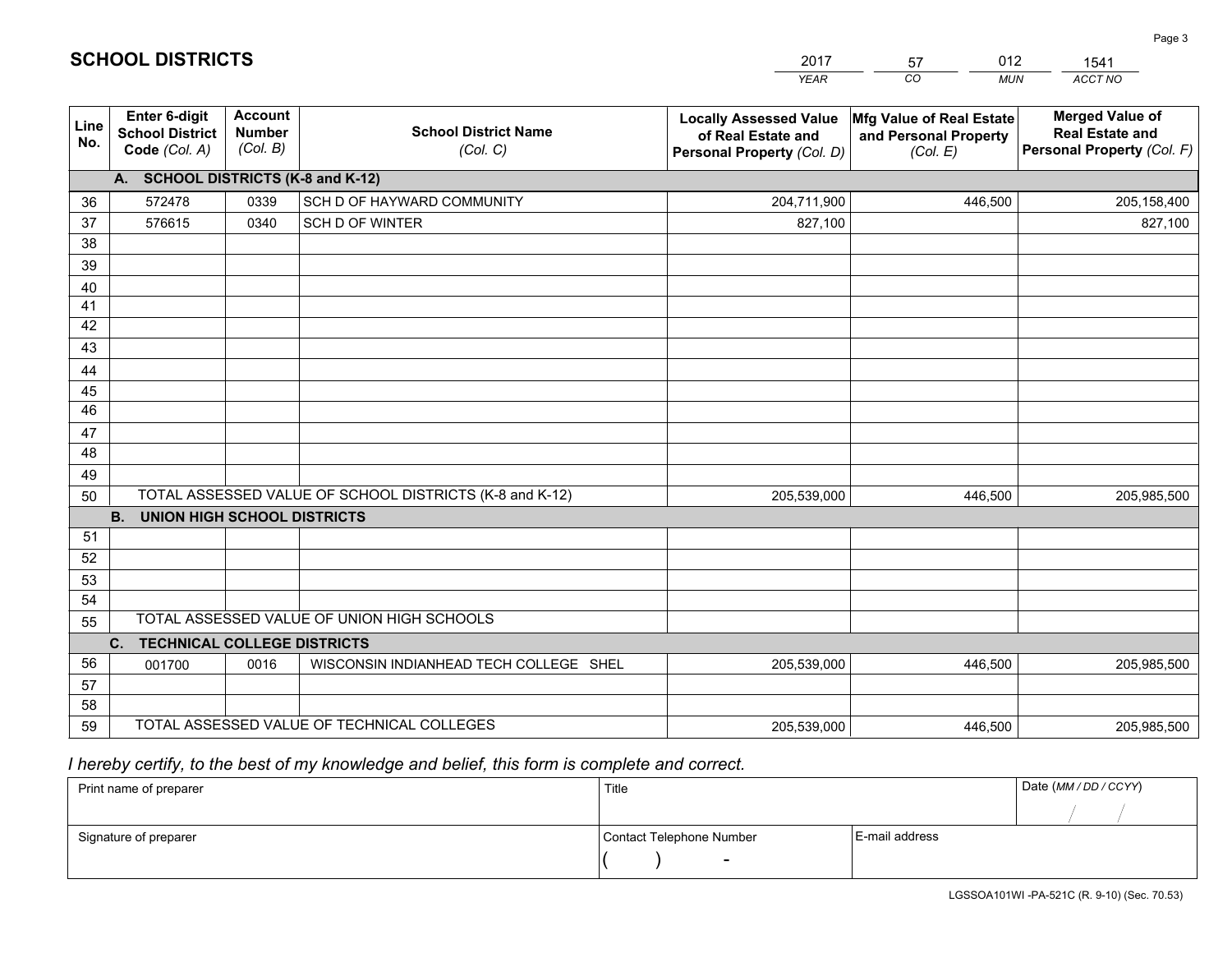|             |                                                                 |                                             |                                                         | <b>YEAR</b>                                                                       | CO<br><b>MUN</b>                                              | ACCT NO                                                                        |
|-------------|-----------------------------------------------------------------|---------------------------------------------|---------------------------------------------------------|-----------------------------------------------------------------------------------|---------------------------------------------------------------|--------------------------------------------------------------------------------|
| Line<br>No. | <b>Enter 6-digit</b><br><b>School District</b><br>Code (Col. A) | <b>Account</b><br><b>Number</b><br>(Col. B) | <b>School District Name</b><br>(Col. C)                 | <b>Locally Assessed Value</b><br>of Real Estate and<br>Personal Property (Col. D) | Mfg Value of Real Estate<br>and Personal Property<br>(Col. E) | <b>Merged Value of</b><br><b>Real Estate and</b><br>Personal Property (Col. F) |
|             | A. SCHOOL DISTRICTS (K-8 and K-12)                              |                                             |                                                         |                                                                                   |                                                               |                                                                                |
| 36          | 572478                                                          | 0339                                        | SCH D OF HAYWARD COMMUNITY                              | 204,711,900                                                                       | 446,500                                                       | 205,158,400                                                                    |
| 37          | 576615                                                          | 0340                                        | SCH D OF WINTER                                         | 827,100                                                                           |                                                               | 827,100                                                                        |
| 38          |                                                                 |                                             |                                                         |                                                                                   |                                                               |                                                                                |
| 39          |                                                                 |                                             |                                                         |                                                                                   |                                                               |                                                                                |
| 40          |                                                                 |                                             |                                                         |                                                                                   |                                                               |                                                                                |
| 41<br>42    |                                                                 |                                             |                                                         |                                                                                   |                                                               |                                                                                |
| 43          |                                                                 |                                             |                                                         |                                                                                   |                                                               |                                                                                |
| 44          |                                                                 |                                             |                                                         |                                                                                   |                                                               |                                                                                |
| 45          |                                                                 |                                             |                                                         |                                                                                   |                                                               |                                                                                |
| 46          |                                                                 |                                             |                                                         |                                                                                   |                                                               |                                                                                |
| 47          |                                                                 |                                             |                                                         |                                                                                   |                                                               |                                                                                |
| 48          |                                                                 |                                             |                                                         |                                                                                   |                                                               |                                                                                |
| 49          |                                                                 |                                             |                                                         |                                                                                   |                                                               |                                                                                |
| 50          |                                                                 |                                             | TOTAL ASSESSED VALUE OF SCHOOL DISTRICTS (K-8 and K-12) | 205,539,000                                                                       | 446,500                                                       | 205,985,500                                                                    |
|             | <b>B.</b><br><b>UNION HIGH SCHOOL DISTRICTS</b>                 |                                             |                                                         |                                                                                   |                                                               |                                                                                |
| 51          |                                                                 |                                             |                                                         |                                                                                   |                                                               |                                                                                |
| 52          |                                                                 |                                             |                                                         |                                                                                   |                                                               |                                                                                |
| 53          |                                                                 |                                             |                                                         |                                                                                   |                                                               |                                                                                |
| 54<br>55    |                                                                 |                                             | TOTAL ASSESSED VALUE OF UNION HIGH SCHOOLS              |                                                                                   |                                                               |                                                                                |
|             | C.<br><b>TECHNICAL COLLEGE DISTRICTS</b>                        |                                             |                                                         |                                                                                   |                                                               |                                                                                |
| 56          | 001700                                                          | 0016                                        | WISCONSIN INDIANHEAD TECH COLLEGE SHEL                  | 205,539,000                                                                       | 446,500                                                       | 205,985,500                                                                    |
| 57          |                                                                 |                                             |                                                         |                                                                                   |                                                               |                                                                                |
| 58          |                                                                 |                                             |                                                         |                                                                                   |                                                               |                                                                                |
| 59          |                                                                 |                                             | TOTAL ASSESSED VALUE OF TECHNICAL COLLEGES              | 205,539,000                                                                       | 446,500                                                       | 205,985,500                                                                    |

2017

57

012

 *I hereby certify, to the best of my knowledge and belief, this form is complete and correct.*

**SCHOOL DISTRICTS**

| Print name of preparer | Title                    |                | Date (MM / DD / CCYY) |
|------------------------|--------------------------|----------------|-----------------------|
|                        |                          |                |                       |
| Signature of preparer  | Contact Telephone Number | E-mail address |                       |
|                        | $\sim$                   |                |                       |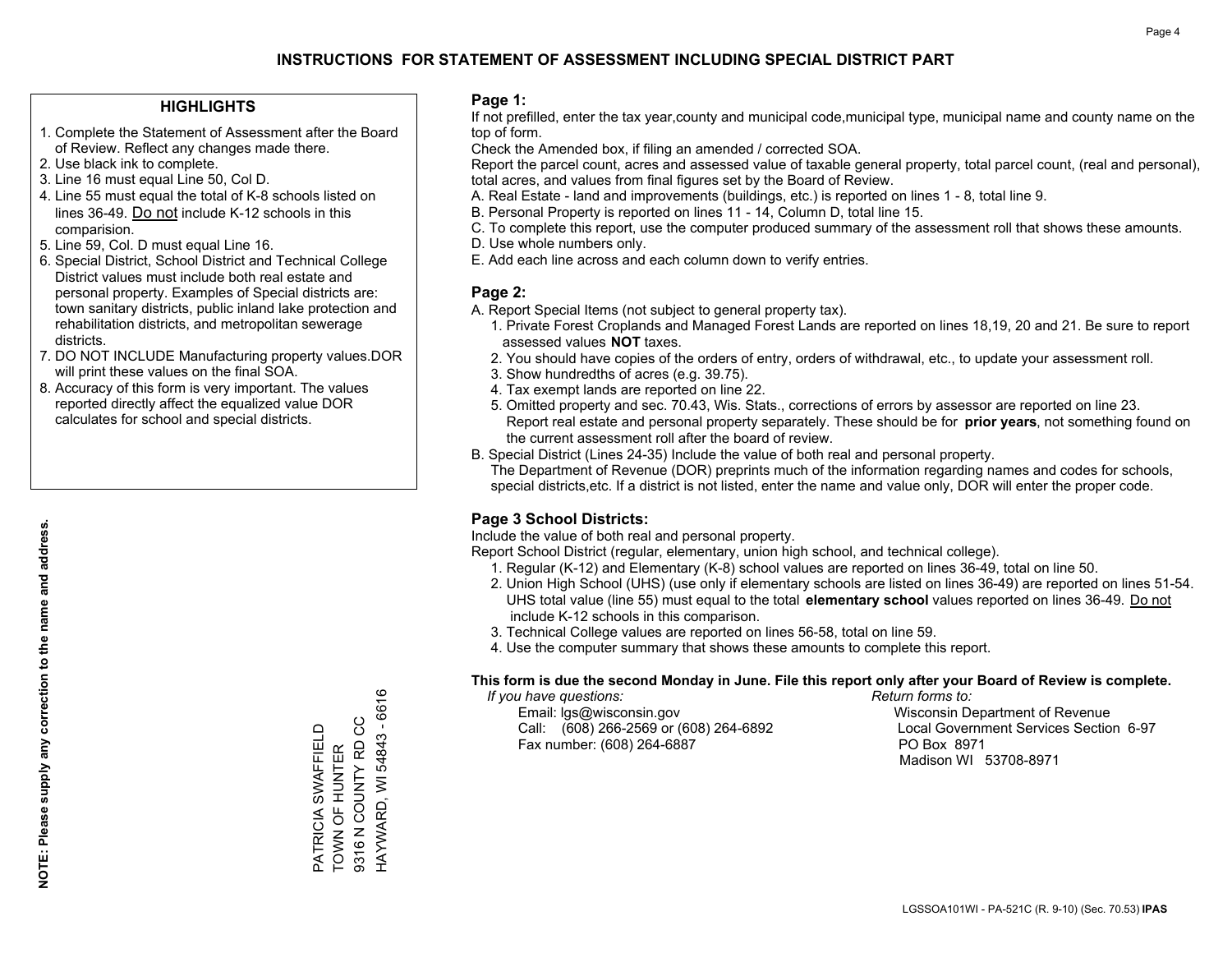### **HIGHLIGHTS**

- 1. Complete the Statement of Assessment after the Board of Review. Reflect any changes made there.
- 2. Use black ink to complete.
- 3. Line 16 must equal Line 50, Col D.
- 4. Line 55 must equal the total of K-8 schools listed on lines 36-49. Do not include K-12 schools in this comparision.
- 5. Line 59, Col. D must equal Line 16.
- 6. Special District, School District and Technical College District values must include both real estate and personal property. Examples of Special districts are: town sanitary districts, public inland lake protection and rehabilitation districts, and metropolitan sewerage districts.
- 7. DO NOT INCLUDE Manufacturing property values.DOR will print these values on the final SOA.

PATRICIA SWAFFIELD TOWN OF HUNTER 9316 N COUNTY RD CC HAYWARD, WI 54843 - 6616

PATRICIA SWAFFIELD<br>TOWN OF HUNTER<br>9316 N COUNTY RD CC

HAYWARD, WI 54843 - 6616

 8. Accuracy of this form is very important. The values reported directly affect the equalized value DOR calculates for school and special districts.

### **Page 1:**

 If not prefilled, enter the tax year,county and municipal code,municipal type, municipal name and county name on the top of form.

Check the Amended box, if filing an amended / corrected SOA.

 Report the parcel count, acres and assessed value of taxable general property, total parcel count, (real and personal), total acres, and values from final figures set by the Board of Review.

- A. Real Estate land and improvements (buildings, etc.) is reported on lines 1 8, total line 9.
- B. Personal Property is reported on lines 11 14, Column D, total line 15.
- C. To complete this report, use the computer produced summary of the assessment roll that shows these amounts.
- D. Use whole numbers only.
- E. Add each line across and each column down to verify entries.

### **Page 2:**

- A. Report Special Items (not subject to general property tax).
- 1. Private Forest Croplands and Managed Forest Lands are reported on lines 18,19, 20 and 21. Be sure to report assessed values **NOT** taxes.
- 2. You should have copies of the orders of entry, orders of withdrawal, etc., to update your assessment roll.
	- 3. Show hundredths of acres (e.g. 39.75).
- 4. Tax exempt lands are reported on line 22.
- 5. Omitted property and sec. 70.43, Wis. Stats., corrections of errors by assessor are reported on line 23. Report real estate and personal property separately. These should be for **prior years**, not something found on the current assessment roll after the board of review.
- B. Special District (Lines 24-35) Include the value of both real and personal property.
- The Department of Revenue (DOR) preprints much of the information regarding names and codes for schools, special districts,etc. If a district is not listed, enter the name and value only, DOR will enter the proper code.

### **Page 3 School Districts:**

Include the value of both real and personal property.

Report School District (regular, elementary, union high school, and technical college).

- 1. Regular (K-12) and Elementary (K-8) school values are reported on lines 36-49, total on line 50.
- 2. Union High School (UHS) (use only if elementary schools are listed on lines 36-49) are reported on lines 51-54. UHS total value (line 55) must equal to the total **elementary school** values reported on lines 36-49. Do notinclude K-12 schools in this comparison.
- 3. Technical College values are reported on lines 56-58, total on line 59.
- 4. Use the computer summary that shows these amounts to complete this report.

#### **This form is due the second Monday in June. File this report only after your Board of Review is complete.**

 *If you have questions: Return forms to:*

 Email: lgs@wisconsin.gov Wisconsin Department of RevenueCall:  $(608)$  266-2569 or  $(608)$  264-6892 Fax number: (608) 264-6887 PO Box 8971

Local Government Services Section 6-97 Madison WI 53708-8971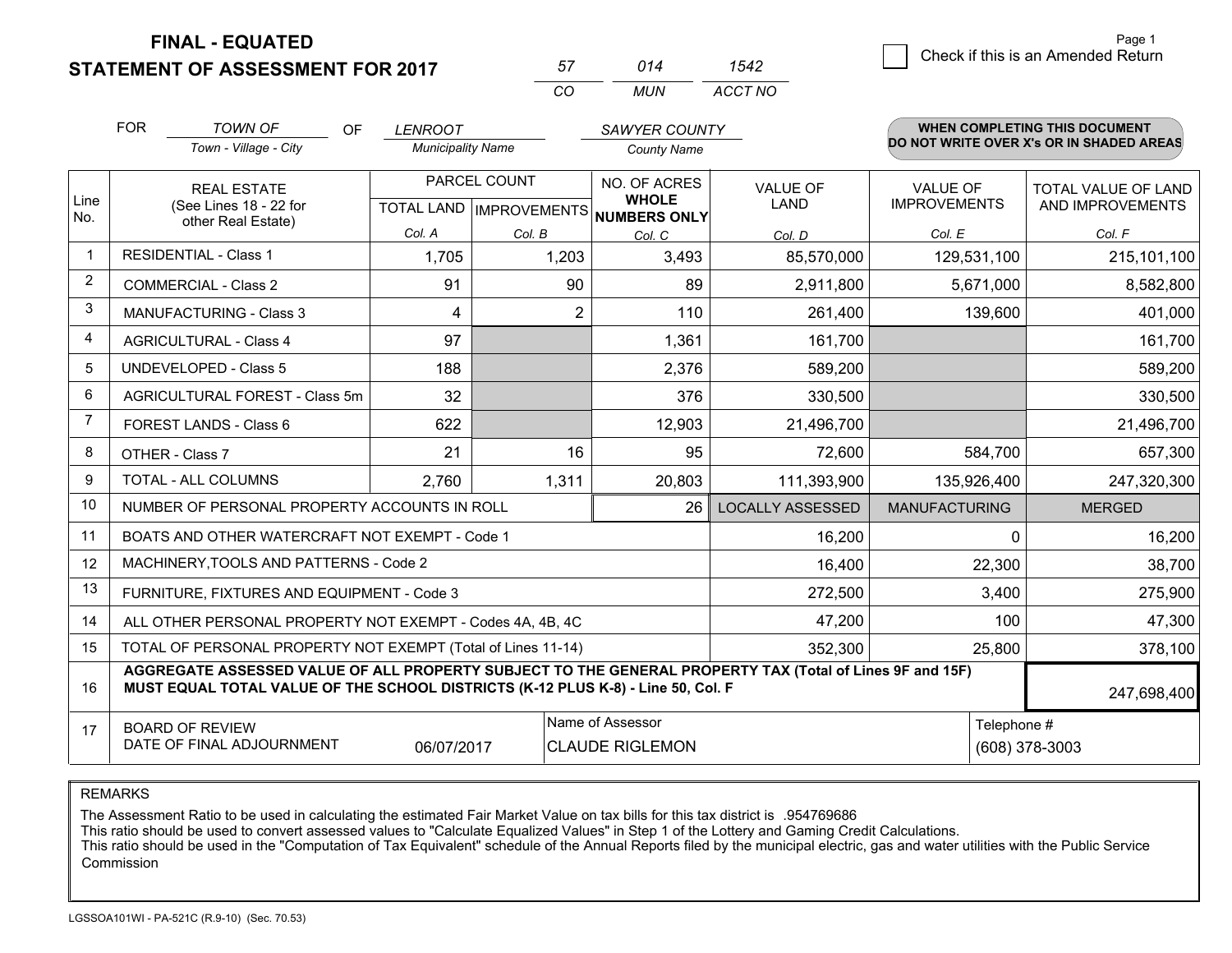**STATEMENT OF ASSESSMENT FOR 2017** 

| 57           | 014  | 542     |
|--------------|------|---------|
| $\mathbf{r}$ | MUN. | ACCT NO |

|             | <b>FOR</b><br><b>TOWN OF</b><br>OF                                                                                                                                                           | <b>LENROOT</b>           |                | SAWYER COUNTY                                            |                         |                      | <b>WHEN COMPLETING THIS DOCUMENT</b>     |
|-------------|----------------------------------------------------------------------------------------------------------------------------------------------------------------------------------------------|--------------------------|----------------|----------------------------------------------------------|-------------------------|----------------------|------------------------------------------|
|             | Town - Village - City                                                                                                                                                                        | <b>Municipality Name</b> |                | <b>County Name</b>                                       |                         |                      | DO NOT WRITE OVER X's OR IN SHADED AREAS |
|             | <b>REAL ESTATE</b>                                                                                                                                                                           |                          | PARCEL COUNT   | NO. OF ACRES                                             | <b>VALUE OF</b>         | <b>VALUE OF</b>      | TOTAL VALUE OF LAND                      |
| Line<br>No. | (See Lines 18 - 22 for<br>other Real Estate)                                                                                                                                                 |                          |                | <b>WHOLE</b><br>TOTAL LAND   IMPROVEMENTS   NUMBERS ONLY | <b>LAND</b>             | <b>IMPROVEMENTS</b>  | AND IMPROVEMENTS                         |
|             |                                                                                                                                                                                              | Col. A                   | Col. B         | Col. C                                                   | Col. D                  | Col. E               | Col. F                                   |
| -1          | <b>RESIDENTIAL - Class 1</b>                                                                                                                                                                 | 1,705                    | 1,203          | 3,493                                                    | 85,570,000              | 129,531,100          | 215,101,100                              |
| 2           | <b>COMMERCIAL - Class 2</b>                                                                                                                                                                  | 91                       | 90             | 89                                                       | 2,911,800               | 5,671,000            | 8,582,800                                |
| 3           | <b>MANUFACTURING - Class 3</b>                                                                                                                                                               | 4                        | $\overline{2}$ | 110                                                      | 261,400                 | 139,600              | 401,000                                  |
| 4           | <b>AGRICULTURAL - Class 4</b>                                                                                                                                                                | 97                       |                | 1,361                                                    | 161,700                 |                      | 161,700                                  |
| 5           | <b>UNDEVELOPED - Class 5</b>                                                                                                                                                                 | 188                      |                | 2,376                                                    | 589,200                 |                      | 589,200                                  |
| 6           | AGRICULTURAL FOREST - Class 5m                                                                                                                                                               | 32                       |                | 376                                                      | 330,500                 |                      | 330,500                                  |
| 7           | FOREST LANDS - Class 6                                                                                                                                                                       | 622                      |                | 12,903                                                   | 21,496,700              |                      | 21,496,700                               |
| 8           | OTHER - Class 7                                                                                                                                                                              | 21                       | 16             | 95                                                       | 72,600                  | 584,700              | 657,300                                  |
| 9           | TOTAL - ALL COLUMNS                                                                                                                                                                          | 2,760                    | 1,311          | 20,803                                                   | 111,393,900             | 135,926,400          | 247,320,300                              |
| 10          | NUMBER OF PERSONAL PROPERTY ACCOUNTS IN ROLL                                                                                                                                                 |                          |                | 26                                                       | <b>LOCALLY ASSESSED</b> | <b>MANUFACTURING</b> | <b>MERGED</b>                            |
| 11          | BOATS AND OTHER WATERCRAFT NOT EXEMPT - Code 1                                                                                                                                               |                          |                |                                                          | 16,200                  | $\Omega$             | 16,200                                   |
| 12          | MACHINERY, TOOLS AND PATTERNS - Code 2                                                                                                                                                       |                          |                |                                                          | 16,400                  | 22,300               | 38,700                                   |
| 13          | FURNITURE, FIXTURES AND EQUIPMENT - Code 3                                                                                                                                                   |                          |                |                                                          | 272,500                 | 3,400                | 275,900                                  |
| 14          | ALL OTHER PERSONAL PROPERTY NOT EXEMPT - Codes 4A, 4B, 4C                                                                                                                                    |                          |                |                                                          | 47,200                  | 100                  | 47,300                                   |
| 15          | TOTAL OF PERSONAL PROPERTY NOT EXEMPT (Total of Lines 11-14)                                                                                                                                 |                          |                | 352,300                                                  | 25,800                  | 378,100              |                                          |
| 16          | AGGREGATE ASSESSED VALUE OF ALL PROPERTY SUBJECT TO THE GENERAL PROPERTY TAX (Total of Lines 9F and 15F)<br>MUST EQUAL TOTAL VALUE OF THE SCHOOL DISTRICTS (K-12 PLUS K-8) - Line 50, Col. F |                          |                |                                                          |                         |                      | 247,698,400                              |
| 17          | <b>BOARD OF REVIEW</b>                                                                                                                                                                       |                          |                | Name of Assessor                                         |                         | Telephone #          |                                          |
|             | DATE OF FINAL ADJOURNMENT                                                                                                                                                                    | 06/07/2017               |                | <b>CLAUDE RIGLEMON</b>                                   |                         |                      | (608) 378-3003                           |

REMARKS

The Assessment Ratio to be used in calculating the estimated Fair Market Value on tax bills for this tax district is .954769686<br>This ratio should be used to convert assessed values to "Calculate Equalized Values" in Step 1 Commission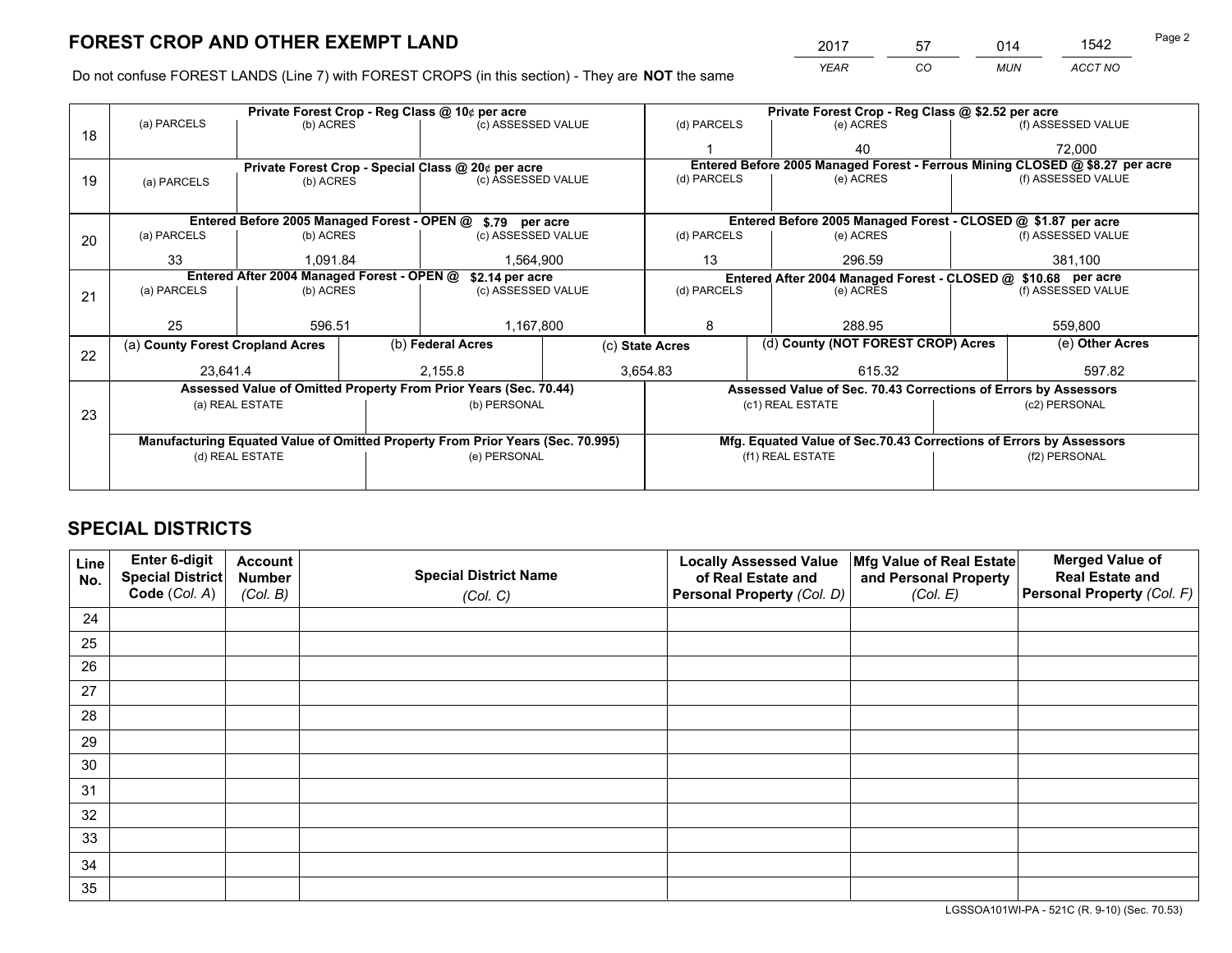*YEAR CO MUN ACCT NO* <sup>2017</sup> <sup>57</sup> <sup>014</sup> <sup>1542</sup>

Do not confuse FOREST LANDS (Line 7) with FOREST CROPS (in this section) - They are **NOT** the same

|    |                                  | Private Forest Crop - Reg Class @ 10¢ per acre                                 |                                                               |                                                    |  | Private Forest Crop - Reg Class @ \$2.52 per acre             |                                                                              |                                                                    |  |                    |
|----|----------------------------------|--------------------------------------------------------------------------------|---------------------------------------------------------------|----------------------------------------------------|--|---------------------------------------------------------------|------------------------------------------------------------------------------|--------------------------------------------------------------------|--|--------------------|
| 18 | (a) PARCELS                      | (b) ACRES                                                                      |                                                               | (c) ASSESSED VALUE                                 |  | (d) PARCELS                                                   |                                                                              | (e) ACRES                                                          |  | (f) ASSESSED VALUE |
|    |                                  |                                                                                |                                                               |                                                    |  |                                                               |                                                                              | 40                                                                 |  | 72,000             |
|    |                                  |                                                                                |                                                               | Private Forest Crop - Special Class @ 20¢ per acre |  |                                                               | Entered Before 2005 Managed Forest - Ferrous Mining CLOSED @ \$8.27 per acre |                                                                    |  |                    |
| 19 | (a) PARCELS                      | (b) ACRES                                                                      |                                                               | (c) ASSESSED VALUE                                 |  | (d) PARCELS                                                   |                                                                              | (e) ACRES                                                          |  | (f) ASSESSED VALUE |
|    |                                  |                                                                                |                                                               |                                                    |  |                                                               |                                                                              |                                                                    |  |                    |
|    |                                  | Entered Before 2005 Managed Forest - OPEN @ \$.79 per acre                     |                                                               |                                                    |  |                                                               |                                                                              | Entered Before 2005 Managed Forest - CLOSED @ \$1.87 per acre      |  |                    |
| 20 | (a) PARCELS                      | (b) ACRES                                                                      |                                                               | (c) ASSESSED VALUE                                 |  | (d) PARCELS                                                   |                                                                              | (e) ACRES                                                          |  | (f) ASSESSED VALUE |
|    | 33                               | 1.091.84                                                                       |                                                               | 1,564,900                                          |  | 13                                                            |                                                                              | 296.59                                                             |  | 381,100            |
|    |                                  |                                                                                | Entered After 2004 Managed Forest - OPEN @<br>\$2.14 per acre |                                                    |  | Entered After 2004 Managed Forest - CLOSED @ \$10.68 per acre |                                                                              |                                                                    |  |                    |
| 21 | (a) PARCELS                      | (b) ACRES                                                                      |                                                               | (c) ASSESSED VALUE                                 |  | (d) PARCELS<br>(e) ACRES                                      |                                                                              | (f) ASSESSED VALUE                                                 |  |                    |
|    |                                  |                                                                                |                                                               |                                                    |  |                                                               |                                                                              |                                                                    |  |                    |
|    | 25                               | 596.51                                                                         |                                                               | 1,167,800                                          |  | 8                                                             |                                                                              | 288.95                                                             |  | 559,800            |
| 22 | (a) County Forest Cropland Acres |                                                                                |                                                               | (b) Federal Acres                                  |  | (c) State Acres                                               |                                                                              | (d) County (NOT FOREST CROP) Acres                                 |  | (e) Other Acres    |
|    | 23,641.4                         |                                                                                |                                                               | 2,155.8                                            |  | 3,654.83                                                      | 615.32                                                                       |                                                                    |  | 597.82             |
|    |                                  | Assessed Value of Omitted Property From Prior Years (Sec. 70.44)               |                                                               |                                                    |  |                                                               |                                                                              | Assessed Value of Sec. 70.43 Corrections of Errors by Assessors    |  |                    |
| 23 |                                  | (a) REAL ESTATE                                                                |                                                               | (b) PERSONAL                                       |  |                                                               |                                                                              | (c1) REAL ESTATE                                                   |  | (c2) PERSONAL      |
|    |                                  |                                                                                |                                                               |                                                    |  |                                                               |                                                                              |                                                                    |  |                    |
|    |                                  | Manufacturing Equated Value of Omitted Property From Prior Years (Sec. 70.995) |                                                               |                                                    |  |                                                               |                                                                              | Mfg. Equated Value of Sec.70.43 Corrections of Errors by Assessors |  |                    |
|    |                                  | (d) REAL ESTATE                                                                |                                                               | (e) PERSONAL                                       |  |                                                               |                                                                              | (f1) REAL ESTATE                                                   |  | (f2) PERSONAL      |
|    |                                  |                                                                                |                                                               |                                                    |  |                                                               |                                                                              |                                                                    |  |                    |

# **SPECIAL DISTRICTS**

| Line<br>No. | Enter 6-digit<br><b>Special District</b> | <b>Account</b><br><b>Number</b> | <b>Special District Name</b> | <b>Locally Assessed Value</b><br>of Real Estate and | Mfg Value of Real Estate<br>and Personal Property | <b>Merged Value of</b><br><b>Real Estate and</b> |
|-------------|------------------------------------------|---------------------------------|------------------------------|-----------------------------------------------------|---------------------------------------------------|--------------------------------------------------|
|             | Code (Col. A)                            | (Col. B)                        | (Col. C)                     | Personal Property (Col. D)                          | (Col. E)                                          | Personal Property (Col. F)                       |
| 24          |                                          |                                 |                              |                                                     |                                                   |                                                  |
| 25          |                                          |                                 |                              |                                                     |                                                   |                                                  |
| 26          |                                          |                                 |                              |                                                     |                                                   |                                                  |
| 27          |                                          |                                 |                              |                                                     |                                                   |                                                  |
| 28          |                                          |                                 |                              |                                                     |                                                   |                                                  |
| 29          |                                          |                                 |                              |                                                     |                                                   |                                                  |
| 30          |                                          |                                 |                              |                                                     |                                                   |                                                  |
| 31          |                                          |                                 |                              |                                                     |                                                   |                                                  |
| 32          |                                          |                                 |                              |                                                     |                                                   |                                                  |
| 33          |                                          |                                 |                              |                                                     |                                                   |                                                  |
| 34          |                                          |                                 |                              |                                                     |                                                   |                                                  |
| 35          |                                          |                                 |                              |                                                     |                                                   |                                                  |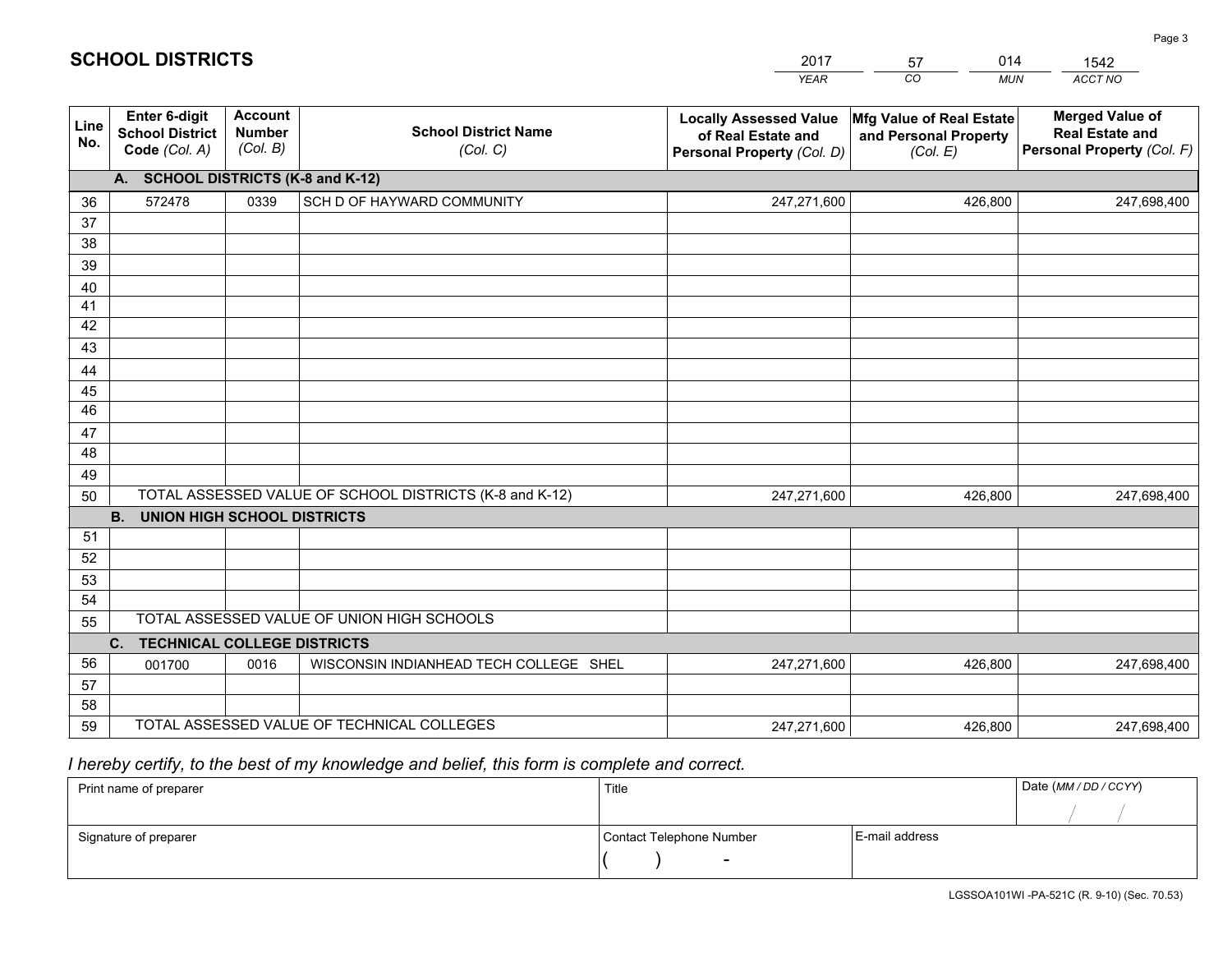#### *YEAR CO MUN ACCT NO*  **Line No.Enter 6-digit School District Code** *(Col. A)***Account Number** *(Col. B)***School District Name***(Col. C)***Locally Assessed Valueof Real Estate and Personal Property** *(Col. D)***Mfg Value of Real Estate and Personal Property***(Col. E)***Merged Value of Real Estate and Personal Property** *(Col. F)***A. SCHOOL DISTRICTS (K-8 and K-12)**36 37 3839 40 41 424344 45 4647 48 49 50 TOTAL ASSESSED VALUE OF SCHOOL DISTRICTS (K-8 and K-12) **B. UNION HIGH SCHOOL DISTRICTS**51 52 53 54 55**C. TECHNICAL COLLEGE DISTRICTS**0 0016 WISCONSIN INDIANHEAD TECH COLLEGE SHEL 247,271,600 5657 58 59 TOTAL ASSESSED VALUE OF TECHNICAL COLLEGESTOTAL ASSESSED VALUE OF UNION HIGH SCHOOLS<sup>572478</sup> <sup>0339</sup> SCH D OF HAYWARD COMMUNITY 247,271,600 247,271,600001700 247,271,600 426,800 247,698,400 426,800 247,698,400 426,800 247,698,400426,800 247,698,400

2017

57

014

### *I hereby certify, to the best of my knowledge and belief, this form is complete and correct.*

**SCHOOL DISTRICTS**

| Print name of preparer | Title                    |                | Date (MM / DD / CCYY) |
|------------------------|--------------------------|----------------|-----------------------|
|                        |                          |                |                       |
| Signature of preparer  | Contact Telephone Number | E-mail address |                       |
|                        | $\sim$                   |                |                       |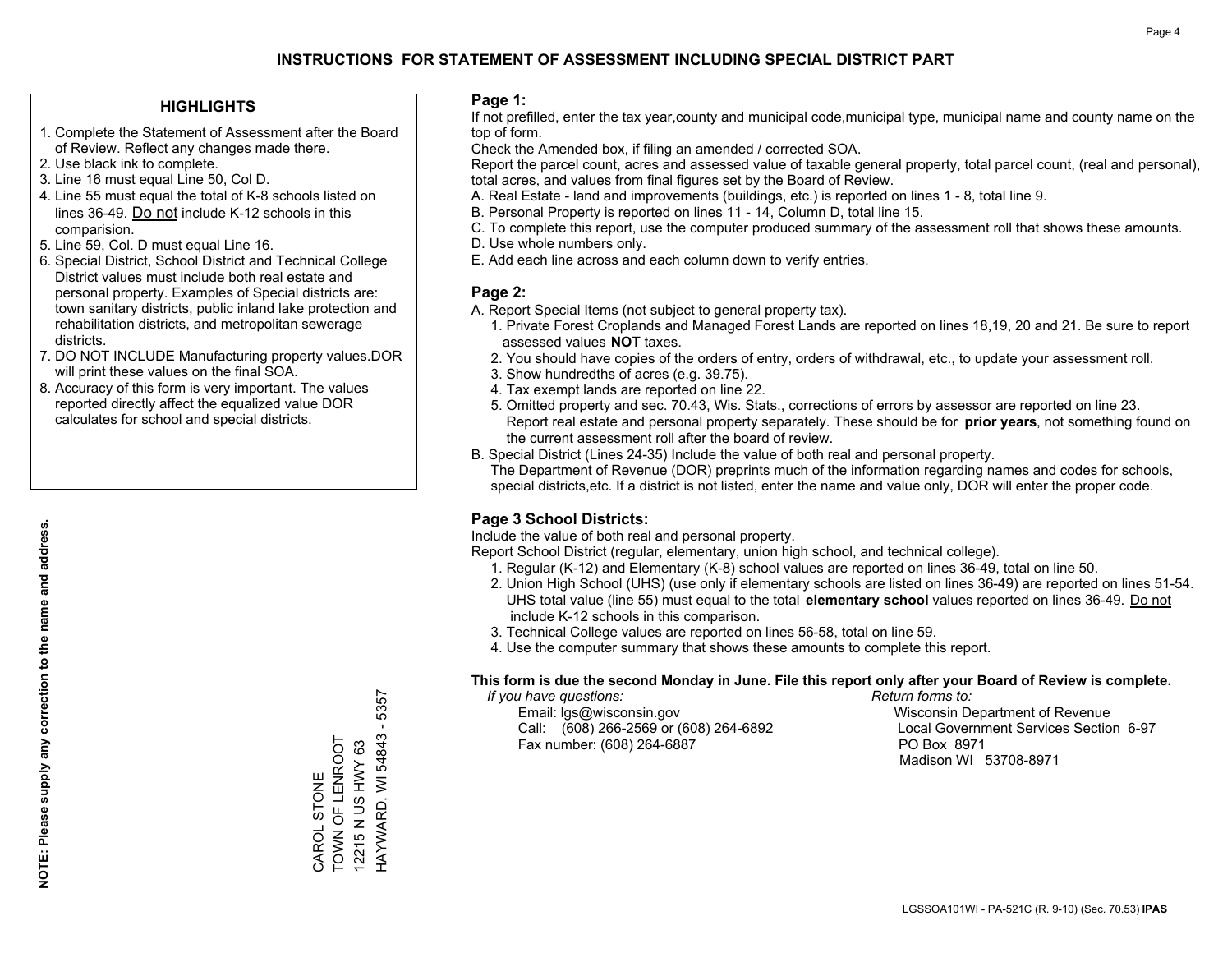### **HIGHLIGHTS**

- 1. Complete the Statement of Assessment after the Board of Review. Reflect any changes made there.
- 2. Use black ink to complete.

**NOTE: Please supply any correction to the name and address.**

NOTE: Please supply any correction to the name and address.

- 3. Line 16 must equal Line 50, Col D.
- 4. Line 55 must equal the total of K-8 schools listed on lines 36-49. Do not include K-12 schools in this comparision.
- 5. Line 59, Col. D must equal Line 16.
- 6. Special District, School District and Technical College District values must include both real estate and personal property. Examples of Special districts are: town sanitary districts, public inland lake protection and rehabilitation districts, and metropolitan sewerage districts.
- 7. DO NOT INCLUDE Manufacturing property values.DOR will print these values on the final SOA.
- 8. Accuracy of this form is very important. The values reported directly affect the equalized value DOR calculates for school and special districts.

### **Page 1:**

 If not prefilled, enter the tax year,county and municipal code,municipal type, municipal name and county name on the top of form.

Check the Amended box, if filing an amended / corrected SOA.

 Report the parcel count, acres and assessed value of taxable general property, total parcel count, (real and personal), total acres, and values from final figures set by the Board of Review.

- A. Real Estate land and improvements (buildings, etc.) is reported on lines 1 8, total line 9.
- B. Personal Property is reported on lines 11 14, Column D, total line 15.
- C. To complete this report, use the computer produced summary of the assessment roll that shows these amounts.
- D. Use whole numbers only.
- E. Add each line across and each column down to verify entries.

### **Page 2:**

- A. Report Special Items (not subject to general property tax).
- 1. Private Forest Croplands and Managed Forest Lands are reported on lines 18,19, 20 and 21. Be sure to report assessed values **NOT** taxes.
- 2. You should have copies of the orders of entry, orders of withdrawal, etc., to update your assessment roll.
	- 3. Show hundredths of acres (e.g. 39.75).
- 4. Tax exempt lands are reported on line 22.
- 5. Omitted property and sec. 70.43, Wis. Stats., corrections of errors by assessor are reported on line 23. Report real estate and personal property separately. These should be for **prior years**, not something found on the current assessment roll after the board of review.
- B. Special District (Lines 24-35) Include the value of both real and personal property.

 The Department of Revenue (DOR) preprints much of the information regarding names and codes for schools, special districts,etc. If a district is not listed, enter the name and value only, DOR will enter the proper code.

### **Page 3 School Districts:**

Include the value of both real and personal property.

Report School District (regular, elementary, union high school, and technical college).

- 1. Regular (K-12) and Elementary (K-8) school values are reported on lines 36-49, total on line 50.
- 2. Union High School (UHS) (use only if elementary schools are listed on lines 36-49) are reported on lines 51-54. UHS total value (line 55) must equal to the total **elementary school** values reported on lines 36-49. Do notinclude K-12 schools in this comparison.
- 3. Technical College values are reported on lines 56-58, total on line 59.
- 4. Use the computer summary that shows these amounts to complete this report.

#### **This form is due the second Monday in June. File this report only after your Board of Review is complete.**

 *If you have questions: Return forms to:*

 Email: lgs@wisconsin.gov Wisconsin Department of RevenueCall:  $(608)$  266-2569 or  $(608)$  264-6892 Fax number: (608) 264-6887 PO Box 8971

Local Government Services Section 6-97 Madison WI 53708-8971

CAROL STONE TOWN OF LENROOT 12215 N US HWY 63

CAROL STONE<br>TOWN OF LENROOT 12215 N US HWY 63 HAYWARD, WI 54843 - 5357

HAYWARD, WI 54843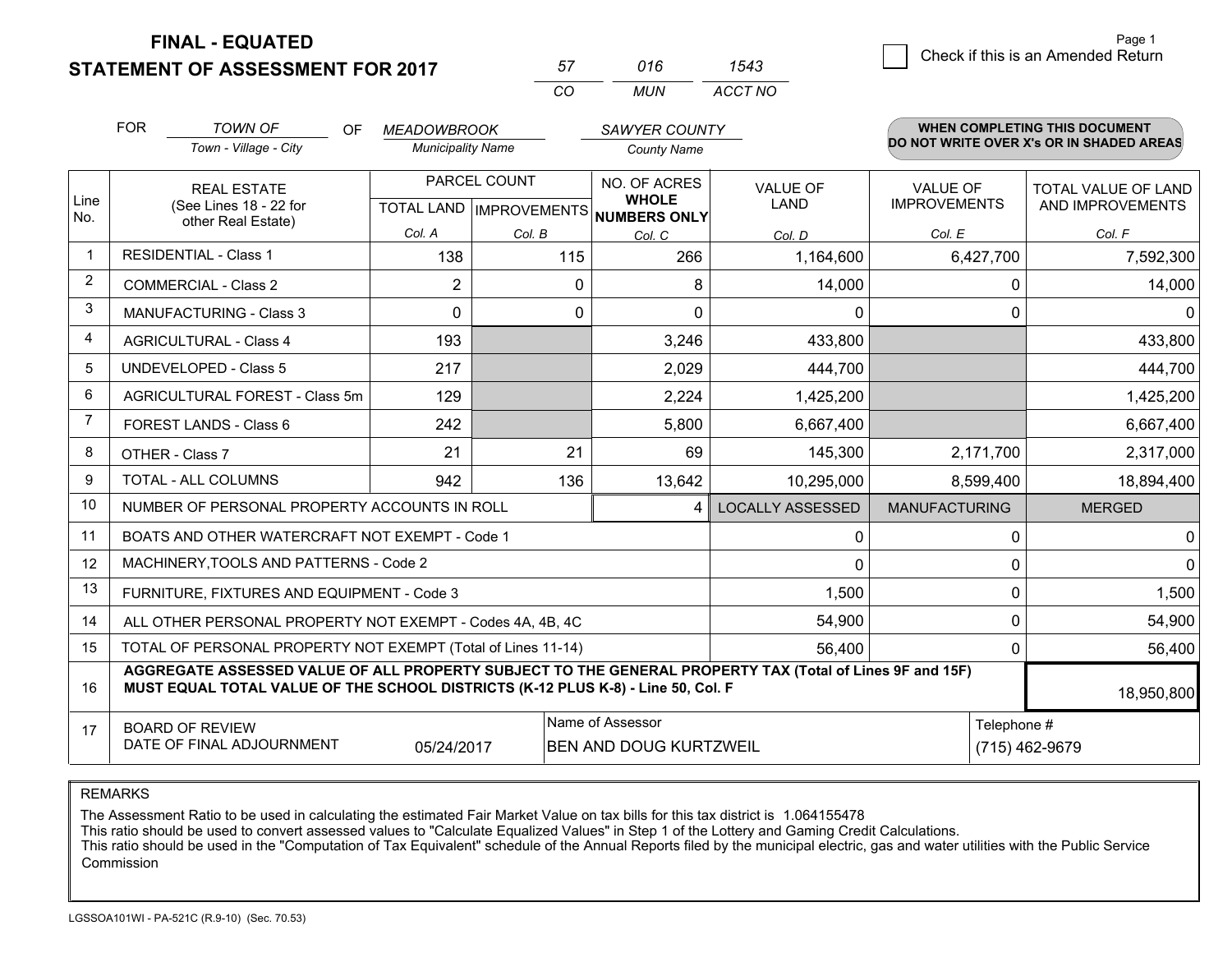**STATEMENT OF ASSESSMENT FOR 2017** 

**FINAL - EQUATED**

|                                    | Page 1 |
|------------------------------------|--------|
| Check if this is an Amended Return |        |
|                                    |        |

|                | <b>FOR</b><br><b>TOWN OF</b>                                                     | OF. | <b>MEADOWBROOK</b>       |              | <b>SAWYER COUNTY</b>                                     |                                                                                                          |                      | <b>WHEN COMPLETING THIS DOCUMENT</b>     |
|----------------|----------------------------------------------------------------------------------|-----|--------------------------|--------------|----------------------------------------------------------|----------------------------------------------------------------------------------------------------------|----------------------|------------------------------------------|
|                | Town - Village - City                                                            |     | <b>Municipality Name</b> |              | <b>County Name</b>                                       |                                                                                                          |                      | DO NOT WRITE OVER X's OR IN SHADED AREAS |
|                | <b>REAL ESTATE</b>                                                               |     |                          | PARCEL COUNT | NO. OF ACRES                                             | <b>VALUE OF</b>                                                                                          | <b>VALUE OF</b>      | TOTAL VALUE OF LAND                      |
| Line<br>No.    | (See Lines 18 - 22 for<br>other Real Estate)                                     |     |                          |              | <b>WHOLE</b><br>TOTAL LAND   IMPROVEMENTS   NUMBERS ONLY | <b>LAND</b>                                                                                              | <b>IMPROVEMENTS</b>  | AND IMPROVEMENTS                         |
|                |                                                                                  |     | Col. A                   | Col. B       | Col. C                                                   | Col. D                                                                                                   | Col. E               | Col. F                                   |
| -1             | <b>RESIDENTIAL - Class 1</b>                                                     |     | 138                      | 115          | 266                                                      | 1,164,600                                                                                                | 6,427,700            | 7,592,300                                |
| $\overline{2}$ | <b>COMMERCIAL - Class 2</b>                                                      |     | 2                        |              | 0<br>8                                                   | 14,000                                                                                                   | 0                    | 14,000                                   |
| 3              | <b>MANUFACTURING - Class 3</b>                                                   |     | 0                        |              | $\Omega$<br>$\Omega$                                     | 0                                                                                                        | $\Omega$             | $\Omega$                                 |
| 4              | <b>AGRICULTURAL - Class 4</b>                                                    |     | 193                      |              | 3,246                                                    | 433,800                                                                                                  |                      | 433,800                                  |
| 5              | <b>UNDEVELOPED - Class 5</b>                                                     |     | 217                      |              | 2,029                                                    | 444,700                                                                                                  |                      | 444,700                                  |
| 6              | AGRICULTURAL FOREST - Class 5m                                                   |     | 129                      |              | 2,224                                                    | 1,425,200                                                                                                |                      | 1,425,200                                |
| $\overline{7}$ | <b>FOREST LANDS - Class 6</b>                                                    |     | 242                      |              | 5,800                                                    | 6,667,400                                                                                                |                      | 6,667,400                                |
| 8              | OTHER - Class 7                                                                  |     | 21                       | 21           | 69                                                       | 145,300                                                                                                  | 2,171,700            | 2,317,000                                |
| 9              | <b>TOTAL - ALL COLUMNS</b>                                                       |     | 942                      | 136          | 13,642                                                   | 10,295,000                                                                                               | 8,599,400            | 18,894,400                               |
| 10             | NUMBER OF PERSONAL PROPERTY ACCOUNTS IN ROLL                                     |     |                          |              | 4                                                        | <b>LOCALLY ASSESSED</b>                                                                                  | <b>MANUFACTURING</b> | <b>MERGED</b>                            |
| 11             | BOATS AND OTHER WATERCRAFT NOT EXEMPT - Code 1                                   |     |                          |              |                                                          | 0                                                                                                        | $\Omega$             | $\mathbf{0}$                             |
| 12             | MACHINERY, TOOLS AND PATTERNS - Code 2                                           |     |                          |              |                                                          | $\Omega$                                                                                                 | $\Omega$             | $\mathbf 0$                              |
| 13             | FURNITURE, FIXTURES AND EQUIPMENT - Code 3                                       |     |                          |              |                                                          | 1,500                                                                                                    | $\Omega$             | 1,500                                    |
| 14             | ALL OTHER PERSONAL PROPERTY NOT EXEMPT - Codes 4A, 4B, 4C                        |     |                          |              |                                                          | 54,900                                                                                                   | $\Omega$             | 54,900                                   |
| 15             | TOTAL OF PERSONAL PROPERTY NOT EXEMPT (Total of Lines 11-14)                     |     |                          |              |                                                          | 56,400                                                                                                   | 0                    | 56,400                                   |
| 16             | MUST EQUAL TOTAL VALUE OF THE SCHOOL DISTRICTS (K-12 PLUS K-8) - Line 50, Col. F |     |                          |              |                                                          | AGGREGATE ASSESSED VALUE OF ALL PROPERTY SUBJECT TO THE GENERAL PROPERTY TAX (Total of Lines 9F and 15F) |                      | 18,950,800                               |
| 17             | <b>BOARD OF REVIEW</b>                                                           |     |                          |              | Name of Assessor                                         |                                                                                                          | Telephone #          |                                          |
|                | DATE OF FINAL ADJOURNMENT                                                        |     | 05/24/2017               |              | BEN AND DOUG KURTZWEIL                                   |                                                                                                          |                      | (715) 462-9679                           |

*CO*

*MUN*

*ACCT NO1543*

*<sup>57</sup> <sup>016</sup>*

REMARKS

The Assessment Ratio to be used in calculating the estimated Fair Market Value on tax bills for this tax district is 1.064155478<br>This ratio should be used to convert assessed values to "Calculate Equalized Values" in Step Commission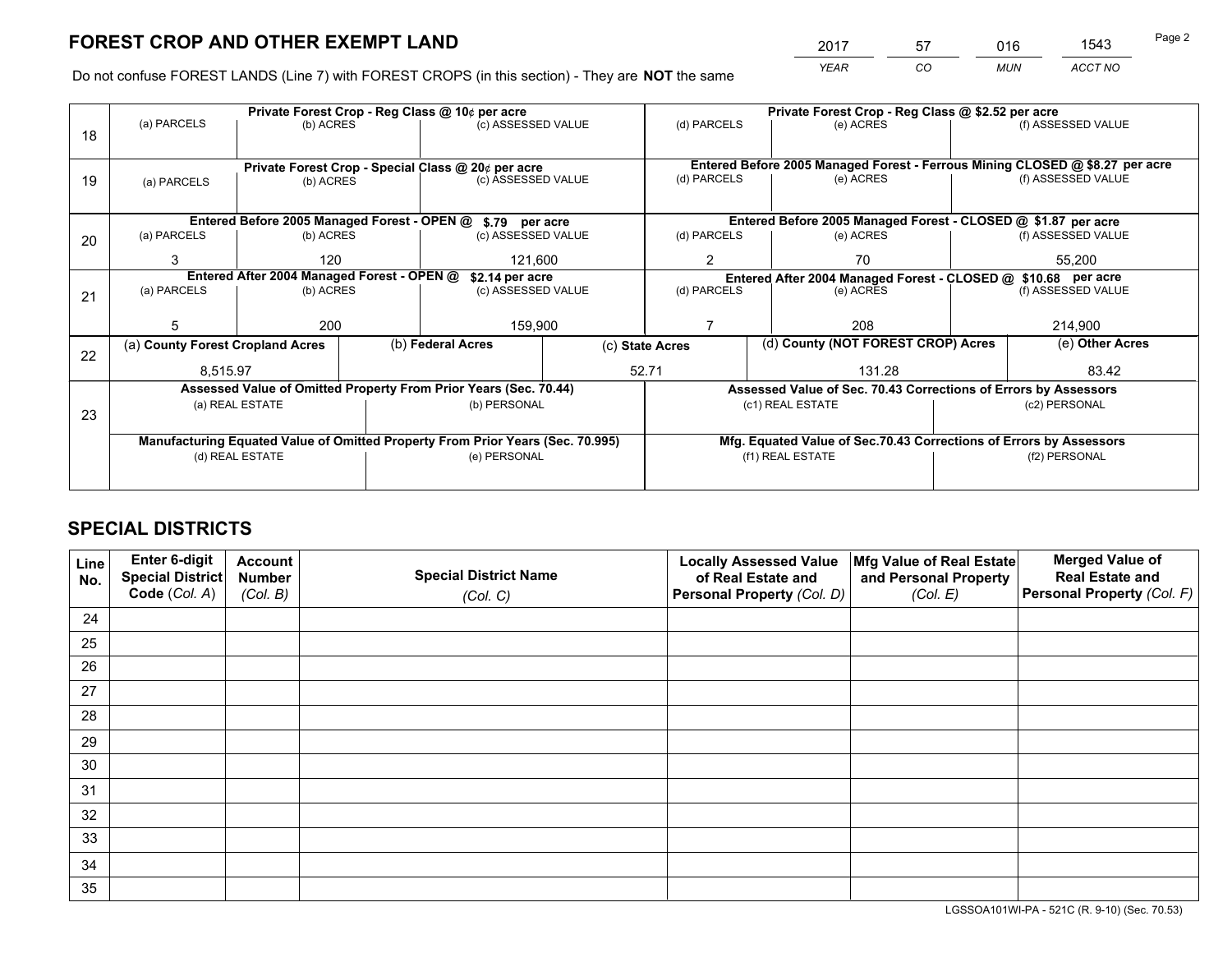*YEAR CO MUN ACCT NO* <sup>2017</sup> <sup>57</sup> <sup>016</sup> <sup>1543</sup>

Do not confuse FOREST LANDS (Line 7) with FOREST CROPS (in this section) - They are **NOT** the same

|    |                                                                                |                                                               |  | Private Forest Crop - Reg Class @ 10¢ per acre                   |                                                               | Private Forest Crop - Reg Class @ \$2.52 per acre                  |                                                                 |  |                                                                              |  |
|----|--------------------------------------------------------------------------------|---------------------------------------------------------------|--|------------------------------------------------------------------|---------------------------------------------------------------|--------------------------------------------------------------------|-----------------------------------------------------------------|--|------------------------------------------------------------------------------|--|
| 18 | (a) PARCELS                                                                    | (b) ACRES                                                     |  | (c) ASSESSED VALUE                                               |                                                               | (d) PARCELS                                                        | (e) ACRES                                                       |  | (f) ASSESSED VALUE                                                           |  |
|    |                                                                                |                                                               |  | Private Forest Crop - Special Class @ 20¢ per acre               |                                                               |                                                                    |                                                                 |  | Entered Before 2005 Managed Forest - Ferrous Mining CLOSED @ \$8.27 per acre |  |
| 19 | (a) PARCELS                                                                    | (b) ACRES                                                     |  | (c) ASSESSED VALUE                                               |                                                               | (d) PARCELS                                                        | (e) ACRES                                                       |  | (f) ASSESSED VALUE                                                           |  |
|    |                                                                                |                                                               |  | Entered Before 2005 Managed Forest - OPEN @ \$.79 per acre       |                                                               |                                                                    | Entered Before 2005 Managed Forest - CLOSED @ \$1.87 per acre   |  |                                                                              |  |
| 20 | (a) PARCELS                                                                    | (b) ACRES                                                     |  | (c) ASSESSED VALUE                                               |                                                               | (d) PARCELS                                                        | (e) ACRES                                                       |  | (f) ASSESSED VALUE                                                           |  |
|    | 3                                                                              | 120                                                           |  | 121,600                                                          |                                                               | $\overline{2}$                                                     | 70                                                              |  | 55,200                                                                       |  |
|    |                                                                                | Entered After 2004 Managed Forest - OPEN @<br>\$2.14 per acre |  |                                                                  | Entered After 2004 Managed Forest - CLOSED @ \$10.68 per acre |                                                                    |                                                                 |  |                                                                              |  |
| 21 | (a) PARCELS                                                                    | (b) ACRES                                                     |  | (c) ASSESSED VALUE                                               |                                                               | (d) PARCELS<br>(e) ACRES                                           |                                                                 |  | (f) ASSESSED VALUE                                                           |  |
|    |                                                                                |                                                               |  |                                                                  |                                                               |                                                                    |                                                                 |  |                                                                              |  |
|    | 5                                                                              | 200                                                           |  |                                                                  | 159,900                                                       |                                                                    | 208                                                             |  | 214,900                                                                      |  |
| 22 | (a) County Forest Cropland Acres                                               |                                                               |  | (b) Federal Acres                                                |                                                               | (c) State Acres                                                    | (d) County (NOT FOREST CROP) Acres                              |  | (e) Other Acres                                                              |  |
|    | 8,515.97                                                                       |                                                               |  |                                                                  |                                                               | 52.71<br>131.28<br>83.42                                           |                                                                 |  |                                                                              |  |
|    |                                                                                |                                                               |  | Assessed Value of Omitted Property From Prior Years (Sec. 70.44) |                                                               |                                                                    | Assessed Value of Sec. 70.43 Corrections of Errors by Assessors |  |                                                                              |  |
| 23 | (a) REAL ESTATE<br>(b) PERSONAL                                                |                                                               |  | (c1) REAL ESTATE<br>(c2) PERSONAL                                |                                                               |                                                                    |                                                                 |  |                                                                              |  |
|    | Manufacturing Equated Value of Omitted Property From Prior Years (Sec. 70.995) |                                                               |  |                                                                  |                                                               | Mfg. Equated Value of Sec.70.43 Corrections of Errors by Assessors |                                                                 |  |                                                                              |  |
|    |                                                                                | (d) REAL ESTATE                                               |  | (e) PERSONAL                                                     |                                                               |                                                                    | (f1) REAL ESTATE                                                |  | (f2) PERSONAL                                                                |  |
|    |                                                                                |                                                               |  |                                                                  |                                                               |                                                                    |                                                                 |  |                                                                              |  |

# **SPECIAL DISTRICTS**

| Line<br>No. | Enter 6-digit<br><b>Special District</b> | <b>Account</b><br><b>Number</b> | <b>Special District Name</b> | <b>Locally Assessed Value</b><br>of Real Estate and | Mfg Value of Real Estate<br>and Personal Property | <b>Merged Value of</b><br><b>Real Estate and</b> |
|-------------|------------------------------------------|---------------------------------|------------------------------|-----------------------------------------------------|---------------------------------------------------|--------------------------------------------------|
|             | Code (Col. A)                            | (Col. B)                        | (Col. C)                     | Personal Property (Col. D)                          | (Col. E)                                          | Personal Property (Col. F)                       |
| 24          |                                          |                                 |                              |                                                     |                                                   |                                                  |
| 25          |                                          |                                 |                              |                                                     |                                                   |                                                  |
| 26          |                                          |                                 |                              |                                                     |                                                   |                                                  |
| 27          |                                          |                                 |                              |                                                     |                                                   |                                                  |
| 28          |                                          |                                 |                              |                                                     |                                                   |                                                  |
| 29          |                                          |                                 |                              |                                                     |                                                   |                                                  |
| 30          |                                          |                                 |                              |                                                     |                                                   |                                                  |
| 31          |                                          |                                 |                              |                                                     |                                                   |                                                  |
| 32          |                                          |                                 |                              |                                                     |                                                   |                                                  |
| 33          |                                          |                                 |                              |                                                     |                                                   |                                                  |
| 34          |                                          |                                 |                              |                                                     |                                                   |                                                  |
| 35          |                                          |                                 |                              |                                                     |                                                   |                                                  |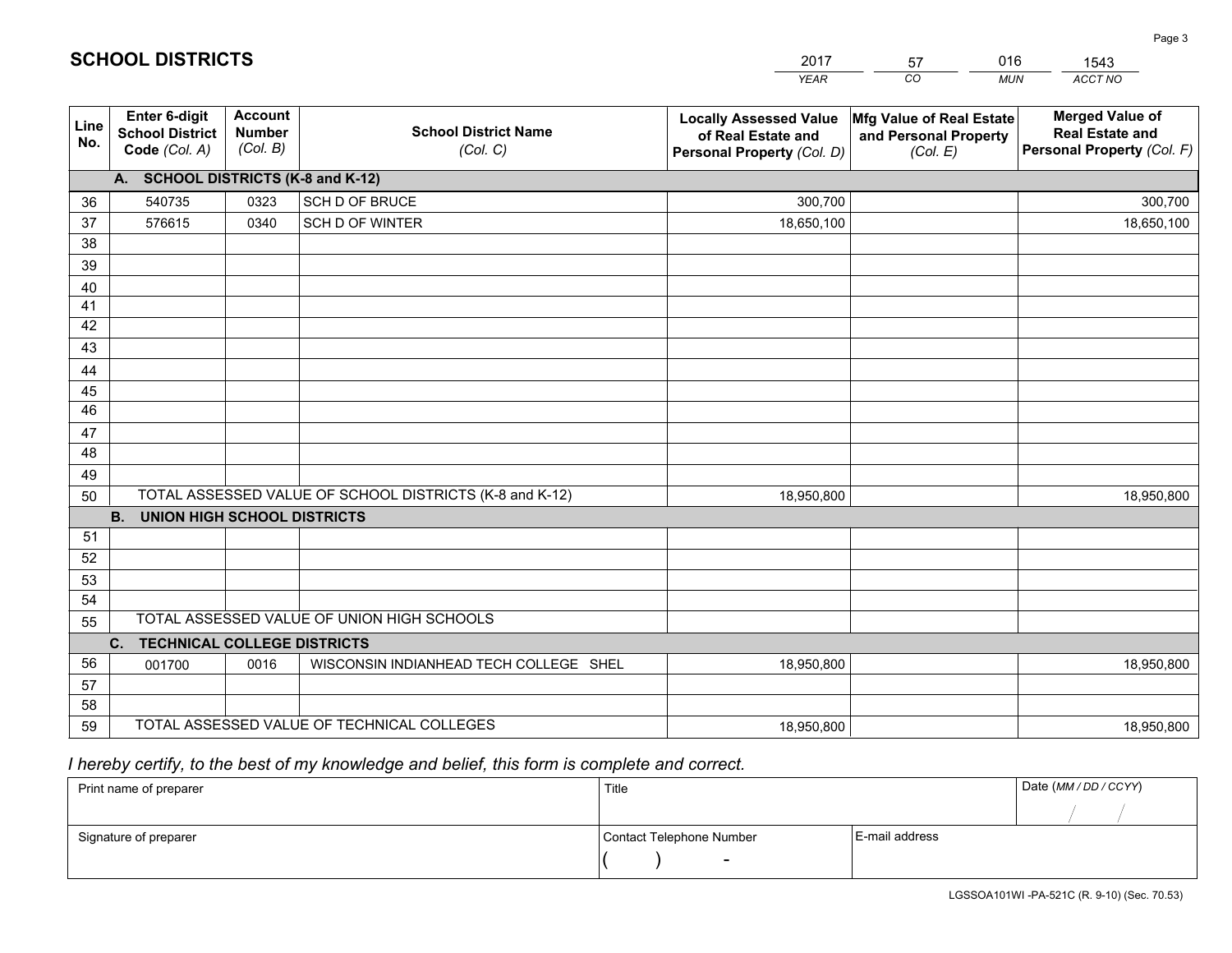|             |                                                          |                                             |                                                         | <b>YEAR</b>                                                                       | CO.<br><b>MUN</b>                                             | ACCT NO                                                                        |
|-------------|----------------------------------------------------------|---------------------------------------------|---------------------------------------------------------|-----------------------------------------------------------------------------------|---------------------------------------------------------------|--------------------------------------------------------------------------------|
| Line<br>No. | Enter 6-digit<br><b>School District</b><br>Code (Col. A) | <b>Account</b><br><b>Number</b><br>(Col. B) | <b>School District Name</b><br>(Col. C)                 | <b>Locally Assessed Value</b><br>of Real Estate and<br>Personal Property (Col. D) | Mfg Value of Real Estate<br>and Personal Property<br>(Col. E) | <b>Merged Value of</b><br><b>Real Estate and</b><br>Personal Property (Col. F) |
|             | A. SCHOOL DISTRICTS (K-8 and K-12)                       |                                             |                                                         |                                                                                   |                                                               |                                                                                |
| 36          | 540735                                                   | 0323                                        | <b>SCH D OF BRUCE</b>                                   | 300,700                                                                           |                                                               | 300,700                                                                        |
| 37          | 576615                                                   | 0340                                        | SCH D OF WINTER                                         | 18,650,100                                                                        |                                                               | 18,650,100                                                                     |
| 38          |                                                          |                                             |                                                         |                                                                                   |                                                               |                                                                                |
| 39          |                                                          |                                             |                                                         |                                                                                   |                                                               |                                                                                |
| 40          |                                                          |                                             |                                                         |                                                                                   |                                                               |                                                                                |
| 41          |                                                          |                                             |                                                         |                                                                                   |                                                               |                                                                                |
| 42          |                                                          |                                             |                                                         |                                                                                   |                                                               |                                                                                |
| 43          |                                                          |                                             |                                                         |                                                                                   |                                                               |                                                                                |
| 44          |                                                          |                                             |                                                         |                                                                                   |                                                               |                                                                                |
| 45<br>46    |                                                          |                                             |                                                         |                                                                                   |                                                               |                                                                                |
| 47          |                                                          |                                             |                                                         |                                                                                   |                                                               |                                                                                |
| 48          |                                                          |                                             |                                                         |                                                                                   |                                                               |                                                                                |
| 49          |                                                          |                                             |                                                         |                                                                                   |                                                               |                                                                                |
| 50          |                                                          |                                             | TOTAL ASSESSED VALUE OF SCHOOL DISTRICTS (K-8 and K-12) | 18,950,800                                                                        |                                                               | 18,950,800                                                                     |
|             | <b>B.</b><br><b>UNION HIGH SCHOOL DISTRICTS</b>          |                                             |                                                         |                                                                                   |                                                               |                                                                                |
| 51          |                                                          |                                             |                                                         |                                                                                   |                                                               |                                                                                |
| 52          |                                                          |                                             |                                                         |                                                                                   |                                                               |                                                                                |
| 53          |                                                          |                                             |                                                         |                                                                                   |                                                               |                                                                                |
| 54          |                                                          |                                             |                                                         |                                                                                   |                                                               |                                                                                |
| 55          |                                                          |                                             | TOTAL ASSESSED VALUE OF UNION HIGH SCHOOLS              |                                                                                   |                                                               |                                                                                |
|             | C.<br><b>TECHNICAL COLLEGE DISTRICTS</b>                 |                                             |                                                         |                                                                                   |                                                               |                                                                                |
| 56          | 001700                                                   | 0016                                        | WISCONSIN INDIANHEAD TECH COLLEGE SHEL                  | 18,950,800                                                                        |                                                               | 18,950,800                                                                     |
| 57          |                                                          |                                             |                                                         |                                                                                   |                                                               |                                                                                |
| 58          |                                                          |                                             |                                                         |                                                                                   |                                                               |                                                                                |
| 59          |                                                          |                                             | TOTAL ASSESSED VALUE OF TECHNICAL COLLEGES              | 18,950,800                                                                        |                                                               | 18,950,800                                                                     |

2017

57

016

 *I hereby certify, to the best of my knowledge and belief, this form is complete and correct.*

**SCHOOL DISTRICTS**

| Print name of preparer | Title                    |                | Date (MM/DD/CCYY) |
|------------------------|--------------------------|----------------|-------------------|
|                        |                          |                |                   |
| Signature of preparer  | Contact Telephone Number | E-mail address |                   |
|                        | $\overline{\phantom{a}}$ |                |                   |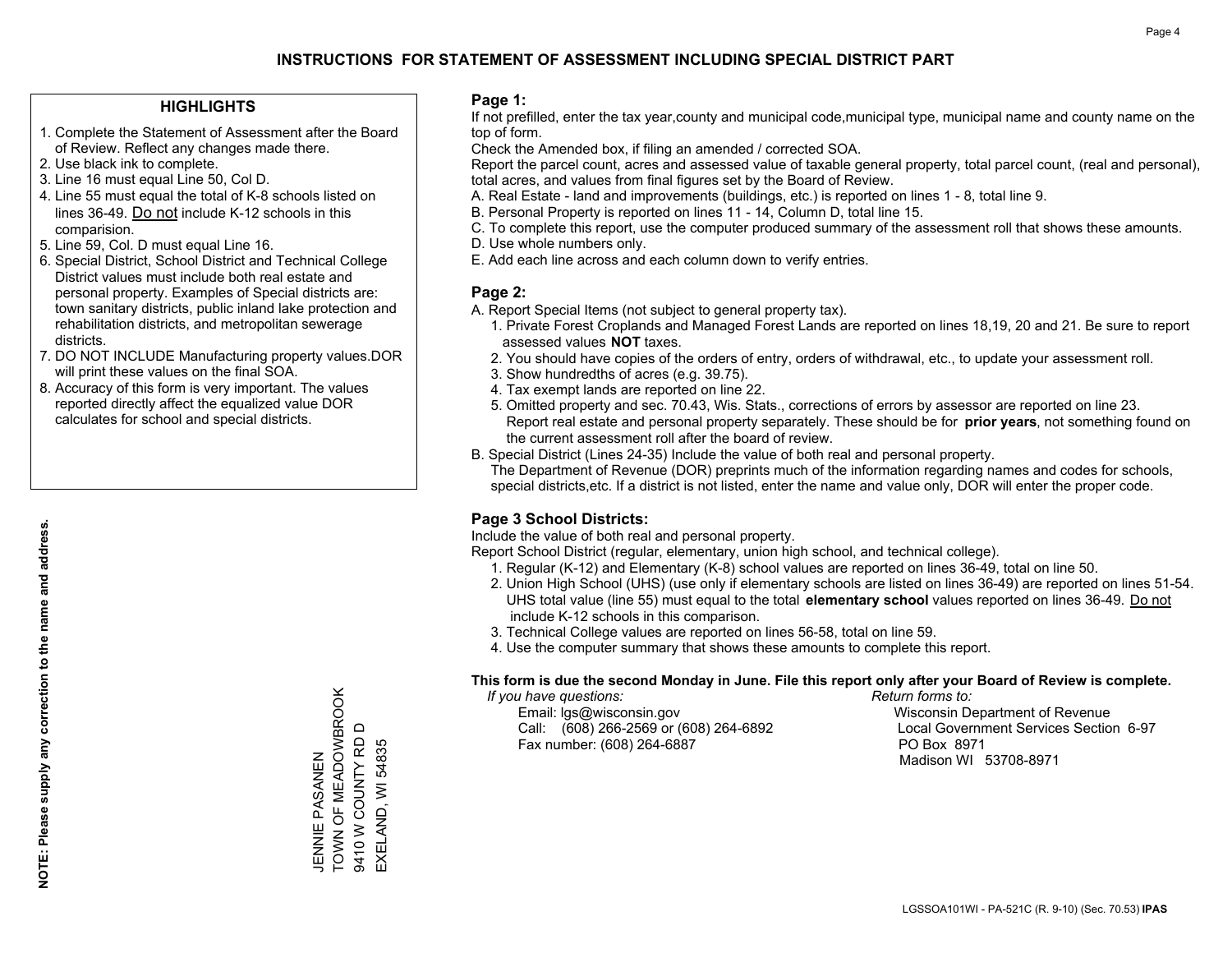### **HIGHLIGHTS**

- 1. Complete the Statement of Assessment after the Board of Review. Reflect any changes made there.
- 2. Use black ink to complete.
- 3. Line 16 must equal Line 50, Col D.
- 4. Line 55 must equal the total of K-8 schools listed on lines 36-49. Do not include K-12 schools in this comparision.
- 5. Line 59, Col. D must equal Line 16.
- 6. Special District, School District and Technical College District values must include both real estate and personal property. Examples of Special districts are: town sanitary districts, public inland lake protection and rehabilitation districts, and metropolitan sewerage districts.
- 7. DO NOT INCLUDE Manufacturing property values.DOR will print these values on the final SOA.
- 8. Accuracy of this form is very important. The values reported directly affect the equalized value DOR calculates for school and special districts.

### **Page 1:**

 If not prefilled, enter the tax year,county and municipal code,municipal type, municipal name and county name on the top of form.

Check the Amended box, if filing an amended / corrected SOA.

 Report the parcel count, acres and assessed value of taxable general property, total parcel count, (real and personal), total acres, and values from final figures set by the Board of Review.

- A. Real Estate land and improvements (buildings, etc.) is reported on lines 1 8, total line 9.
- B. Personal Property is reported on lines 11 14, Column D, total line 15.
- C. To complete this report, use the computer produced summary of the assessment roll that shows these amounts.
- D. Use whole numbers only.
- E. Add each line across and each column down to verify entries.

### **Page 2:**

- A. Report Special Items (not subject to general property tax).
- 1. Private Forest Croplands and Managed Forest Lands are reported on lines 18,19, 20 and 21. Be sure to report assessed values **NOT** taxes.
- 2. You should have copies of the orders of entry, orders of withdrawal, etc., to update your assessment roll.
	- 3. Show hundredths of acres (e.g. 39.75).
- 4. Tax exempt lands are reported on line 22.
- 5. Omitted property and sec. 70.43, Wis. Stats., corrections of errors by assessor are reported on line 23. Report real estate and personal property separately. These should be for **prior years**, not something found on the current assessment roll after the board of review.
- B. Special District (Lines 24-35) Include the value of both real and personal property.

 The Department of Revenue (DOR) preprints much of the information regarding names and codes for schools, special districts,etc. If a district is not listed, enter the name and value only, DOR will enter the proper code.

### **Page 3 School Districts:**

Include the value of both real and personal property.

Report School District (regular, elementary, union high school, and technical college).

- 1. Regular (K-12) and Elementary (K-8) school values are reported on lines 36-49, total on line 50.
- 2. Union High School (UHS) (use only if elementary schools are listed on lines 36-49) are reported on lines 51-54. UHS total value (line 55) must equal to the total **elementary school** values reported on lines 36-49. Do notinclude K-12 schools in this comparison.
- 3. Technical College values are reported on lines 56-58, total on line 59.
- 4. Use the computer summary that shows these amounts to complete this report.

#### **This form is due the second Monday in June. File this report only after your Board of Review is complete.**

 *If you have questions: Return forms to:*

 Email: lgs@wisconsin.gov Wisconsin Department of RevenueCall:  $(608)$  266-2569 or  $(608)$  264-6892 Fax number: (608) 264-6887 PO Box 8971

Local Government Services Section 6-97 Madison WI 53708-8971

TOWN OF MEADOWBROOK TOWN OF MEADOWBROOK  $\Box$ 9410 W COUNTY RD D 9410 W COUNTY RD EXELAND, WI 54835 EXELAND, WI 54835 JENNIE PASANEN ZWZKSKA WIZZW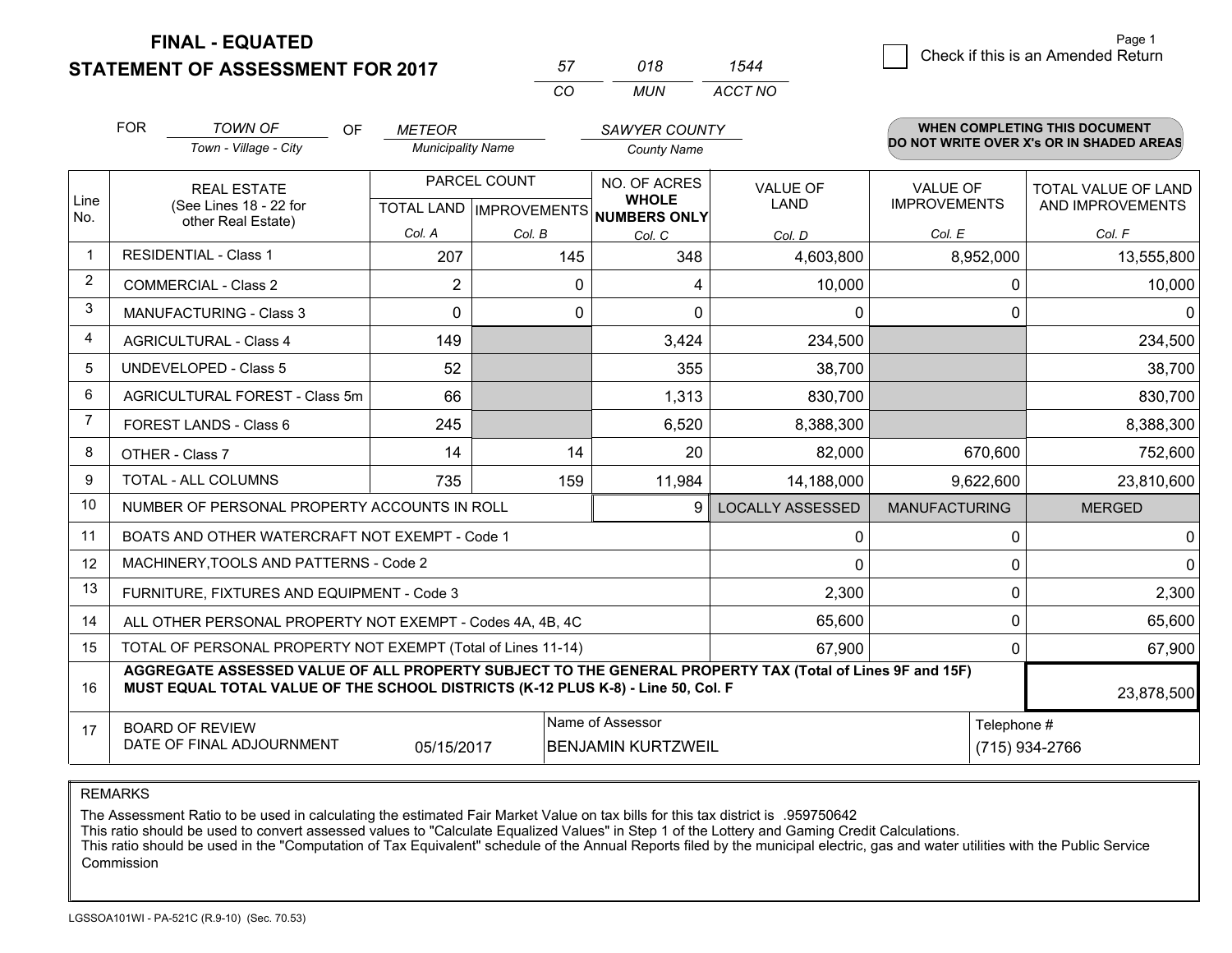**STATEMENT OF ASSESSMENT FOR 2017** 

| 57 | 018 |         |
|----|-----|---------|
| rη | MUN | ACCT NO |

|                         | <b>FOR</b>                                                             | <b>TOWN OF</b><br>OF                                                                                                                                                                                       | <b>METEOR</b>            |                           | SAWYER COUNTY                |                         |                      | <b>WHEN COMPLETING THIS DOCUMENT</b>     |  |
|-------------------------|------------------------------------------------------------------------|------------------------------------------------------------------------------------------------------------------------------------------------------------------------------------------------------------|--------------------------|---------------------------|------------------------------|-------------------------|----------------------|------------------------------------------|--|
|                         | Town - Village - City                                                  |                                                                                                                                                                                                            | <b>Municipality Name</b> |                           | <b>County Name</b>           |                         |                      | DO NOT WRITE OVER X's OR IN SHADED AREAS |  |
|                         | <b>REAL ESTATE</b><br>(See Lines 18 - 22 for<br>other Real Estate)     |                                                                                                                                                                                                            | PARCEL COUNT             |                           | NO. OF ACRES                 | <b>VALUE OF</b>         | VALUE OF             | TOTAL VALUE OF LAND                      |  |
| Line<br>No.             |                                                                        |                                                                                                                                                                                                            |                          | TOTAL LAND   IMPROVEMENTS | <b>WHOLE</b><br>NUMBERS ONLY | <b>LAND</b>             | <b>IMPROVEMENTS</b>  | AND IMPROVEMENTS                         |  |
|                         |                                                                        |                                                                                                                                                                                                            | Col. A                   | Col. B                    | Col. C                       | Col. D                  | Col. E               | Col. F                                   |  |
| $\mathbf 1$             | <b>RESIDENTIAL - Class 1</b>                                           |                                                                                                                                                                                                            | 207                      | 145                       | 348                          | 4,603,800               | 8,952,000            | 13,555,800                               |  |
| 2                       |                                                                        | <b>COMMERCIAL - Class 2</b>                                                                                                                                                                                | $\overline{2}$           | 0                         | $\overline{4}$               | 10,000                  | 0                    | 10,000                                   |  |
| 3                       |                                                                        | <b>MANUFACTURING - Class 3</b>                                                                                                                                                                             | $\Omega$                 | $\Omega$                  | $\Omega$                     | $\Omega$                | $\Omega$             | 0                                        |  |
| $\overline{\mathbf{4}}$ | <b>AGRICULTURAL - Class 4</b>                                          |                                                                                                                                                                                                            | 149                      |                           | 3,424                        | 234,500                 |                      | 234,500                                  |  |
| 5                       | <b>UNDEVELOPED - Class 5</b>                                           |                                                                                                                                                                                                            | 52                       |                           | 355                          | 38,700                  |                      | 38,700                                   |  |
| 6                       | AGRICULTURAL FOREST - Class 5m<br>FOREST LANDS - Class 6               |                                                                                                                                                                                                            | 66                       |                           | 1,313                        | 830,700                 |                      | 830,700                                  |  |
| 7                       |                                                                        |                                                                                                                                                                                                            | 245                      |                           | 6,520                        | 8,388,300               |                      | 8,388,300                                |  |
| 8                       | OTHER - Class 7                                                        |                                                                                                                                                                                                            | 14                       | 14                        | 20                           | 82,000                  | 670,600              | 752,600                                  |  |
| <sub>9</sub>            | TOTAL - ALL COLUMNS                                                    |                                                                                                                                                                                                            | 735                      | 159                       | 11,984                       | 14,188,000              | 9,622,600            | 23,810,600                               |  |
| 10                      | NUMBER OF PERSONAL PROPERTY ACCOUNTS IN ROLL<br>9                      |                                                                                                                                                                                                            |                          |                           |                              | <b>LOCALLY ASSESSED</b> | <b>MANUFACTURING</b> | <b>MERGED</b>                            |  |
| 11                      | BOATS AND OTHER WATERCRAFT NOT EXEMPT - Code 1                         |                                                                                                                                                                                                            |                          |                           |                              | 0                       | 0                    | 0                                        |  |
| 12                      |                                                                        | MACHINERY, TOOLS AND PATTERNS - Code 2                                                                                                                                                                     |                          |                           |                              | $\Omega$                | 0                    | $\mathbf{0}$                             |  |
| 13                      |                                                                        | FURNITURE, FIXTURES AND EQUIPMENT - Code 3                                                                                                                                                                 |                          |                           |                              | 2,300                   | 0                    | 2,300                                    |  |
| 14                      | 65,600<br>ALL OTHER PERSONAL PROPERTY NOT EXEMPT - Codes 4A, 4B, 4C    |                                                                                                                                                                                                            |                          |                           |                              |                         | 0                    | 65,600                                   |  |
| 15                      | TOTAL OF PERSONAL PROPERTY NOT EXEMPT (Total of Lines 11-14)<br>67,900 |                                                                                                                                                                                                            |                          |                           |                              |                         | 0                    | 67,900                                   |  |
| 16                      |                                                                        | AGGREGATE ASSESSED VALUE OF ALL PROPERTY SUBJECT TO THE GENERAL PROPERTY TAX (Total of Lines 9F and 15F)<br>MUST EQUAL TOTAL VALUE OF THE SCHOOL DISTRICTS (K-12 PLUS K-8) - Line 50, Col. F<br>23,878,500 |                          |                           |                              |                         |                      |                                          |  |
| 17                      |                                                                        | <b>BOARD OF REVIEW</b>                                                                                                                                                                                     |                          |                           | Name of Assessor             | Telephone #             |                      |                                          |  |
|                         |                                                                        | DATE OF FINAL ADJOURNMENT                                                                                                                                                                                  | 05/15/2017               |                           | <b>BENJAMIN KURTZWEIL</b>    |                         | (715) 934-2766       |                                          |  |

REMARKS

The Assessment Ratio to be used in calculating the estimated Fair Market Value on tax bills for this tax district is .959750642

This ratio should be used to convert assessed values to "Calculate Equalized Values" in Step 1 of the Lottery and Gaming Credit Calculations.<br>This ratio should be used in the "Computation of Tax Equivalent" schedule of the Commission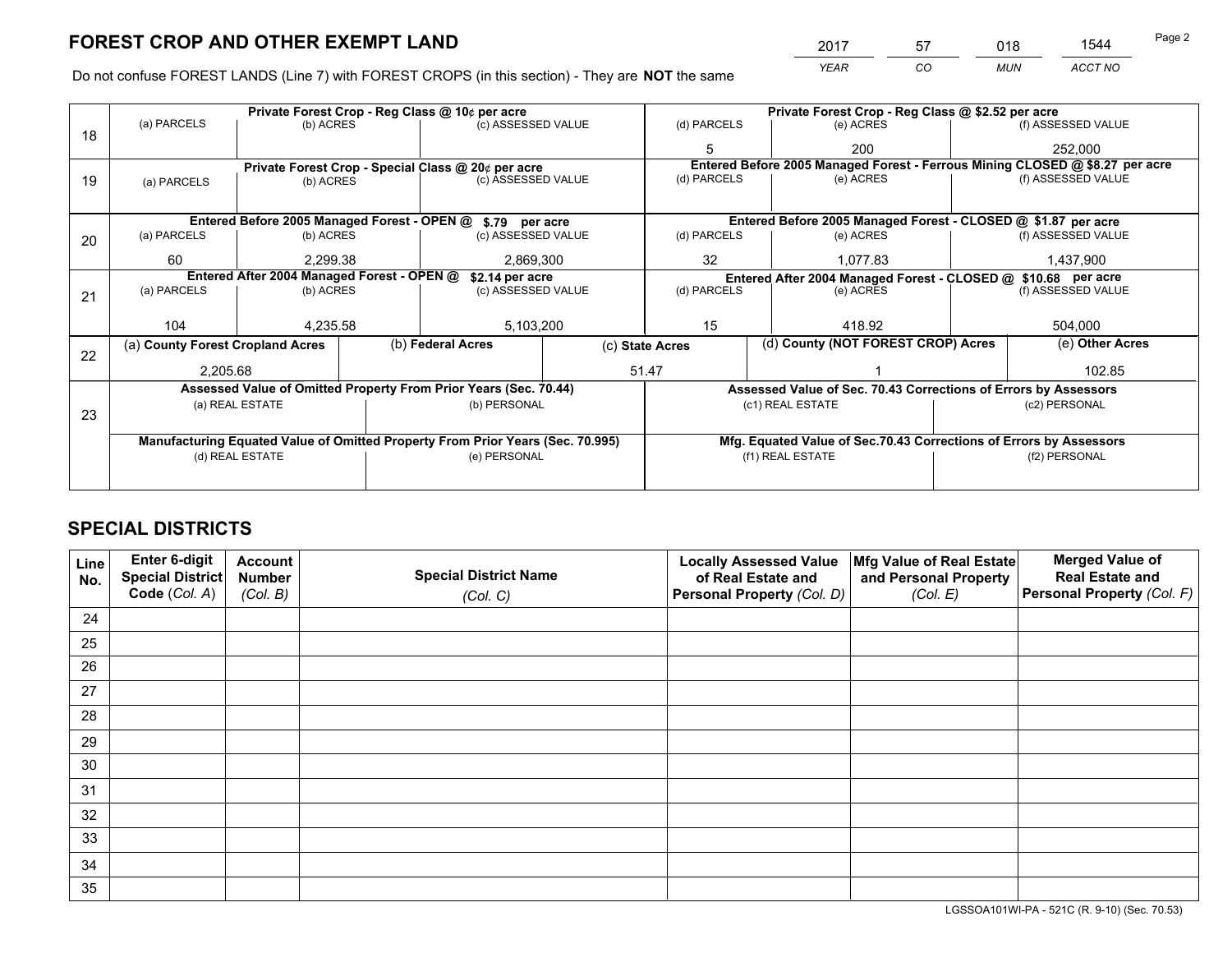*YEAR CO MUN ACCT NO* <sup>2017</sup> <sup>57</sup> <sup>018</sup> <sup>1544</sup>

Do not confuse FOREST LANDS (Line 7) with FOREST CROPS (in this section) - They are **NOT** the same

| Private Forest Crop - Reg Class @ 10¢ per acre |                                                                                |           |                                                                 |                                                            |                                                                    | Private Forest Crop - Reg Class @ \$2.52 per acre                            |               |                                                               |                    |                    |
|------------------------------------------------|--------------------------------------------------------------------------------|-----------|-----------------------------------------------------------------|------------------------------------------------------------|--------------------------------------------------------------------|------------------------------------------------------------------------------|---------------|---------------------------------------------------------------|--------------------|--------------------|
| 18                                             | (a) PARCELS<br>(b) ACRES                                                       |           |                                                                 | (c) ASSESSED VALUE                                         |                                                                    | (d) PARCELS                                                                  |               | (e) ACRES                                                     |                    | (f) ASSESSED VALUE |
|                                                |                                                                                |           |                                                                 |                                                            |                                                                    |                                                                              |               | 200                                                           |                    | 252,000            |
|                                                |                                                                                |           |                                                                 | Private Forest Crop - Special Class @ 20¢ per acre         |                                                                    | Entered Before 2005 Managed Forest - Ferrous Mining CLOSED @ \$8.27 per acre |               |                                                               |                    |                    |
| 19                                             | (a) PARCELS                                                                    | (b) ACRES |                                                                 | (c) ASSESSED VALUE                                         |                                                                    | (d) PARCELS                                                                  |               | (e) ACRES                                                     |                    | (f) ASSESSED VALUE |
|                                                |                                                                                |           |                                                                 |                                                            |                                                                    |                                                                              |               |                                                               |                    |                    |
|                                                |                                                                                |           |                                                                 | Entered Before 2005 Managed Forest - OPEN @ \$.79 per acre |                                                                    |                                                                              |               | Entered Before 2005 Managed Forest - CLOSED @ \$1.87 per acre |                    |                    |
| 20                                             | (a) PARCELS<br>(b) ACRES                                                       |           |                                                                 | (c) ASSESSED VALUE                                         |                                                                    | (d) PARCELS                                                                  |               | (e) ACRES                                                     |                    | (f) ASSESSED VALUE |
|                                                | 60                                                                             | 2.299.38  |                                                                 | 2,869,300                                                  |                                                                    | 32<br>1,077.83                                                               |               |                                                               | 1,437,900          |                    |
|                                                | Entered After 2004 Managed Forest - OPEN @<br>\$2.14 per acre                  |           |                                                                 |                                                            |                                                                    | Entered After 2004 Managed Forest - CLOSED @ \$10.68 per acre                |               |                                                               |                    |                    |
| 21                                             | (a) PARCELS<br>(b) ACRES                                                       |           |                                                                 | (c) ASSESSED VALUE                                         |                                                                    | (d) PARCELS                                                                  |               | (e) ACRES                                                     | (f) ASSESSED VALUE |                    |
|                                                |                                                                                |           |                                                                 |                                                            |                                                                    |                                                                              |               |                                                               |                    |                    |
|                                                | 104                                                                            | 4,235.58  |                                                                 | 5,103,200                                                  |                                                                    | 15                                                                           |               | 418.92                                                        |                    | 504,000            |
| 22                                             | (a) County Forest Cropland Acres                                               |           |                                                                 | (b) Federal Acres<br>(c) State Acres                       |                                                                    |                                                                              |               | (d) County (NOT FOREST CROP) Acres                            |                    | (e) Other Acres    |
|                                                | 2,205.68                                                                       |           |                                                                 |                                                            |                                                                    | 51.47                                                                        |               | 102.85                                                        |                    |                    |
|                                                | Assessed Value of Omitted Property From Prior Years (Sec. 70.44)               |           | Assessed Value of Sec. 70.43 Corrections of Errors by Assessors |                                                            |                                                                    |                                                                              |               |                                                               |                    |                    |
|                                                | (a) REAL ESTATE<br>(b) PERSONAL                                                |           |                                                                 |                                                            | (c1) REAL ESTATE                                                   |                                                                              | (c2) PERSONAL |                                                               |                    |                    |
| 23                                             |                                                                                |           |                                                                 |                                                            |                                                                    |                                                                              |               |                                                               |                    |                    |
|                                                | Manufacturing Equated Value of Omitted Property From Prior Years (Sec. 70.995) |           |                                                                 |                                                            | Mfg. Equated Value of Sec.70.43 Corrections of Errors by Assessors |                                                                              |               |                                                               |                    |                    |
|                                                | (d) REAL ESTATE                                                                |           |                                                                 | (e) PERSONAL                                               |                                                                    | (f1) REAL ESTATE                                                             |               |                                                               | (f2) PERSONAL      |                    |
|                                                |                                                                                |           |                                                                 |                                                            |                                                                    |                                                                              |               |                                                               |                    |                    |

# **SPECIAL DISTRICTS**

| Line<br>No. | Enter 6-digit<br><b>Special District</b> | <b>Account</b><br><b>Number</b> | <b>Special District Name</b> | <b>Locally Assessed Value</b><br>of Real Estate and | Mfg Value of Real Estate<br>and Personal Property | <b>Merged Value of</b><br><b>Real Estate and</b> |
|-------------|------------------------------------------|---------------------------------|------------------------------|-----------------------------------------------------|---------------------------------------------------|--------------------------------------------------|
|             | Code (Col. A)                            | (Col. B)                        | (Col. C)                     | Personal Property (Col. D)                          | (Col. E)                                          | Personal Property (Col. F)                       |
| 24          |                                          |                                 |                              |                                                     |                                                   |                                                  |
| 25          |                                          |                                 |                              |                                                     |                                                   |                                                  |
| 26          |                                          |                                 |                              |                                                     |                                                   |                                                  |
| 27          |                                          |                                 |                              |                                                     |                                                   |                                                  |
| 28          |                                          |                                 |                              |                                                     |                                                   |                                                  |
| 29          |                                          |                                 |                              |                                                     |                                                   |                                                  |
| 30          |                                          |                                 |                              |                                                     |                                                   |                                                  |
| 31          |                                          |                                 |                              |                                                     |                                                   |                                                  |
| 32          |                                          |                                 |                              |                                                     |                                                   |                                                  |
| 33          |                                          |                                 |                              |                                                     |                                                   |                                                  |
| 34          |                                          |                                 |                              |                                                     |                                                   |                                                  |
| 35          |                                          |                                 |                              |                                                     |                                                   |                                                  |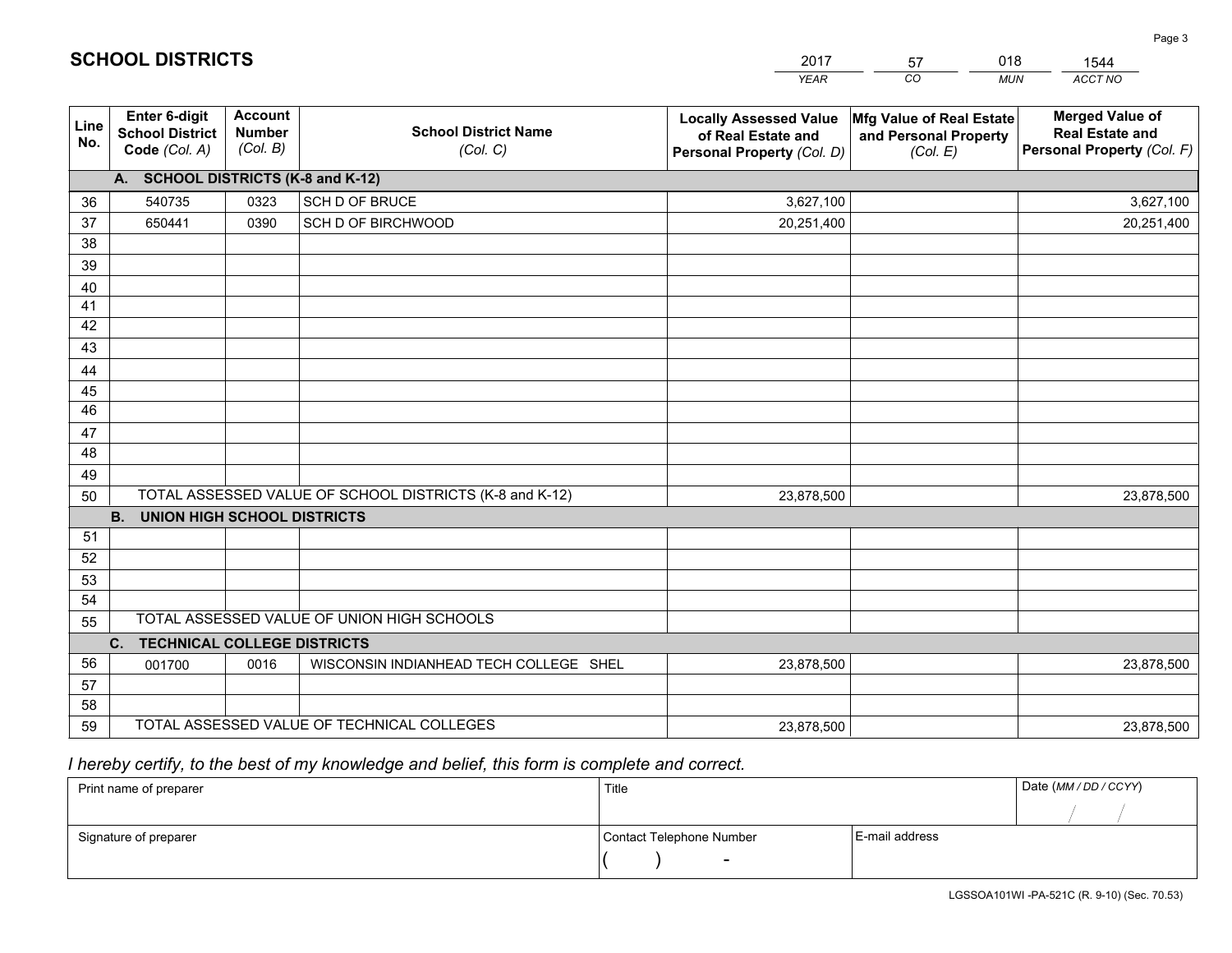|             |                                                                                                                                        |                                             |                                            | <b>YEAR</b>                                                                       | CO<br><b>MUN</b>                                              | ACCT NO                                                                        |  |
|-------------|----------------------------------------------------------------------------------------------------------------------------------------|---------------------------------------------|--------------------------------------------|-----------------------------------------------------------------------------------|---------------------------------------------------------------|--------------------------------------------------------------------------------|--|
| Line<br>No. | Enter 6-digit<br><b>School District</b><br>Code (Col. A)                                                                               | <b>Account</b><br><b>Number</b><br>(Col. B) | <b>School District Name</b><br>(Col. C)    | <b>Locally Assessed Value</b><br>of Real Estate and<br>Personal Property (Col. D) | Mfg Value of Real Estate<br>and Personal Property<br>(Col. E) | <b>Merged Value of</b><br><b>Real Estate and</b><br>Personal Property (Col. F) |  |
|             | A. SCHOOL DISTRICTS (K-8 and K-12)                                                                                                     |                                             |                                            |                                                                                   |                                                               |                                                                                |  |
| 36          | 540735                                                                                                                                 | 0323                                        | SCH D OF BRUCE                             | 3,627,100                                                                         |                                                               | 3,627,100                                                                      |  |
| 37          | 650441                                                                                                                                 | 0390                                        | SCH D OF BIRCHWOOD                         | 20,251,400                                                                        |                                                               | 20,251,400                                                                     |  |
| 38          |                                                                                                                                        |                                             |                                            |                                                                                   |                                                               |                                                                                |  |
| 39          |                                                                                                                                        |                                             |                                            |                                                                                   |                                                               |                                                                                |  |
| 40          |                                                                                                                                        |                                             |                                            |                                                                                   |                                                               |                                                                                |  |
| 41          |                                                                                                                                        |                                             |                                            |                                                                                   |                                                               |                                                                                |  |
| 42          |                                                                                                                                        |                                             |                                            |                                                                                   |                                                               |                                                                                |  |
| 43          |                                                                                                                                        |                                             |                                            |                                                                                   |                                                               |                                                                                |  |
| 44          |                                                                                                                                        |                                             |                                            |                                                                                   |                                                               |                                                                                |  |
| 45          |                                                                                                                                        |                                             |                                            |                                                                                   |                                                               |                                                                                |  |
| 46          |                                                                                                                                        |                                             |                                            |                                                                                   |                                                               |                                                                                |  |
| 47          |                                                                                                                                        |                                             |                                            |                                                                                   |                                                               |                                                                                |  |
| 48          |                                                                                                                                        |                                             |                                            |                                                                                   |                                                               |                                                                                |  |
| 49          |                                                                                                                                        |                                             |                                            |                                                                                   |                                                               |                                                                                |  |
| 50          | TOTAL ASSESSED VALUE OF SCHOOL DISTRICTS (K-8 and K-12)<br>23,878,500<br>23,878,500<br><b>B.</b><br><b>UNION HIGH SCHOOL DISTRICTS</b> |                                             |                                            |                                                                                   |                                                               |                                                                                |  |
| 51          |                                                                                                                                        |                                             |                                            |                                                                                   |                                                               |                                                                                |  |
| 52          |                                                                                                                                        |                                             |                                            |                                                                                   |                                                               |                                                                                |  |
| 53          |                                                                                                                                        |                                             |                                            |                                                                                   |                                                               |                                                                                |  |
| 54          |                                                                                                                                        |                                             |                                            |                                                                                   |                                                               |                                                                                |  |
| 55          |                                                                                                                                        |                                             | TOTAL ASSESSED VALUE OF UNION HIGH SCHOOLS |                                                                                   |                                                               |                                                                                |  |
|             | C. TECHNICAL COLLEGE DISTRICTS                                                                                                         |                                             |                                            |                                                                                   |                                                               |                                                                                |  |
| 56          | 001700                                                                                                                                 | 0016                                        | WISCONSIN INDIANHEAD TECH COLLEGE SHEL     | 23,878,500                                                                        |                                                               | 23,878,500                                                                     |  |
| 57          |                                                                                                                                        |                                             |                                            |                                                                                   |                                                               |                                                                                |  |
| 58          |                                                                                                                                        |                                             |                                            |                                                                                   |                                                               |                                                                                |  |
| 59          |                                                                                                                                        |                                             | TOTAL ASSESSED VALUE OF TECHNICAL COLLEGES | 23,878,500                                                                        |                                                               | 23,878,500                                                                     |  |

 *I hereby certify, to the best of my knowledge and belief, this form is complete and correct.*

| Print name of preparer | Title                    |                | Date (MM / DD / CCYY) |
|------------------------|--------------------------|----------------|-----------------------|
|                        |                          |                |                       |
| Signature of preparer  | Contact Telephone Number | E-mail address |                       |
|                        | $\sim$                   |                |                       |

| <b>SCHOOL DISTRICTS</b> |
|-------------------------|
|                         |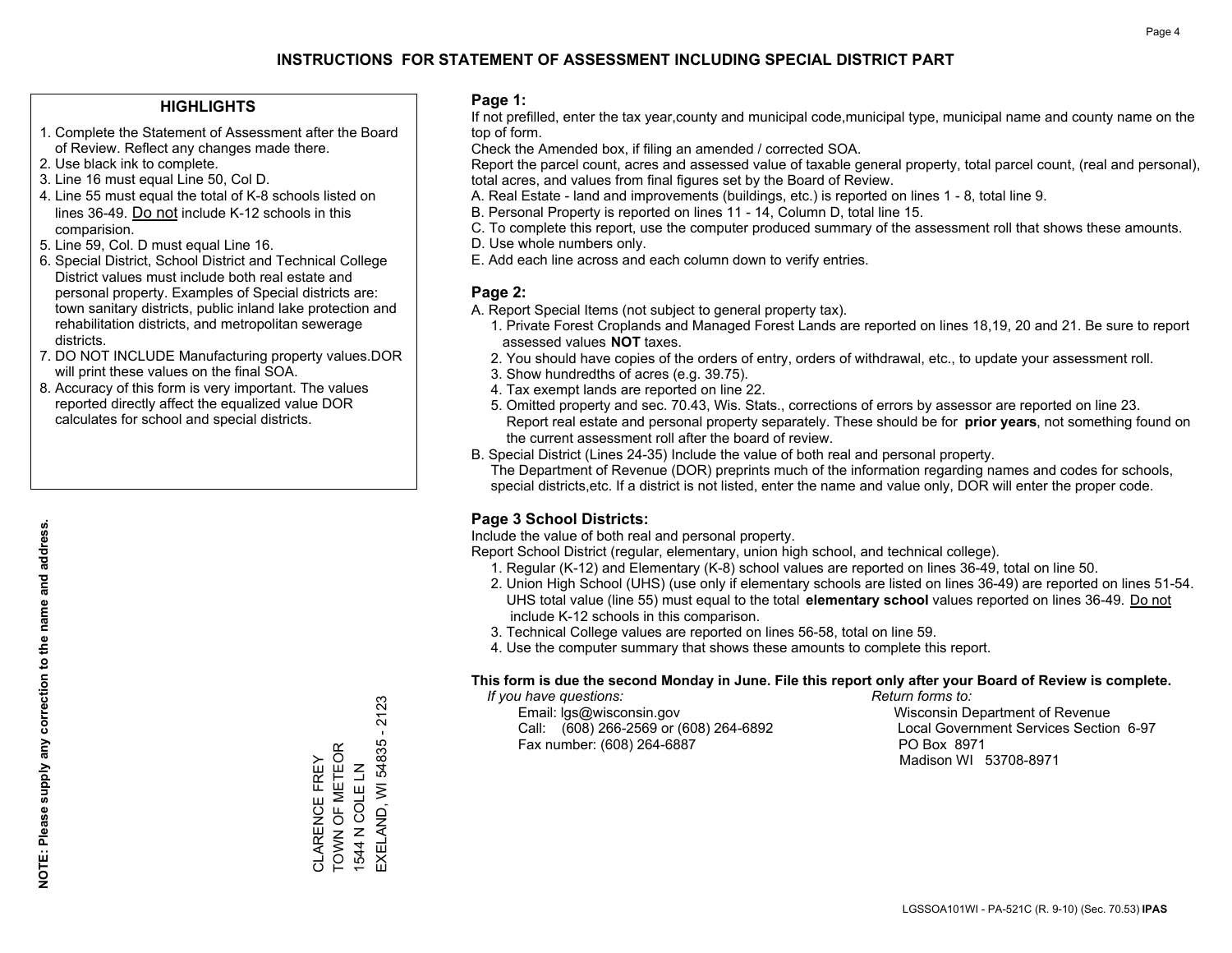### **HIGHLIGHTS**

- 1. Complete the Statement of Assessment after the Board of Review. Reflect any changes made there.
- 2. Use black ink to complete.
- 3. Line 16 must equal Line 50, Col D.
- 4. Line 55 must equal the total of K-8 schools listed on lines 36-49. Do not include K-12 schools in this comparision.
- 5. Line 59, Col. D must equal Line 16.
- 6. Special District, School District and Technical College District values must include both real estate and personal property. Examples of Special districts are: town sanitary districts, public inland lake protection and rehabilitation districts, and metropolitan sewerage districts.
- 7. DO NOT INCLUDE Manufacturing property values.DOR will print these values on the final SOA.
- 8. Accuracy of this form is very important. The values reported directly affect the equalized value DOR calculates for school and special districts.

### **Page 1:**

 If not prefilled, enter the tax year,county and municipal code,municipal type, municipal name and county name on the top of form.

Check the Amended box, if filing an amended / corrected SOA.

 Report the parcel count, acres and assessed value of taxable general property, total parcel count, (real and personal), total acres, and values from final figures set by the Board of Review.

- A. Real Estate land and improvements (buildings, etc.) is reported on lines 1 8, total line 9.
- B. Personal Property is reported on lines 11 14, Column D, total line 15.
- C. To complete this report, use the computer produced summary of the assessment roll that shows these amounts.
- D. Use whole numbers only.
- E. Add each line across and each column down to verify entries.

### **Page 2:**

- A. Report Special Items (not subject to general property tax).
- 1. Private Forest Croplands and Managed Forest Lands are reported on lines 18,19, 20 and 21. Be sure to report assessed values **NOT** taxes.
- 2. You should have copies of the orders of entry, orders of withdrawal, etc., to update your assessment roll.
	- 3. Show hundredths of acres (e.g. 39.75).
- 4. Tax exempt lands are reported on line 22.
- 5. Omitted property and sec. 70.43, Wis. Stats., corrections of errors by assessor are reported on line 23. Report real estate and personal property separately. These should be for **prior years**, not something found on the current assessment roll after the board of review.
- B. Special District (Lines 24-35) Include the value of both real and personal property.

 The Department of Revenue (DOR) preprints much of the information regarding names and codes for schools, special districts,etc. If a district is not listed, enter the name and value only, DOR will enter the proper code.

### **Page 3 School Districts:**

Include the value of both real and personal property.

Report School District (regular, elementary, union high school, and technical college).

- 1. Regular (K-12) and Elementary (K-8) school values are reported on lines 36-49, total on line 50.
- 2. Union High School (UHS) (use only if elementary schools are listed on lines 36-49) are reported on lines 51-54. UHS total value (line 55) must equal to the total **elementary school** values reported on lines 36-49. Do notinclude K-12 schools in this comparison.
- 3. Technical College values are reported on lines 56-58, total on line 59.
- 4. Use the computer summary that shows these amounts to complete this report.

#### **This form is due the second Monday in June. File this report only after your Board of Review is complete.**

 *If you have questions: Return forms to:*

 Email: lgs@wisconsin.gov Wisconsin Department of RevenueCall:  $(608)$  266-2569 or  $(608)$  264-6892 Fax number: (608) 264-6887 PO Box 8971

Local Government Services Section 6-97 Madison WI 53708-8971

CLARENCE FREY<br>TOWN OF METEOR<br>1544 N COLE LN TOWN OF METEOR CLARENCE FREY 1544 N COLE LN

EXELAND, WI 54835 - 2123

EXELAND, WI 54835 -

2123

**NOTE: Please supply any correction to the name and address.**

NOTE: Please supply any correction to the name and address.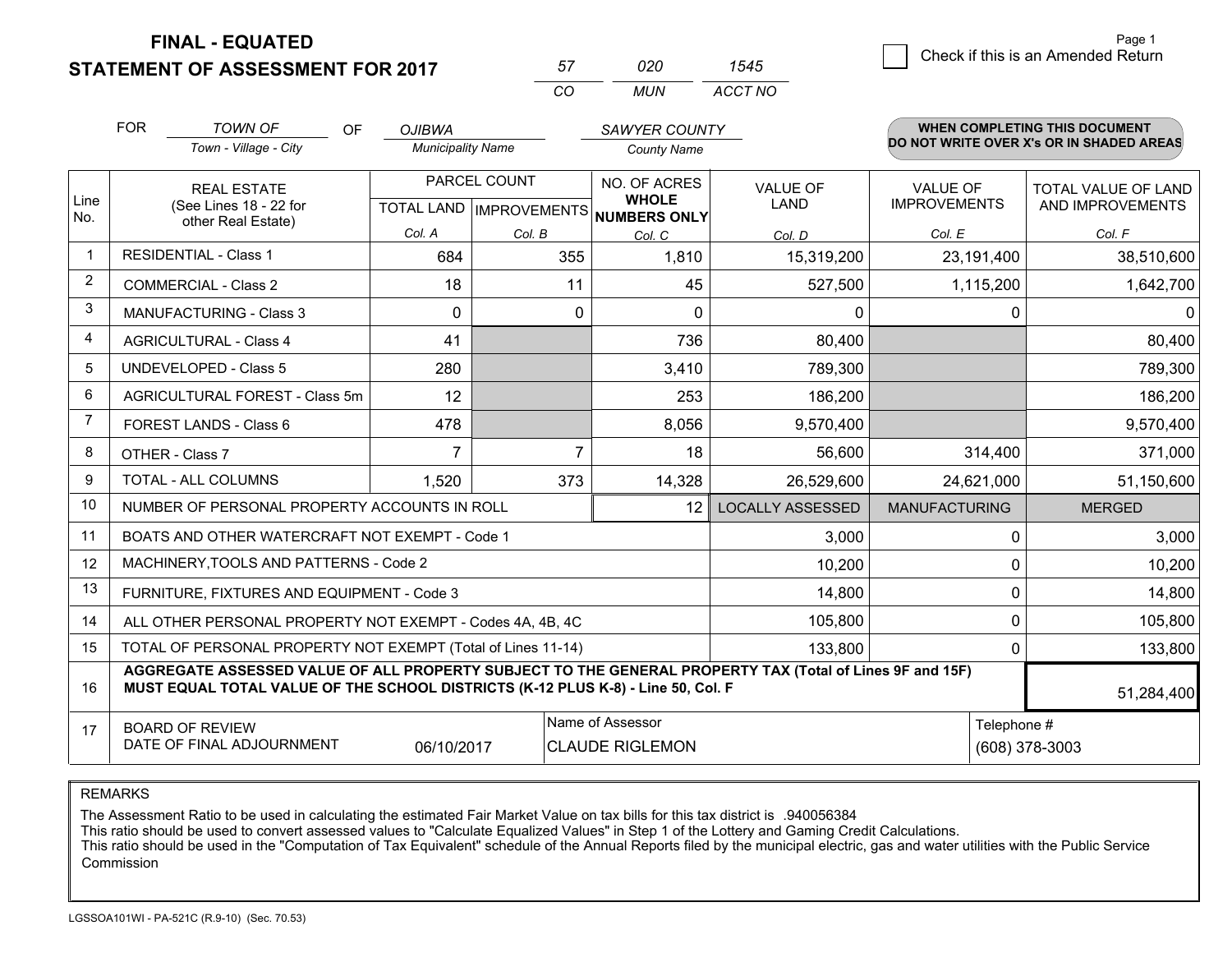**STATEMENT OF ASSESSMENT FOR 2017** 

| 57 | 020 | 1545    |
|----|-----|---------|
| ററ | MUN | ACCT NO |

|                | <b>FOR</b>                     | <b>TOWN OF</b><br><b>OF</b><br>Town - Village - City                                                                                                                                         | <b>OJIBWA</b><br><b>Municipality Name</b> |                           | <b>SAWYER COUNTY</b>         |                         |                      | <b>WHEN COMPLETING THIS DOCUMENT</b><br>DO NOT WRITE OVER X's OR IN SHADED AREAS |
|----------------|--------------------------------|----------------------------------------------------------------------------------------------------------------------------------------------------------------------------------------------|-------------------------------------------|---------------------------|------------------------------|-------------------------|----------------------|----------------------------------------------------------------------------------|
|                |                                |                                                                                                                                                                                              |                                           |                           | <b>County Name</b>           |                         |                      |                                                                                  |
|                |                                | <b>REAL ESTATE</b>                                                                                                                                                                           | PARCEL COUNT                              |                           | NO. OF ACRES<br><b>WHOLE</b> | <b>VALUE OF</b>         | <b>VALUE OF</b>      | <b>TOTAL VALUE OF LAND</b>                                                       |
| Line<br>No.    |                                | (See Lines 18 - 22 for<br>other Real Estate)                                                                                                                                                 |                                           | TOTAL LAND   IMPROVEMENTS | NUMBERS ONLY                 | <b>LAND</b>             | <b>IMPROVEMENTS</b>  | AND IMPROVEMENTS                                                                 |
|                |                                |                                                                                                                                                                                              | Col. A                                    | Col. B                    | Col. C                       | Col. D                  | Col. E               | Col. F                                                                           |
| -1             |                                | <b>RESIDENTIAL - Class 1</b>                                                                                                                                                                 | 684                                       | 355                       | 1,810                        | 15,319,200              | 23,191,400           | 38,510,600                                                                       |
| $\overline{2}$ |                                | <b>COMMERCIAL - Class 2</b>                                                                                                                                                                  | 18                                        | 11                        | 45                           | 527,500                 | 1,115,200            | 1,642,700                                                                        |
| 3              |                                | <b>MANUFACTURING - Class 3</b>                                                                                                                                                               | $\Omega$                                  | 0                         | $\Omega$                     | $\mathbf{0}$            | 0                    | 0                                                                                |
| 4              |                                | <b>AGRICULTURAL - Class 4</b>                                                                                                                                                                | 41                                        |                           | 736                          | 80,400                  |                      | 80,400                                                                           |
| 5              | <b>UNDEVELOPED - Class 5</b>   |                                                                                                                                                                                              | 280                                       |                           | 3,410                        | 789,300                 |                      | 789,300                                                                          |
| 6              | AGRICULTURAL FOREST - Class 5m |                                                                                                                                                                                              | 12                                        |                           | 253                          | 186,200                 |                      | 186,200                                                                          |
| $\overline{7}$ | FOREST LANDS - Class 6         |                                                                                                                                                                                              | 478                                       |                           | 8,056                        | 9,570,400               |                      | 9,570,400                                                                        |
| 8              |                                | OTHER - Class 7                                                                                                                                                                              | $\overline{7}$                            | 7                         | 18                           | 56,600                  | 314,400              | 371,000                                                                          |
| 9              |                                | TOTAL - ALL COLUMNS                                                                                                                                                                          | 1,520<br>373<br>14,328<br>26,529,600      |                           | 24,621,000                   | 51,150,600              |                      |                                                                                  |
| 10             |                                | NUMBER OF PERSONAL PROPERTY ACCOUNTS IN ROLL                                                                                                                                                 |                                           |                           | 12 <sup>2</sup>              | <b>LOCALLY ASSESSED</b> | <b>MANUFACTURING</b> | <b>MERGED</b>                                                                    |
| 11             |                                | BOATS AND OTHER WATERCRAFT NOT EXEMPT - Code 1                                                                                                                                               |                                           |                           |                              | 3,000                   | 0                    | 3,000                                                                            |
| 12             |                                | MACHINERY, TOOLS AND PATTERNS - Code 2                                                                                                                                                       |                                           |                           |                              | 10,200                  | 0                    | 10,200                                                                           |
| 13             |                                | FURNITURE, FIXTURES AND EQUIPMENT - Code 3                                                                                                                                                   |                                           |                           |                              | 14,800                  | 0                    | 14,800                                                                           |
| 14             |                                | ALL OTHER PERSONAL PROPERTY NOT EXEMPT - Codes 4A, 4B, 4C                                                                                                                                    |                                           |                           |                              | 105,800                 | 0                    | 105,800                                                                          |
| 15             |                                | TOTAL OF PERSONAL PROPERTY NOT EXEMPT (Total of Lines 11-14)                                                                                                                                 |                                           |                           |                              | 133,800                 | 0                    | 133,800                                                                          |
| 16             |                                | AGGREGATE ASSESSED VALUE OF ALL PROPERTY SUBJECT TO THE GENERAL PROPERTY TAX (Total of Lines 9F and 15F)<br>MUST EQUAL TOTAL VALUE OF THE SCHOOL DISTRICTS (K-12 PLUS K-8) - Line 50, Col. F |                                           |                           |                              |                         |                      | 51,284,400                                                                       |
| 17             | <b>BOARD OF REVIEW</b>         |                                                                                                                                                                                              |                                           |                           | Name of Assessor             |                         | Telephone #          |                                                                                  |
|                |                                | DATE OF FINAL ADJOURNMENT                                                                                                                                                                    | 06/10/2017                                |                           | <b>CLAUDE RIGLEMON</b>       |                         |                      | (608) 378-3003                                                                   |

REMARKS

The Assessment Ratio to be used in calculating the estimated Fair Market Value on tax bills for this tax district is .940056384

This ratio should be used to convert assessed values to "Calculate Equalized Values" in Step 1 of the Lottery and Gaming Credit Calculations.<br>This ratio should be used in the "Computation of Tax Equivalent" schedule of the Commission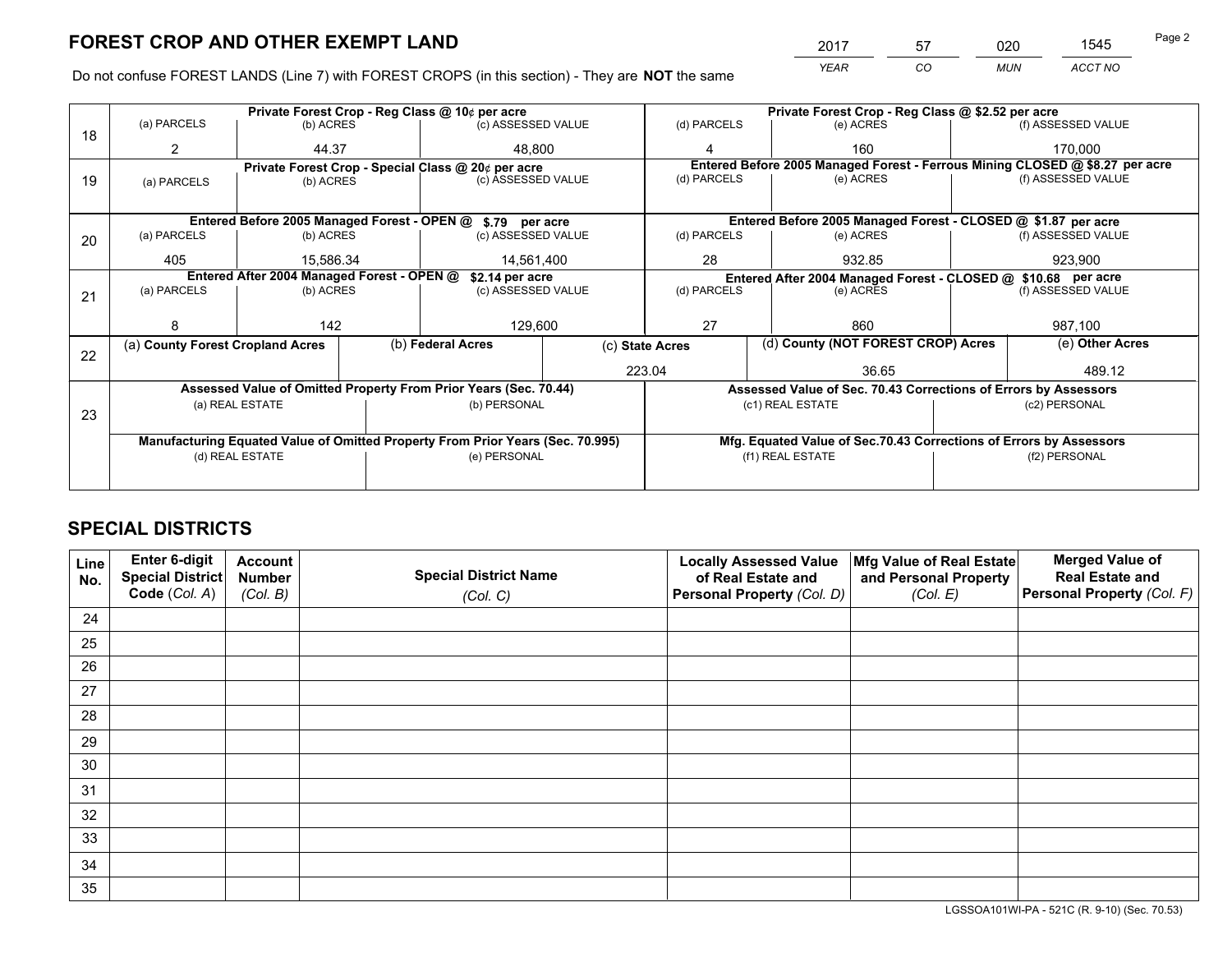*YEAR CO MUN ACCT NO* <sup>2017</sup> <sup>57</sup> <sup>020</sup> <sup>1545</sup>

Do not confuse FOREST LANDS (Line 7) with FOREST CROPS (in this section) - They are **NOT** the same

|    |                                  |                                                               |              | Private Forest Crop - Reg Class @ 10¢ per acre                                 |                    |                          | Private Forest Crop - Reg Class @ \$2.52 per acre |                                                                    |         |                                                                              |
|----|----------------------------------|---------------------------------------------------------------|--------------|--------------------------------------------------------------------------------|--------------------|--------------------------|---------------------------------------------------|--------------------------------------------------------------------|---------|------------------------------------------------------------------------------|
| 18 | (a) PARCELS                      | (b) ACRES                                                     |              |                                                                                | (c) ASSESSED VALUE |                          | (d) PARCELS                                       | (e) ACRES                                                          |         | (f) ASSESSED VALUE                                                           |
|    | 2                                | 44.37                                                         |              | 48.800                                                                         | 4                  |                          |                                                   | 160                                                                |         | 170,000                                                                      |
|    |                                  |                                                               |              | Private Forest Crop - Special Class @ 20¢ per acre                             |                    |                          |                                                   |                                                                    |         | Entered Before 2005 Managed Forest - Ferrous Mining CLOSED @ \$8.27 per acre |
| 19 | (a) PARCELS                      | (b) ACRES                                                     |              | (c) ASSESSED VALUE                                                             |                    | (d) PARCELS              |                                                   | (e) ACRES                                                          |         | (f) ASSESSED VALUE                                                           |
|    |                                  |                                                               |              |                                                                                |                    |                          |                                                   |                                                                    |         |                                                                              |
|    |                                  | Entered Before 2005 Managed Forest - OPEN @                   |              | \$.79 per acre                                                                 |                    |                          |                                                   | Entered Before 2005 Managed Forest - CLOSED @ \$1.87 per acre      |         |                                                                              |
| 20 | (a) PARCELS                      | (b) ACRES                                                     |              | (c) ASSESSED VALUE                                                             |                    | (d) PARCELS              |                                                   | (e) ACRES                                                          |         | (f) ASSESSED VALUE                                                           |
|    | 405                              | 15.586.34                                                     |              | 14.561.400                                                                     |                    | 28                       |                                                   | 932.85                                                             | 923.900 |                                                                              |
|    |                                  | Entered After 2004 Managed Forest - OPEN @<br>\$2.14 per acre |              |                                                                                |                    |                          |                                                   | Entered After 2004 Managed Forest - CLOSED @ \$10.68 per acre      |         |                                                                              |
| 21 | (a) PARCELS                      | (b) ACRES                                                     |              | (c) ASSESSED VALUE                                                             |                    | (d) PARCELS<br>(e) ACRES |                                                   | (f) ASSESSED VALUE                                                 |         |                                                                              |
|    |                                  |                                                               |              |                                                                                |                    |                          |                                                   |                                                                    |         |                                                                              |
|    | 8                                | 142                                                           |              | 129,600                                                                        |                    | 27<br>860                |                                                   | 987,100                                                            |         |                                                                              |
| 22 | (a) County Forest Cropland Acres |                                                               |              | (b) Federal Acres                                                              |                    | (c) State Acres          |                                                   | (d) County (NOT FOREST CROP) Acres                                 |         | (e) Other Acres                                                              |
|    |                                  |                                                               |              |                                                                                |                    | 223.04                   |                                                   | 36.65                                                              |         | 489.12                                                                       |
|    |                                  |                                                               |              | Assessed Value of Omitted Property From Prior Years (Sec. 70.44)               |                    |                          |                                                   | Assessed Value of Sec. 70.43 Corrections of Errors by Assessors    |         |                                                                              |
|    |                                  | (a) REAL ESTATE                                               |              | (b) PERSONAL                                                                   |                    |                          |                                                   | (c1) REAL ESTATE                                                   |         | (c2) PERSONAL                                                                |
| 23 |                                  |                                                               |              |                                                                                |                    |                          |                                                   |                                                                    |         |                                                                              |
|    |                                  |                                                               |              | Manufacturing Equated Value of Omitted Property From Prior Years (Sec. 70.995) |                    |                          |                                                   | Mfg. Equated Value of Sec.70.43 Corrections of Errors by Assessors |         |                                                                              |
|    | (d) REAL ESTATE                  |                                                               | (e) PERSONAL |                                                                                | (f1) REAL ESTATE   |                          | (f2) PERSONAL                                     |                                                                    |         |                                                                              |
|    |                                  |                                                               |              |                                                                                |                    |                          |                                                   |                                                                    |         |                                                                              |

# **SPECIAL DISTRICTS**

| Line<br>No. | Enter 6-digit<br>Special District<br>Code (Col. A) | <b>Account</b><br><b>Number</b><br>(Col. B) | <b>Special District Name</b><br>(Col. C) | <b>Locally Assessed Value</b><br>of Real Estate and<br>Personal Property (Col. D) | Mfg Value of Real Estate<br>and Personal Property<br>(Col. E) | <b>Merged Value of</b><br><b>Real Estate and</b><br>Personal Property (Col. F) |
|-------------|----------------------------------------------------|---------------------------------------------|------------------------------------------|-----------------------------------------------------------------------------------|---------------------------------------------------------------|--------------------------------------------------------------------------------|
| 24          |                                                    |                                             |                                          |                                                                                   |                                                               |                                                                                |
| 25          |                                                    |                                             |                                          |                                                                                   |                                                               |                                                                                |
| 26          |                                                    |                                             |                                          |                                                                                   |                                                               |                                                                                |
| 27          |                                                    |                                             |                                          |                                                                                   |                                                               |                                                                                |
| 28          |                                                    |                                             |                                          |                                                                                   |                                                               |                                                                                |
| 29          |                                                    |                                             |                                          |                                                                                   |                                                               |                                                                                |
| 30          |                                                    |                                             |                                          |                                                                                   |                                                               |                                                                                |
| 31          |                                                    |                                             |                                          |                                                                                   |                                                               |                                                                                |
| 32          |                                                    |                                             |                                          |                                                                                   |                                                               |                                                                                |
| 33          |                                                    |                                             |                                          |                                                                                   |                                                               |                                                                                |
| 34          |                                                    |                                             |                                          |                                                                                   |                                                               |                                                                                |
| 35          |                                                    |                                             |                                          |                                                                                   |                                                               |                                                                                |

LGSSOA101WI-PA - 521C (R. 9-10) (Sec. 70.53)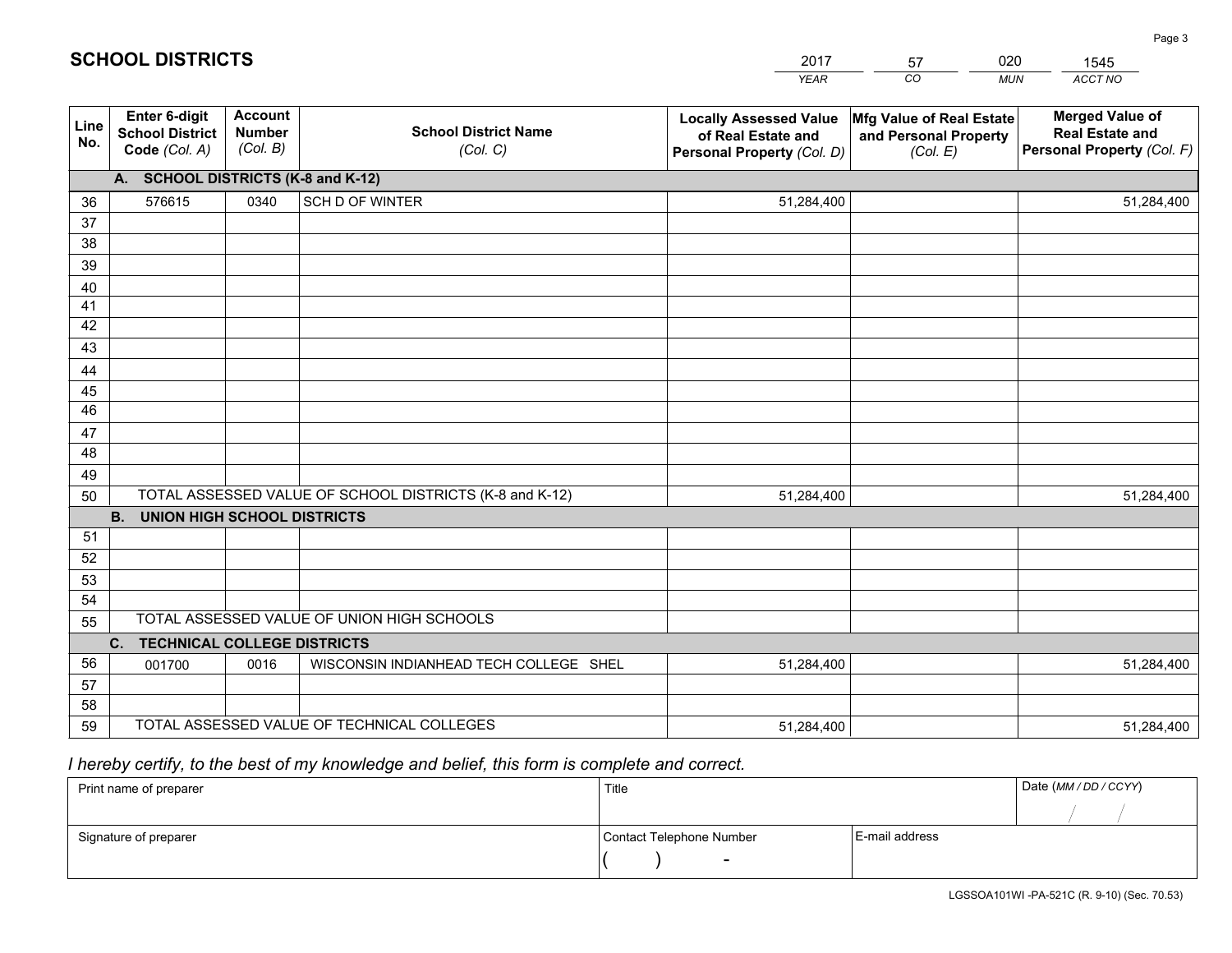|             |                                                          |                                             |                                                         | YEAR                                                                              | CO.<br><b>MUN</b>                                             | ACCT NO                                                                        |  |  |  |  |  |
|-------------|----------------------------------------------------------|---------------------------------------------|---------------------------------------------------------|-----------------------------------------------------------------------------------|---------------------------------------------------------------|--------------------------------------------------------------------------------|--|--|--|--|--|
| Line<br>No. | Enter 6-digit<br><b>School District</b><br>Code (Col. A) | <b>Account</b><br><b>Number</b><br>(Col. B) | <b>School District Name</b><br>(Col. C)                 | <b>Locally Assessed Value</b><br>of Real Estate and<br>Personal Property (Col. D) | Mfg Value of Real Estate<br>and Personal Property<br>(Col. E) | <b>Merged Value of</b><br><b>Real Estate and</b><br>Personal Property (Col. F) |  |  |  |  |  |
|             | A. SCHOOL DISTRICTS (K-8 and K-12)                       |                                             |                                                         |                                                                                   |                                                               |                                                                                |  |  |  |  |  |
| 36          | 576615                                                   | 0340                                        | SCH D OF WINTER                                         | 51,284,400                                                                        |                                                               | 51,284,400                                                                     |  |  |  |  |  |
| 37          |                                                          |                                             |                                                         |                                                                                   |                                                               |                                                                                |  |  |  |  |  |
| 38          |                                                          |                                             |                                                         |                                                                                   |                                                               |                                                                                |  |  |  |  |  |
| 39          |                                                          |                                             |                                                         |                                                                                   |                                                               |                                                                                |  |  |  |  |  |
| 40          |                                                          |                                             |                                                         |                                                                                   |                                                               |                                                                                |  |  |  |  |  |
| 41<br>42    |                                                          |                                             |                                                         |                                                                                   |                                                               |                                                                                |  |  |  |  |  |
| 43          |                                                          |                                             |                                                         |                                                                                   |                                                               |                                                                                |  |  |  |  |  |
| 44          |                                                          |                                             |                                                         |                                                                                   |                                                               |                                                                                |  |  |  |  |  |
| 45          |                                                          |                                             |                                                         |                                                                                   |                                                               |                                                                                |  |  |  |  |  |
| 46          |                                                          |                                             |                                                         |                                                                                   |                                                               |                                                                                |  |  |  |  |  |
| 47          |                                                          |                                             |                                                         |                                                                                   |                                                               |                                                                                |  |  |  |  |  |
| 48          |                                                          |                                             |                                                         |                                                                                   |                                                               |                                                                                |  |  |  |  |  |
| 49          |                                                          |                                             |                                                         |                                                                                   |                                                               |                                                                                |  |  |  |  |  |
| 50          |                                                          |                                             | TOTAL ASSESSED VALUE OF SCHOOL DISTRICTS (K-8 and K-12) | 51,284,400                                                                        |                                                               | 51,284,400                                                                     |  |  |  |  |  |
|             | <b>B.</b><br><b>UNION HIGH SCHOOL DISTRICTS</b>          |                                             |                                                         |                                                                                   |                                                               |                                                                                |  |  |  |  |  |
| 51          |                                                          |                                             |                                                         |                                                                                   |                                                               |                                                                                |  |  |  |  |  |
| 52          |                                                          |                                             |                                                         |                                                                                   |                                                               |                                                                                |  |  |  |  |  |
| 53          |                                                          |                                             |                                                         |                                                                                   |                                                               |                                                                                |  |  |  |  |  |
| 54          |                                                          |                                             | TOTAL ASSESSED VALUE OF UNION HIGH SCHOOLS              |                                                                                   |                                                               |                                                                                |  |  |  |  |  |
| 55          |                                                          |                                             |                                                         |                                                                                   |                                                               |                                                                                |  |  |  |  |  |
| 56          | <b>TECHNICAL COLLEGE DISTRICTS</b><br>$C_{1}$            |                                             | WISCONSIN INDIANHEAD TECH COLLEGE SHEL                  |                                                                                   |                                                               |                                                                                |  |  |  |  |  |
| 57          | 001700                                                   | 0016                                        |                                                         | 51,284,400                                                                        |                                                               | 51,284,400                                                                     |  |  |  |  |  |
| 58          |                                                          |                                             |                                                         |                                                                                   |                                                               |                                                                                |  |  |  |  |  |
| 59          |                                                          |                                             | TOTAL ASSESSED VALUE OF TECHNICAL COLLEGES              | 51,284,400                                                                        |                                                               | 51,284,400                                                                     |  |  |  |  |  |

2017

57

020

 *I hereby certify, to the best of my knowledge and belief, this form is complete and correct.*

**SCHOOL DISTRICTS**

| Print name of preparer | Title                    |                | Date (MM / DD / CCYY) |
|------------------------|--------------------------|----------------|-----------------------|
|                        |                          |                |                       |
| Signature of preparer  | Contact Telephone Number | E-mail address |                       |
|                        | $\sim$                   |                |                       |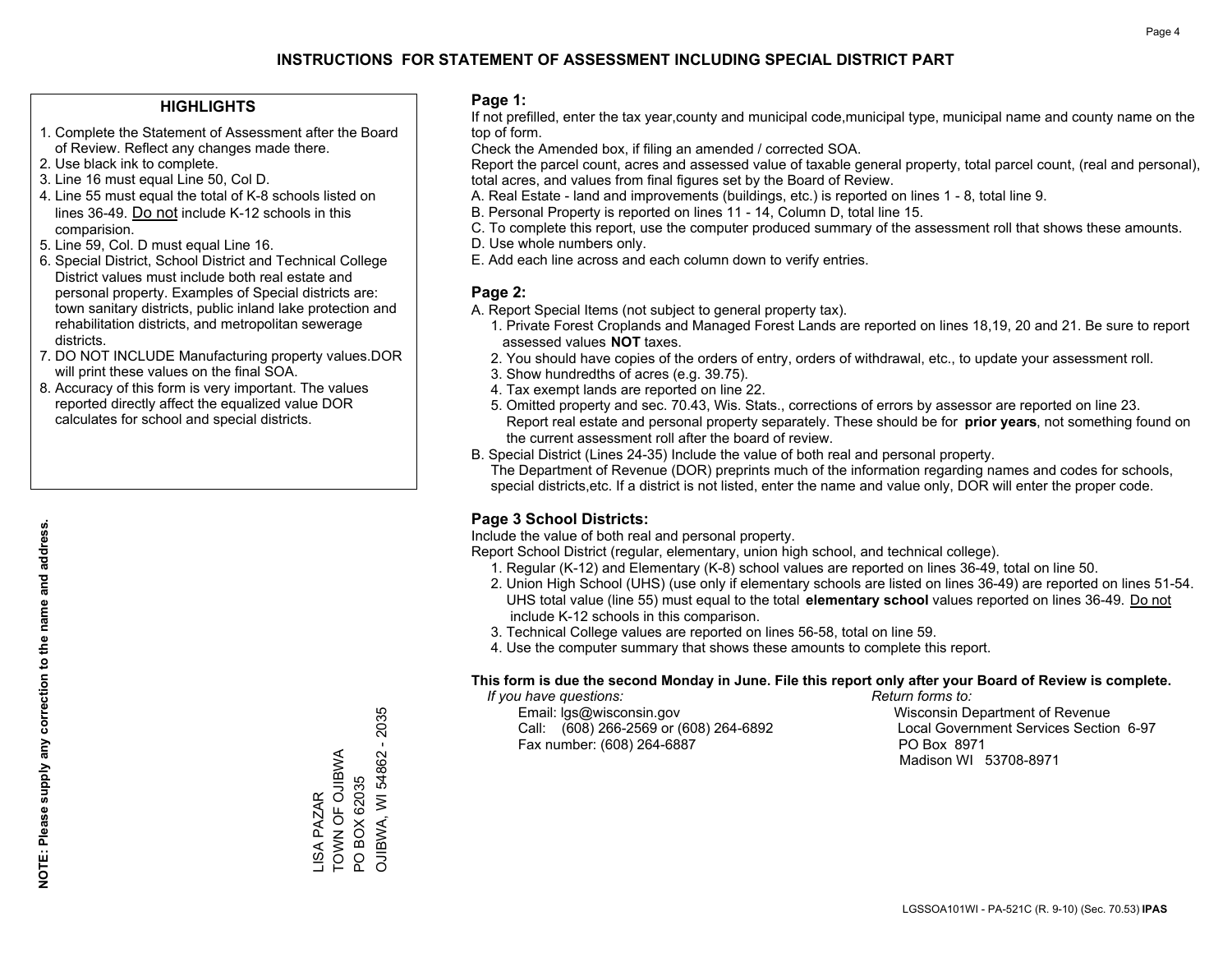### **HIGHLIGHTS**

- 1. Complete the Statement of Assessment after the Board of Review. Reflect any changes made there.
- 2. Use black ink to complete.
- 3. Line 16 must equal Line 50, Col D.
- 4. Line 55 must equal the total of K-8 schools listed on lines 36-49. Do not include K-12 schools in this comparision.
- 5. Line 59, Col. D must equal Line 16.
- 6. Special District, School District and Technical College District values must include both real estate and personal property. Examples of Special districts are: town sanitary districts, public inland lake protection and rehabilitation districts, and metropolitan sewerage districts.
- 7. DO NOT INCLUDE Manufacturing property values.DOR will print these values on the final SOA.

LISA PAZAR TOWN OF OJIBWA PO BOX 62035

**ISA PAZAR** 

TOWN OF OJIBWA PO BOX 62035 OJIBWA, WI 54862 - 2035

OJIBWA, WI 54862 - 2035

 8. Accuracy of this form is very important. The values reported directly affect the equalized value DOR calculates for school and special districts.

#### **Page 1:**

 If not prefilled, enter the tax year,county and municipal code,municipal type, municipal name and county name on the top of form.

Check the Amended box, if filing an amended / corrected SOA.

 Report the parcel count, acres and assessed value of taxable general property, total parcel count, (real and personal), total acres, and values from final figures set by the Board of Review.

- A. Real Estate land and improvements (buildings, etc.) is reported on lines 1 8, total line 9.
- B. Personal Property is reported on lines 11 14, Column D, total line 15.
- C. To complete this report, use the computer produced summary of the assessment roll that shows these amounts.
- D. Use whole numbers only.
- E. Add each line across and each column down to verify entries.

### **Page 2:**

- A. Report Special Items (not subject to general property tax).
- 1. Private Forest Croplands and Managed Forest Lands are reported on lines 18,19, 20 and 21. Be sure to report assessed values **NOT** taxes.
- 2. You should have copies of the orders of entry, orders of withdrawal, etc., to update your assessment roll.
	- 3. Show hundredths of acres (e.g. 39.75).
- 4. Tax exempt lands are reported on line 22.
- 5. Omitted property and sec. 70.43, Wis. Stats., corrections of errors by assessor are reported on line 23. Report real estate and personal property separately. These should be for **prior years**, not something found on the current assessment roll after the board of review.
- B. Special District (Lines 24-35) Include the value of both real and personal property.

 The Department of Revenue (DOR) preprints much of the information regarding names and codes for schools, special districts,etc. If a district is not listed, enter the name and value only, DOR will enter the proper code.

### **Page 3 School Districts:**

Include the value of both real and personal property.

Report School District (regular, elementary, union high school, and technical college).

- 1. Regular (K-12) and Elementary (K-8) school values are reported on lines 36-49, total on line 50.
- 2. Union High School (UHS) (use only if elementary schools are listed on lines 36-49) are reported on lines 51-54. UHS total value (line 55) must equal to the total **elementary school** values reported on lines 36-49. Do notinclude K-12 schools in this comparison.
- 3. Technical College values are reported on lines 56-58, total on line 59.
- 4. Use the computer summary that shows these amounts to complete this report.

#### **This form is due the second Monday in June. File this report only after your Board of Review is complete.**

 *If you have questions: Return forms to:*

 Email: lgs@wisconsin.gov Wisconsin Department of RevenueCall:  $(608)$  266-2569 or  $(608)$  264-6892 Fax number: (608) 264-6887 PO Box 8971

Local Government Services Section 6-97 Madison WI 53708-8971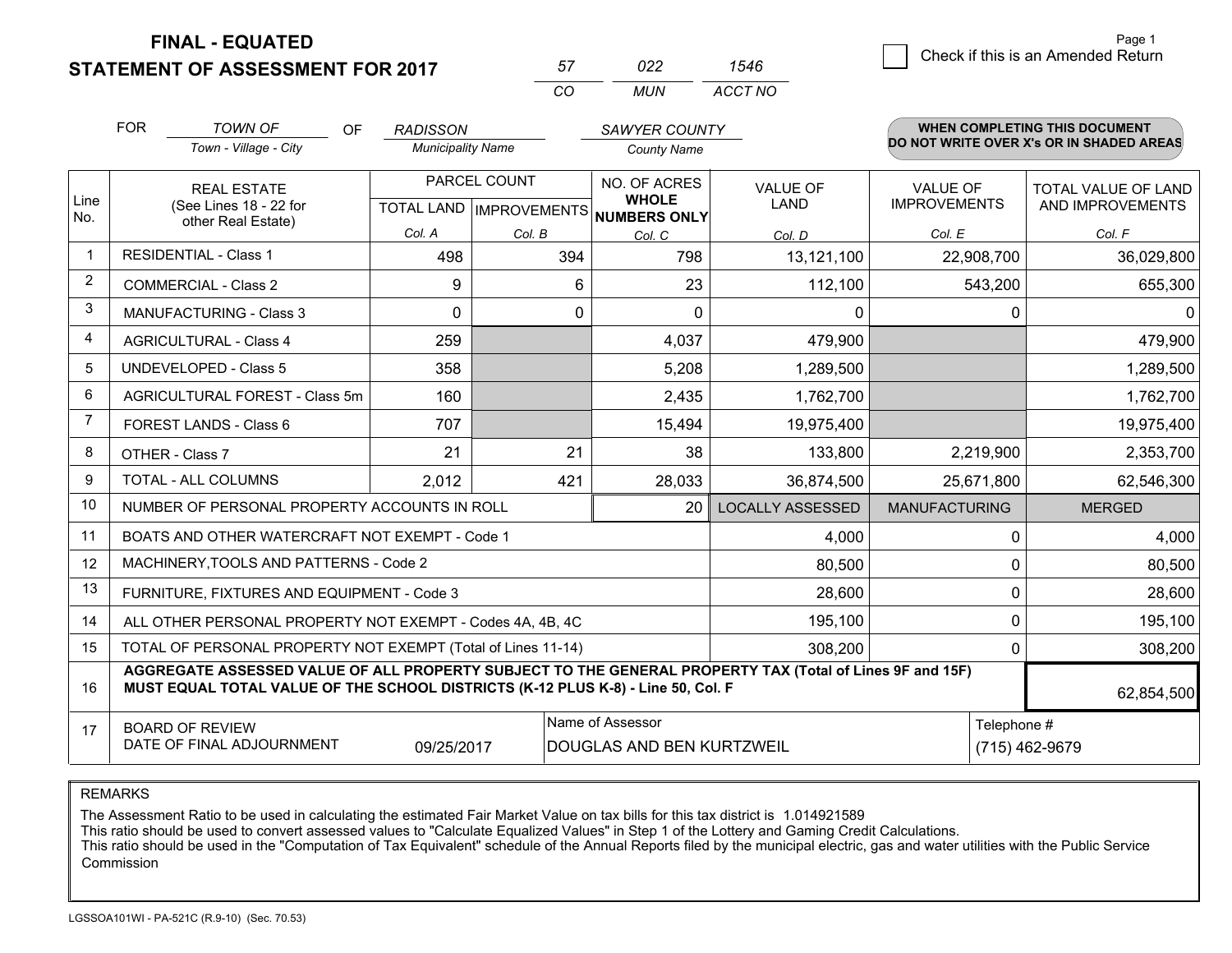**STATEMENT OF ASSESSMENT FOR 2017** 

| 57 | פפח   | 546.    |
|----|-------|---------|
| ΩΩ | MI IN | ACCT NO |

|                         | <b>FOR</b> | <b>TOWN OF</b><br>OF                                                                                                                                                                         | <b>RADISSON</b>          |              | SAWYER COUNTY                                            |                         |                      | <b>WHEN COMPLETING THIS DOCUMENT</b>     |
|-------------------------|------------|----------------------------------------------------------------------------------------------------------------------------------------------------------------------------------------------|--------------------------|--------------|----------------------------------------------------------|-------------------------|----------------------|------------------------------------------|
|                         |            | Town - Village - City                                                                                                                                                                        | <b>Municipality Name</b> |              | <b>County Name</b>                                       |                         |                      | DO NOT WRITE OVER X's OR IN SHADED AREAS |
|                         |            | <b>REAL ESTATE</b>                                                                                                                                                                           |                          | PARCEL COUNT | NO. OF ACRES                                             | <b>VALUE OF</b>         | <b>VALUE OF</b>      | <b>TOTAL VALUE OF LAND</b>               |
| Line<br>No.             |            | (See Lines 18 - 22 for<br>other Real Estate)                                                                                                                                                 |                          |              | <b>WHOLE</b><br>TOTAL LAND   IMPROVEMENTS   NUMBERS ONLY | <b>LAND</b>             | <b>IMPROVEMENTS</b>  | AND IMPROVEMENTS                         |
|                         |            |                                                                                                                                                                                              | Col. A                   | Col. B       | Col. C                                                   | Col. D                  | Col. E               | Col. F                                   |
| $\overline{\mathbf{1}}$ |            | <b>RESIDENTIAL - Class 1</b>                                                                                                                                                                 | 498                      | 394          | 798                                                      | 13,121,100              | 22,908,700           | 36,029,800                               |
| 2                       |            | <b>COMMERCIAL - Class 2</b>                                                                                                                                                                  | 9                        | 6            | 23                                                       | 112,100                 | 543,200              | 655,300                                  |
| 3                       |            | <b>MANUFACTURING - Class 3</b>                                                                                                                                                               | 0                        | 0            | 0                                                        | 0                       |                      | 0<br>$\Omega$                            |
| 4                       |            | <b>AGRICULTURAL - Class 4</b>                                                                                                                                                                | 259                      |              | 4,037                                                    | 479,900                 |                      | 479,900                                  |
| 5                       |            | <b>UNDEVELOPED - Class 5</b>                                                                                                                                                                 | 358                      |              | 5,208                                                    | 1,289,500               |                      | 1,289,500                                |
| 6                       |            | AGRICULTURAL FOREST - Class 5m                                                                                                                                                               | 160                      |              | 2,435                                                    | 1,762,700               |                      | 1,762,700                                |
| 7                       |            | FOREST LANDS - Class 6                                                                                                                                                                       | 707                      |              | 15,494                                                   | 19,975,400              |                      | 19,975,400                               |
| 8                       |            | OTHER - Class 7                                                                                                                                                                              | 21                       | 21           | 38                                                       | 133,800                 | 2,219,900            | 2,353,700                                |
| 9                       |            | TOTAL - ALL COLUMNS                                                                                                                                                                          | 2,012                    | 421          | 28,033                                                   | 36,874,500              | 25,671,800           | 62,546,300                               |
| 10                      |            | NUMBER OF PERSONAL PROPERTY ACCOUNTS IN ROLL                                                                                                                                                 |                          |              | 20                                                       | <b>LOCALLY ASSESSED</b> | <b>MANUFACTURING</b> | <b>MERGED</b>                            |
| 11                      |            | BOATS AND OTHER WATERCRAFT NOT EXEMPT - Code 1                                                                                                                                               |                          |              |                                                          | 4,000                   |                      | 0<br>4,000                               |
| 12                      |            | MACHINERY, TOOLS AND PATTERNS - Code 2                                                                                                                                                       |                          |              |                                                          | 80,500                  |                      | 0<br>80,500                              |
| 13                      |            | FURNITURE, FIXTURES AND EQUIPMENT - Code 3                                                                                                                                                   |                          |              |                                                          | 28,600                  |                      | 0<br>28,600                              |
| 14                      |            | ALL OTHER PERSONAL PROPERTY NOT EXEMPT - Codes 4A, 4B, 4C                                                                                                                                    |                          |              |                                                          | 195,100                 |                      | 0<br>195,100                             |
| 15                      |            | TOTAL OF PERSONAL PROPERTY NOT EXEMPT (Total of Lines 11-14)                                                                                                                                 |                          |              |                                                          | 308,200                 |                      | 308,200<br>0                             |
| 16                      |            | AGGREGATE ASSESSED VALUE OF ALL PROPERTY SUBJECT TO THE GENERAL PROPERTY TAX (Total of Lines 9F and 15F)<br>MUST EQUAL TOTAL VALUE OF THE SCHOOL DISTRICTS (K-12 PLUS K-8) - Line 50, Col. F |                          |              |                                                          |                         |                      | 62,854,500                               |
| 17                      |            | <b>BOARD OF REVIEW</b>                                                                                                                                                                       |                          |              | Name of Assessor                                         |                         |                      | Telephone #                              |
|                         |            | DATE OF FINAL ADJOURNMENT                                                                                                                                                                    | 09/25/2017               |              | DOUGLAS AND BEN KURTZWEIL                                |                         |                      | (715) 462-9679                           |

#### REMARKS

The Assessment Ratio to be used in calculating the estimated Fair Market Value on tax bills for this tax district is 1.014921589<br>This ratio should be used to convert assessed values to "Calculate Equalized Values" in Step Commission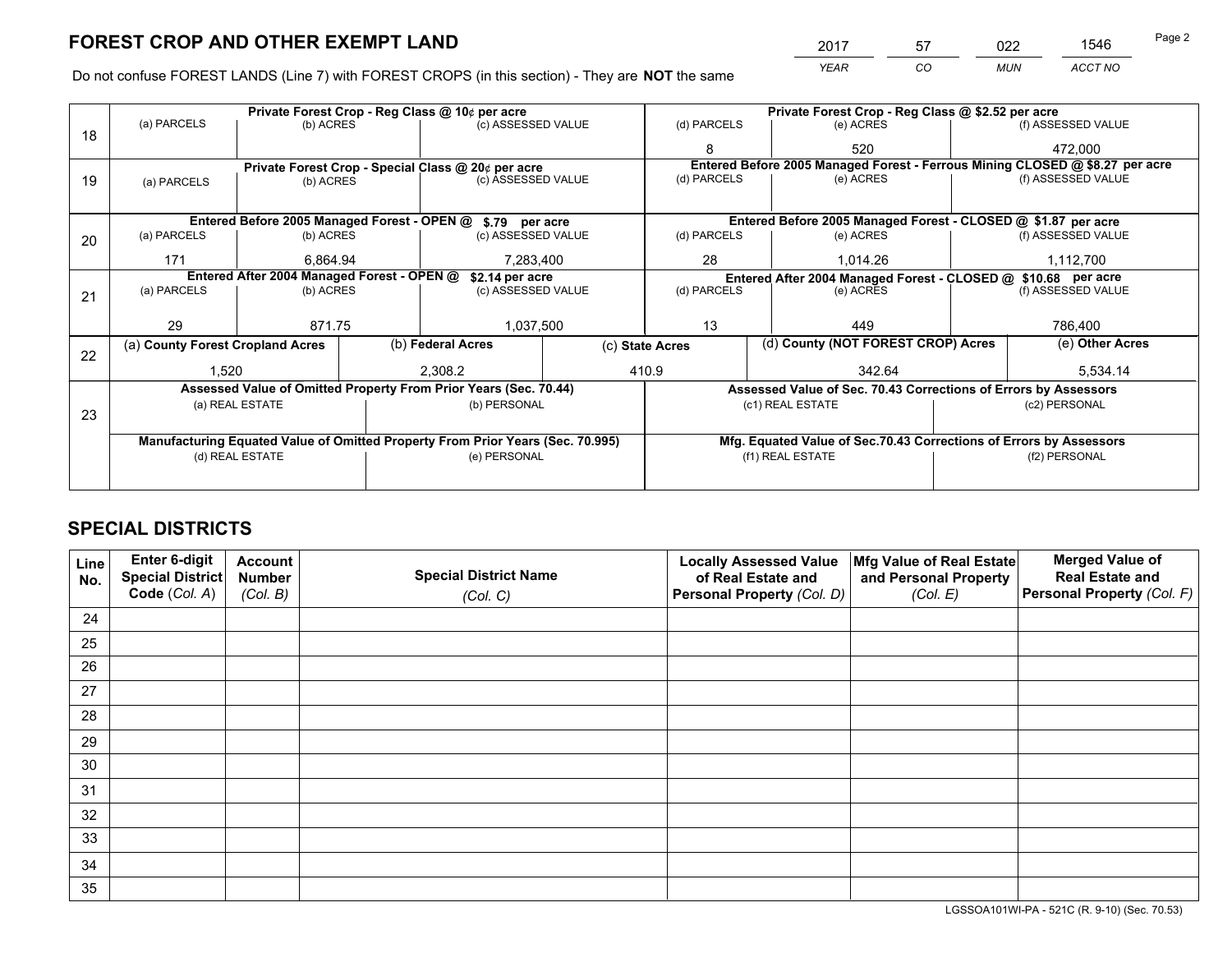*YEAR CO MUN ACCT NO* <sup>2017</sup> <sup>57</sup> <sup>022</sup> <sup>1546</sup>

Do not confuse FOREST LANDS (Line 7) with FOREST CROPS (in this section) - They are **NOT** the same

|    |                                                                                |                                 |  | Private Forest Crop - Reg Class @ 10¢ per acre                   | Private Forest Crop - Reg Class @ \$2.52 per acre |                                                                    |  |                                                                 |               |                                                                              |
|----|--------------------------------------------------------------------------------|---------------------------------|--|------------------------------------------------------------------|---------------------------------------------------|--------------------------------------------------------------------|--|-----------------------------------------------------------------|---------------|------------------------------------------------------------------------------|
| 18 | (a) PARCELS                                                                    | (b) ACRES                       |  | (c) ASSESSED VALUE                                               |                                                   | (d) PARCELS                                                        |  | (e) ACRES                                                       |               | (f) ASSESSED VALUE                                                           |
|    |                                                                                |                                 |  |                                                                  |                                                   | 8                                                                  |  | 520                                                             |               | 472,000                                                                      |
|    |                                                                                |                                 |  | Private Forest Crop - Special Class @ 20¢ per acre               |                                                   |                                                                    |  |                                                                 |               | Entered Before 2005 Managed Forest - Ferrous Mining CLOSED @ \$8.27 per acre |
| 19 | (a) PARCELS                                                                    | (c) ASSESSED VALUE<br>(b) ACRES |  | (d) PARCELS                                                      |                                                   | (e) ACRES                                                          |  | (f) ASSESSED VALUE                                              |               |                                                                              |
|    |                                                                                |                                 |  |                                                                  |                                                   |                                                                    |  |                                                                 |               |                                                                              |
|    |                                                                                |                                 |  | Entered Before 2005 Managed Forest - OPEN @ \$.79 per acre       |                                                   |                                                                    |  | Entered Before 2005 Managed Forest - CLOSED @ \$1.87 per acre   |               |                                                                              |
| 20 | (a) PARCELS                                                                    | (b) ACRES                       |  | (c) ASSESSED VALUE                                               |                                                   | (d) PARCELS                                                        |  | (e) ACRES                                                       |               | (f) ASSESSED VALUE                                                           |
|    | 171                                                                            | 6.864.94                        |  | 7,283,400                                                        |                                                   | 28<br>1.014.26                                                     |  | 1,112,700                                                       |               |                                                                              |
|    | Entered After 2004 Managed Forest - OPEN @<br>\$2.14 per acre                  |                                 |  |                                                                  |                                                   |                                                                    |  | Entered After 2004 Managed Forest - CLOSED @ \$10.68 per acre   |               |                                                                              |
| 21 | (a) PARCELS                                                                    | (b) ACRES                       |  | (c) ASSESSED VALUE                                               |                                                   | (d) PARCELS<br>(e) ACRES                                           |  | (f) ASSESSED VALUE                                              |               |                                                                              |
|    |                                                                                |                                 |  |                                                                  |                                                   |                                                                    |  |                                                                 |               |                                                                              |
|    | 29                                                                             | 871.75                          |  | 1,037,500                                                        |                                                   | 13<br>449                                                          |  | 786,400                                                         |               |                                                                              |
| 22 | (a) County Forest Cropland Acres                                               |                                 |  | (b) Federal Acres                                                | (c) State Acres                                   |                                                                    |  | (d) County (NOT FOREST CROP) Acres                              |               | (e) Other Acres                                                              |
|    | 1,520                                                                          |                                 |  | 2,308.2                                                          |                                                   | 410.9<br>342.64                                                    |  |                                                                 |               | 5,534.14                                                                     |
|    |                                                                                |                                 |  | Assessed Value of Omitted Property From Prior Years (Sec. 70.44) |                                                   |                                                                    |  | Assessed Value of Sec. 70.43 Corrections of Errors by Assessors |               |                                                                              |
|    |                                                                                | (a) REAL ESTATE                 |  | (b) PERSONAL                                                     |                                                   |                                                                    |  | (c1) REAL ESTATE                                                |               | (c2) PERSONAL                                                                |
| 23 |                                                                                |                                 |  |                                                                  |                                                   |                                                                    |  |                                                                 |               |                                                                              |
|    | Manufacturing Equated Value of Omitted Property From Prior Years (Sec. 70.995) |                                 |  |                                                                  |                                                   | Mfg. Equated Value of Sec.70.43 Corrections of Errors by Assessors |  |                                                                 |               |                                                                              |
|    | (d) REAL ESTATE                                                                |                                 |  | (e) PERSONAL                                                     |                                                   | (f1) REAL ESTATE                                                   |  |                                                                 | (f2) PERSONAL |                                                                              |
|    |                                                                                |                                 |  |                                                                  |                                                   |                                                                    |  |                                                                 |               |                                                                              |

# **SPECIAL DISTRICTS**

| Line<br>No. | Enter 6-digit<br>Special District<br>Code (Col. A) | <b>Account</b><br><b>Number</b> | <b>Special District Name</b> | <b>Locally Assessed Value</b><br>of Real Estate and | Mfg Value of Real Estate<br>and Personal Property | <b>Merged Value of</b><br><b>Real Estate and</b><br>Personal Property (Col. F) |
|-------------|----------------------------------------------------|---------------------------------|------------------------------|-----------------------------------------------------|---------------------------------------------------|--------------------------------------------------------------------------------|
|             |                                                    | (Col. B)                        | (Col. C)                     | Personal Property (Col. D)                          | (Col. E)                                          |                                                                                |
| 24          |                                                    |                                 |                              |                                                     |                                                   |                                                                                |
| 25          |                                                    |                                 |                              |                                                     |                                                   |                                                                                |
| 26          |                                                    |                                 |                              |                                                     |                                                   |                                                                                |
| 27          |                                                    |                                 |                              |                                                     |                                                   |                                                                                |
| 28          |                                                    |                                 |                              |                                                     |                                                   |                                                                                |
| 29          |                                                    |                                 |                              |                                                     |                                                   |                                                                                |
| 30          |                                                    |                                 |                              |                                                     |                                                   |                                                                                |
| 31          |                                                    |                                 |                              |                                                     |                                                   |                                                                                |
| 32          |                                                    |                                 |                              |                                                     |                                                   |                                                                                |
| 33          |                                                    |                                 |                              |                                                     |                                                   |                                                                                |
| 34          |                                                    |                                 |                              |                                                     |                                                   |                                                                                |
| 35          |                                                    |                                 |                              |                                                     |                                                   |                                                                                |

LGSSOA101WI-PA - 521C (R. 9-10) (Sec. 70.53)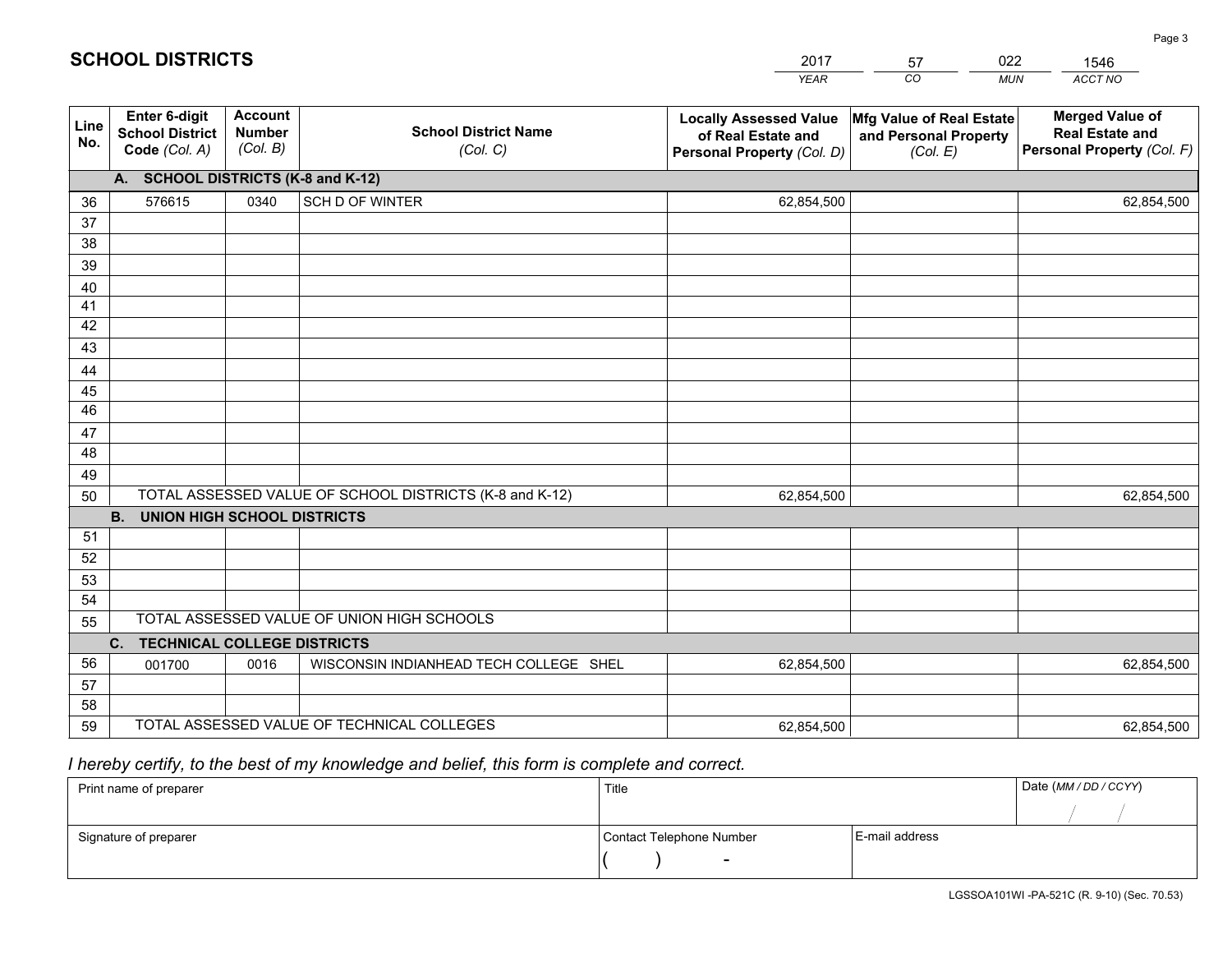|                 |                                                          |                                             |                                                         | <b>YEAR</b>                                                                       | CO<br><b>MUN</b>                                              | ACCT NO                                                                        |  |  |  |  |  |
|-----------------|----------------------------------------------------------|---------------------------------------------|---------------------------------------------------------|-----------------------------------------------------------------------------------|---------------------------------------------------------------|--------------------------------------------------------------------------------|--|--|--|--|--|
| Line<br>No.     | Enter 6-digit<br><b>School District</b><br>Code (Col. A) | <b>Account</b><br><b>Number</b><br>(Col. B) | <b>School District Name</b><br>(Col. C)                 | <b>Locally Assessed Value</b><br>of Real Estate and<br>Personal Property (Col. D) | Mfg Value of Real Estate<br>and Personal Property<br>(Col. E) | <b>Merged Value of</b><br><b>Real Estate and</b><br>Personal Property (Col. F) |  |  |  |  |  |
|                 | A. SCHOOL DISTRICTS (K-8 and K-12)                       |                                             |                                                         |                                                                                   |                                                               |                                                                                |  |  |  |  |  |
| 36              | 576615                                                   | 0340                                        | <b>SCH D OF WINTER</b>                                  | 62,854,500                                                                        |                                                               | 62,854,500                                                                     |  |  |  |  |  |
| 37              |                                                          |                                             |                                                         |                                                                                   |                                                               |                                                                                |  |  |  |  |  |
| 38              |                                                          |                                             |                                                         |                                                                                   |                                                               |                                                                                |  |  |  |  |  |
| 39              |                                                          |                                             |                                                         |                                                                                   |                                                               |                                                                                |  |  |  |  |  |
| 40              |                                                          |                                             |                                                         |                                                                                   |                                                               |                                                                                |  |  |  |  |  |
| 41              |                                                          |                                             |                                                         |                                                                                   |                                                               |                                                                                |  |  |  |  |  |
| 42              |                                                          |                                             |                                                         |                                                                                   |                                                               |                                                                                |  |  |  |  |  |
| 43              |                                                          |                                             |                                                         |                                                                                   |                                                               |                                                                                |  |  |  |  |  |
| 44<br>45        |                                                          |                                             |                                                         |                                                                                   |                                                               |                                                                                |  |  |  |  |  |
| $\overline{46}$ |                                                          |                                             |                                                         |                                                                                   |                                                               |                                                                                |  |  |  |  |  |
| 47              |                                                          |                                             |                                                         |                                                                                   |                                                               |                                                                                |  |  |  |  |  |
| 48              |                                                          |                                             |                                                         |                                                                                   |                                                               |                                                                                |  |  |  |  |  |
| 49              |                                                          |                                             |                                                         |                                                                                   |                                                               |                                                                                |  |  |  |  |  |
| 50              |                                                          |                                             | TOTAL ASSESSED VALUE OF SCHOOL DISTRICTS (K-8 and K-12) | 62,854,500                                                                        |                                                               | 62,854,500                                                                     |  |  |  |  |  |
|                 | <b>B.</b><br><b>UNION HIGH SCHOOL DISTRICTS</b>          |                                             |                                                         |                                                                                   |                                                               |                                                                                |  |  |  |  |  |
| 51              |                                                          |                                             |                                                         |                                                                                   |                                                               |                                                                                |  |  |  |  |  |
| 52              |                                                          |                                             |                                                         |                                                                                   |                                                               |                                                                                |  |  |  |  |  |
| 53              |                                                          |                                             |                                                         |                                                                                   |                                                               |                                                                                |  |  |  |  |  |
| 54              |                                                          |                                             |                                                         |                                                                                   |                                                               |                                                                                |  |  |  |  |  |
| 55              |                                                          |                                             | TOTAL ASSESSED VALUE OF UNION HIGH SCHOOLS              |                                                                                   |                                                               |                                                                                |  |  |  |  |  |
|                 | C.<br><b>TECHNICAL COLLEGE DISTRICTS</b>                 |                                             |                                                         |                                                                                   |                                                               |                                                                                |  |  |  |  |  |
| 56              | 001700                                                   | 0016                                        | WISCONSIN INDIANHEAD TECH COLLEGE SHEL                  | 62,854,500                                                                        |                                                               | 62,854,500                                                                     |  |  |  |  |  |
| 57              |                                                          |                                             |                                                         |                                                                                   |                                                               |                                                                                |  |  |  |  |  |
| 58              |                                                          |                                             |                                                         |                                                                                   |                                                               |                                                                                |  |  |  |  |  |
| 59              |                                                          |                                             | TOTAL ASSESSED VALUE OF TECHNICAL COLLEGES              | 62,854,500                                                                        |                                                               | 62,854,500                                                                     |  |  |  |  |  |

2017

57

022

 *I hereby certify, to the best of my knowledge and belief, this form is complete and correct.*

**SCHOOL DISTRICTS**

| Print name of preparer | Title                    |                | Date (MM / DD / CCYY) |
|------------------------|--------------------------|----------------|-----------------------|
|                        |                          |                |                       |
| Signature of preparer  | Contact Telephone Number | E-mail address |                       |
|                        | $\sim$                   |                |                       |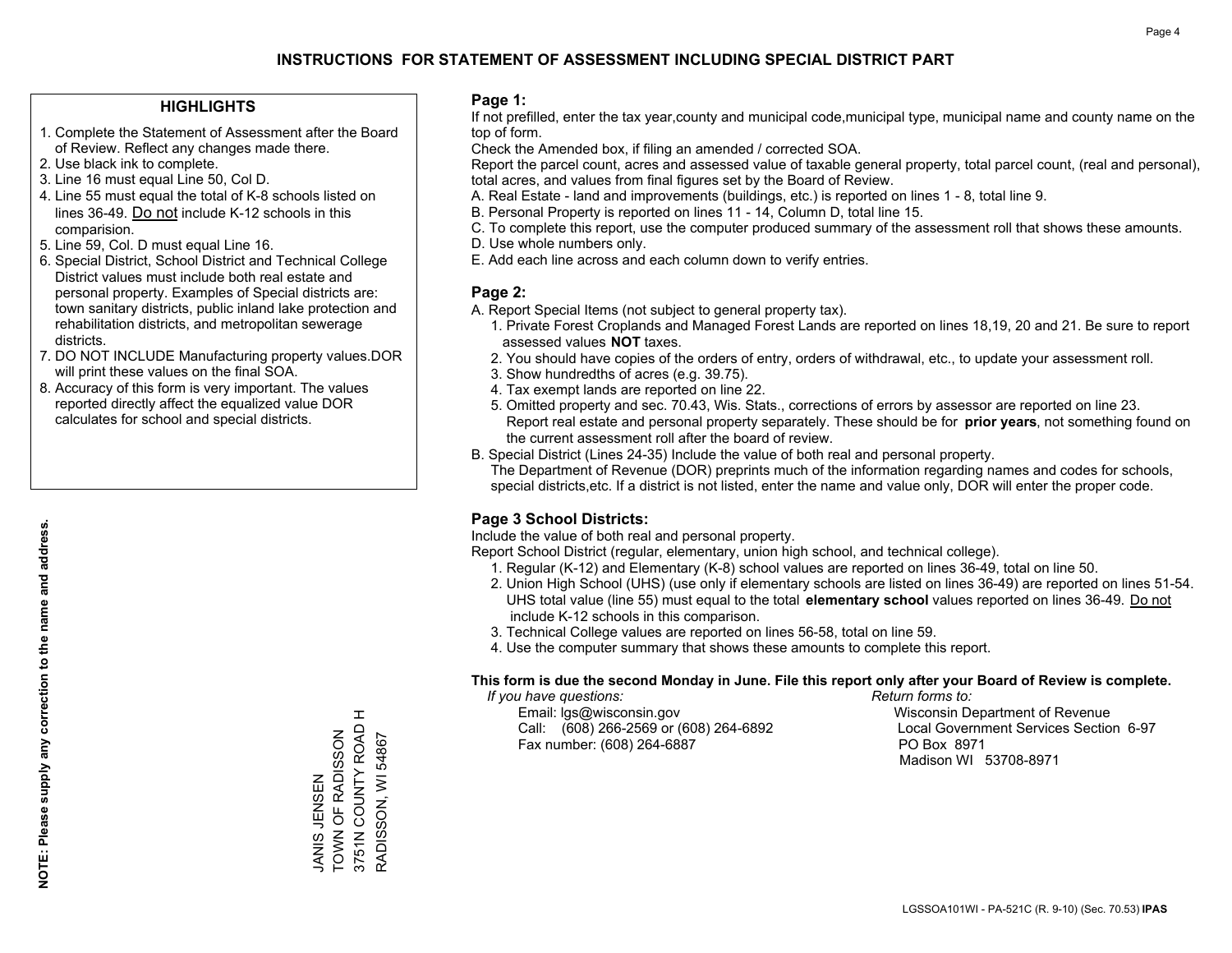### **HIGHLIGHTS**

- 1. Complete the Statement of Assessment after the Board of Review. Reflect any changes made there.
- 2. Use black ink to complete.

**NOTE: Please supply any correction to the name and address.**

NOTE: Please supply any correction to the name and address.

- 3. Line 16 must equal Line 50, Col D.
- 4. Line 55 must equal the total of K-8 schools listed on lines 36-49. Do not include K-12 schools in this comparision.
- 5. Line 59, Col. D must equal Line 16.
- 6. Special District, School District and Technical College District values must include both real estate and personal property. Examples of Special districts are: town sanitary districts, public inland lake protection and rehabilitation districts, and metropolitan sewerage districts.
- 7. DO NOT INCLUDE Manufacturing property values.DOR will print these values on the final SOA.
- 8. Accuracy of this form is very important. The values reported directly affect the equalized value DOR calculates for school and special districts.

#### **Page 1:**

 If not prefilled, enter the tax year,county and municipal code,municipal type, municipal name and county name on the top of form.

Check the Amended box, if filing an amended / corrected SOA.

 Report the parcel count, acres and assessed value of taxable general property, total parcel count, (real and personal), total acres, and values from final figures set by the Board of Review.

- A. Real Estate land and improvements (buildings, etc.) is reported on lines 1 8, total line 9.
- B. Personal Property is reported on lines 11 14, Column D, total line 15.
- C. To complete this report, use the computer produced summary of the assessment roll that shows these amounts.
- D. Use whole numbers only.
- E. Add each line across and each column down to verify entries.

### **Page 2:**

- A. Report Special Items (not subject to general property tax).
- 1. Private Forest Croplands and Managed Forest Lands are reported on lines 18,19, 20 and 21. Be sure to report assessed values **NOT** taxes.
- 2. You should have copies of the orders of entry, orders of withdrawal, etc., to update your assessment roll.
	- 3. Show hundredths of acres (e.g. 39.75).
- 4. Tax exempt lands are reported on line 22.
- 5. Omitted property and sec. 70.43, Wis. Stats., corrections of errors by assessor are reported on line 23. Report real estate and personal property separately. These should be for **prior years**, not something found on the current assessment roll after the board of review.
- B. Special District (Lines 24-35) Include the value of both real and personal property.
- The Department of Revenue (DOR) preprints much of the information regarding names and codes for schools, special districts,etc. If a district is not listed, enter the name and value only, DOR will enter the proper code.

# **Page 3 School Districts:**

Include the value of both real and personal property.

Report School District (regular, elementary, union high school, and technical college).

- 1. Regular (K-12) and Elementary (K-8) school values are reported on lines 36-49, total on line 50.
- 2. Union High School (UHS) (use only if elementary schools are listed on lines 36-49) are reported on lines 51-54. UHS total value (line 55) must equal to the total **elementary school** values reported on lines 36-49. Do notinclude K-12 schools in this comparison.
- 3. Technical College values are reported on lines 56-58, total on line 59.
- 4. Use the computer summary that shows these amounts to complete this report.

#### **This form is due the second Monday in June. File this report only after your Board of Review is complete.**

 *If you have questions: Return forms to:*

 Email: lgs@wisconsin.gov Wisconsin Department of RevenueCall:  $(608)$  266-2569 or  $(608)$  264-6892 Fax number: (608) 264-6887 PO Box 8971

Local Government Services Section 6-97 Madison WI 53708-8971

 $\pm$ 3751N COUNTY ROAD H 3751N COUNTY ROAD TOWN OF RADISSON JANIS JENSEN<br>TOWN OF RADISSON RADISSON, WI 54867 RADISSON, WI 54867 NANS NINGT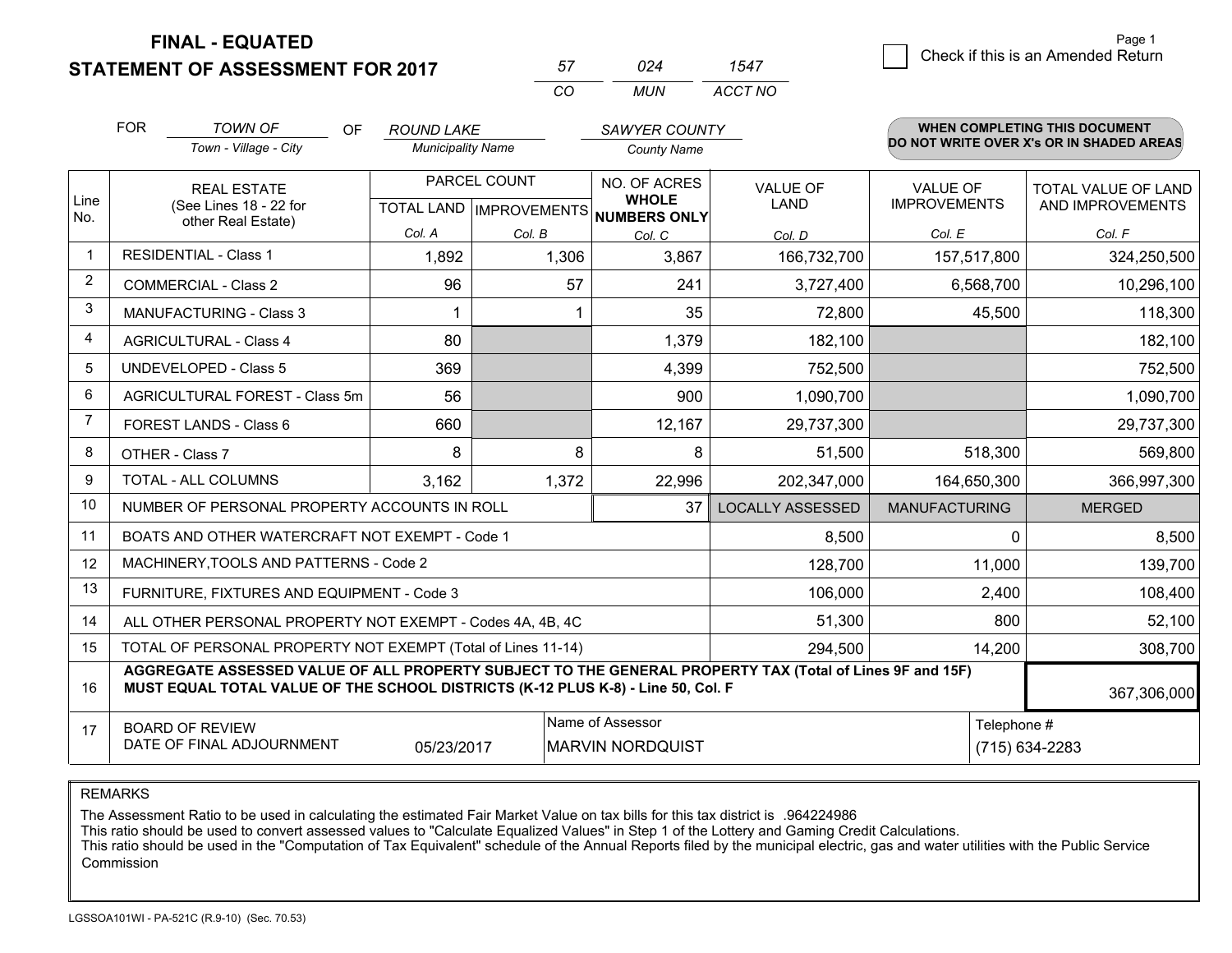**STATEMENT OF ASSESSMENT FOR 2017** 

| 57       | በጋ⊿  |         |
|----------|------|---------|
| $\cdots$ | MUN. | ACCT NO |

|             | <b>FOR</b> | <b>TOWN OF</b><br>OF<br>Town - Village - City                                                                                                                                                | <b>ROUND LAKE</b><br><b>Municipality Name</b> |              | <b>SAWYER COUNTY</b><br><b>County Name</b>                          |                                |                                        | <b>WHEN COMPLETING THIS DOCUMENT</b><br>DO NOT WRITE OVER X's OR IN SHADED AREAS |
|-------------|------------|----------------------------------------------------------------------------------------------------------------------------------------------------------------------------------------------|-----------------------------------------------|--------------|---------------------------------------------------------------------|--------------------------------|----------------------------------------|----------------------------------------------------------------------------------|
| Line<br>No. |            | <b>REAL ESTATE</b><br>(See Lines 18 - 22 for                                                                                                                                                 |                                               | PARCEL COUNT | NO. OF ACRES<br><b>WHOLE</b><br>TOTAL LAND MPROVEMENTS NUMBERS ONLY | <b>VALUE OF</b><br><b>LAND</b> | <b>VALUE OF</b><br><b>IMPROVEMENTS</b> | TOTAL VALUE OF LAND<br>AND IMPROVEMENTS                                          |
|             |            | other Real Estate)                                                                                                                                                                           | Col. A                                        | Col. B       | Col. C                                                              | Col. D                         | Col. E                                 | Col. F                                                                           |
| $\mathbf 1$ |            | <b>RESIDENTIAL - Class 1</b>                                                                                                                                                                 | 1,892                                         | 1,306        | 3,867                                                               | 166,732,700                    | 157,517,800                            | 324,250,500                                                                      |
| 2           |            | <b>COMMERCIAL - Class 2</b>                                                                                                                                                                  | 96                                            | 57           | 241                                                                 | 3,727,400                      | 6,568,700                              | 10,296,100                                                                       |
| 3           |            | <b>MANUFACTURING - Class 3</b>                                                                                                                                                               |                                               |              | 35                                                                  | 72,800                         | 45,500                                 | 118,300                                                                          |
| 4           |            | <b>AGRICULTURAL - Class 4</b>                                                                                                                                                                | 80                                            |              | 1,379                                                               | 182,100                        |                                        | 182,100                                                                          |
| 5           |            | <b>UNDEVELOPED - Class 5</b>                                                                                                                                                                 | 369                                           |              | 4,399                                                               | 752,500                        |                                        | 752,500                                                                          |
| 6           |            | AGRICULTURAL FOREST - Class 5m                                                                                                                                                               | 56                                            |              | 900                                                                 | 1,090,700                      |                                        | 1,090,700                                                                        |
| 7           |            | FOREST LANDS - Class 6                                                                                                                                                                       | 660                                           |              | 12,167                                                              | 29,737,300                     |                                        | 29,737,300                                                                       |
| 8           |            | OTHER - Class 7                                                                                                                                                                              | 8                                             | 8            | 8                                                                   | 51,500                         | 518,300                                | 569,800                                                                          |
| 9           |            | TOTAL - ALL COLUMNS                                                                                                                                                                          | 3,162                                         | 1,372        | 22,996                                                              | 202,347,000                    | 164,650,300                            | 366,997,300                                                                      |
| 10          |            | NUMBER OF PERSONAL PROPERTY ACCOUNTS IN ROLL                                                                                                                                                 |                                               |              | 37                                                                  | <b>LOCALLY ASSESSED</b>        | <b>MANUFACTURING</b>                   | <b>MERGED</b>                                                                    |
| 11          |            | BOATS AND OTHER WATERCRAFT NOT EXEMPT - Code 1                                                                                                                                               |                                               |              |                                                                     | 8,500                          | $\Omega$                               | 8,500                                                                            |
| 12          |            | MACHINERY, TOOLS AND PATTERNS - Code 2                                                                                                                                                       |                                               |              |                                                                     | 128,700                        | 11,000                                 | 139,700                                                                          |
| 13          |            | FURNITURE, FIXTURES AND EQUIPMENT - Code 3                                                                                                                                                   |                                               |              |                                                                     | 106,000                        | 2,400                                  | 108,400                                                                          |
| 14          |            | ALL OTHER PERSONAL PROPERTY NOT EXEMPT - Codes 4A, 4B, 4C                                                                                                                                    |                                               |              |                                                                     | 51,300                         | 800                                    | 52,100                                                                           |
| 15          |            | TOTAL OF PERSONAL PROPERTY NOT EXEMPT (Total of Lines 11-14)                                                                                                                                 |                                               |              |                                                                     | 294,500                        | 14,200                                 | 308,700                                                                          |
| 16          |            | AGGREGATE ASSESSED VALUE OF ALL PROPERTY SUBJECT TO THE GENERAL PROPERTY TAX (Total of Lines 9F and 15F)<br>MUST EQUAL TOTAL VALUE OF THE SCHOOL DISTRICTS (K-12 PLUS K-8) - Line 50, Col. F |                                               |              |                                                                     |                                |                                        | 367,306,000                                                                      |
| 17          |            | <b>BOARD OF REVIEW</b><br>DATE OF FINAL ADJOURNMENT                                                                                                                                          | 05/23/2017                                    |              | Name of Assessor<br><b>MARVIN NORDQUIST</b>                         |                                | Telephone #                            | (715) 634-2283                                                                   |

REMARKS

The Assessment Ratio to be used in calculating the estimated Fair Market Value on tax bills for this tax district is .964224986

This ratio should be used to convert assessed values to "Calculate Equalized Values" in Step 1 of the Lottery and Gaming Credit Calculations.<br>This ratio should be used in the "Computation of Tax Equivalent" schedule of the Commission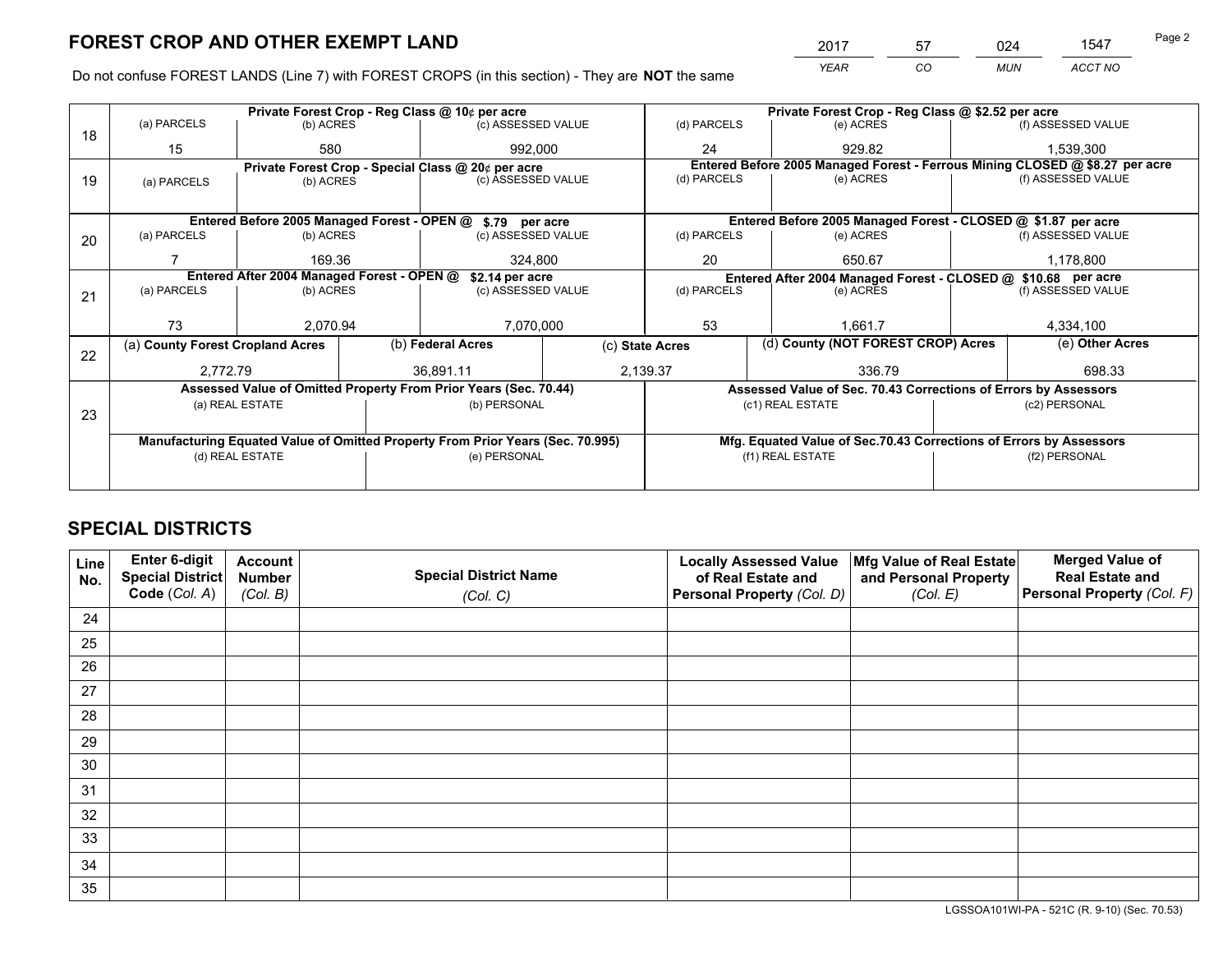*YEAR CO MUN ACCT NO* 2017 57 024 1547

Do not confuse FOREST LANDS (Line 7) with FOREST CROPS (in this section) - They are **NOT** the same

|    |                                  |                                            | Private Forest Crop - Reg Class @ 10¢ per acre                                 |                 | Private Forest Crop - Reg Class @ \$2.52 per acre                  |                                                                              |
|----|----------------------------------|--------------------------------------------|--------------------------------------------------------------------------------|-----------------|--------------------------------------------------------------------|------------------------------------------------------------------------------|
| 18 | (a) PARCELS                      | (b) ACRES                                  | (c) ASSESSED VALUE                                                             | (d) PARCELS     | (e) ACRES                                                          | (f) ASSESSED VALUE                                                           |
|    | 15                               | 580                                        | 992.000                                                                        | 24              | 929.82                                                             | 1,539,300                                                                    |
|    |                                  |                                            | Private Forest Crop - Special Class @ 20¢ per acre                             |                 |                                                                    | Entered Before 2005 Managed Forest - Ferrous Mining CLOSED @ \$8.27 per acre |
| 19 | (a) PARCELS                      | (b) ACRES                                  | (c) ASSESSED VALUE                                                             | (d) PARCELS     | (e) ACRES                                                          | (f) ASSESSED VALUE                                                           |
|    |                                  |                                            |                                                                                |                 |                                                                    |                                                                              |
|    |                                  |                                            | Entered Before 2005 Managed Forest - OPEN @ \$.79 per acre                     |                 | Entered Before 2005 Managed Forest - CLOSED @ \$1.87 per acre      |                                                                              |
| 20 | (a) PARCELS                      | (b) ACRES                                  | (c) ASSESSED VALUE                                                             | (d) PARCELS     | (e) ACRES                                                          | (f) ASSESSED VALUE                                                           |
|    |                                  | 169.36                                     | 324,800                                                                        | 20              | 650.67                                                             | 1,178,800                                                                    |
|    |                                  | Entered After 2004 Managed Forest - OPEN @ | \$2.14 per acre                                                                |                 | Entered After 2004 Managed Forest - CLOSED @ \$10.68 per acre      |                                                                              |
| 21 | (a) PARCELS                      | (b) ACRES                                  | (c) ASSESSED VALUE                                                             | (d) PARCELS     | (e) ACRES                                                          | (f) ASSESSED VALUE                                                           |
|    |                                  |                                            |                                                                                |                 |                                                                    |                                                                              |
|    | 73                               | 2.070.94                                   | 7,070,000                                                                      | 53              | 1.661.7                                                            | 4,334,100                                                                    |
| 22 | (a) County Forest Cropland Acres |                                            | (b) Federal Acres                                                              | (c) State Acres | (d) County (NOT FOREST CROP) Acres                                 | (e) Other Acres                                                              |
|    | 2,772.79                         |                                            | 36.891.11                                                                      | 2,139.37        | 336.79                                                             | 698.33                                                                       |
|    |                                  |                                            | Assessed Value of Omitted Property From Prior Years (Sec. 70.44)               |                 | Assessed Value of Sec. 70.43 Corrections of Errors by Assessors    |                                                                              |
|    |                                  | (a) REAL ESTATE                            | (b) PERSONAL                                                                   |                 | (c1) REAL ESTATE                                                   | (c2) PERSONAL                                                                |
| 23 |                                  |                                            |                                                                                |                 |                                                                    |                                                                              |
|    |                                  |                                            | Manufacturing Equated Value of Omitted Property From Prior Years (Sec. 70.995) |                 | Mfg. Equated Value of Sec.70.43 Corrections of Errors by Assessors |                                                                              |
|    |                                  | (d) REAL ESTATE                            | (e) PERSONAL                                                                   |                 | (f1) REAL ESTATE                                                   | (f2) PERSONAL                                                                |
|    |                                  |                                            |                                                                                |                 |                                                                    |                                                                              |

# **SPECIAL DISTRICTS**

| Line<br>No. | Enter 6-digit<br>Special District<br>Code (Col. A) | <b>Account</b><br><b>Number</b> | <b>Special District Name</b> | <b>Locally Assessed Value</b><br>of Real Estate and | Mfg Value of Real Estate<br>and Personal Property | <b>Merged Value of</b><br><b>Real Estate and</b><br>Personal Property (Col. F) |
|-------------|----------------------------------------------------|---------------------------------|------------------------------|-----------------------------------------------------|---------------------------------------------------|--------------------------------------------------------------------------------|
|             |                                                    | (Col. B)                        | (Col. C)                     | Personal Property (Col. D)                          | (Col. E)                                          |                                                                                |
| 24          |                                                    |                                 |                              |                                                     |                                                   |                                                                                |
| 25          |                                                    |                                 |                              |                                                     |                                                   |                                                                                |
| 26          |                                                    |                                 |                              |                                                     |                                                   |                                                                                |
| 27          |                                                    |                                 |                              |                                                     |                                                   |                                                                                |
| 28          |                                                    |                                 |                              |                                                     |                                                   |                                                                                |
| 29          |                                                    |                                 |                              |                                                     |                                                   |                                                                                |
| 30          |                                                    |                                 |                              |                                                     |                                                   |                                                                                |
| 31          |                                                    |                                 |                              |                                                     |                                                   |                                                                                |
| 32          |                                                    |                                 |                              |                                                     |                                                   |                                                                                |
| 33          |                                                    |                                 |                              |                                                     |                                                   |                                                                                |
| 34          |                                                    |                                 |                              |                                                     |                                                   |                                                                                |
| 35          |                                                    |                                 |                              |                                                     |                                                   |                                                                                |

LGSSOA101WI-PA - 521C (R. 9-10) (Sec. 70.53)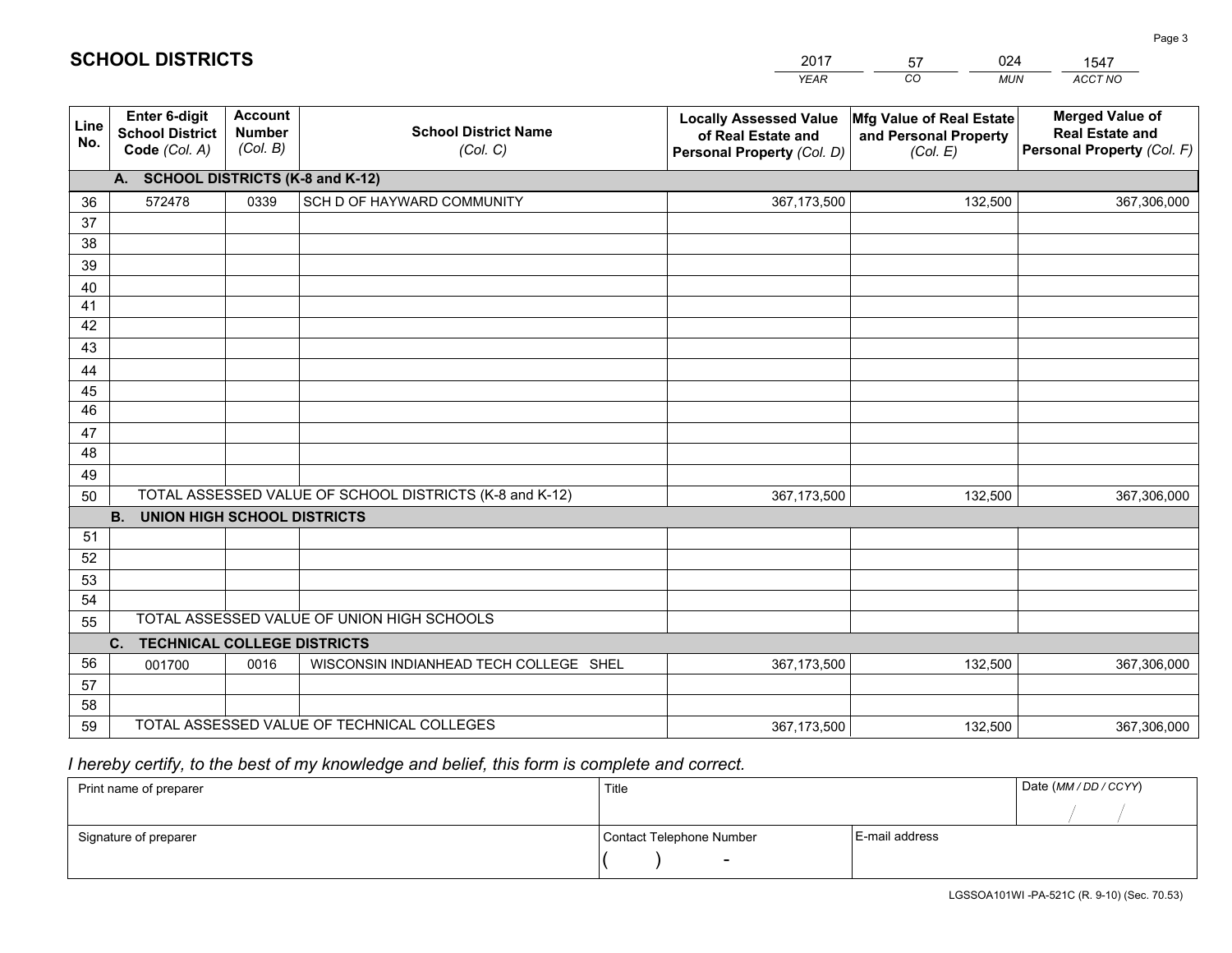#### *YEAR CO MUN ACCT NO*  **Line No.Enter 6-digit School District Code** *(Col. A)***Account Number** *(Col. B)***School District Name***(Col. C)***Locally Assessed Valueof Real Estate and Personal Property** *(Col. D)***Mfg Value of Real Estate and Personal Property***(Col. E)***Merged Value of Real Estate and Personal Property** *(Col. F)***A. SCHOOL DISTRICTS (K-8 and K-12)**36 37 3839 40 41 424344 45 4647 48 49 50 TOTAL ASSESSED VALUE OF SCHOOL DISTRICTS (K-8 and K-12) **B. UNION HIGH SCHOOL DISTRICTS**51 52 53 54 55**C. TECHNICAL COLLEGE DISTRICTS**0 0016 | WISCONSIN INDIANHEAD TECH COLLEGE SHEL 367,173,500 5657 58 59 TOTAL ASSESSED VALUE OF TECHNICAL COLLEGESTOTAL ASSESSED VALUE OF UNION HIGH SCHOOLS572478 0339 SCH D OF HAYWARD COMMUNITY **1998** 1272478 367,173,500 367,173,500001700 367,173,500132,500 367,306,000 132,500 367,306,000 132,500 367,306,000 132,500 367,306,000

2017

57

024

### *I hereby certify, to the best of my knowledge and belief, this form is complete and correct.*

**SCHOOL DISTRICTS**

| Print name of preparer | Title                    |                | Date (MM / DD / CCYY) |
|------------------------|--------------------------|----------------|-----------------------|
|                        |                          |                |                       |
| Signature of preparer  | Contact Telephone Number | E-mail address |                       |
|                        | $\sim$                   |                |                       |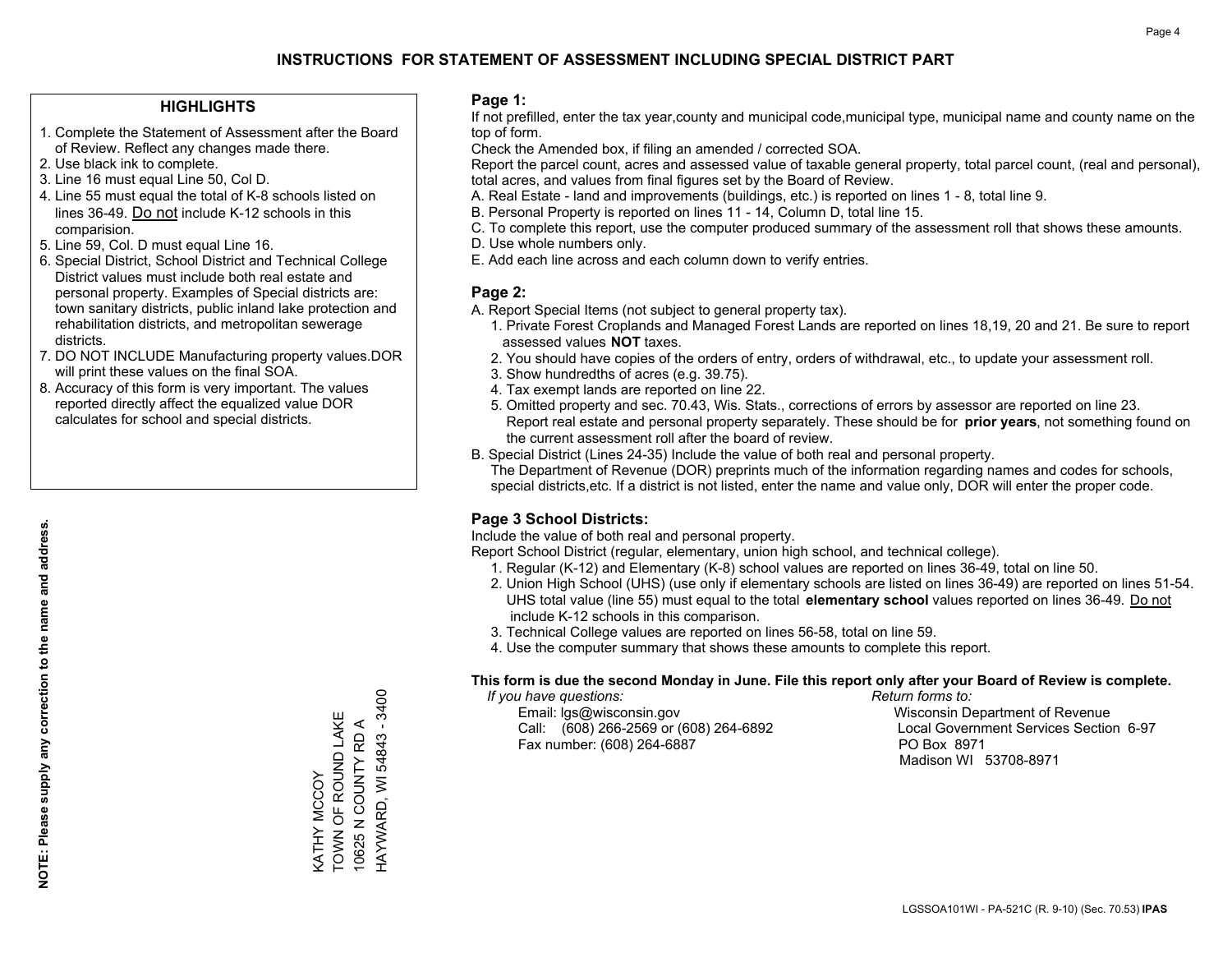### **HIGHLIGHTS**

- 1. Complete the Statement of Assessment after the Board of Review. Reflect any changes made there.
- 2. Use black ink to complete.
- 3. Line 16 must equal Line 50, Col D.
- 4. Line 55 must equal the total of K-8 schools listed on lines 36-49. Do not include K-12 schools in this comparision.
- 5. Line 59, Col. D must equal Line 16.
- 6. Special District, School District and Technical College District values must include both real estate and personal property. Examples of Special districts are: town sanitary districts, public inland lake protection and rehabilitation districts, and metropolitan sewerage districts.
- 7. DO NOT INCLUDE Manufacturing property values.DOR will print these values on the final SOA.
- 8. Accuracy of this form is very important. The values reported directly affect the equalized value DOR calculates for school and special districts.

#### **Page 1:**

 If not prefilled, enter the tax year,county and municipal code,municipal type, municipal name and county name on the top of form.

Check the Amended box, if filing an amended / corrected SOA.

 Report the parcel count, acres and assessed value of taxable general property, total parcel count, (real and personal), total acres, and values from final figures set by the Board of Review.

- A. Real Estate land and improvements (buildings, etc.) is reported on lines 1 8, total line 9.
- B. Personal Property is reported on lines 11 14, Column D, total line 15.
- C. To complete this report, use the computer produced summary of the assessment roll that shows these amounts.
- D. Use whole numbers only.
- E. Add each line across and each column down to verify entries.

### **Page 2:**

- A. Report Special Items (not subject to general property tax).
- 1. Private Forest Croplands and Managed Forest Lands are reported on lines 18,19, 20 and 21. Be sure to report assessed values **NOT** taxes.
- 2. You should have copies of the orders of entry, orders of withdrawal, etc., to update your assessment roll.
	- 3. Show hundredths of acres (e.g. 39.75).
- 4. Tax exempt lands are reported on line 22.
- 5. Omitted property and sec. 70.43, Wis. Stats., corrections of errors by assessor are reported on line 23. Report real estate and personal property separately. These should be for **prior years**, not something found on the current assessment roll after the board of review.
- B. Special District (Lines 24-35) Include the value of both real and personal property.

 The Department of Revenue (DOR) preprints much of the information regarding names and codes for schools, special districts,etc. If a district is not listed, enter the name and value only, DOR will enter the proper code.

### **Page 3 School Districts:**

Include the value of both real and personal property.

Report School District (regular, elementary, union high school, and technical college).

- 1. Regular (K-12) and Elementary (K-8) school values are reported on lines 36-49, total on line 50.
- 2. Union High School (UHS) (use only if elementary schools are listed on lines 36-49) are reported on lines 51-54. UHS total value (line 55) must equal to the total **elementary school** values reported on lines 36-49. Do notinclude K-12 schools in this comparison.
- 3. Technical College values are reported on lines 56-58, total on line 59.
- 4. Use the computer summary that shows these amounts to complete this report.

#### **This form is due the second Monday in June. File this report only after your Board of Review is complete.**

 *If you have questions: Return forms to:*

 Email: lgs@wisconsin.gov Wisconsin Department of RevenueCall:  $(608)$  266-2569 or  $(608)$  264-6892 Fax number: (608) 264-6887 PO Box 8971

Local Government Services Section 6-97 Madison WI 53708-8971

HAYWARD, WI 54843 - 3400 HAYWARD, WI 54843 - 3400 TOWN OF ROUND LAKE KATHY MCCOY<br>TOWN OF ROUND LAKE 10625 N COUNTY RD A 10625 N COUNTY RD A KATHY MCCOY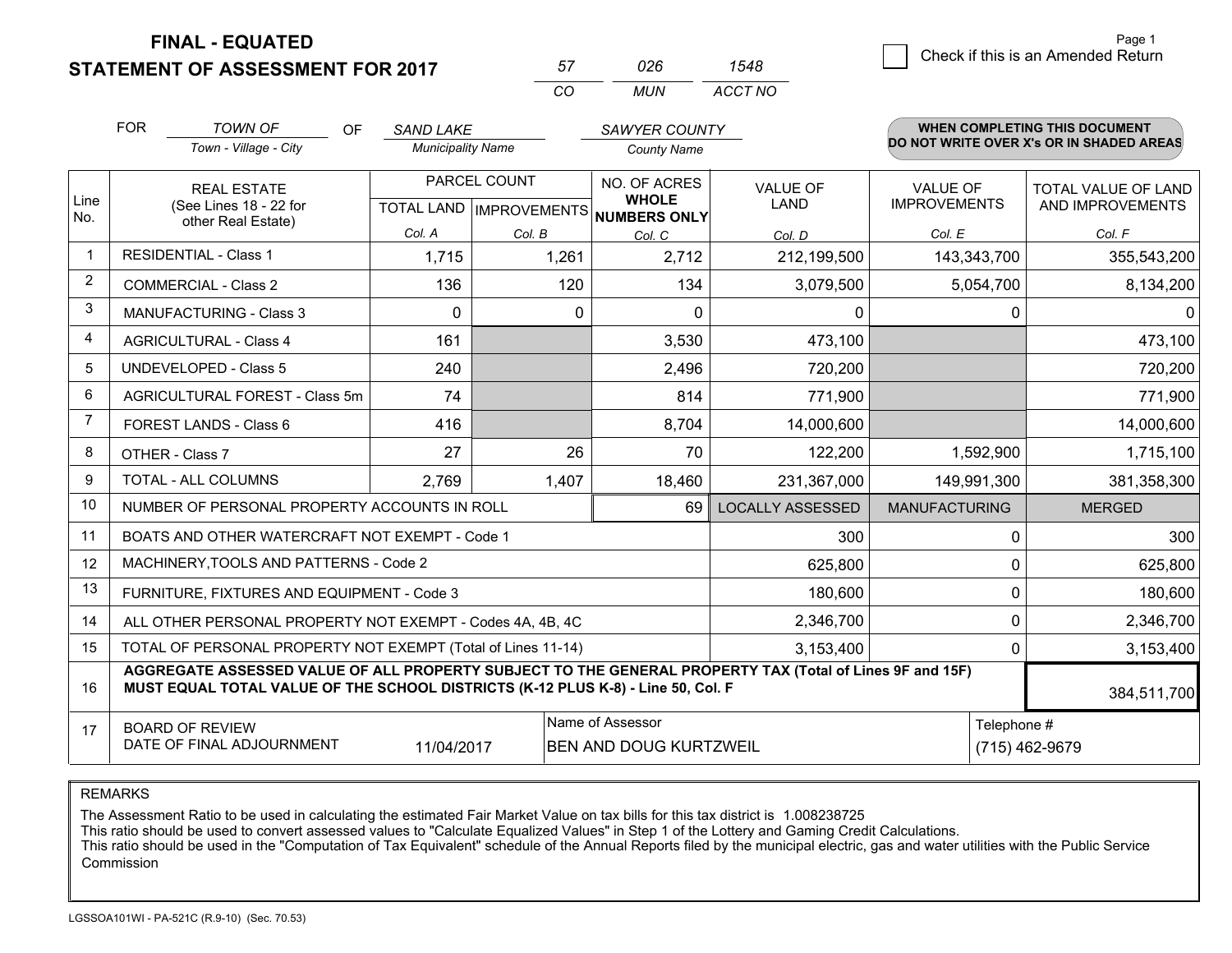### **STATEMENT OF ASSESSMENT FOR 2017**

| 57 | 026 | 1548    |
|----|-----|---------|
| rη | MUN | ACCT NO |

|                | <b>FOR</b> | <b>TOWN OF</b><br>OF<br>Town - Village - City                                                                                                                                                | <b>SAND LAKE</b><br><b>Municipality Name</b> |              | <b>SAWYER COUNTY</b><br><b>County Name</b>        |                                |                                        | <b>WHEN COMPLETING THIS DOCUMENT</b><br>DO NOT WRITE OVER X's OR IN SHADED AREAS |
|----------------|------------|----------------------------------------------------------------------------------------------------------------------------------------------------------------------------------------------|----------------------------------------------|--------------|---------------------------------------------------|--------------------------------|----------------------------------------|----------------------------------------------------------------------------------|
| Line           |            | <b>REAL ESTATE</b><br>(See Lines 18 - 22 for                                                                                                                                                 |                                              | PARCEL COUNT | NO. OF ACRES<br><b>WHOLE</b>                      | <b>VALUE OF</b><br><b>LAND</b> | <b>VALUE OF</b><br><b>IMPROVEMENTS</b> | <b>TOTAL VALUE OF LAND</b><br>AND IMPROVEMENTS                                   |
| No.            |            | other Real Estate)                                                                                                                                                                           | Col. A                                       | Col. B       | TOTAL LAND IMPROVEMENTS NUMBERS ONLY              | Col. D                         | Col. E                                 | Col. F                                                                           |
| $\mathbf 1$    |            | <b>RESIDENTIAL - Class 1</b>                                                                                                                                                                 | 1,715                                        | 1,261        | Col. C<br>2,712                                   | 212,199,500                    | 143,343,700                            | 355,543,200                                                                      |
| $\overline{2}$ |            | <b>COMMERCIAL - Class 2</b>                                                                                                                                                                  | 136                                          | 120          | 134                                               | 3,079,500                      | 5,054,700                              | 8,134,200                                                                        |
| 3              |            | <b>MANUFACTURING - Class 3</b>                                                                                                                                                               | $\Omega$                                     | 0            | $\Omega$                                          | 0                              | $\Omega$                               | 0                                                                                |
| 4              |            | <b>AGRICULTURAL - Class 4</b>                                                                                                                                                                | 161                                          |              | 3,530                                             | 473,100                        |                                        | 473,100                                                                          |
| 5              |            | <b>UNDEVELOPED - Class 5</b>                                                                                                                                                                 | 240                                          |              | 2,496                                             | 720,200                        |                                        | 720,200                                                                          |
| 6              |            | AGRICULTURAL FOREST - Class 5m                                                                                                                                                               | 74                                           |              | 814                                               | 771,900                        |                                        | 771,900                                                                          |
| 7              |            | FOREST LANDS - Class 6                                                                                                                                                                       | 416                                          |              | 8,704                                             | 14,000,600                     |                                        | 14,000,600                                                                       |
| 8              |            | OTHER - Class 7                                                                                                                                                                              | 27                                           | 26           | 70                                                | 122,200                        | 1,592,900                              | 1,715,100                                                                        |
| 9              |            | TOTAL - ALL COLUMNS                                                                                                                                                                          | 2,769                                        | 1,407        | 18,460                                            | 231,367,000                    | 149,991,300                            | 381,358,300                                                                      |
| 10             |            | NUMBER OF PERSONAL PROPERTY ACCOUNTS IN ROLL                                                                                                                                                 |                                              |              | 69                                                | <b>LOCALLY ASSESSED</b>        | <b>MANUFACTURING</b>                   | <b>MERGED</b>                                                                    |
| 11             |            | BOATS AND OTHER WATERCRAFT NOT EXEMPT - Code 1                                                                                                                                               |                                              |              |                                                   | 300                            | $\mathbf{0}$                           | 300                                                                              |
| 12             |            | MACHINERY, TOOLS AND PATTERNS - Code 2                                                                                                                                                       |                                              |              |                                                   | 625,800                        | $\Omega$                               | 625,800                                                                          |
| 13             |            | FURNITURE, FIXTURES AND EQUIPMENT - Code 3                                                                                                                                                   |                                              |              |                                                   | 180,600                        | $\mathbf{0}$                           | 180,600                                                                          |
| 14             |            | ALL OTHER PERSONAL PROPERTY NOT EXEMPT - Codes 4A, 4B, 4C                                                                                                                                    |                                              |              |                                                   | 2,346,700                      | $\mathbf{0}$                           | 2,346,700                                                                        |
| 15             |            | TOTAL OF PERSONAL PROPERTY NOT EXEMPT (Total of Lines 11-14)                                                                                                                                 |                                              |              |                                                   | 3,153,400                      | $\Omega$                               | 3,153,400                                                                        |
| 16             |            | AGGREGATE ASSESSED VALUE OF ALL PROPERTY SUBJECT TO THE GENERAL PROPERTY TAX (Total of Lines 9F and 15F)<br>MUST EQUAL TOTAL VALUE OF THE SCHOOL DISTRICTS (K-12 PLUS K-8) - Line 50, Col. F |                                              |              |                                                   |                                |                                        | 384,511,700                                                                      |
| 17             |            | <b>BOARD OF REVIEW</b><br>DATE OF FINAL ADJOURNMENT                                                                                                                                          | 11/04/2017                                   |              | Name of Assessor<br><b>BEN AND DOUG KURTZWEIL</b> |                                | Telephone #                            | (715) 462-9679                                                                   |
|                |            |                                                                                                                                                                                              |                                              |              |                                                   |                                |                                        |                                                                                  |

REMARKS

The Assessment Ratio to be used in calculating the estimated Fair Market Value on tax bills for this tax district is 1.008238725<br>This ratio should be used to convert assessed values to "Calculate Equalized Values" in Step Commission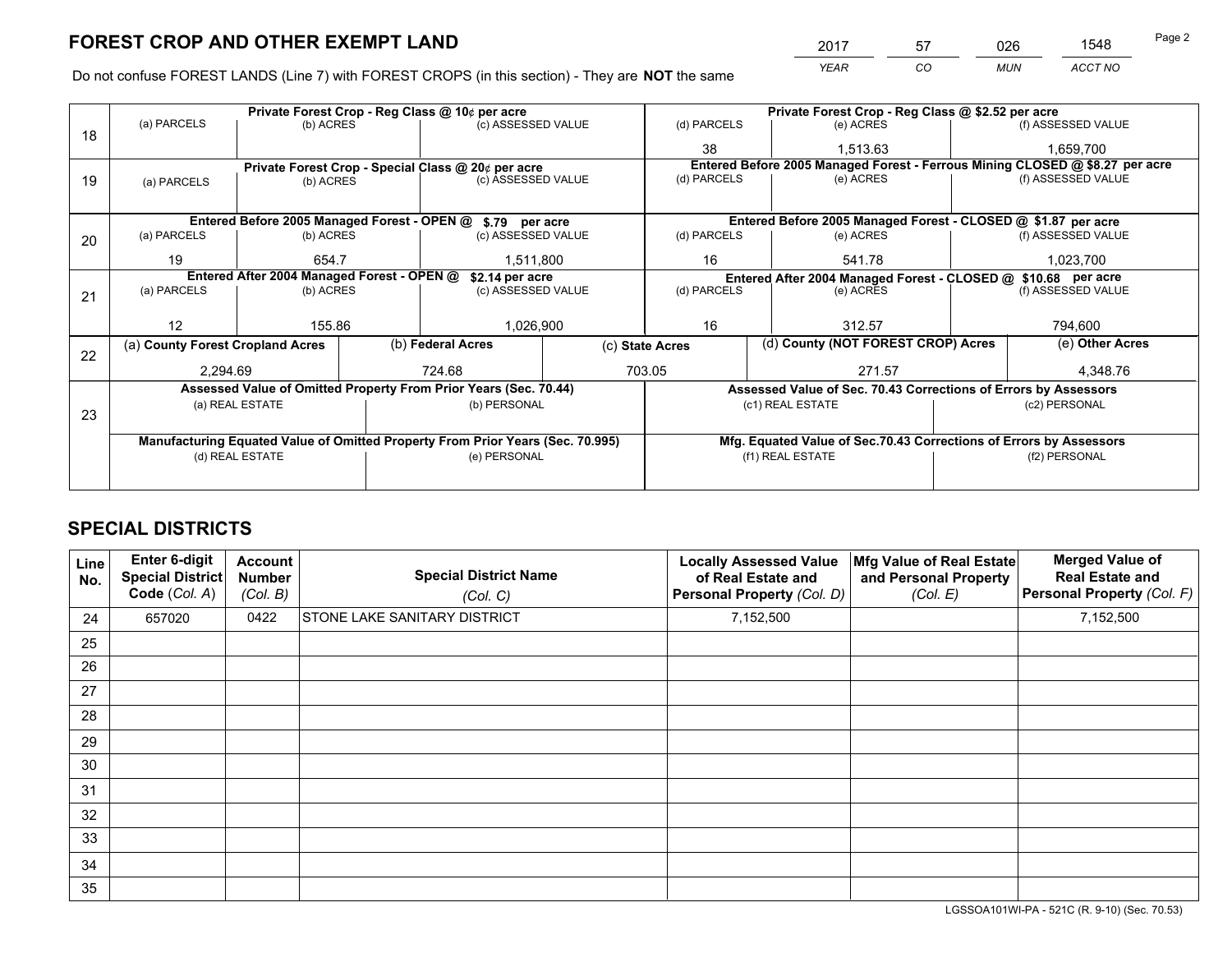*YEAR CO MUN ACCT NO* <sup>2017</sup> <sup>57</sup> <sup>026</sup> <sup>1548</sup> Page 2

Do not confuse FOREST LANDS (Line 7) with FOREST CROPS (in this section) - They are **NOT** the same

|    |                                  | Private Forest Crop - Reg Class @ 10¢ per acre |                                                                                |                 | Private Forest Crop - Reg Class @ \$2.52 per acre                  |                                                                              |
|----|----------------------------------|------------------------------------------------|--------------------------------------------------------------------------------|-----------------|--------------------------------------------------------------------|------------------------------------------------------------------------------|
| 18 | (a) PARCELS                      | (b) ACRES                                      | (c) ASSESSED VALUE                                                             | (d) PARCELS     | (e) ACRES                                                          | (f) ASSESSED VALUE                                                           |
|    |                                  |                                                |                                                                                | 38              | 1.513.63                                                           | 1,659,700                                                                    |
|    |                                  |                                                | Private Forest Crop - Special Class @ 20¢ per acre                             |                 |                                                                    | Entered Before 2005 Managed Forest - Ferrous Mining CLOSED @ \$8.27 per acre |
| 19 | (a) PARCELS                      | (b) ACRES                                      | (c) ASSESSED VALUE                                                             | (d) PARCELS     | (e) ACRES                                                          | (f) ASSESSED VALUE                                                           |
|    |                                  |                                                |                                                                                |                 |                                                                    |                                                                              |
|    |                                  |                                                | Entered Before 2005 Managed Forest - OPEN @ \$.79 per acre                     |                 | Entered Before 2005 Managed Forest - CLOSED @ \$1.87 per acre      |                                                                              |
| 20 | (a) PARCELS                      | (b) ACRES                                      | (c) ASSESSED VALUE                                                             | (d) PARCELS     | (e) ACRES                                                          | (f) ASSESSED VALUE                                                           |
|    | 19                               | 654.7                                          | 1,511,800                                                                      | 16              | 541.78                                                             | 1,023,700                                                                    |
|    |                                  | Entered After 2004 Managed Forest - OPEN @     | \$2.14 per acre                                                                |                 | Entered After 2004 Managed Forest - CLOSED @ \$10.68 per acre      |                                                                              |
| 21 | (a) PARCELS                      | (b) ACRES                                      | (c) ASSESSED VALUE                                                             | (d) PARCELS     | (e) ACRES                                                          | (f) ASSESSED VALUE                                                           |
|    |                                  |                                                |                                                                                |                 |                                                                    |                                                                              |
|    | 12                               | 155.86                                         | 1,026,900                                                                      | 16              | 312.57                                                             | 794,600                                                                      |
|    | (a) County Forest Cropland Acres |                                                | (b) Federal Acres                                                              | (c) State Acres | (d) County (NOT FOREST CROP) Acres                                 | (e) Other Acres                                                              |
| 22 | 2,294.69                         |                                                | 724.68                                                                         | 703.05          | 271.57                                                             | 4,348.76                                                                     |
|    |                                  |                                                | Assessed Value of Omitted Property From Prior Years (Sec. 70.44)               |                 | Assessed Value of Sec. 70.43 Corrections of Errors by Assessors    |                                                                              |
|    |                                  | (a) REAL ESTATE                                | (b) PERSONAL                                                                   |                 | (c1) REAL ESTATE                                                   | (c2) PERSONAL                                                                |
| 23 |                                  |                                                |                                                                                |                 |                                                                    |                                                                              |
|    |                                  |                                                | Manufacturing Equated Value of Omitted Property From Prior Years (Sec. 70.995) |                 | Mfg. Equated Value of Sec.70.43 Corrections of Errors by Assessors |                                                                              |
|    |                                  | (d) REAL ESTATE                                | (e) PERSONAL                                                                   |                 | (f1) REAL ESTATE                                                   | (f2) PERSONAL                                                                |
|    |                                  |                                                |                                                                                |                 |                                                                    |                                                                              |

# **SPECIAL DISTRICTS**

| Line<br>No. | Enter 6-digit<br><b>Special District</b><br>Code (Col. A) | <b>Account</b><br><b>Number</b><br>(Col. B) | <b>Special District Name</b><br>(Col. C) | <b>Locally Assessed Value</b><br>of Real Estate and<br>Personal Property (Col. D) | Mfg Value of Real Estate<br>and Personal Property<br>(Col. E) | <b>Merged Value of</b><br><b>Real Estate and</b><br>Personal Property (Col. F) |
|-------------|-----------------------------------------------------------|---------------------------------------------|------------------------------------------|-----------------------------------------------------------------------------------|---------------------------------------------------------------|--------------------------------------------------------------------------------|
| 24          | 657020                                                    | 0422                                        | <b>STONE LAKE SANITARY DISTRICT</b>      | 7,152,500                                                                         |                                                               | 7,152,500                                                                      |
| 25          |                                                           |                                             |                                          |                                                                                   |                                                               |                                                                                |
| 26          |                                                           |                                             |                                          |                                                                                   |                                                               |                                                                                |
| 27          |                                                           |                                             |                                          |                                                                                   |                                                               |                                                                                |
| 28          |                                                           |                                             |                                          |                                                                                   |                                                               |                                                                                |
| 29          |                                                           |                                             |                                          |                                                                                   |                                                               |                                                                                |
| 30          |                                                           |                                             |                                          |                                                                                   |                                                               |                                                                                |
| 31          |                                                           |                                             |                                          |                                                                                   |                                                               |                                                                                |
| 32          |                                                           |                                             |                                          |                                                                                   |                                                               |                                                                                |
| 33          |                                                           |                                             |                                          |                                                                                   |                                                               |                                                                                |
| 34          |                                                           |                                             |                                          |                                                                                   |                                                               |                                                                                |
| 35          |                                                           |                                             |                                          |                                                                                   |                                                               |                                                                                |

LGSSOA101WI-PA - 521C (R. 9-10) (Sec. 70.53)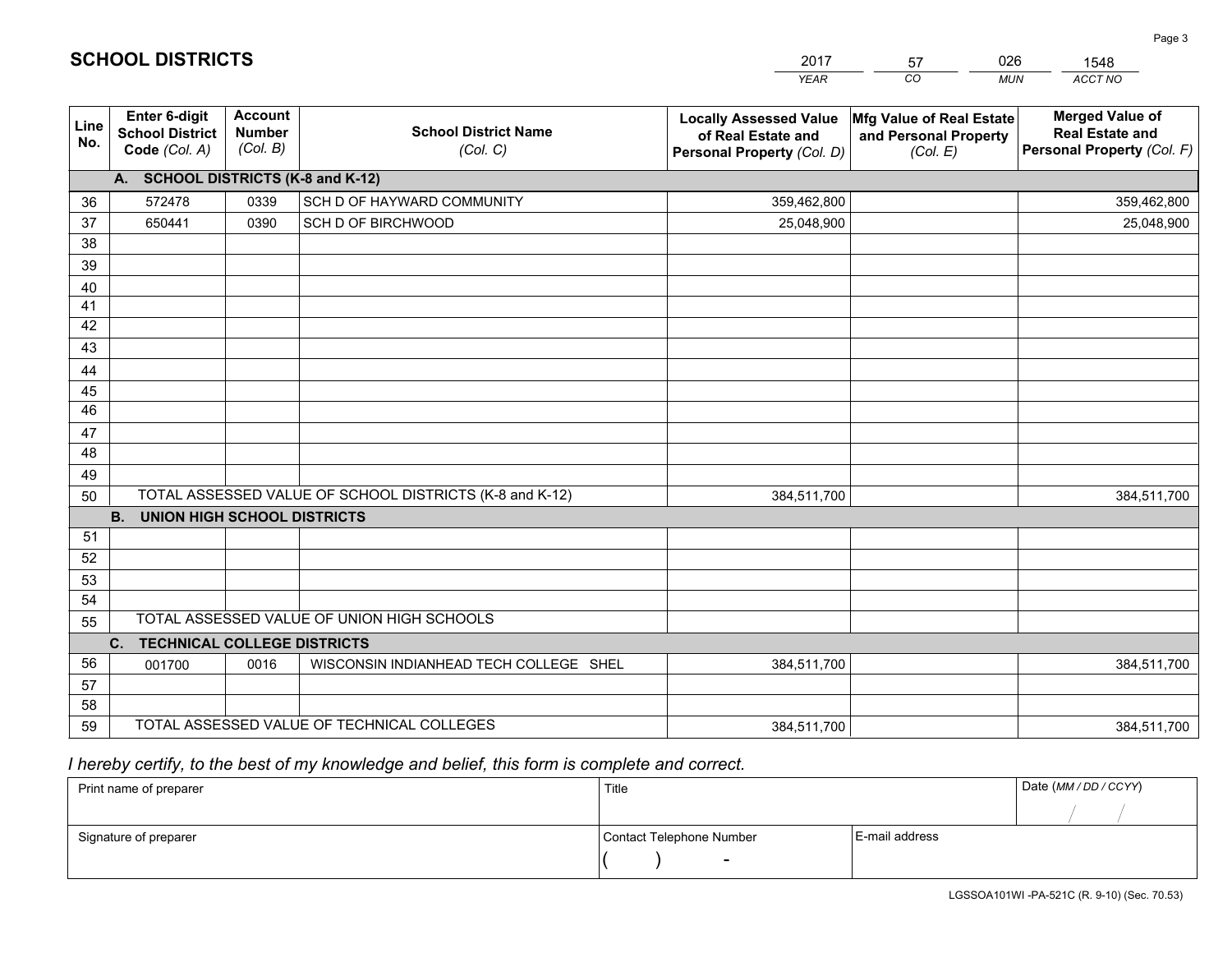|             |                                                                 |                                             |                                                         | <b>YEAR</b>                                                                       | CO<br><b>MUN</b>                                              | ACCT NO                                                                        |
|-------------|-----------------------------------------------------------------|---------------------------------------------|---------------------------------------------------------|-----------------------------------------------------------------------------------|---------------------------------------------------------------|--------------------------------------------------------------------------------|
| Line<br>No. | <b>Enter 6-digit</b><br><b>School District</b><br>Code (Col. A) | <b>Account</b><br><b>Number</b><br>(Col. B) | <b>School District Name</b><br>(Col. C)                 | <b>Locally Assessed Value</b><br>of Real Estate and<br>Personal Property (Col. D) | Mfg Value of Real Estate<br>and Personal Property<br>(Col. E) | <b>Merged Value of</b><br><b>Real Estate and</b><br>Personal Property (Col. F) |
|             | A. SCHOOL DISTRICTS (K-8 and K-12)                              |                                             |                                                         |                                                                                   |                                                               |                                                                                |
| 36          | 572478                                                          | 0339                                        | SCH D OF HAYWARD COMMUNITY                              | 359,462,800                                                                       |                                                               | 359,462,800                                                                    |
| 37          | 650441                                                          | 0390                                        | SCH D OF BIRCHWOOD                                      | 25,048,900                                                                        |                                                               | 25,048,900                                                                     |
| 38          |                                                                 |                                             |                                                         |                                                                                   |                                                               |                                                                                |
| 39          |                                                                 |                                             |                                                         |                                                                                   |                                                               |                                                                                |
| 40          |                                                                 |                                             |                                                         |                                                                                   |                                                               |                                                                                |
| 41          |                                                                 |                                             |                                                         |                                                                                   |                                                               |                                                                                |
| 42          |                                                                 |                                             |                                                         |                                                                                   |                                                               |                                                                                |
| 43          |                                                                 |                                             |                                                         |                                                                                   |                                                               |                                                                                |
| 44          |                                                                 |                                             |                                                         |                                                                                   |                                                               |                                                                                |
| 45          |                                                                 |                                             |                                                         |                                                                                   |                                                               |                                                                                |
| 46          |                                                                 |                                             |                                                         |                                                                                   |                                                               |                                                                                |
| 47          |                                                                 |                                             |                                                         |                                                                                   |                                                               |                                                                                |
| 48          |                                                                 |                                             |                                                         |                                                                                   |                                                               |                                                                                |
| 49<br>50    |                                                                 |                                             | TOTAL ASSESSED VALUE OF SCHOOL DISTRICTS (K-8 and K-12) | 384,511,700                                                                       |                                                               |                                                                                |
|             | <b>B.</b><br><b>UNION HIGH SCHOOL DISTRICTS</b>                 |                                             |                                                         |                                                                                   |                                                               | 384,511,700                                                                    |
| 51          |                                                                 |                                             |                                                         |                                                                                   |                                                               |                                                                                |
| 52          |                                                                 |                                             |                                                         |                                                                                   |                                                               |                                                                                |
| 53          |                                                                 |                                             |                                                         |                                                                                   |                                                               |                                                                                |
| 54          |                                                                 |                                             |                                                         |                                                                                   |                                                               |                                                                                |
| 55          |                                                                 |                                             | TOTAL ASSESSED VALUE OF UNION HIGH SCHOOLS              |                                                                                   |                                                               |                                                                                |
|             | <b>TECHNICAL COLLEGE DISTRICTS</b><br>C.                        |                                             |                                                         |                                                                                   |                                                               |                                                                                |
| 56          | 001700                                                          | 0016                                        | WISCONSIN INDIANHEAD TECH COLLEGE SHEL                  | 384,511,700                                                                       |                                                               | 384,511,700                                                                    |
| 57          |                                                                 |                                             |                                                         |                                                                                   |                                                               |                                                                                |
| 58          |                                                                 |                                             |                                                         |                                                                                   |                                                               |                                                                                |
| 59          |                                                                 |                                             | TOTAL ASSESSED VALUE OF TECHNICAL COLLEGES              | 384,511,700                                                                       |                                                               | 384,511,700                                                                    |

2017

57

026

 *I hereby certify, to the best of my knowledge and belief, this form is complete and correct.*

**SCHOOL DISTRICTS**

| Print name of preparer | Title                    |                | Date (MM / DD / CCYY) |
|------------------------|--------------------------|----------------|-----------------------|
|                        |                          |                |                       |
| Signature of preparer  | Contact Telephone Number | E-mail address |                       |
|                        | $\sim$                   |                |                       |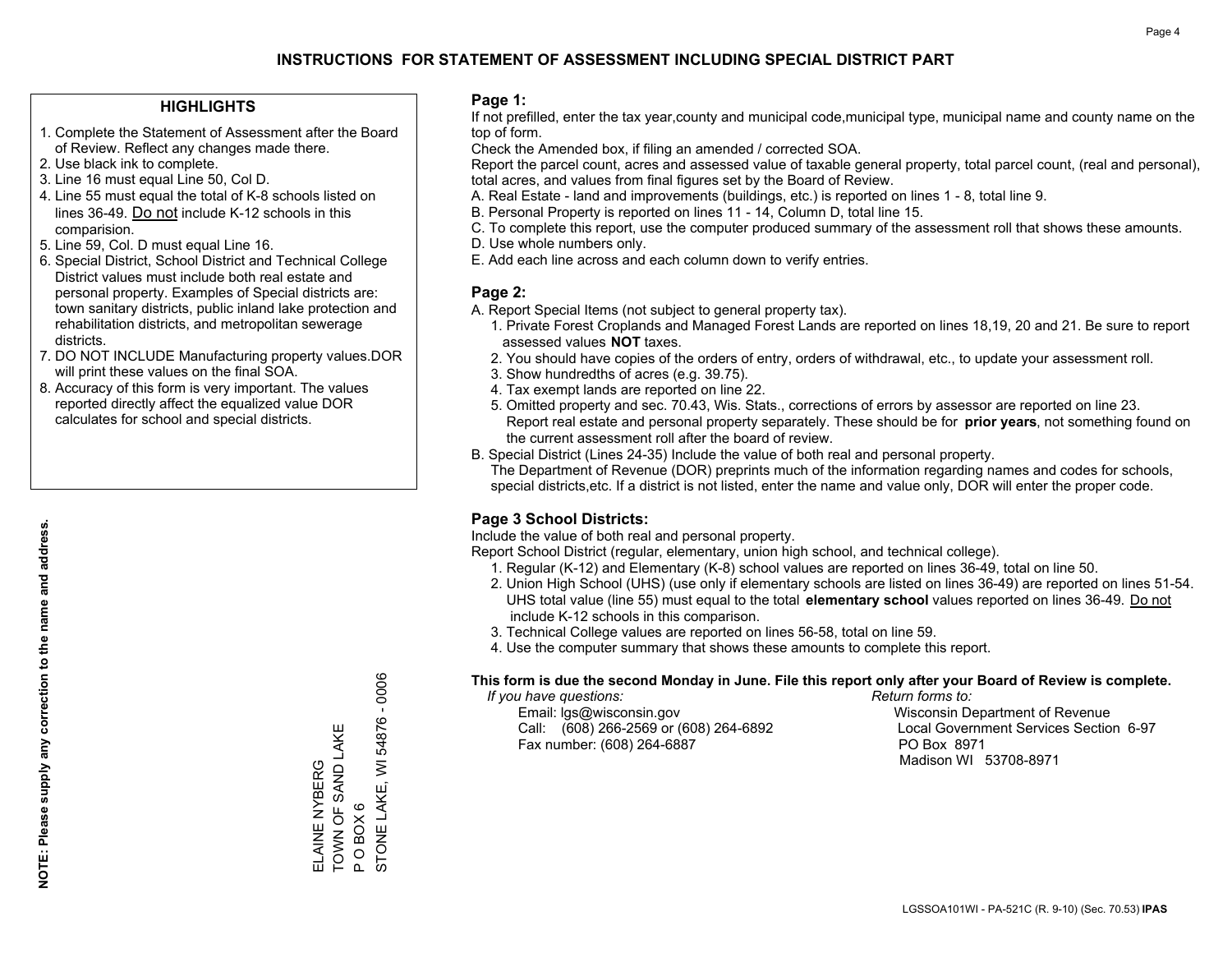### **HIGHLIGHTS**

- 1. Complete the Statement of Assessment after the Board of Review. Reflect any changes made there.
- 2. Use black ink to complete.
- 3. Line 16 must equal Line 50, Col D.
- 4. Line 55 must equal the total of K-8 schools listed on lines 36-49. Do not include K-12 schools in this comparision.
- 5. Line 59, Col. D must equal Line 16.
- 6. Special District, School District and Technical College District values must include both real estate and personal property. Examples of Special districts are: town sanitary districts, public inland lake protection and rehabilitation districts, and metropolitan sewerage districts.
- 7. DO NOT INCLUDE Manufacturing property values.DOR will print these values on the final SOA.
- 8. Accuracy of this form is very important. The values reported directly affect the equalized value DOR calculates for school and special districts.

#### **Page 1:**

 If not prefilled, enter the tax year,county and municipal code,municipal type, municipal name and county name on the top of form.

Check the Amended box, if filing an amended / corrected SOA.

 Report the parcel count, acres and assessed value of taxable general property, total parcel count, (real and personal), total acres, and values from final figures set by the Board of Review.

- A. Real Estate land and improvements (buildings, etc.) is reported on lines 1 8, total line 9.
- B. Personal Property is reported on lines 11 14, Column D, total line 15.
- C. To complete this report, use the computer produced summary of the assessment roll that shows these amounts.
- D. Use whole numbers only.
- E. Add each line across and each column down to verify entries.

#### **Page 2:**

- A. Report Special Items (not subject to general property tax).
- 1. Private Forest Croplands and Managed Forest Lands are reported on lines 18,19, 20 and 21. Be sure to report assessed values **NOT** taxes.
- 2. You should have copies of the orders of entry, orders of withdrawal, etc., to update your assessment roll.
	- 3. Show hundredths of acres (e.g. 39.75).
- 4. Tax exempt lands are reported on line 22.
- 5. Omitted property and sec. 70.43, Wis. Stats., corrections of errors by assessor are reported on line 23. Report real estate and personal property separately. These should be for **prior years**, not something found on the current assessment roll after the board of review.
- B. Special District (Lines 24-35) Include the value of both real and personal property.
- The Department of Revenue (DOR) preprints much of the information regarding names and codes for schools, special districts,etc. If a district is not listed, enter the name and value only, DOR will enter the proper code.

### **Page 3 School Districts:**

Include the value of both real and personal property.

Report School District (regular, elementary, union high school, and technical college).

- 1. Regular (K-12) and Elementary (K-8) school values are reported on lines 36-49, total on line 50.
- 2. Union High School (UHS) (use only if elementary schools are listed on lines 36-49) are reported on lines 51-54. UHS total value (line 55) must equal to the total **elementary school** values reported on lines 36-49. Do notinclude K-12 schools in this comparison.
- 3. Technical College values are reported on lines 56-58, total on line 59.
- 4. Use the computer summary that shows these amounts to complete this report.

#### **This form is due the second Monday in June. File this report only after your Board of Review is complete.**

 *If you have questions: Return forms to:*

 Email: lgs@wisconsin.gov Wisconsin Department of RevenueCall:  $(608)$  266-2569 or  $(608)$  264-6892 Fax number: (608) 264-6887 PO Box 8971

Local Government Services Section 6-97 Madison WI 53708-8971

STONE LAKE, WI 54876 - 0006 STONE LAKE, WI 54876 - 0006 TOWN OF SAND LAKE ELAINE NYBERG<br>TOWN OF SAND LAKE ELAINE NYBERG  $O$  BOX  $6$ P O BOX 6  $\mathbf{a}$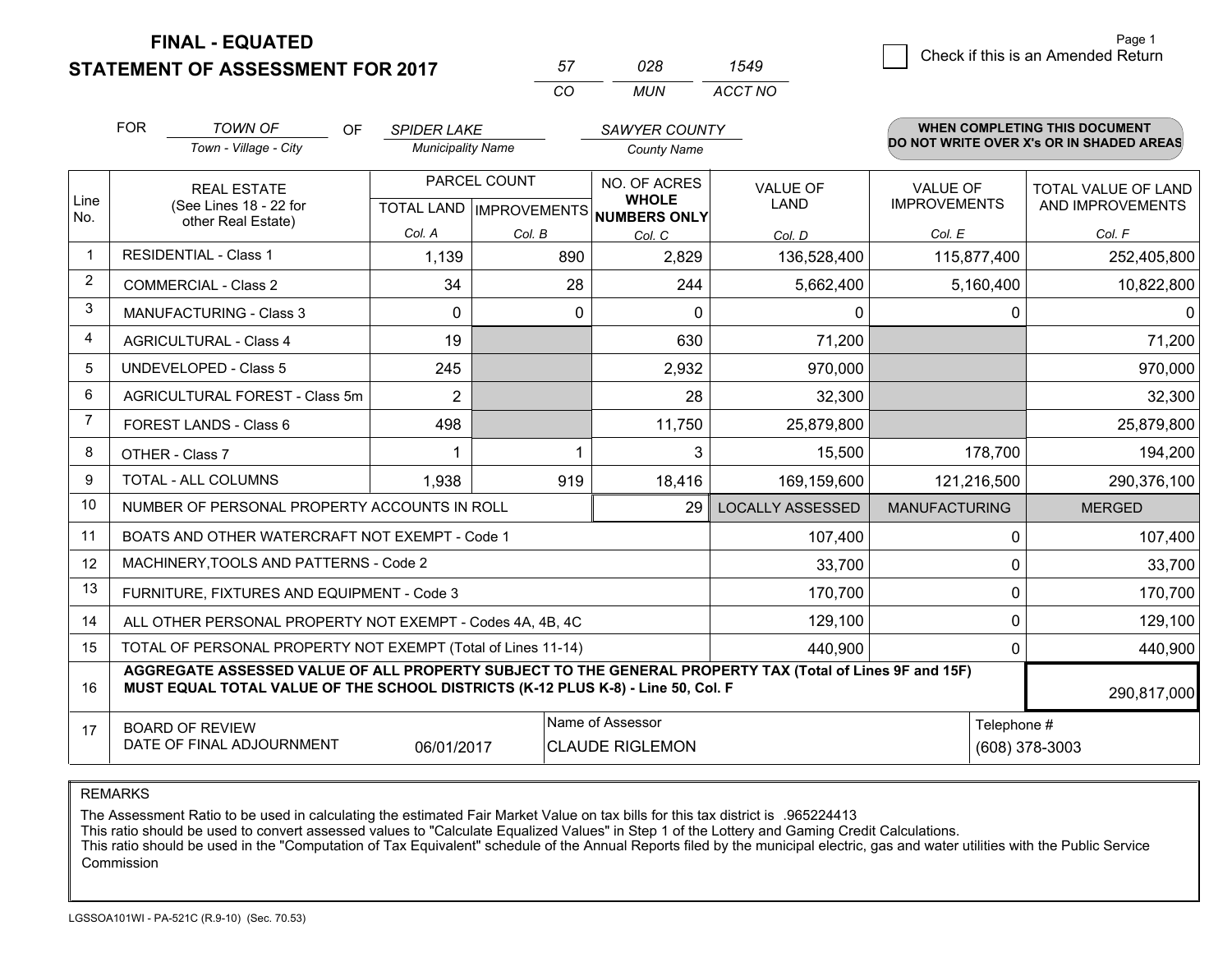**STATEMENT OF ASSESSMENT FOR 2017** 

| 028 | 1549    |
|-----|---------|
| MUN | ACCT NO |

|                | <b>FOR</b>                                                                                                                                                                                   | <b>TOWN OF</b><br>OF                                         | <b>SPIDER LAKE</b>                                                                          |        | SAWYER COUNTY                                            |                         |                      | <b>WHEN COMPLETING THIS DOCUMENT</b><br>DO NOT WRITE OVER X's OR IN SHADED AREAS |  |
|----------------|----------------------------------------------------------------------------------------------------------------------------------------------------------------------------------------------|--------------------------------------------------------------|---------------------------------------------------------------------------------------------|--------|----------------------------------------------------------|-------------------------|----------------------|----------------------------------------------------------------------------------|--|
|                |                                                                                                                                                                                              | Town - Village - City                                        | <b>Municipality Name</b>                                                                    |        | <b>County Name</b>                                       |                         |                      |                                                                                  |  |
|                |                                                                                                                                                                                              | PARCEL COUNT<br><b>REAL ESTATE</b>                           |                                                                                             |        | NO. OF ACRES                                             | VALUE OF                | <b>VALUE OF</b>      | TOTAL VALUE OF LAND                                                              |  |
| Line<br>No.    |                                                                                                                                                                                              | (See Lines 18 - 22 for<br>other Real Estate)                 |                                                                                             |        | <b>WHOLE</b><br>TOTAL LAND   IMPROVEMENTS   NUMBERS ONLY | <b>LAND</b>             | <b>IMPROVEMENTS</b>  | AND IMPROVEMENTS                                                                 |  |
|                |                                                                                                                                                                                              |                                                              | Col. A                                                                                      | Col. B | Col. C                                                   | Col. D                  | Col. E               | Col. F                                                                           |  |
| $\mathbf 1$    |                                                                                                                                                                                              | <b>RESIDENTIAL - Class 1</b>                                 | 1,139                                                                                       | 890    | 2,829                                                    | 136,528,400             | 115,877,400          | 252,405,800                                                                      |  |
| 2              |                                                                                                                                                                                              | <b>COMMERCIAL - Class 2</b>                                  | 34                                                                                          | 28     | 244                                                      | 5,662,400               | 5,160,400            | 10,822,800                                                                       |  |
| 3              |                                                                                                                                                                                              | MANUFACTURING - Class 3                                      | $\Omega$                                                                                    | 0      | $\Omega$                                                 | 0                       | 0                    | $\mathbf{0}$                                                                     |  |
| $\overline{4}$ |                                                                                                                                                                                              | <b>AGRICULTURAL - Class 4</b>                                | 19                                                                                          |        | 630                                                      | 71,200                  |                      | 71,200                                                                           |  |
| 5              |                                                                                                                                                                                              | <b>UNDEVELOPED - Class 5</b>                                 | 245                                                                                         |        | 2,932                                                    | 970,000                 |                      | 970,000                                                                          |  |
| 6              |                                                                                                                                                                                              | AGRICULTURAL FOREST - Class 5m                               | $\overline{2}$                                                                              |        | 28                                                       | 32,300                  |                      | 32,300                                                                           |  |
| $\overline{7}$ |                                                                                                                                                                                              | FOREST LANDS - Class 6                                       | 498                                                                                         |        | 11,750                                                   | 25,879,800              |                      | 25,879,800                                                                       |  |
| 8              |                                                                                                                                                                                              | OTHER - Class 7                                              |                                                                                             |        | 3                                                        | 15,500                  | 178,700              | 194,200                                                                          |  |
| 9              |                                                                                                                                                                                              | TOTAL - ALL COLUMNS                                          | 1,938                                                                                       | 919    | 18,416                                                   | 169,159,600             | 121,216,500          | 290,376,100                                                                      |  |
| 10             |                                                                                                                                                                                              | NUMBER OF PERSONAL PROPERTY ACCOUNTS IN ROLL                 |                                                                                             |        | 29                                                       | <b>LOCALLY ASSESSED</b> | <b>MANUFACTURING</b> | <b>MERGED</b>                                                                    |  |
| 11             |                                                                                                                                                                                              | BOATS AND OTHER WATERCRAFT NOT EXEMPT - Code 1               |                                                                                             |        |                                                          | 107,400                 | $\Omega$             | 107,400                                                                          |  |
| 12             |                                                                                                                                                                                              | MACHINERY, TOOLS AND PATTERNS - Code 2                       |                                                                                             |        |                                                          | 33,700                  | 0                    | 33,700                                                                           |  |
| 13             |                                                                                                                                                                                              | FURNITURE, FIXTURES AND EQUIPMENT - Code 3                   |                                                                                             |        |                                                          | 170,700                 | $\Omega$             | 170,700                                                                          |  |
| 14             |                                                                                                                                                                                              | ALL OTHER PERSONAL PROPERTY NOT EXEMPT - Codes 4A, 4B, 4C    |                                                                                             |        |                                                          | 129,100                 | 0                    | 129,100                                                                          |  |
| 15             |                                                                                                                                                                                              | TOTAL OF PERSONAL PROPERTY NOT EXEMPT (Total of Lines 11-14) |                                                                                             |        |                                                          | 440.900                 | $\Omega$             | 440,900                                                                          |  |
| 16             | AGGREGATE ASSESSED VALUE OF ALL PROPERTY SUBJECT TO THE GENERAL PROPERTY TAX (Total of Lines 9F and 15F)<br>MUST EQUAL TOTAL VALUE OF THE SCHOOL DISTRICTS (K-12 PLUS K-8) - Line 50, Col. F |                                                              |                                                                                             |        |                                                          |                         | 290,817,000          |                                                                                  |  |
| 17             |                                                                                                                                                                                              |                                                              |                                                                                             |        | Name of Assessor                                         |                         | Telephone #          |                                                                                  |  |
|                |                                                                                                                                                                                              |                                                              | <b>BOARD OF REVIEW</b><br>DATE OF FINAL ADJOURNMENT<br>06/01/2017<br><b>CLAUDE RIGLEMON</b> |        |                                                          |                         |                      | (608) 378-3003                                                                   |  |

*CO*

*<sup>57</sup> <sup>028</sup>*

REMARKS

The Assessment Ratio to be used in calculating the estimated Fair Market Value on tax bills for this tax district is .965224413

This ratio should be used to convert assessed values to "Calculate Equalized Values" in Step 1 of the Lottery and Gaming Credit Calculations.

 This ratio should be used in the "Computation of Tax Equivalent" schedule of the Annual Reports filed by the municipal electric, gas and water utilities with the Public Service Commission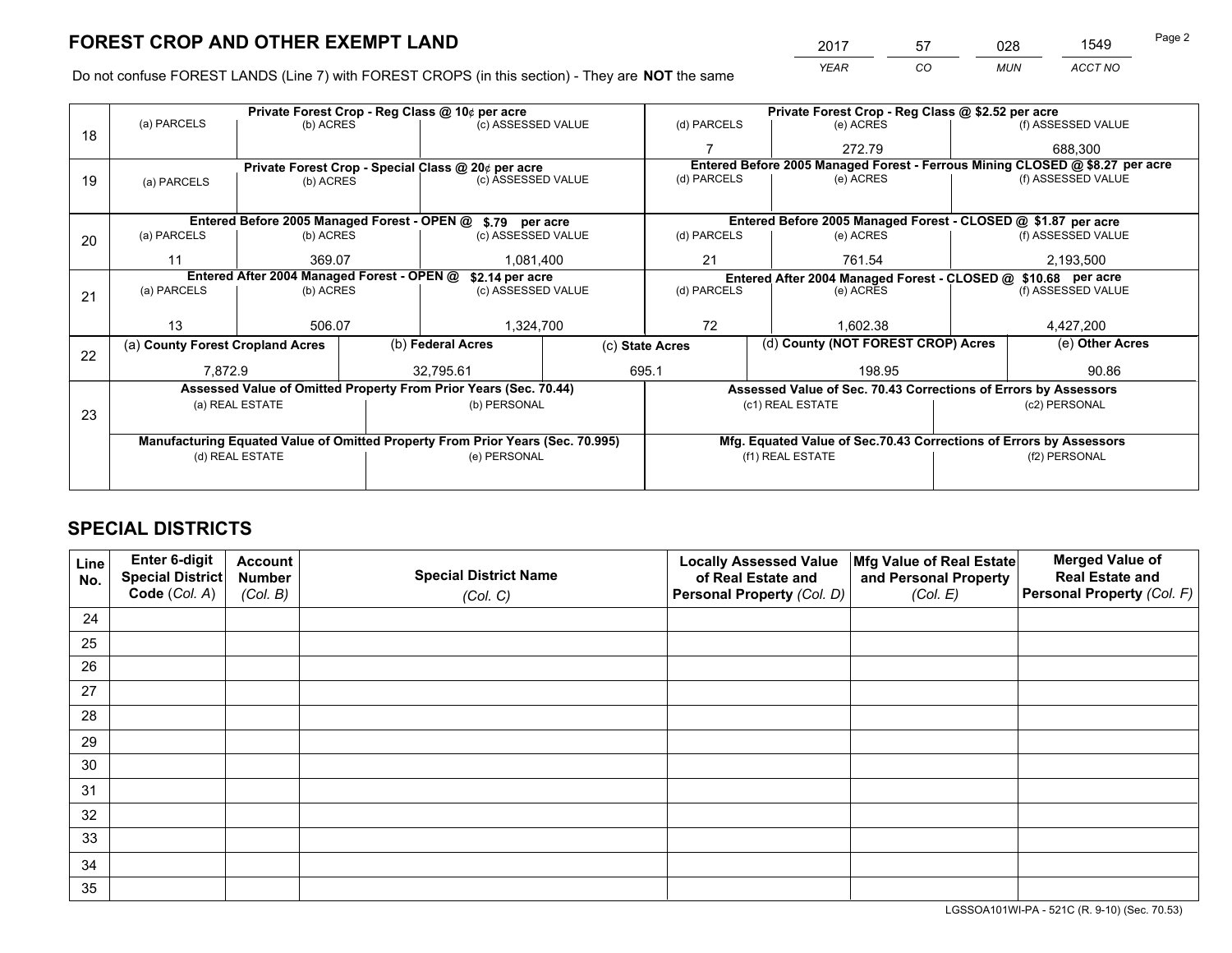*YEAR CO MUN ACCT NO* <sup>2017</sup> <sup>57</sup> <sup>028</sup> <sup>1549</sup> Page 2

Do not confuse FOREST LANDS (Line 7) with FOREST CROPS (in this section) - They are **NOT** the same

|    | Private Forest Crop - Reg Class @ 10¢ per acre                                 |                                             |  |                                                                  |                                                                    | Private Forest Crop - Reg Class @ \$2.52 per acre     |                                                                 |                                                                              |                    |  |
|----|--------------------------------------------------------------------------------|---------------------------------------------|--|------------------------------------------------------------------|--------------------------------------------------------------------|-------------------------------------------------------|-----------------------------------------------------------------|------------------------------------------------------------------------------|--------------------|--|
| 18 | (a) PARCELS                                                                    | (b) ACRES                                   |  | (c) ASSESSED VALUE                                               |                                                                    | (d) PARCELS                                           | (e) ACRES                                                       |                                                                              | (f) ASSESSED VALUE |  |
|    |                                                                                |                                             |  |                                                                  |                                                                    |                                                       | 272.79                                                          |                                                                              | 688,300            |  |
|    |                                                                                |                                             |  | Private Forest Crop - Special Class @ 20¢ per acre               |                                                                    |                                                       |                                                                 | Entered Before 2005 Managed Forest - Ferrous Mining CLOSED @ \$8.27 per acre |                    |  |
| 19 | (a) PARCELS                                                                    | (b) ACRES                                   |  | (c) ASSESSED VALUE                                               |                                                                    | (d) PARCELS                                           | (e) ACRES                                                       |                                                                              | (f) ASSESSED VALUE |  |
|    |                                                                                |                                             |  |                                                                  |                                                                    |                                                       |                                                                 |                                                                              |                    |  |
|    |                                                                                | Entered Before 2005 Managed Forest - OPEN @ |  | \$.79 per acre                                                   |                                                                    |                                                       | Entered Before 2005 Managed Forest - CLOSED @ \$1.87 per acre   |                                                                              |                    |  |
| 20 | (a) PARCELS                                                                    | (b) ACRES                                   |  | (c) ASSESSED VALUE                                               |                                                                    | (d) PARCELS                                           | (e) ACRES                                                       |                                                                              | (f) ASSESSED VALUE |  |
|    | 11                                                                             | 369.07                                      |  | 1.081.400                                                        |                                                                    | 21<br>761.54                                          |                                                                 |                                                                              | 2,193,500          |  |
|    | Entered After 2004 Managed Forest - OPEN @<br>\$2.14 per acre                  |                                             |  |                                                                  | Entered After 2004 Managed Forest - CLOSED @ \$10.68 per acre      |                                                       |                                                                 |                                                                              |                    |  |
| 21 | (a) PARCELS                                                                    | (b) ACRES                                   |  | (c) ASSESSED VALUE                                               |                                                                    | (d) PARCELS<br>(e) ACRES                              |                                                                 |                                                                              | (f) ASSESSED VALUE |  |
|    |                                                                                |                                             |  |                                                                  |                                                                    |                                                       |                                                                 |                                                                              |                    |  |
|    | 13                                                                             | 506.07                                      |  | 1,324,700                                                        |                                                                    | 72<br>1,602.38                                        |                                                                 |                                                                              | 4,427,200          |  |
| 22 | (a) County Forest Cropland Acres                                               |                                             |  | (b) Federal Acres                                                |                                                                    | (d) County (NOT FOREST CROP) Acres<br>(c) State Acres |                                                                 |                                                                              | (e) Other Acres    |  |
|    | 7,872.9                                                                        |                                             |  | 32,795.61                                                        |                                                                    | 695.1                                                 | 198.95                                                          |                                                                              | 90.86              |  |
|    |                                                                                |                                             |  | Assessed Value of Omitted Property From Prior Years (Sec. 70.44) |                                                                    |                                                       | Assessed Value of Sec. 70.43 Corrections of Errors by Assessors |                                                                              |                    |  |
|    |                                                                                | (a) REAL ESTATE                             |  | (b) PERSONAL                                                     |                                                                    |                                                       | (c1) REAL ESTATE                                                | (c2) PERSONAL                                                                |                    |  |
| 23 |                                                                                |                                             |  |                                                                  |                                                                    |                                                       |                                                                 |                                                                              |                    |  |
|    | Manufacturing Equated Value of Omitted Property From Prior Years (Sec. 70.995) |                                             |  |                                                                  | Mfg. Equated Value of Sec.70.43 Corrections of Errors by Assessors |                                                       |                                                                 |                                                                              |                    |  |
|    |                                                                                | (d) REAL ESTATE                             |  | (e) PERSONAL                                                     |                                                                    | (f1) REAL ESTATE                                      |                                                                 |                                                                              | (f2) PERSONAL      |  |
|    |                                                                                |                                             |  |                                                                  |                                                                    |                                                       |                                                                 |                                                                              |                    |  |

# **SPECIAL DISTRICTS**

| Line<br>No. | Enter 6-digit<br><b>Special District</b> | <b>Account</b><br><b>Number</b> | <b>Special District Name</b> | <b>Locally Assessed Value</b><br>of Real Estate and | Mfg Value of Real Estate<br>and Personal Property | <b>Merged Value of</b><br><b>Real Estate and</b> |
|-------------|------------------------------------------|---------------------------------|------------------------------|-----------------------------------------------------|---------------------------------------------------|--------------------------------------------------|
|             | Code (Col. A)                            | (Col. B)                        | (Col. C)                     | Personal Property (Col. D)                          | (Col. E)                                          | Personal Property (Col. F)                       |
| 24          |                                          |                                 |                              |                                                     |                                                   |                                                  |
| 25          |                                          |                                 |                              |                                                     |                                                   |                                                  |
| 26          |                                          |                                 |                              |                                                     |                                                   |                                                  |
| 27          |                                          |                                 |                              |                                                     |                                                   |                                                  |
| 28          |                                          |                                 |                              |                                                     |                                                   |                                                  |
| 29          |                                          |                                 |                              |                                                     |                                                   |                                                  |
| 30          |                                          |                                 |                              |                                                     |                                                   |                                                  |
| 31          |                                          |                                 |                              |                                                     |                                                   |                                                  |
| 32          |                                          |                                 |                              |                                                     |                                                   |                                                  |
| 33          |                                          |                                 |                              |                                                     |                                                   |                                                  |
| 34          |                                          |                                 |                              |                                                     |                                                   |                                                  |
| 35          |                                          |                                 |                              |                                                     |                                                   |                                                  |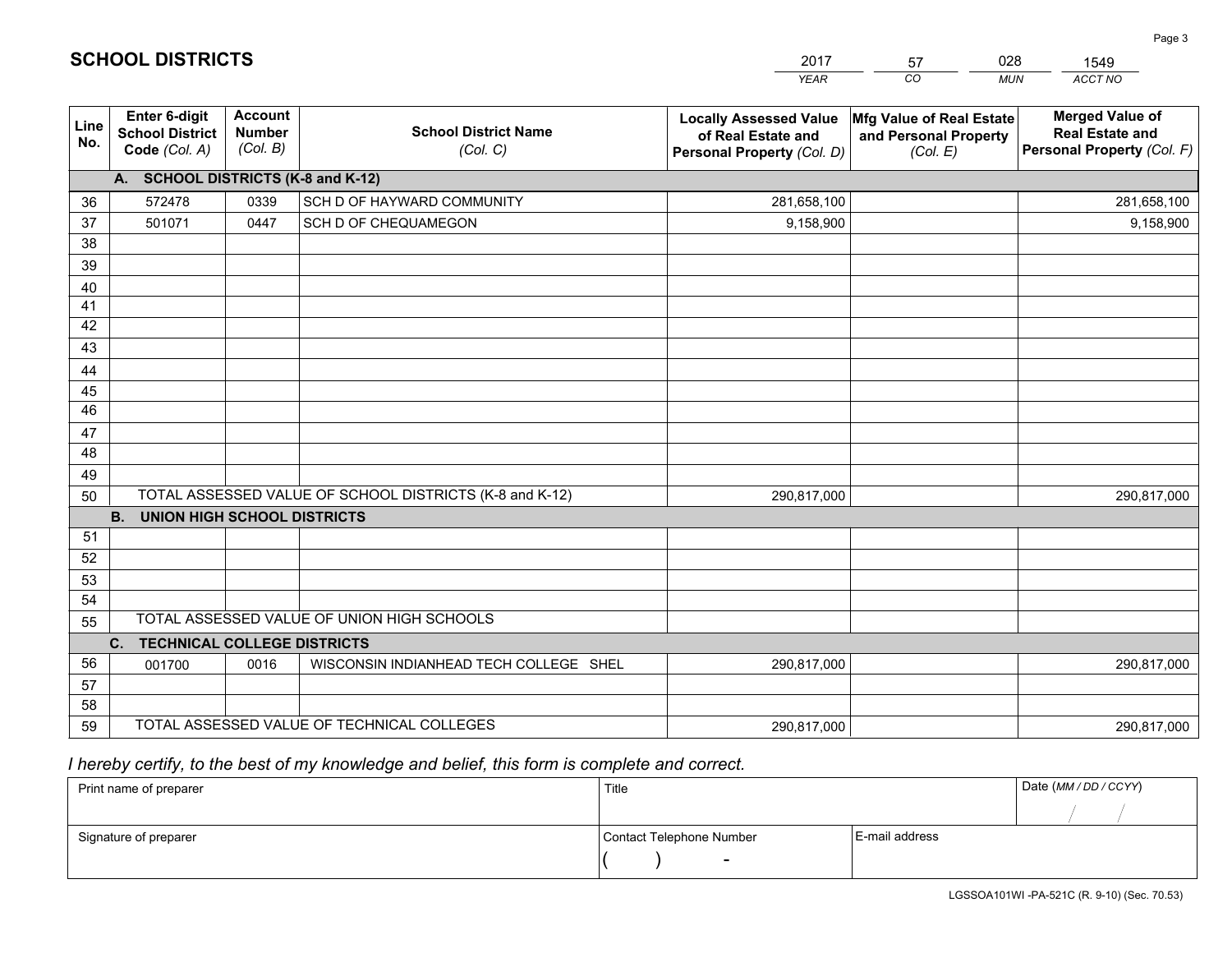|                       |                                                                 |                                             |                                                         | <b>YEAR</b>                                                                       | CO<br><b>MUN</b>                                              | ACCT NO                                                                        |
|-----------------------|-----------------------------------------------------------------|---------------------------------------------|---------------------------------------------------------|-----------------------------------------------------------------------------------|---------------------------------------------------------------|--------------------------------------------------------------------------------|
| Line<br>No.           | <b>Enter 6-digit</b><br><b>School District</b><br>Code (Col. A) | <b>Account</b><br><b>Number</b><br>(Col. B) | <b>School District Name</b><br>(Col. C)                 | <b>Locally Assessed Value</b><br>of Real Estate and<br>Personal Property (Col. D) | Mfg Value of Real Estate<br>and Personal Property<br>(Col. E) | <b>Merged Value of</b><br><b>Real Estate and</b><br>Personal Property (Col. F) |
|                       | A. SCHOOL DISTRICTS (K-8 and K-12)                              |                                             |                                                         |                                                                                   |                                                               |                                                                                |
| 36                    | 572478                                                          | 0339                                        | SCH D OF HAYWARD COMMUNITY                              | 281,658,100                                                                       |                                                               | 281,658,100                                                                    |
| 37                    | 501071                                                          | 0447                                        | SCH D OF CHEQUAMEGON                                    | 9,158,900                                                                         |                                                               | 9,158,900                                                                      |
| 38                    |                                                                 |                                             |                                                         |                                                                                   |                                                               |                                                                                |
| 39                    |                                                                 |                                             |                                                         |                                                                                   |                                                               |                                                                                |
| 40                    |                                                                 |                                             |                                                         |                                                                                   |                                                               |                                                                                |
| 41                    |                                                                 |                                             |                                                         |                                                                                   |                                                               |                                                                                |
| 42                    |                                                                 |                                             |                                                         |                                                                                   |                                                               |                                                                                |
| 43                    |                                                                 |                                             |                                                         |                                                                                   |                                                               |                                                                                |
| 44                    |                                                                 |                                             |                                                         |                                                                                   |                                                               |                                                                                |
| 45<br>$\overline{46}$ |                                                                 |                                             |                                                         |                                                                                   |                                                               |                                                                                |
|                       |                                                                 |                                             |                                                         |                                                                                   |                                                               |                                                                                |
| 47<br>48              |                                                                 |                                             |                                                         |                                                                                   |                                                               |                                                                                |
| 49                    |                                                                 |                                             |                                                         |                                                                                   |                                                               |                                                                                |
| 50                    |                                                                 |                                             | TOTAL ASSESSED VALUE OF SCHOOL DISTRICTS (K-8 and K-12) | 290,817,000                                                                       |                                                               | 290,817,000                                                                    |
|                       | <b>B.</b><br><b>UNION HIGH SCHOOL DISTRICTS</b>                 |                                             |                                                         |                                                                                   |                                                               |                                                                                |
| 51                    |                                                                 |                                             |                                                         |                                                                                   |                                                               |                                                                                |
| 52                    |                                                                 |                                             |                                                         |                                                                                   |                                                               |                                                                                |
| 53                    |                                                                 |                                             |                                                         |                                                                                   |                                                               |                                                                                |
| 54                    |                                                                 |                                             |                                                         |                                                                                   |                                                               |                                                                                |
| 55                    |                                                                 |                                             | TOTAL ASSESSED VALUE OF UNION HIGH SCHOOLS              |                                                                                   |                                                               |                                                                                |
|                       | C.<br><b>TECHNICAL COLLEGE DISTRICTS</b>                        |                                             |                                                         |                                                                                   |                                                               |                                                                                |
| 56                    | 001700                                                          | 0016                                        | WISCONSIN INDIANHEAD TECH COLLEGE SHEL                  | 290,817,000                                                                       |                                                               | 290,817,000                                                                    |
| 57                    |                                                                 |                                             |                                                         |                                                                                   |                                                               |                                                                                |
| 58                    |                                                                 |                                             |                                                         |                                                                                   |                                                               |                                                                                |
| 59                    |                                                                 |                                             | TOTAL ASSESSED VALUE OF TECHNICAL COLLEGES              | 290,817,000                                                                       |                                                               | 290,817,000                                                                    |

 *I hereby certify, to the best of my knowledge and belief, this form is complete and correct.*

| Print name of preparer | Title                    |                | Date (MM / DD / CCYY) |
|------------------------|--------------------------|----------------|-----------------------|
|                        |                          |                |                       |
| Signature of preparer  | Contact Telephone Number | E-mail address |                       |
|                        | $\sim$                   |                |                       |

| <b>SCHOOL DISTRICTS</b> |  |  |
|-------------------------|--|--|
|-------------------------|--|--|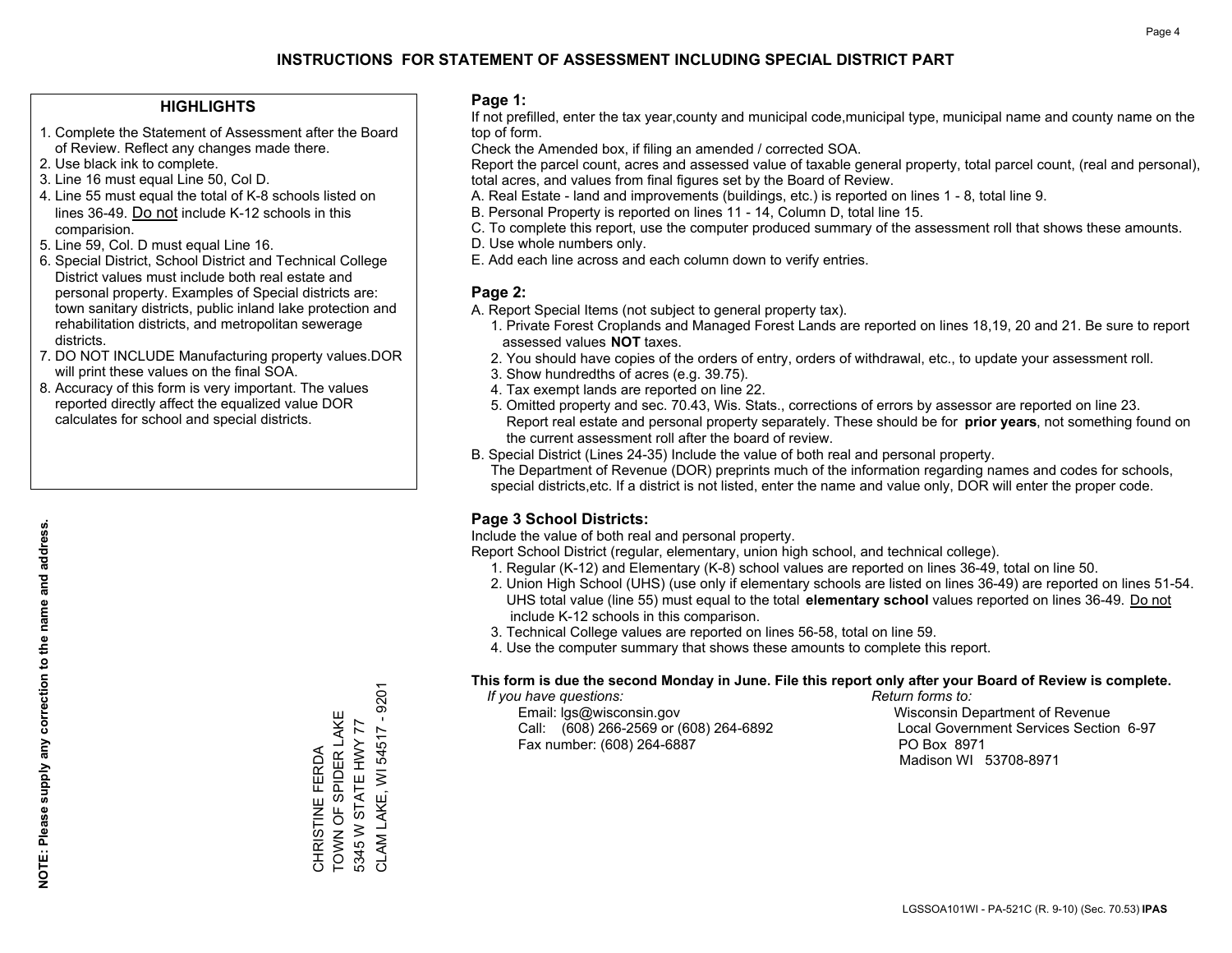### **HIGHLIGHTS**

- 1. Complete the Statement of Assessment after the Board of Review. Reflect any changes made there.
- 2. Use black ink to complete.
- 3. Line 16 must equal Line 50, Col D.
- 4. Line 55 must equal the total of K-8 schools listed on lines 36-49. Do not include K-12 schools in this comparision.
- 5. Line 59, Col. D must equal Line 16.
- 6. Special District, School District and Technical College District values must include both real estate and personal property. Examples of Special districts are: town sanitary districts, public inland lake protection and rehabilitation districts, and metropolitan sewerage districts.
- 7. DO NOT INCLUDE Manufacturing property values.DOR will print these values on the final SOA.
- 8. Accuracy of this form is very important. The values reported directly affect the equalized value DOR calculates for school and special districts.

#### **Page 1:**

 If not prefilled, enter the tax year,county and municipal code,municipal type, municipal name and county name on the top of form.

Check the Amended box, if filing an amended / corrected SOA.

 Report the parcel count, acres and assessed value of taxable general property, total parcel count, (real and personal), total acres, and values from final figures set by the Board of Review.

- A. Real Estate land and improvements (buildings, etc.) is reported on lines 1 8, total line 9.
- B. Personal Property is reported on lines 11 14, Column D, total line 15.
- C. To complete this report, use the computer produced summary of the assessment roll that shows these amounts.
- D. Use whole numbers only.
- E. Add each line across and each column down to verify entries.

### **Page 2:**

- A. Report Special Items (not subject to general property tax).
- 1. Private Forest Croplands and Managed Forest Lands are reported on lines 18,19, 20 and 21. Be sure to report assessed values **NOT** taxes.
- 2. You should have copies of the orders of entry, orders of withdrawal, etc., to update your assessment roll.
	- 3. Show hundredths of acres (e.g. 39.75).
- 4. Tax exempt lands are reported on line 22.
- 5. Omitted property and sec. 70.43, Wis. Stats., corrections of errors by assessor are reported on line 23. Report real estate and personal property separately. These should be for **prior years**, not something found on the current assessment roll after the board of review.
- B. Special District (Lines 24-35) Include the value of both real and personal property.
- The Department of Revenue (DOR) preprints much of the information regarding names and codes for schools, special districts,etc. If a district is not listed, enter the name and value only, DOR will enter the proper code.

### **Page 3 School Districts:**

Include the value of both real and personal property.

Report School District (regular, elementary, union high school, and technical college).

- 1. Regular (K-12) and Elementary (K-8) school values are reported on lines 36-49, total on line 50.
- 2. Union High School (UHS) (use only if elementary schools are listed on lines 36-49) are reported on lines 51-54. UHS total value (line 55) must equal to the total **elementary school** values reported on lines 36-49. Do notinclude K-12 schools in this comparison.
- 3. Technical College values are reported on lines 56-58, total on line 59.
- 4. Use the computer summary that shows these amounts to complete this report.

#### **This form is due the second Monday in June. File this report only after your Board of Review is complete.**

 *If you have questions: Return forms to:*

 Email: lgs@wisconsin.gov Wisconsin Department of RevenueCall:  $(608)$  266-2569 or  $(608)$  264-6892 Fax number: (608) 264-6887 PO Box 8971

Local Government Services Section 6-97 Madison WI 53708-8971

9201 CLAM LAKE, WI 54517 - 9201 CHRISTINE FERDA<br>TOWN OF SPIDER LAKE TOWN OF SPIDER LAKE 5345 W STATE HWY 77 5345 W STATE HWY 77 CLAM LAKE, WI 54517 CHRISTINE FERDA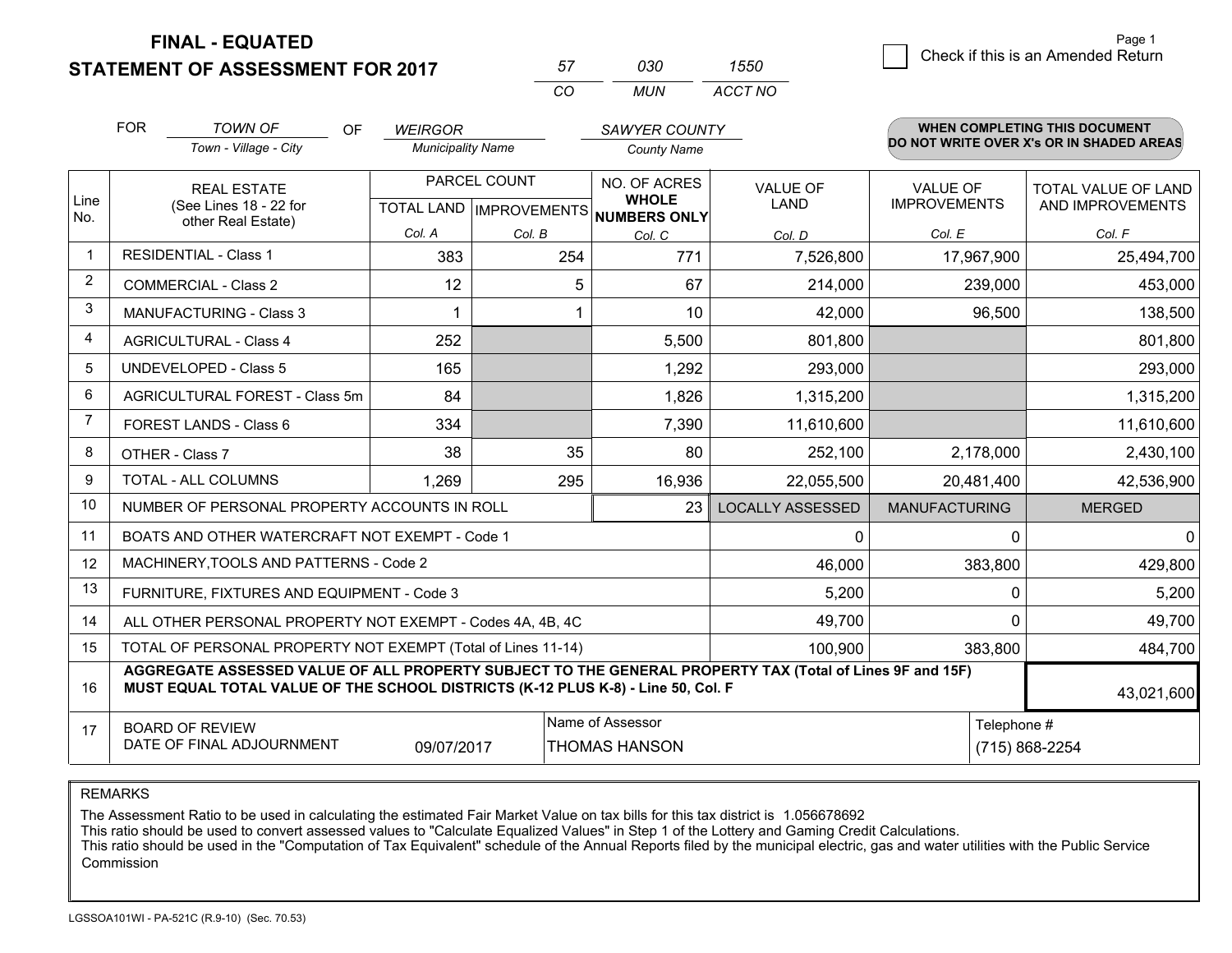**STATEMENT OF ASSESSMENT FOR 2017** 

| 57       | חדח   | 7550    |
|----------|-------|---------|
| $\cdots$ | MI IN | ACCT NO |

|                | <b>FOR</b>                                                                                                                                                                                   | <b>TOWN OF</b><br><b>OF</b>                               | <b>WEIRGOR</b>           |              | SAWYER COUNTY                                                            |                                |                                        | WHEN COMPLETING THIS DOCUMENT                  |
|----------------|----------------------------------------------------------------------------------------------------------------------------------------------------------------------------------------------|-----------------------------------------------------------|--------------------------|--------------|--------------------------------------------------------------------------|--------------------------------|----------------------------------------|------------------------------------------------|
|                |                                                                                                                                                                                              | Town - Village - City                                     | <b>Municipality Name</b> |              | <b>County Name</b>                                                       |                                |                                        | DO NOT WRITE OVER X's OR IN SHADED AREAS       |
| Line           |                                                                                                                                                                                              | <b>REAL ESTATE</b><br>(See Lines 18 - 22 for              |                          | PARCEL COUNT | NO. OF ACRES<br><b>WHOLE</b><br>TOTAL LAND   IMPROVEMENTS   NUMBERS ONLY | <b>VALUE OF</b><br><b>LAND</b> | <b>VALUE OF</b><br><b>IMPROVEMENTS</b> | <b>TOTAL VALUE OF LAND</b><br>AND IMPROVEMENTS |
| No.            |                                                                                                                                                                                              | other Real Estate)                                        | Col. A                   | Col. B       | Col. C                                                                   | Col. D                         | Col. E                                 | Col. F                                         |
| $\mathbf{1}$   |                                                                                                                                                                                              | <b>RESIDENTIAL - Class 1</b><br>383<br>771<br>254         |                          | 7,526,800    | 17,967,900                                                               | 25,494,700                     |                                        |                                                |
| 2              |                                                                                                                                                                                              | <b>COMMERCIAL - Class 2</b>                               | 12                       | 5            | 67                                                                       | 214,000                        | 239,000                                | 453,000                                        |
| 3              |                                                                                                                                                                                              | <b>MANUFACTURING - Class 3</b>                            |                          |              | 10                                                                       | 42,000                         | 96,500                                 | 138,500                                        |
| 4              |                                                                                                                                                                                              | <b>AGRICULTURAL - Class 4</b>                             | 252                      |              | 5,500                                                                    | 801,800                        |                                        | 801,800                                        |
| 5              |                                                                                                                                                                                              | UNDEVELOPED - Class 5                                     | 165                      |              | 1,292                                                                    | 293,000                        |                                        | 293,000                                        |
| 6              |                                                                                                                                                                                              | AGRICULTURAL FOREST - Class 5m                            | 84                       |              | 1,826                                                                    | 1,315,200                      |                                        | 1,315,200                                      |
| $\overline{7}$ |                                                                                                                                                                                              | <b>FOREST LANDS - Class 6</b>                             | 334                      |              | 7,390                                                                    | 11,610,600                     |                                        | 11,610,600                                     |
| 8              |                                                                                                                                                                                              | OTHER - Class 7                                           | 38                       | 35           | 80                                                                       | 252,100                        | 2,178,000                              | 2,430,100                                      |
| 9              |                                                                                                                                                                                              | TOTAL - ALL COLUMNS                                       | 1,269                    | 295          | 16,936                                                                   | 22,055,500                     | 20,481,400                             | 42,536,900                                     |
| 10             |                                                                                                                                                                                              | NUMBER OF PERSONAL PROPERTY ACCOUNTS IN ROLL              |                          |              | 23                                                                       | <b>LOCALLY ASSESSED</b>        | <b>MANUFACTURING</b>                   | <b>MERGED</b>                                  |
| 11             |                                                                                                                                                                                              | BOATS AND OTHER WATERCRAFT NOT EXEMPT - Code 1            |                          |              |                                                                          | 0                              | $\Omega$                               | $\mathbf{0}$                                   |
| 12             |                                                                                                                                                                                              | MACHINERY, TOOLS AND PATTERNS - Code 2                    |                          |              |                                                                          | 46,000                         | 383,800                                | 429,800                                        |
| 13             |                                                                                                                                                                                              | FURNITURE, FIXTURES AND EQUIPMENT - Code 3                |                          |              |                                                                          | 5,200                          | $\Omega$                               | 5,200                                          |
| 14             |                                                                                                                                                                                              | ALL OTHER PERSONAL PROPERTY NOT EXEMPT - Codes 4A, 4B, 4C |                          |              |                                                                          | 49,700                         | $\Omega$                               | 49,700                                         |
| 15             | TOTAL OF PERSONAL PROPERTY NOT EXEMPT (Total of Lines 11-14)<br>100,900                                                                                                                      |                                                           |                          |              |                                                                          |                                | 383,800                                | 484,700                                        |
| 16             | AGGREGATE ASSESSED VALUE OF ALL PROPERTY SUBJECT TO THE GENERAL PROPERTY TAX (Total of Lines 9F and 15F)<br>MUST EQUAL TOTAL VALUE OF THE SCHOOL DISTRICTS (K-12 PLUS K-8) - Line 50, Col. F |                                                           |                          |              |                                                                          |                                | 43,021,600                             |                                                |
| 17             |                                                                                                                                                                                              | <b>BOARD OF REVIEW</b><br>DATE OF FINAL ADJOURNMENT       | 09/07/2017               |              | Name of Assessor<br><b>THOMAS HANSON</b>                                 |                                | Telephone #                            | (715) 868-2254                                 |

REMARKS

The Assessment Ratio to be used in calculating the estimated Fair Market Value on tax bills for this tax district is 1.056678692<br>This ratio should be used to convert assessed values to "Calculate Equalized Values" in Step Commission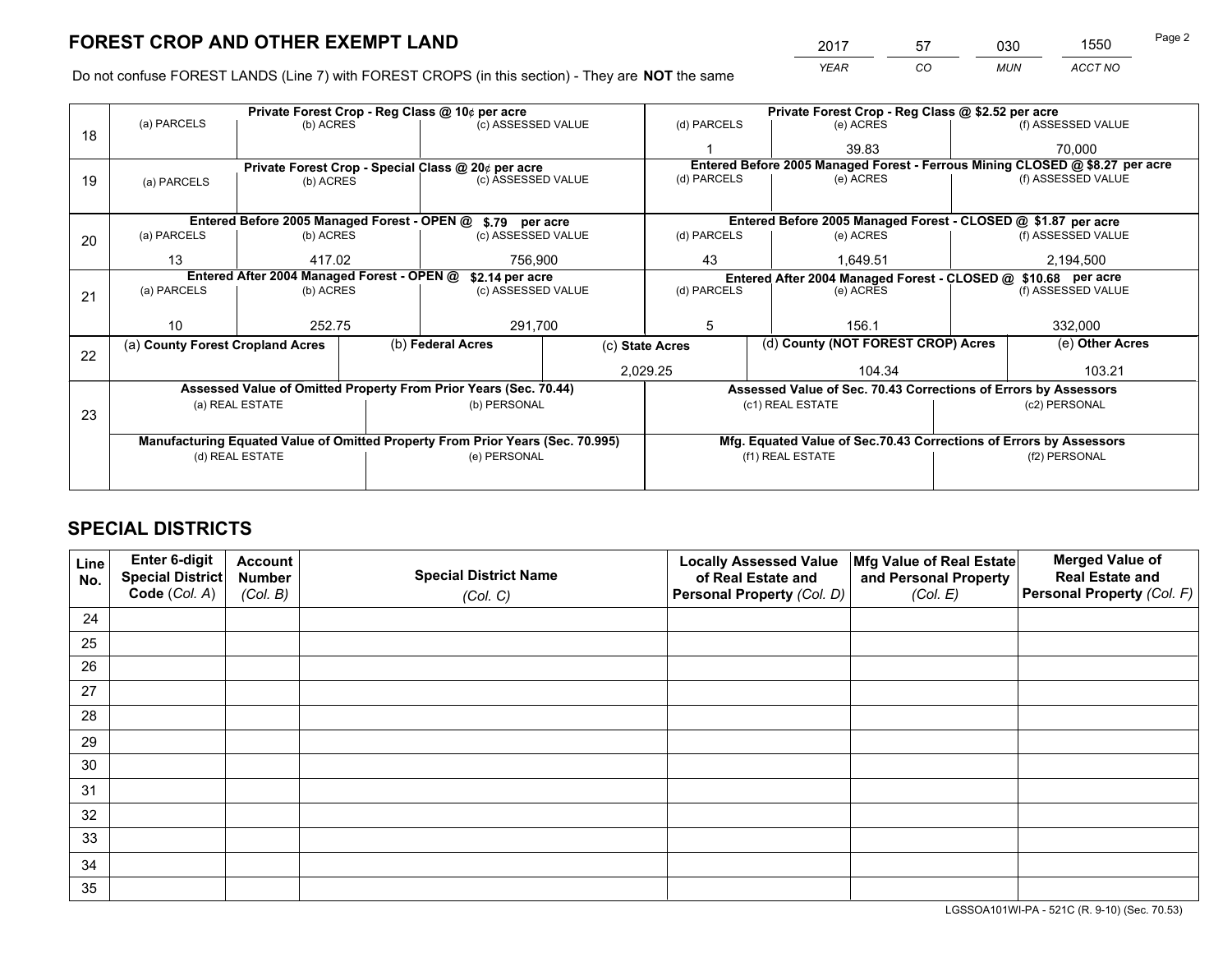*YEAR CO MUN ACCT NO* <sup>2017</sup> <sup>57</sup> <sup>030</sup> <sup>1550</sup> Page 2

Do not confuse FOREST LANDS (Line 7) with FOREST CROPS (in this section) - They are **NOT** the same

|    |                                                                                |                 |  | Private Forest Crop - Reg Class @ 10¢ per acre                   |  |                                                               | Private Forest Crop - Reg Class @ \$2.52 per acre |                                                                    |                    |                                                                              |
|----|--------------------------------------------------------------------------------|-----------------|--|------------------------------------------------------------------|--|---------------------------------------------------------------|---------------------------------------------------|--------------------------------------------------------------------|--------------------|------------------------------------------------------------------------------|
| 18 | (a) PARCELS                                                                    | (b) ACRES       |  | (c) ASSESSED VALUE                                               |  | (d) PARCELS                                                   |                                                   | (e) ACRES                                                          |                    | (f) ASSESSED VALUE                                                           |
|    |                                                                                |                 |  |                                                                  |  |                                                               |                                                   | 39.83                                                              |                    | 70,000                                                                       |
|    |                                                                                |                 |  | Private Forest Crop - Special Class @ 20¢ per acre               |  |                                                               |                                                   |                                                                    |                    | Entered Before 2005 Managed Forest - Ferrous Mining CLOSED @ \$8.27 per acre |
| 19 | (a) PARCELS                                                                    | (b) ACRES       |  | (c) ASSESSED VALUE                                               |  | (d) PARCELS                                                   |                                                   | (e) ACRES                                                          |                    | (f) ASSESSED VALUE                                                           |
|    |                                                                                |                 |  |                                                                  |  |                                                               |                                                   |                                                                    |                    |                                                                              |
|    |                                                                                |                 |  | Entered Before 2005 Managed Forest - OPEN @ \$.79 per acre       |  |                                                               |                                                   | Entered Before 2005 Managed Forest - CLOSED @ \$1.87 per acre      |                    |                                                                              |
| 20 | (a) PARCELS                                                                    | (b) ACRES       |  | (c) ASSESSED VALUE                                               |  | (d) PARCELS                                                   |                                                   | (e) ACRES                                                          |                    | (f) ASSESSED VALUE                                                           |
|    | 13                                                                             | 417.02          |  | 756.900                                                          |  | 43<br>1.649.51                                                |                                                   | 2,194,500                                                          |                    |                                                                              |
|    | Entered After 2004 Managed Forest - OPEN @<br>\$2.14 per acre                  |                 |  |                                                                  |  | Entered After 2004 Managed Forest - CLOSED @ \$10.68 per acre |                                                   |                                                                    |                    |                                                                              |
| 21 | (a) PARCELS                                                                    | (b) ACRES       |  | (c) ASSESSED VALUE                                               |  | (d) PARCELS<br>(e) ACRES                                      |                                                   |                                                                    | (f) ASSESSED VALUE |                                                                              |
|    |                                                                                |                 |  |                                                                  |  |                                                               |                                                   |                                                                    |                    |                                                                              |
|    | 10                                                                             | 252.75          |  | 291,700                                                          |  | 5                                                             |                                                   | 156.1                                                              |                    | 332,000                                                                      |
| 22 | (a) County Forest Cropland Acres                                               |                 |  | (b) Federal Acres                                                |  | (c) State Acres                                               | (d) County (NOT FOREST CROP) Acres                |                                                                    |                    | (e) Other Acres                                                              |
|    |                                                                                |                 |  |                                                                  |  | 2,029.25                                                      |                                                   | 104.34                                                             |                    | 103.21                                                                       |
|    |                                                                                |                 |  | Assessed Value of Omitted Property From Prior Years (Sec. 70.44) |  |                                                               |                                                   | Assessed Value of Sec. 70.43 Corrections of Errors by Assessors    |                    |                                                                              |
|    |                                                                                | (a) REAL ESTATE |  | (b) PERSONAL                                                     |  |                                                               | (c1) REAL ESTATE                                  |                                                                    |                    | (c2) PERSONAL                                                                |
| 23 |                                                                                |                 |  |                                                                  |  |                                                               |                                                   |                                                                    |                    |                                                                              |
|    | Manufacturing Equated Value of Omitted Property From Prior Years (Sec. 70.995) |                 |  |                                                                  |  |                                                               |                                                   | Mfg. Equated Value of Sec.70.43 Corrections of Errors by Assessors |                    |                                                                              |
|    | (d) REAL ESTATE                                                                |                 |  | (e) PERSONAL                                                     |  | (f1) REAL ESTATE                                              |                                                   |                                                                    | (f2) PERSONAL      |                                                                              |
|    |                                                                                |                 |  |                                                                  |  |                                                               |                                                   |                                                                    |                    |                                                                              |

# **SPECIAL DISTRICTS**

| Line<br>No. | Enter 6-digit<br>Special District<br>Code (Col. A) | <b>Account</b><br><b>Number</b><br>(Col. B) | <b>Special District Name</b><br>(Col. C) | <b>Locally Assessed Value</b><br>of Real Estate and<br>Personal Property (Col. D) | Mfg Value of Real Estate<br>and Personal Property<br>(Col. E) | <b>Merged Value of</b><br><b>Real Estate and</b><br>Personal Property (Col. F) |
|-------------|----------------------------------------------------|---------------------------------------------|------------------------------------------|-----------------------------------------------------------------------------------|---------------------------------------------------------------|--------------------------------------------------------------------------------|
| 24          |                                                    |                                             |                                          |                                                                                   |                                                               |                                                                                |
| 25          |                                                    |                                             |                                          |                                                                                   |                                                               |                                                                                |
| 26          |                                                    |                                             |                                          |                                                                                   |                                                               |                                                                                |
| 27          |                                                    |                                             |                                          |                                                                                   |                                                               |                                                                                |
| 28          |                                                    |                                             |                                          |                                                                                   |                                                               |                                                                                |
| 29          |                                                    |                                             |                                          |                                                                                   |                                                               |                                                                                |
| 30          |                                                    |                                             |                                          |                                                                                   |                                                               |                                                                                |
| 31          |                                                    |                                             |                                          |                                                                                   |                                                               |                                                                                |
| 32          |                                                    |                                             |                                          |                                                                                   |                                                               |                                                                                |
| 33          |                                                    |                                             |                                          |                                                                                   |                                                               |                                                                                |
| 34          |                                                    |                                             |                                          |                                                                                   |                                                               |                                                                                |
| 35          |                                                    |                                             |                                          |                                                                                   |                                                               |                                                                                |

LGSSOA101WI-PA - 521C (R. 9-10) (Sec. 70.53)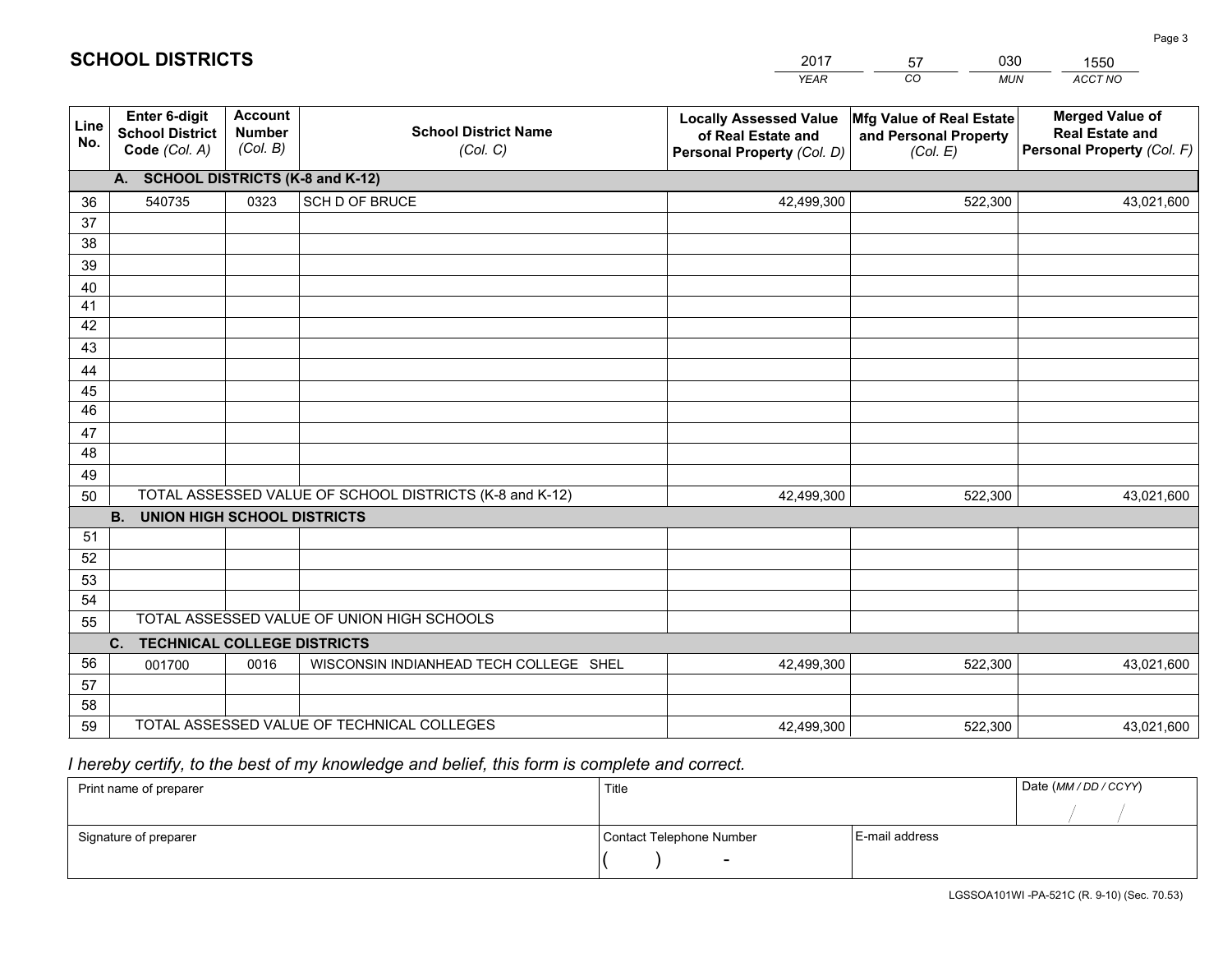|             |                                                                 |                                             |                                                         | <b>YEAR</b>                                                                       | CO<br><b>MUN</b>                                              | ACCT NO                                                                        |
|-------------|-----------------------------------------------------------------|---------------------------------------------|---------------------------------------------------------|-----------------------------------------------------------------------------------|---------------------------------------------------------------|--------------------------------------------------------------------------------|
| Line<br>No. | <b>Enter 6-digit</b><br><b>School District</b><br>Code (Col. A) | <b>Account</b><br><b>Number</b><br>(Col. B) | <b>School District Name</b><br>(Col. C)                 | <b>Locally Assessed Value</b><br>of Real Estate and<br>Personal Property (Col. D) | Mfg Value of Real Estate<br>and Personal Property<br>(Col. E) | <b>Merged Value of</b><br><b>Real Estate and</b><br>Personal Property (Col. F) |
|             | A. SCHOOL DISTRICTS (K-8 and K-12)                              |                                             |                                                         |                                                                                   |                                                               |                                                                                |
| 36          | 540735                                                          | 0323                                        | SCH D OF BRUCE                                          | 42,499,300                                                                        | 522,300                                                       | 43,021,600                                                                     |
| 37          |                                                                 |                                             |                                                         |                                                                                   |                                                               |                                                                                |
| 38          |                                                                 |                                             |                                                         |                                                                                   |                                                               |                                                                                |
| 39          |                                                                 |                                             |                                                         |                                                                                   |                                                               |                                                                                |
| 40          |                                                                 |                                             |                                                         |                                                                                   |                                                               |                                                                                |
| 41<br>42    |                                                                 |                                             |                                                         |                                                                                   |                                                               |                                                                                |
| 43          |                                                                 |                                             |                                                         |                                                                                   |                                                               |                                                                                |
|             |                                                                 |                                             |                                                         |                                                                                   |                                                               |                                                                                |
| 44<br>45    |                                                                 |                                             |                                                         |                                                                                   |                                                               |                                                                                |
| 46          |                                                                 |                                             |                                                         |                                                                                   |                                                               |                                                                                |
| 47          |                                                                 |                                             |                                                         |                                                                                   |                                                               |                                                                                |
| 48          |                                                                 |                                             |                                                         |                                                                                   |                                                               |                                                                                |
| 49          |                                                                 |                                             |                                                         |                                                                                   |                                                               |                                                                                |
| 50          |                                                                 |                                             | TOTAL ASSESSED VALUE OF SCHOOL DISTRICTS (K-8 and K-12) | 42,499,300                                                                        | 522,300                                                       | 43,021,600                                                                     |
|             | <b>B.</b><br>UNION HIGH SCHOOL DISTRICTS                        |                                             |                                                         |                                                                                   |                                                               |                                                                                |
| 51          |                                                                 |                                             |                                                         |                                                                                   |                                                               |                                                                                |
| 52          |                                                                 |                                             |                                                         |                                                                                   |                                                               |                                                                                |
| 53          |                                                                 |                                             |                                                         |                                                                                   |                                                               |                                                                                |
| 54          |                                                                 |                                             |                                                         |                                                                                   |                                                               |                                                                                |
| 55          |                                                                 |                                             | TOTAL ASSESSED VALUE OF UNION HIGH SCHOOLS              |                                                                                   |                                                               |                                                                                |
|             | C.<br><b>TECHNICAL COLLEGE DISTRICTS</b>                        |                                             |                                                         |                                                                                   |                                                               |                                                                                |
| 56          | 001700                                                          | 0016                                        | WISCONSIN INDIANHEAD TECH COLLEGE SHEL                  | 42,499,300                                                                        | 522,300                                                       | 43,021,600                                                                     |
| 57<br>58    |                                                                 |                                             |                                                         |                                                                                   |                                                               |                                                                                |
| 59          |                                                                 |                                             | TOTAL ASSESSED VALUE OF TECHNICAL COLLEGES              | 42,499,300                                                                        | 522,300                                                       | 43,021,600                                                                     |
|             |                                                                 |                                             |                                                         |                                                                                   |                                                               |                                                                                |

2017

57

030

 *I hereby certify, to the best of my knowledge and belief, this form is complete and correct.*

**SCHOOL DISTRICTS**

| Print name of preparer | Title                    |                | Date (MM / DD / CCYY) |
|------------------------|--------------------------|----------------|-----------------------|
|                        |                          |                |                       |
| Signature of preparer  | Contact Telephone Number | E-mail address |                       |
|                        | $\sim$                   |                |                       |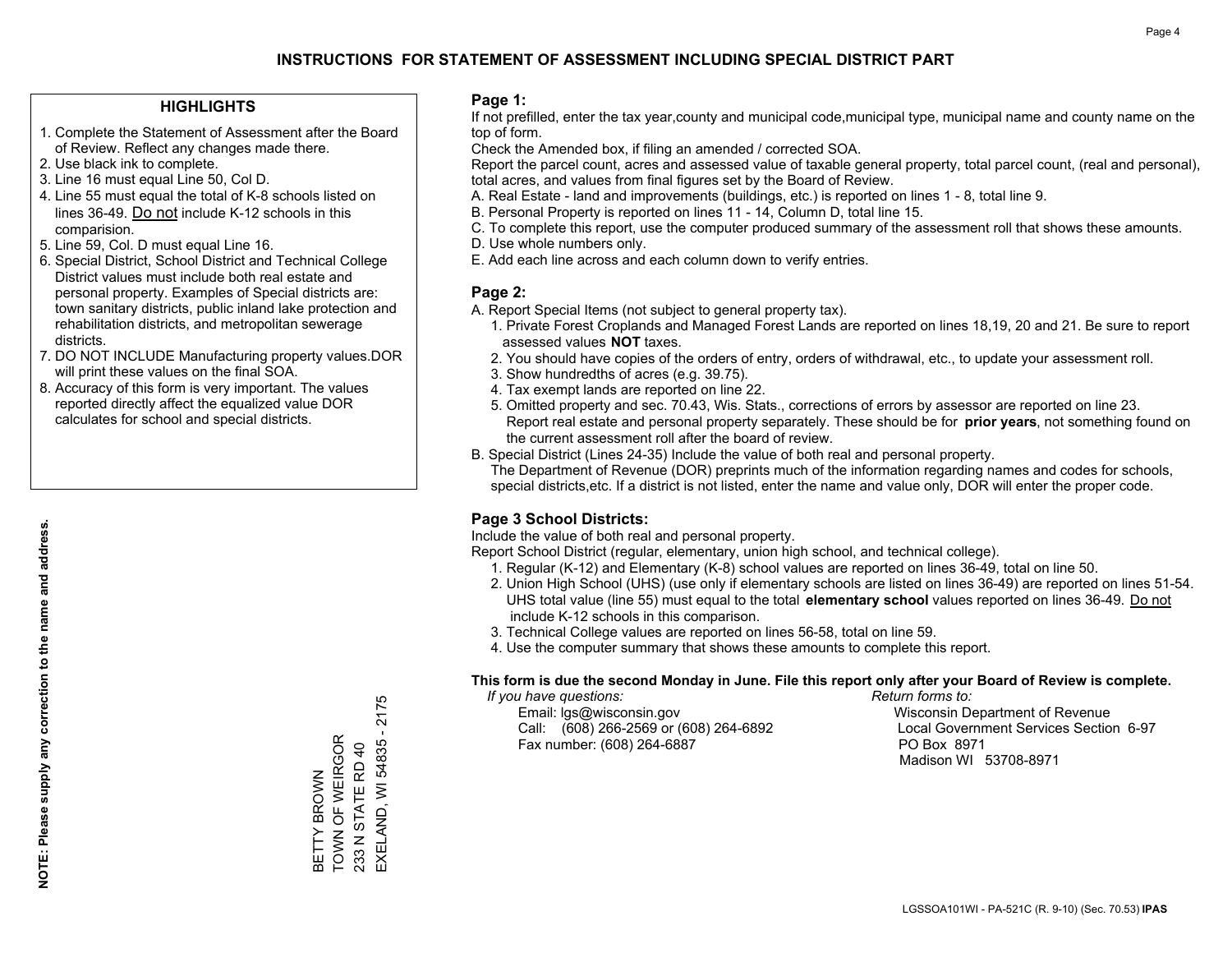### **HIGHLIGHTS**

- 1. Complete the Statement of Assessment after the Board of Review. Reflect any changes made there.
- 2. Use black ink to complete.
- 3. Line 16 must equal Line 50, Col D.
- 4. Line 55 must equal the total of K-8 schools listed on lines 36-49. Do not include K-12 schools in this comparision.
- 5. Line 59, Col. D must equal Line 16.
- 6. Special District, School District and Technical College District values must include both real estate and personal property. Examples of Special districts are: town sanitary districts, public inland lake protection and rehabilitation districts, and metropolitan sewerage districts.
- 7. DO NOT INCLUDE Manufacturing property values.DOR will print these values on the final SOA.
- 8. Accuracy of this form is very important. The values reported directly affect the equalized value DOR calculates for school and special districts.

#### **Page 1:**

 If not prefilled, enter the tax year,county and municipal code,municipal type, municipal name and county name on the top of form.

Check the Amended box, if filing an amended / corrected SOA.

 Report the parcel count, acres and assessed value of taxable general property, total parcel count, (real and personal), total acres, and values from final figures set by the Board of Review.

- A. Real Estate land and improvements (buildings, etc.) is reported on lines 1 8, total line 9.
- B. Personal Property is reported on lines 11 14, Column D, total line 15.
- C. To complete this report, use the computer produced summary of the assessment roll that shows these amounts.
- D. Use whole numbers only.
- E. Add each line across and each column down to verify entries.

### **Page 2:**

- A. Report Special Items (not subject to general property tax).
- 1. Private Forest Croplands and Managed Forest Lands are reported on lines 18,19, 20 and 21. Be sure to report assessed values **NOT** taxes.
- 2. You should have copies of the orders of entry, orders of withdrawal, etc., to update your assessment roll.
	- 3. Show hundredths of acres (e.g. 39.75).
- 4. Tax exempt lands are reported on line 22.
- 5. Omitted property and sec. 70.43, Wis. Stats., corrections of errors by assessor are reported on line 23. Report real estate and personal property separately. These should be for **prior years**, not something found on the current assessment roll after the board of review.
- B. Special District (Lines 24-35) Include the value of both real and personal property.
- The Department of Revenue (DOR) preprints much of the information regarding names and codes for schools, special districts,etc. If a district is not listed, enter the name and value only, DOR will enter the proper code.

### **Page 3 School Districts:**

Include the value of both real and personal property.

Report School District (regular, elementary, union high school, and technical college).

- 1. Regular (K-12) and Elementary (K-8) school values are reported on lines 36-49, total on line 50.
- 2. Union High School (UHS) (use only if elementary schools are listed on lines 36-49) are reported on lines 51-54. UHS total value (line 55) must equal to the total **elementary school** values reported on lines 36-49. Do notinclude K-12 schools in this comparison.
- 3. Technical College values are reported on lines 56-58, total on line 59.
- 4. Use the computer summary that shows these amounts to complete this report.

#### **This form is due the second Monday in June. File this report only after your Board of Review is complete.**

 *If you have questions: Return forms to:*

 Email: lgs@wisconsin.gov Wisconsin Department of RevenueCall:  $(608)$  266-2569 or  $(608)$  264-6892 Fax number: (608) 264-6887 PO Box 8971

Local Government Services Section 6-97 Madison WI 53708-8971

BETTY BROWN TOWN OF WEIRGOR 233 N STATE RD 40

BETTY BROWN<br>TOWN OF WEIRGOR

EXELAND, WI 54835 - 2175

EXELAND, WI 54835 233 N STATE RD 40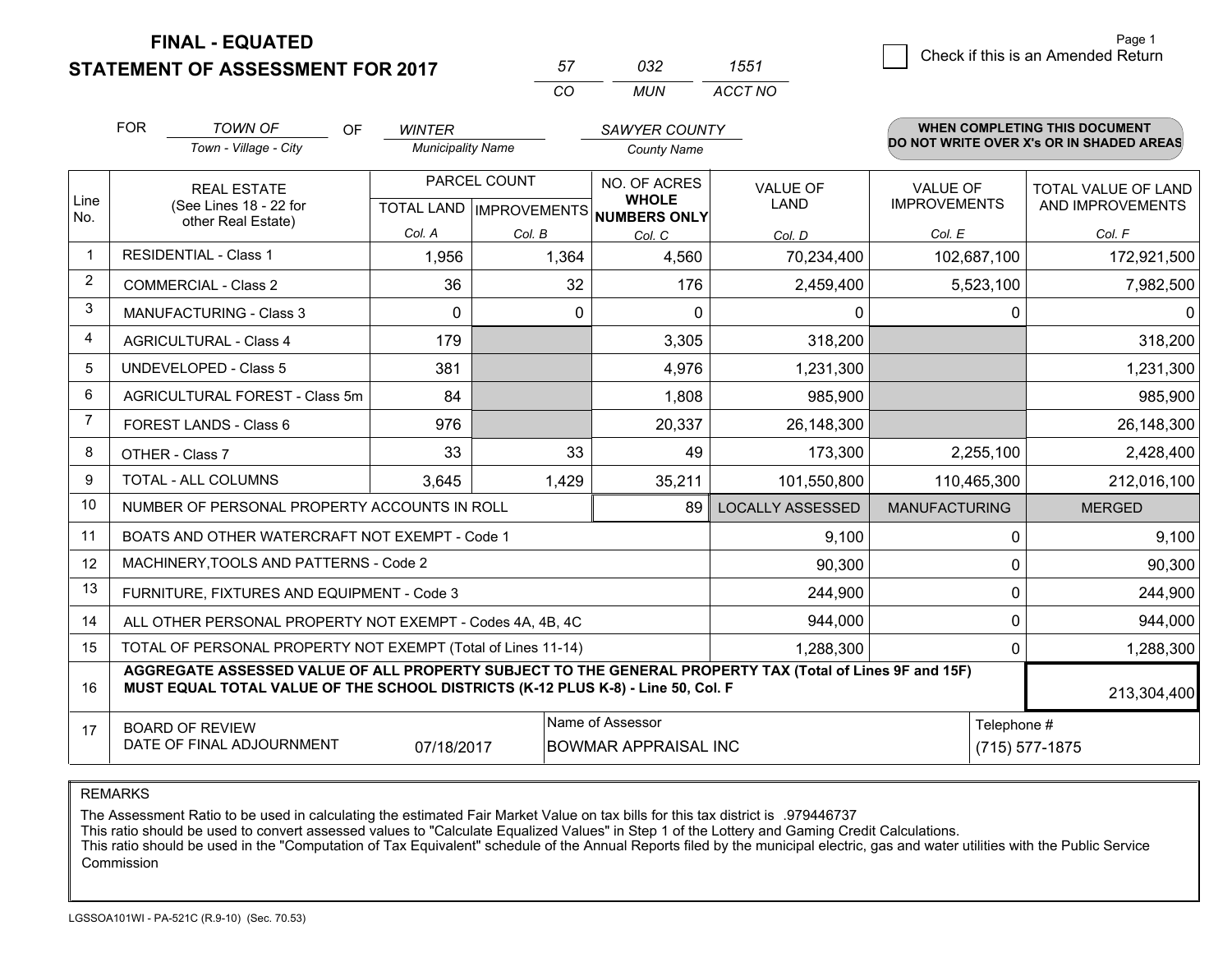**STATEMENT OF ASSESSMENT FOR 2017** 

| 57       | 7132  | ו הה    |
|----------|-------|---------|
| $\cdots$ | MI IN | ACCT NO |

|                         | <b>FOR</b>                                                                                                                                                | <b>TOWN OF</b><br><b>OF</b>                                                                                                                                                                  | <b>WINTER</b>            |        | SAWYER COUNTY                                       |                         |                      |          | <b>WHEN COMPLETING THIS DOCUMENT</b>     |
|-------------------------|-----------------------------------------------------------------------------------------------------------------------------------------------------------|----------------------------------------------------------------------------------------------------------------------------------------------------------------------------------------------|--------------------------|--------|-----------------------------------------------------|-------------------------|----------------------|----------|------------------------------------------|
|                         |                                                                                                                                                           | Town - Village - City                                                                                                                                                                        | <b>Municipality Name</b> |        | <b>County Name</b>                                  |                         |                      |          | DO NOT WRITE OVER X's OR IN SHADED AREAS |
|                         | <b>REAL ESTATE</b>                                                                                                                                        |                                                                                                                                                                                              | PARCEL COUNT             |        | NO. OF ACRES                                        | <b>VALUE OF</b>         | <b>VALUE OF</b>      |          | <b>TOTAL VALUE OF LAND</b>               |
| Line<br>No.             |                                                                                                                                                           | (See Lines 18 - 22 for<br>other Real Estate)                                                                                                                                                 |                          |        | <b>WHOLE</b><br>TOTAL LAND MPROVEMENTS NUMBERS ONLY | <b>LAND</b>             | <b>IMPROVEMENTS</b>  |          | AND IMPROVEMENTS                         |
|                         |                                                                                                                                                           |                                                                                                                                                                                              | Col. A                   | Col. B | Col. C                                              | Col. D                  | Col. E               |          | Col. F                                   |
| $\overline{\mathbf{1}}$ |                                                                                                                                                           | <b>RESIDENTIAL - Class 1</b>                                                                                                                                                                 | 1,956                    | 1,364  | 4,560                                               | 70,234,400              | 102,687,100          |          | 172,921,500                              |
| 2                       |                                                                                                                                                           | <b>COMMERCIAL - Class 2</b>                                                                                                                                                                  | 36                       | 32     | 176                                                 | 2,459,400               | 5,523,100            |          | 7,982,500                                |
| 3                       |                                                                                                                                                           | <b>MANUFACTURING - Class 3</b>                                                                                                                                                               | $\Omega$                 | 0      | $\Omega$                                            | $\mathbf{0}$            |                      | 0        | $\Omega$                                 |
| 4                       |                                                                                                                                                           | <b>AGRICULTURAL - Class 4</b>                                                                                                                                                                | 179                      |        | 3,305                                               | 318,200                 |                      |          | 318,200                                  |
| 5                       |                                                                                                                                                           | <b>UNDEVELOPED - Class 5</b>                                                                                                                                                                 | 381                      |        | 4,976                                               | 1,231,300               |                      |          | 1,231,300                                |
| 6                       | AGRICULTURAL FOREST - Class 5m                                                                                                                            |                                                                                                                                                                                              | 84                       |        | 1,808                                               | 985,900                 |                      |          | 985,900                                  |
| 7                       |                                                                                                                                                           | FOREST LANDS - Class 6                                                                                                                                                                       | 976                      |        | 20,337                                              | 26,148,300              |                      |          | 26,148,300                               |
| 8                       |                                                                                                                                                           | OTHER - Class 7                                                                                                                                                                              | 33                       | 33     | 49                                                  | 173,300                 | 2,255,100            |          | 2,428,400                                |
| 9                       |                                                                                                                                                           | <b>TOTAL - ALL COLUMNS</b>                                                                                                                                                                   | 3,645                    | 1,429  | 35,211                                              | 101,550,800             | 110,465,300          |          | 212,016,100                              |
| 10                      |                                                                                                                                                           | NUMBER OF PERSONAL PROPERTY ACCOUNTS IN ROLL                                                                                                                                                 |                          |        | 89                                                  | <b>LOCALLY ASSESSED</b> | <b>MANUFACTURING</b> |          | <b>MERGED</b>                            |
| 11                      |                                                                                                                                                           | BOATS AND OTHER WATERCRAFT NOT EXEMPT - Code 1                                                                                                                                               |                          |        |                                                     | 9,100                   |                      | $\Omega$ | 9,100                                    |
| 12                      |                                                                                                                                                           | MACHINERY, TOOLS AND PATTERNS - Code 2                                                                                                                                                       |                          |        |                                                     | 90,300                  |                      | 0        | 90,300                                   |
| 13                      |                                                                                                                                                           | FURNITURE, FIXTURES AND EQUIPMENT - Code 3                                                                                                                                                   |                          |        |                                                     | 244,900                 |                      | 0        | 244,900                                  |
| 14                      |                                                                                                                                                           | ALL OTHER PERSONAL PROPERTY NOT EXEMPT - Codes 4A, 4B, 4C                                                                                                                                    |                          |        |                                                     | 944,000                 |                      | 0        | 944,000                                  |
| 15                      |                                                                                                                                                           | TOTAL OF PERSONAL PROPERTY NOT EXEMPT (Total of Lines 11-14)                                                                                                                                 |                          |        |                                                     | 1,288,300               | 0                    |          | 1,288,300                                |
| 16                      |                                                                                                                                                           | AGGREGATE ASSESSED VALUE OF ALL PROPERTY SUBJECT TO THE GENERAL PROPERTY TAX (Total of Lines 9F and 15F)<br>MUST EQUAL TOTAL VALUE OF THE SCHOOL DISTRICTS (K-12 PLUS K-8) - Line 50, Col. F |                          |        |                                                     |                         |                      |          | 213,304,400                              |
| 17                      | Name of Assessor<br>Telephone #<br><b>BOARD OF REVIEW</b><br>DATE OF FINAL ADJOURNMENT<br>07/18/2017<br><b>BOWMAR APPRAISAL INC</b><br>$(715) 577 - 1875$ |                                                                                                                                                                                              |                          |        |                                                     |                         |                      |          |                                          |

REMARKS

The Assessment Ratio to be used in calculating the estimated Fair Market Value on tax bills for this tax district is .979446737<br>This ratio should be used to convert assessed values to "Calculate Equalized Values" in Step 1 Commission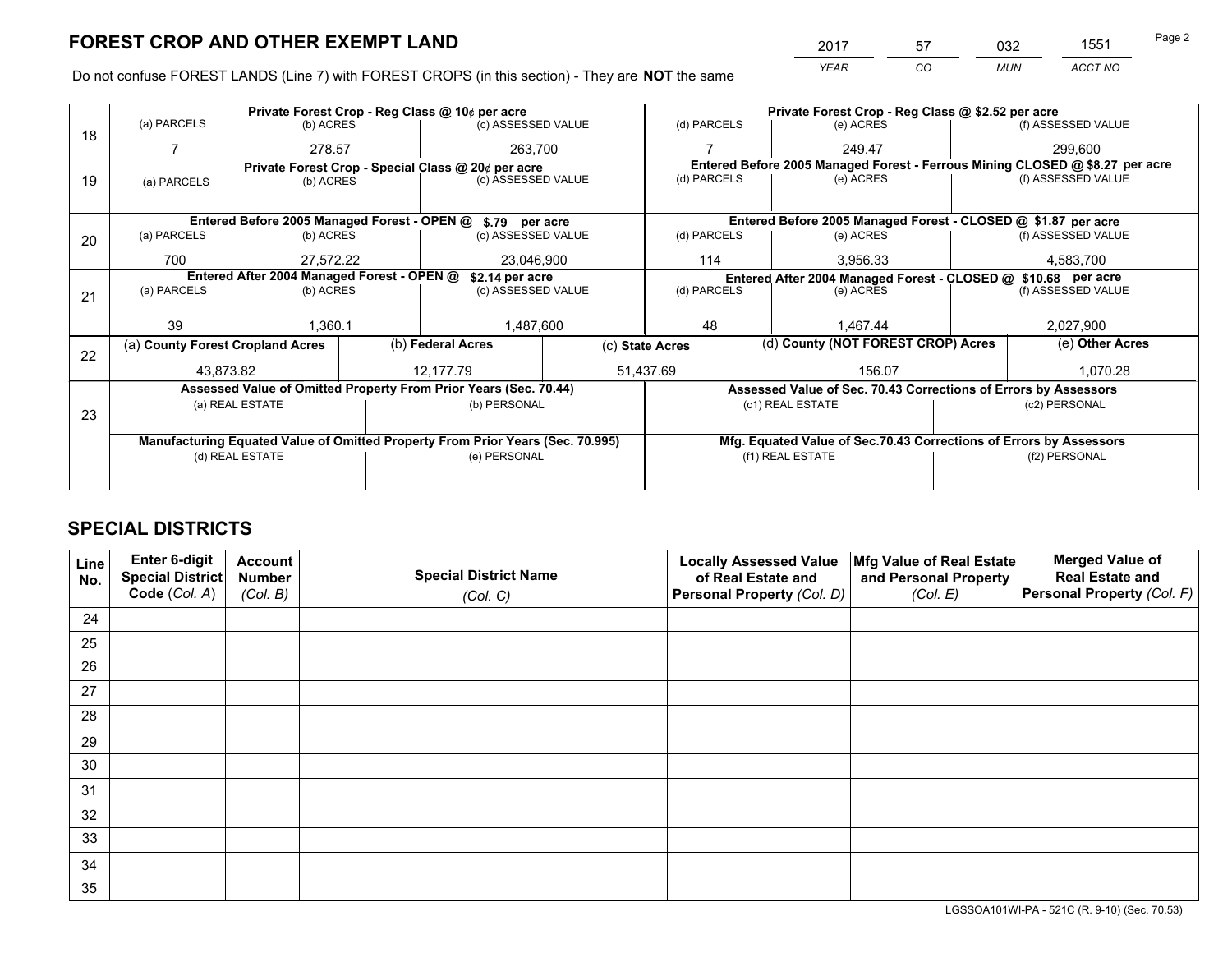*YEAR CO MUN ACCT NO* <sup>2017</sup> <sup>57</sup> <sup>032</sup> <sup>1551</sup>

Do not confuse FOREST LANDS (Line 7) with FOREST CROPS (in this section) - They are **NOT** the same

|    |                                            |                         | Private Forest Crop - Reg Class @ \$2.52 per acre |                                                                                |                    |                                                                              |                                    |                                                                    |                    |                                                                              |
|----|--------------------------------------------|-------------------------|---------------------------------------------------|--------------------------------------------------------------------------------|--------------------|------------------------------------------------------------------------------|------------------------------------|--------------------------------------------------------------------|--------------------|------------------------------------------------------------------------------|
| 18 | (a) PARCELS                                |                         | (b) ACRES                                         |                                                                                | (c) ASSESSED VALUE |                                                                              | (d) PARCELS                        | (e) ACRES                                                          |                    | (f) ASSESSED VALUE                                                           |
|    |                                            | 278.57                  |                                                   | 263.700                                                                        |                    |                                                                              |                                    | 249.47                                                             |                    | 299,600                                                                      |
|    |                                            |                         |                                                   | Private Forest Crop - Special Class @ 20¢ per acre                             |                    |                                                                              |                                    |                                                                    |                    | Entered Before 2005 Managed Forest - Ferrous Mining CLOSED @ \$8.27 per acre |
| 19 | (a) PARCELS                                | (b) ACRES               |                                                   | (c) ASSESSED VALUE                                                             |                    | (d) PARCELS                                                                  |                                    | (e) ACRES                                                          |                    | (f) ASSESSED VALUE                                                           |
|    |                                            |                         |                                                   |                                                                                |                    |                                                                              |                                    |                                                                    |                    |                                                                              |
|    |                                            |                         |                                                   | Entered Before 2005 Managed Forest - OPEN @ \$.79 per acre                     |                    |                                                                              |                                    | Entered Before 2005 Managed Forest - CLOSED @ \$1.87 per acre      |                    |                                                                              |
| 20 | (a) PARCELS                                | (b) ACRES               |                                                   | (c) ASSESSED VALUE                                                             |                    | (d) PARCELS                                                                  |                                    | (e) ACRES                                                          |                    | (f) ASSESSED VALUE                                                           |
|    | 700                                        |                         |                                                   |                                                                                |                    | 114                                                                          |                                    | 3,956.33                                                           |                    | 4,583,700                                                                    |
|    |                                            | 27.572.22<br>23,046,900 |                                                   |                                                                                |                    |                                                                              |                                    |                                                                    |                    |                                                                              |
|    | Entered After 2004 Managed Forest - OPEN @ |                         |                                                   | \$2.14 per acre<br>(c) ASSESSED VALUE                                          |                    | Entered After 2004 Managed Forest - CLOSED @ \$10.68 per acre<br>(d) PARCELS |                                    |                                                                    | (f) ASSESSED VALUE |                                                                              |
| 21 | (a) PARCELS                                | (b) ACRES               |                                                   |                                                                                |                    |                                                                              |                                    | (e) ACRES                                                          |                    |                                                                              |
|    |                                            |                         |                                                   |                                                                                |                    |                                                                              |                                    |                                                                    |                    |                                                                              |
|    | 39                                         | 1.360.1                 |                                                   | 1,487,600                                                                      |                    | 48                                                                           |                                    | 1.467.44                                                           |                    | 2,027,900                                                                    |
|    | (a) County Forest Cropland Acres           |                         |                                                   | (b) Federal Acres<br>(c) State Acres                                           |                    |                                                                              | (d) County (NOT FOREST CROP) Acres |                                                                    |                    | (e) Other Acres                                                              |
| 22 |                                            |                         |                                                   |                                                                                |                    |                                                                              |                                    |                                                                    |                    |                                                                              |
|    | 43,873.82                                  |                         |                                                   | 12.177.79                                                                      |                    | 51,437.69                                                                    |                                    | 156.07                                                             |                    | 1,070.28                                                                     |
|    |                                            |                         |                                                   | Assessed Value of Omitted Property From Prior Years (Sec. 70.44)               |                    |                                                                              |                                    | Assessed Value of Sec. 70.43 Corrections of Errors by Assessors    |                    |                                                                              |
| 23 |                                            | (a) REAL ESTATE         |                                                   | (b) PERSONAL                                                                   |                    |                                                                              |                                    | (c1) REAL ESTATE                                                   | (c2) PERSONAL      |                                                                              |
|    |                                            |                         |                                                   |                                                                                |                    |                                                                              |                                    |                                                                    |                    |                                                                              |
|    |                                            |                         |                                                   | Manufacturing Equated Value of Omitted Property From Prior Years (Sec. 70.995) |                    |                                                                              |                                    | Mfg. Equated Value of Sec.70.43 Corrections of Errors by Assessors |                    |                                                                              |
|    | (d) REAL ESTATE                            |                         | (e) PERSONAL                                      |                                                                                |                    |                                                                              | (f1) REAL ESTATE                   |                                                                    | (f2) PERSONAL      |                                                                              |
|    |                                            |                         |                                                   |                                                                                |                    |                                                                              |                                    |                                                                    |                    |                                                                              |
|    |                                            |                         |                                                   |                                                                                |                    |                                                                              |                                    |                                                                    |                    |                                                                              |

# **SPECIAL DISTRICTS**

| Line<br>No. | Enter 6-digit<br>Special District<br>Code (Col. A) | <b>Account</b><br><b>Number</b><br>(Col. B) | <b>Special District Name</b><br>(Col. C) | <b>Locally Assessed Value</b><br>of Real Estate and<br>Personal Property (Col. D) | Mfg Value of Real Estate<br>and Personal Property<br>(Col. E) | <b>Merged Value of</b><br><b>Real Estate and</b><br>Personal Property (Col. F) |
|-------------|----------------------------------------------------|---------------------------------------------|------------------------------------------|-----------------------------------------------------------------------------------|---------------------------------------------------------------|--------------------------------------------------------------------------------|
| 24          |                                                    |                                             |                                          |                                                                                   |                                                               |                                                                                |
| 25          |                                                    |                                             |                                          |                                                                                   |                                                               |                                                                                |
| 26          |                                                    |                                             |                                          |                                                                                   |                                                               |                                                                                |
| 27          |                                                    |                                             |                                          |                                                                                   |                                                               |                                                                                |
| 28          |                                                    |                                             |                                          |                                                                                   |                                                               |                                                                                |
| 29          |                                                    |                                             |                                          |                                                                                   |                                                               |                                                                                |
| 30          |                                                    |                                             |                                          |                                                                                   |                                                               |                                                                                |
| 31          |                                                    |                                             |                                          |                                                                                   |                                                               |                                                                                |
| 32          |                                                    |                                             |                                          |                                                                                   |                                                               |                                                                                |
| 33          |                                                    |                                             |                                          |                                                                                   |                                                               |                                                                                |
| 34          |                                                    |                                             |                                          |                                                                                   |                                                               |                                                                                |
| 35          |                                                    |                                             |                                          |                                                                                   |                                                               |                                                                                |

LGSSOA101WI-PA - 521C (R. 9-10) (Sec. 70.53)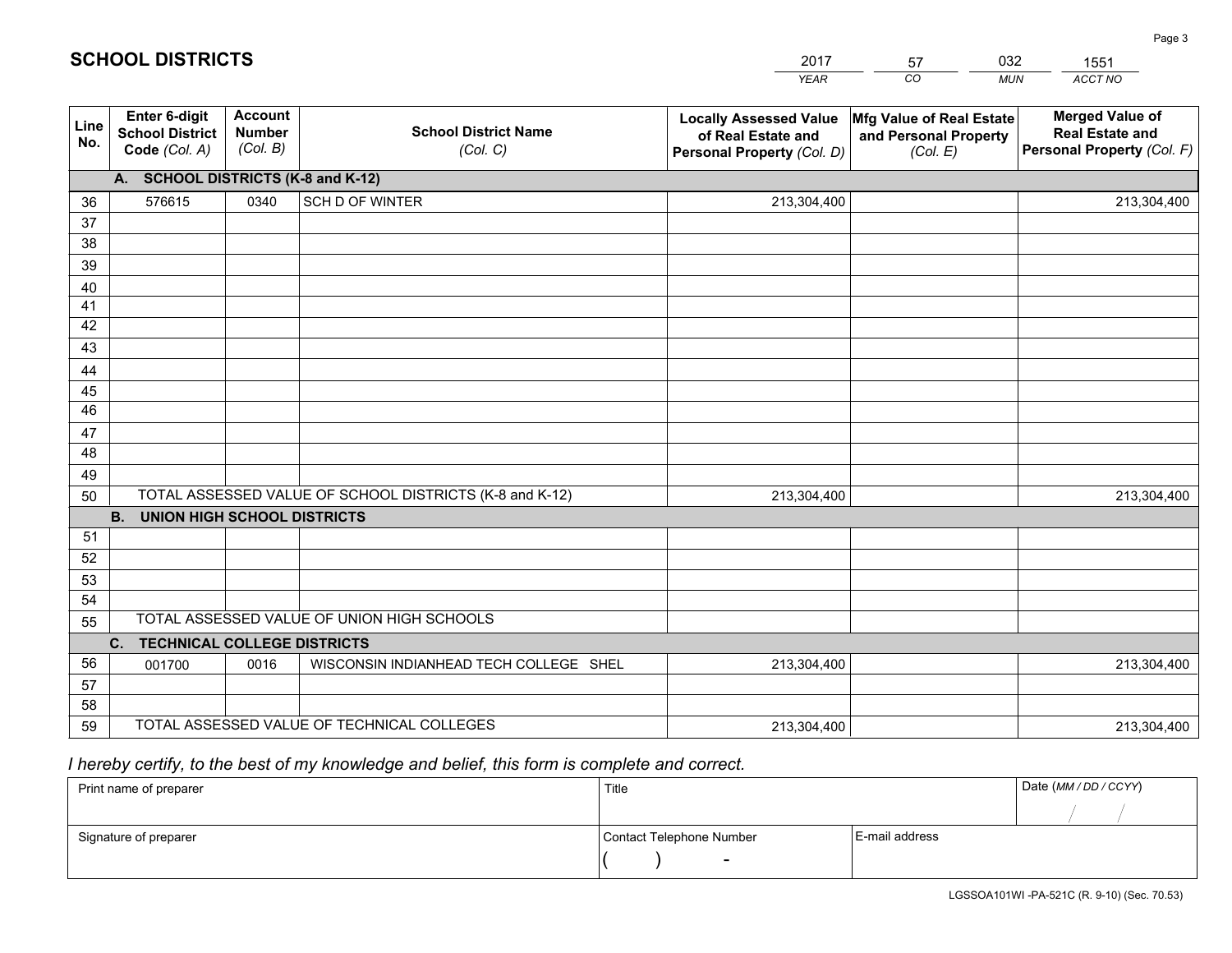|             |                                                          |                                             |                                                         | <b>YEAR</b>                                                                       | CO<br><b>MUN</b>                                              | ACCT NO                                                                        |
|-------------|----------------------------------------------------------|---------------------------------------------|---------------------------------------------------------|-----------------------------------------------------------------------------------|---------------------------------------------------------------|--------------------------------------------------------------------------------|
| Line<br>No. | Enter 6-digit<br><b>School District</b><br>Code (Col. A) | <b>Account</b><br><b>Number</b><br>(Col. B) | <b>School District Name</b><br>(Col. C)                 | <b>Locally Assessed Value</b><br>of Real Estate and<br>Personal Property (Col. D) | Mfg Value of Real Estate<br>and Personal Property<br>(Col. E) | <b>Merged Value of</b><br><b>Real Estate and</b><br>Personal Property (Col. F) |
|             | A. SCHOOL DISTRICTS (K-8 and K-12)                       |                                             |                                                         |                                                                                   |                                                               |                                                                                |
| 36          | 576615                                                   | 0340                                        | SCH D OF WINTER                                         | 213,304,400                                                                       |                                                               | 213,304,400                                                                    |
| 37          |                                                          |                                             |                                                         |                                                                                   |                                                               |                                                                                |
| 38          |                                                          |                                             |                                                         |                                                                                   |                                                               |                                                                                |
| 39          |                                                          |                                             |                                                         |                                                                                   |                                                               |                                                                                |
| 40          |                                                          |                                             |                                                         |                                                                                   |                                                               |                                                                                |
| 41          |                                                          |                                             |                                                         |                                                                                   |                                                               |                                                                                |
| 42          |                                                          |                                             |                                                         |                                                                                   |                                                               |                                                                                |
| 43          |                                                          |                                             |                                                         |                                                                                   |                                                               |                                                                                |
| 44          |                                                          |                                             |                                                         |                                                                                   |                                                               |                                                                                |
| 45<br>46    |                                                          |                                             |                                                         |                                                                                   |                                                               |                                                                                |
|             |                                                          |                                             |                                                         |                                                                                   |                                                               |                                                                                |
| 47<br>48    |                                                          |                                             |                                                         |                                                                                   |                                                               |                                                                                |
| 49          |                                                          |                                             |                                                         |                                                                                   |                                                               |                                                                                |
| 50          |                                                          |                                             | TOTAL ASSESSED VALUE OF SCHOOL DISTRICTS (K-8 and K-12) | 213,304,400                                                                       |                                                               | 213,304,400                                                                    |
|             | <b>B.</b><br><b>UNION HIGH SCHOOL DISTRICTS</b>          |                                             |                                                         |                                                                                   |                                                               |                                                                                |
| 51          |                                                          |                                             |                                                         |                                                                                   |                                                               |                                                                                |
| 52          |                                                          |                                             |                                                         |                                                                                   |                                                               |                                                                                |
| 53          |                                                          |                                             |                                                         |                                                                                   |                                                               |                                                                                |
| 54          |                                                          |                                             |                                                         |                                                                                   |                                                               |                                                                                |
| 55          |                                                          |                                             | TOTAL ASSESSED VALUE OF UNION HIGH SCHOOLS              |                                                                                   |                                                               |                                                                                |
|             | C. TECHNICAL COLLEGE DISTRICTS                           |                                             |                                                         |                                                                                   |                                                               |                                                                                |
| 56          | 001700                                                   | 0016                                        | WISCONSIN INDIANHEAD TECH COLLEGE SHEL                  | 213,304,400                                                                       |                                                               | 213,304,400                                                                    |
| 57          |                                                          |                                             |                                                         |                                                                                   |                                                               |                                                                                |
| 58          |                                                          |                                             |                                                         |                                                                                   |                                                               |                                                                                |
| 59          |                                                          |                                             | TOTAL ASSESSED VALUE OF TECHNICAL COLLEGES              | 213,304,400                                                                       |                                                               | 213,304,400                                                                    |

2017

57

032

 *I hereby certify, to the best of my knowledge and belief, this form is complete and correct.*

**SCHOOL DISTRICTS**

| Print name of preparer | Title                    |                | Date (MM / DD / CCYY) |
|------------------------|--------------------------|----------------|-----------------------|
|                        |                          |                |                       |
| Signature of preparer  | Contact Telephone Number | E-mail address |                       |
|                        | $\sim$                   |                |                       |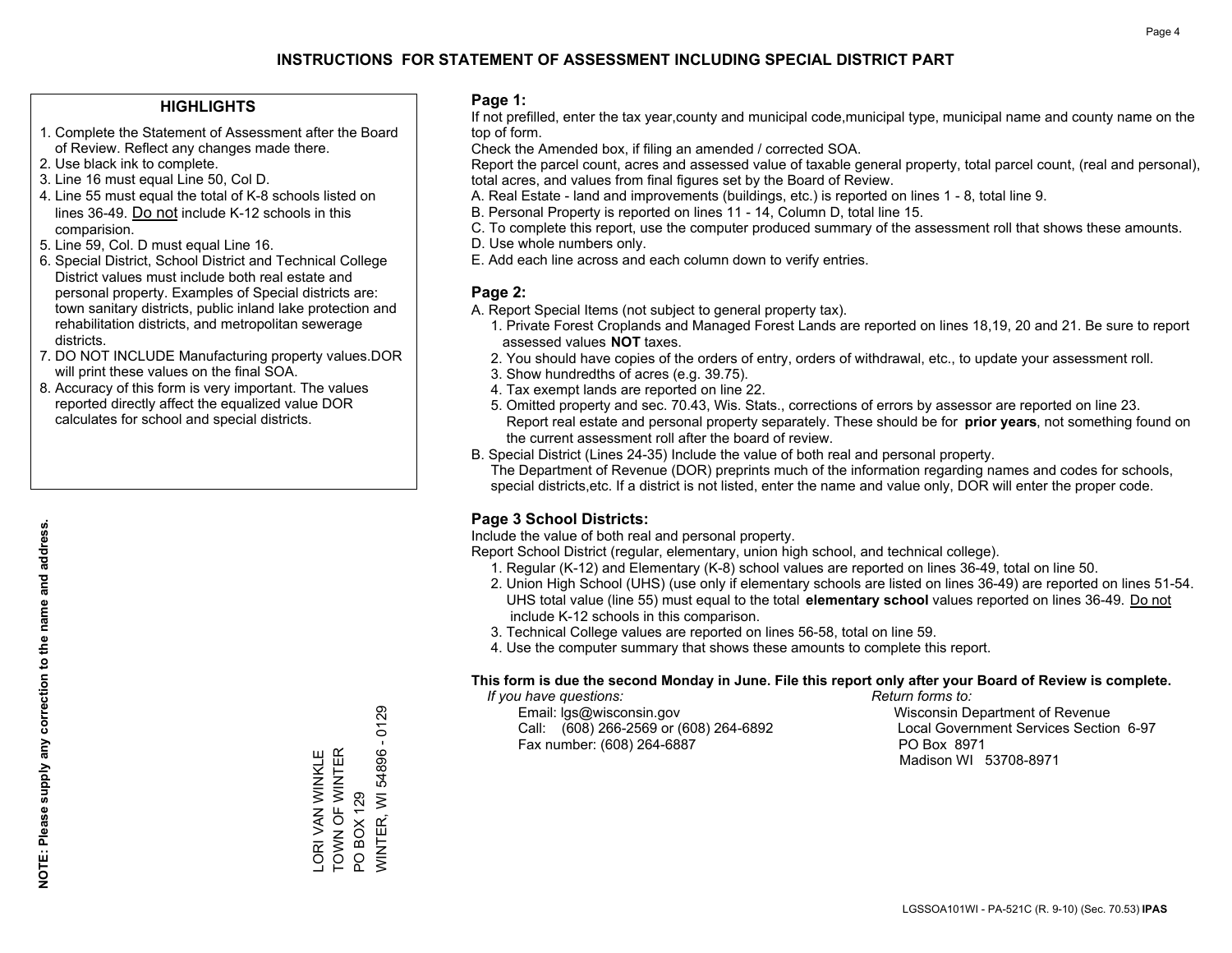### **HIGHLIGHTS**

- 1. Complete the Statement of Assessment after the Board of Review. Reflect any changes made there.
- 2. Use black ink to complete.
- 3. Line 16 must equal Line 50, Col D.
- 4. Line 55 must equal the total of K-8 schools listed on lines 36-49. Do not include K-12 schools in this comparision.
- 5. Line 59, Col. D must equal Line 16.
- 6. Special District, School District and Technical College District values must include both real estate and personal property. Examples of Special districts are: town sanitary districts, public inland lake protection and rehabilitation districts, and metropolitan sewerage districts.
- 7. DO NOT INCLUDE Manufacturing property values.DOR will print these values on the final SOA.
- 8. Accuracy of this form is very important. The values reported directly affect the equalized value DOR calculates for school and special districts.

#### **Page 1:**

 If not prefilled, enter the tax year,county and municipal code,municipal type, municipal name and county name on the top of form.

Check the Amended box, if filing an amended / corrected SOA.

 Report the parcel count, acres and assessed value of taxable general property, total parcel count, (real and personal), total acres, and values from final figures set by the Board of Review.

- A. Real Estate land and improvements (buildings, etc.) is reported on lines 1 8, total line 9.
- B. Personal Property is reported on lines 11 14, Column D, total line 15.
- C. To complete this report, use the computer produced summary of the assessment roll that shows these amounts.
- D. Use whole numbers only.
- E. Add each line across and each column down to verify entries.

### **Page 2:**

- A. Report Special Items (not subject to general property tax).
- 1. Private Forest Croplands and Managed Forest Lands are reported on lines 18,19, 20 and 21. Be sure to report assessed values **NOT** taxes.
- 2. You should have copies of the orders of entry, orders of withdrawal, etc., to update your assessment roll.
	- 3. Show hundredths of acres (e.g. 39.75).
- 4. Tax exempt lands are reported on line 22.
- 5. Omitted property and sec. 70.43, Wis. Stats., corrections of errors by assessor are reported on line 23. Report real estate and personal property separately. These should be for **prior years**, not something found on the current assessment roll after the board of review.
- B. Special District (Lines 24-35) Include the value of both real and personal property.

 The Department of Revenue (DOR) preprints much of the information regarding names and codes for schools, special districts,etc. If a district is not listed, enter the name and value only, DOR will enter the proper code.

### **Page 3 School Districts:**

Include the value of both real and personal property.

Report School District (regular, elementary, union high school, and technical college).

- 1. Regular (K-12) and Elementary (K-8) school values are reported on lines 36-49, total on line 50.
- 2. Union High School (UHS) (use only if elementary schools are listed on lines 36-49) are reported on lines 51-54. UHS total value (line 55) must equal to the total **elementary school** values reported on lines 36-49. Do notinclude K-12 schools in this comparison.
- 3. Technical College values are reported on lines 56-58, total on line 59.
- 4. Use the computer summary that shows these amounts to complete this report.

#### **This form is due the second Monday in June. File this report only after your Board of Review is complete.**

 *If you have questions: Return forms to:*

 Email: lgs@wisconsin.gov Wisconsin Department of RevenueCall:  $(608)$  266-2569 or  $(608)$  264-6892 Fax number: (608) 264-6887 PO Box 8971

Local Government Services Section 6-97 Madison WI 53708-8971

TOWN OF WINTER LORI VAN WINKLE<br>TOWN OF WINTER LORI VAN WINKLE

PO BOX 129

PO BOX 129

WINTER, WI 54896 - 0129

**NINTER, WI 54896 - 0129**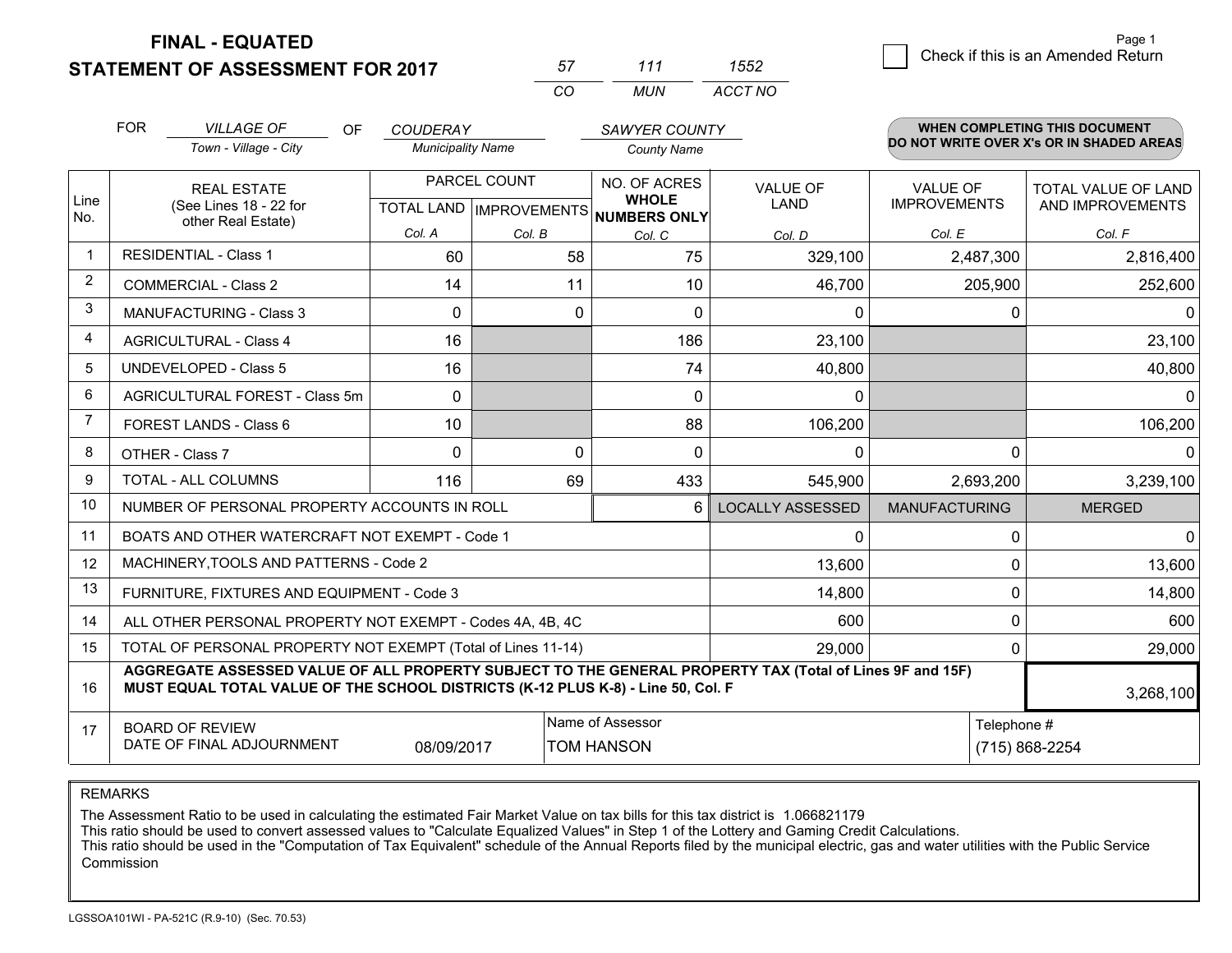**STATEMENT OF ASSESSMENT FOR 2017** 

| 57       | 111   | わらつ     |
|----------|-------|---------|
| $\cdots$ | MI IN | ACCT NO |

|                | <b>FOR</b>                                                                                                                                                                                   | <b>VILLAGE OF</b><br><b>OF</b>                                                                                                              | <b>COUDERAY</b>                           |             | <b>SAWYER COUNTY</b>                         |                         |                                        | <b>WHEN COMPLETING THIS DOCUMENT</b>           |
|----------------|----------------------------------------------------------------------------------------------------------------------------------------------------------------------------------------------|---------------------------------------------------------------------------------------------------------------------------------------------|-------------------------------------------|-------------|----------------------------------------------|-------------------------|----------------------------------------|------------------------------------------------|
|                |                                                                                                                                                                                              | Town - Village - City                                                                                                                       | <b>Municipality Name</b>                  |             | <b>County Name</b>                           |                         |                                        | DO NOT WRITE OVER X's OR IN SHADED AREAS       |
| Line<br>No.    |                                                                                                                                                                                              | <b>REAL ESTATE</b><br>(See Lines 18 - 22 for                                                                                                | PARCEL COUNT<br>TOTAL LAND   IMPROVEMENTS |             | NO. OF ACRES<br><b>WHOLE</b><br>NUMBERS ONLY | <b>VALUE OF</b><br>LAND | <b>VALUE OF</b><br><b>IMPROVEMENTS</b> | <b>TOTAL VALUE OF LAND</b><br>AND IMPROVEMENTS |
|                |                                                                                                                                                                                              | other Real Estate)                                                                                                                          | Col. A                                    | Col. B      | Col. C                                       | Col. D                  | Col. E                                 | Col. F                                         |
| $\mathbf{1}$   |                                                                                                                                                                                              | <b>RESIDENTIAL - Class 1</b>                                                                                                                | 60                                        | 58          | 75                                           | 329,100                 | 2,487,300                              | 2,816,400                                      |
| 2              |                                                                                                                                                                                              | <b>COMMERCIAL - Class 2</b>                                                                                                                 | 14                                        | 11          | 10                                           | 46,700                  | 205,900                                | 252,600                                        |
| 3              |                                                                                                                                                                                              | <b>MANUFACTURING - Class 3</b>                                                                                                              | $\Omega$                                  | 0           | 0                                            | 0                       | 0                                      | $\Omega$                                       |
| 4              |                                                                                                                                                                                              | <b>AGRICULTURAL - Class 4</b>                                                                                                               | 16                                        |             | 186                                          | 23,100                  |                                        | 23,100                                         |
| 5              |                                                                                                                                                                                              | <b>UNDEVELOPED - Class 5</b>                                                                                                                | 16                                        |             | 74                                           | 40,800                  |                                        | 40,800                                         |
| 6              | AGRICULTURAL FOREST - Class 5m                                                                                                                                                               |                                                                                                                                             | $\mathbf 0$                               |             | $\mathbf 0$                                  | 0                       |                                        | $\Omega$                                       |
| $\overline{7}$ |                                                                                                                                                                                              | FOREST LANDS - Class 6                                                                                                                      | 10                                        |             | 88                                           | 106,200                 |                                        | 106,200                                        |
| 8              |                                                                                                                                                                                              | OTHER - Class 7                                                                                                                             | $\Omega$                                  | $\mathbf 0$ | $\Omega$                                     | 0                       | $\Omega$                               | 0                                              |
| 9              |                                                                                                                                                                                              | TOTAL - ALL COLUMNS                                                                                                                         | 116                                       | 69          | 433                                          | 545,900                 | 2,693,200                              | 3,239,100                                      |
| 10             |                                                                                                                                                                                              | NUMBER OF PERSONAL PROPERTY ACCOUNTS IN ROLL                                                                                                |                                           |             | 6                                            | <b>LOCALLY ASSESSED</b> | <b>MANUFACTURING</b>                   | <b>MERGED</b>                                  |
| 11             |                                                                                                                                                                                              | BOATS AND OTHER WATERCRAFT NOT EXEMPT - Code 1                                                                                              |                                           |             |                                              | 0                       | $\Omega$                               | $\Omega$                                       |
| 12             |                                                                                                                                                                                              | MACHINERY, TOOLS AND PATTERNS - Code 2                                                                                                      |                                           |             |                                              | 13,600                  | U                                      | 13,600                                         |
| 13             |                                                                                                                                                                                              | FURNITURE, FIXTURES AND EQUIPMENT - Code 3                                                                                                  |                                           |             |                                              | 14,800                  | 0                                      | 14,800                                         |
| 14             |                                                                                                                                                                                              | ALL OTHER PERSONAL PROPERTY NOT EXEMPT - Codes 4A, 4B, 4C                                                                                   |                                           |             |                                              | 600                     | $\Omega$                               | 600                                            |
| 15             |                                                                                                                                                                                              | TOTAL OF PERSONAL PROPERTY NOT EXEMPT (Total of Lines 11-14)                                                                                |                                           |             |                                              | 29,000                  | $\Omega$                               | 29,000                                         |
| 16             | AGGREGATE ASSESSED VALUE OF ALL PROPERTY SUBJECT TO THE GENERAL PROPERTY TAX (Total of Lines 9F and 15F)<br>MUST EQUAL TOTAL VALUE OF THE SCHOOL DISTRICTS (K-12 PLUS K-8) - Line 50, Col. F |                                                                                                                                             |                                           |             |                                              |                         |                                        | 3,268,100                                      |
| 17             |                                                                                                                                                                                              | Name of Assessor<br>Telephone #<br><b>BOARD OF REVIEW</b><br>DATE OF FINAL ADJOURNMENT<br>08/09/2017<br><b>TOM HANSON</b><br>(715) 868-2254 |                                           |             |                                              |                         |                                        |                                                |

REMARKS

The Assessment Ratio to be used in calculating the estimated Fair Market Value on tax bills for this tax district is 1.066821179<br>This ratio should be used to convert assessed values to "Calculate Equalized Values" in Step Commission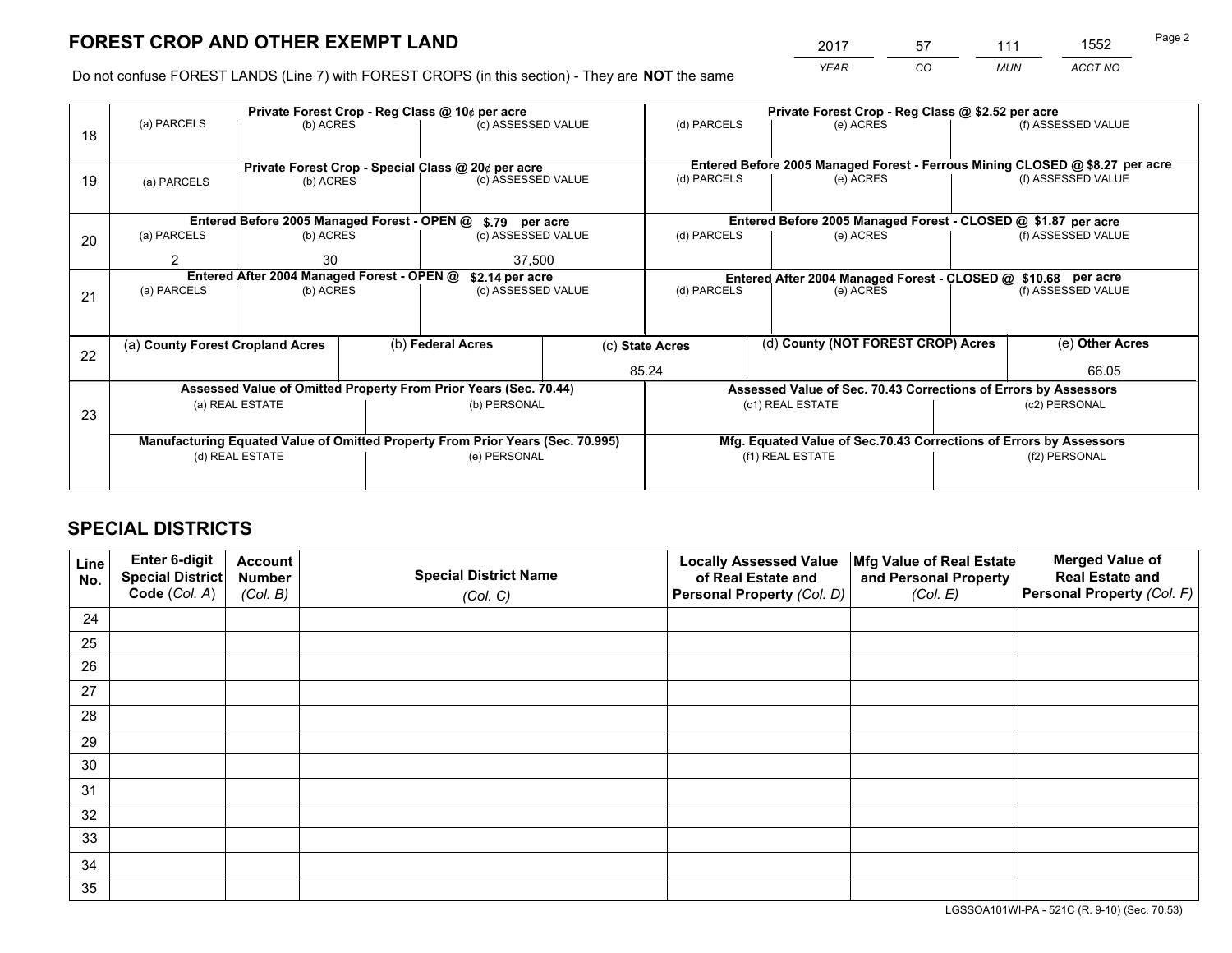*YEAR CO MUN ACCT NO* <sup>2017</sup> <sup>57</sup> <sup>111</sup> <sup>1552</sup>

Do not confuse FOREST LANDS (Line 7) with FOREST CROPS (in this section) - They are **NOT** the same

|    |                                  |                                             |  | Private Forest Crop - Reg Class @ 10¢ per acre                                 |                                   | Private Forest Crop - Reg Class @ \$2.52 per acre             |                                                                              |                    |                    |
|----|----------------------------------|---------------------------------------------|--|--------------------------------------------------------------------------------|-----------------------------------|---------------------------------------------------------------|------------------------------------------------------------------------------|--------------------|--------------------|
| 18 | (a) PARCELS                      | (b) ACRES                                   |  | (c) ASSESSED VALUE                                                             |                                   | (d) PARCELS                                                   | (e) ACRES                                                                    |                    | (f) ASSESSED VALUE |
|    |                                  |                                             |  | Private Forest Crop - Special Class @ 20¢ per acre                             |                                   |                                                               | Entered Before 2005 Managed Forest - Ferrous Mining CLOSED @ \$8.27 per acre |                    |                    |
| 19 | (a) PARCELS                      | (b) ACRES                                   |  | (c) ASSESSED VALUE                                                             |                                   | (d) PARCELS                                                   | (e) ACRES                                                                    |                    | (f) ASSESSED VALUE |
|    |                                  |                                             |  |                                                                                |                                   |                                                               |                                                                              |                    |                    |
|    |                                  | Entered Before 2005 Managed Forest - OPEN @ |  | \$.79 per acre                                                                 |                                   |                                                               | Entered Before 2005 Managed Forest - CLOSED @ \$1.87 per acre                |                    |                    |
| 20 | (a) PARCELS                      | (b) ACRES                                   |  | (c) ASSESSED VALUE                                                             |                                   | (d) PARCELS                                                   | (e) ACRES                                                                    |                    | (f) ASSESSED VALUE |
|    | 2                                | 30                                          |  | 37,500                                                                         |                                   |                                                               |                                                                              |                    |                    |
|    |                                  | Entered After 2004 Managed Forest - OPEN @  |  | \$2.14 per acre                                                                |                                   | Entered After 2004 Managed Forest - CLOSED @ \$10.68 per acre |                                                                              |                    |                    |
| 21 | (a) PARCELS                      | (b) ACRES                                   |  |                                                                                | (d) PARCELS<br>(c) ASSESSED VALUE |                                                               | (e) ACRES                                                                    | (f) ASSESSED VALUE |                    |
|    |                                  |                                             |  |                                                                                |                                   |                                                               |                                                                              |                    |                    |
| 22 | (a) County Forest Cropland Acres |                                             |  | (b) Federal Acres                                                              |                                   | (d) County (NOT FOREST CROP) Acres<br>(c) State Acres         |                                                                              |                    | (e) Other Acres    |
|    |                                  |                                             |  |                                                                                | 85.24                             |                                                               |                                                                              |                    | 66.05              |
|    |                                  |                                             |  | Assessed Value of Omitted Property From Prior Years (Sec. 70.44)               |                                   |                                                               | Assessed Value of Sec. 70.43 Corrections of Errors by Assessors              |                    |                    |
| 23 |                                  | (a) REAL ESTATE                             |  | (b) PERSONAL                                                                   |                                   |                                                               | (c1) REAL ESTATE                                                             |                    | (c2) PERSONAL      |
|    |                                  |                                             |  |                                                                                |                                   |                                                               |                                                                              |                    |                    |
|    |                                  |                                             |  | Manufacturing Equated Value of Omitted Property From Prior Years (Sec. 70.995) |                                   |                                                               | Mfg. Equated Value of Sec.70.43 Corrections of Errors by Assessors           |                    |                    |
|    |                                  | (d) REAL ESTATE                             |  | (e) PERSONAL                                                                   |                                   | (f1) REAL ESTATE                                              |                                                                              | (f2) PERSONAL      |                    |
|    |                                  |                                             |  |                                                                                |                                   |                                                               |                                                                              |                    |                    |

# **SPECIAL DISTRICTS**

| Line<br>No. | <b>Enter 6-digit</b><br><b>Special District</b> | <b>Account</b><br><b>Number</b> | <b>Special District Name</b> | <b>Locally Assessed Value</b><br>of Real Estate and | Mfg Value of Real Estate<br>and Personal Property | <b>Merged Value of</b><br><b>Real Estate and</b> |
|-------------|-------------------------------------------------|---------------------------------|------------------------------|-----------------------------------------------------|---------------------------------------------------|--------------------------------------------------|
|             | Code (Col. A)                                   | (Col. B)                        | (Col. C)                     | Personal Property (Col. D)                          | (Col. E)                                          | <b>Personal Property (Col. F)</b>                |
| 24          |                                                 |                                 |                              |                                                     |                                                   |                                                  |
| 25          |                                                 |                                 |                              |                                                     |                                                   |                                                  |
| 26          |                                                 |                                 |                              |                                                     |                                                   |                                                  |
| 27          |                                                 |                                 |                              |                                                     |                                                   |                                                  |
| 28          |                                                 |                                 |                              |                                                     |                                                   |                                                  |
| 29          |                                                 |                                 |                              |                                                     |                                                   |                                                  |
| 30          |                                                 |                                 |                              |                                                     |                                                   |                                                  |
| 31          |                                                 |                                 |                              |                                                     |                                                   |                                                  |
| 32          |                                                 |                                 |                              |                                                     |                                                   |                                                  |
| 33          |                                                 |                                 |                              |                                                     |                                                   |                                                  |
| 34          |                                                 |                                 |                              |                                                     |                                                   |                                                  |
| 35          |                                                 |                                 |                              |                                                     |                                                   |                                                  |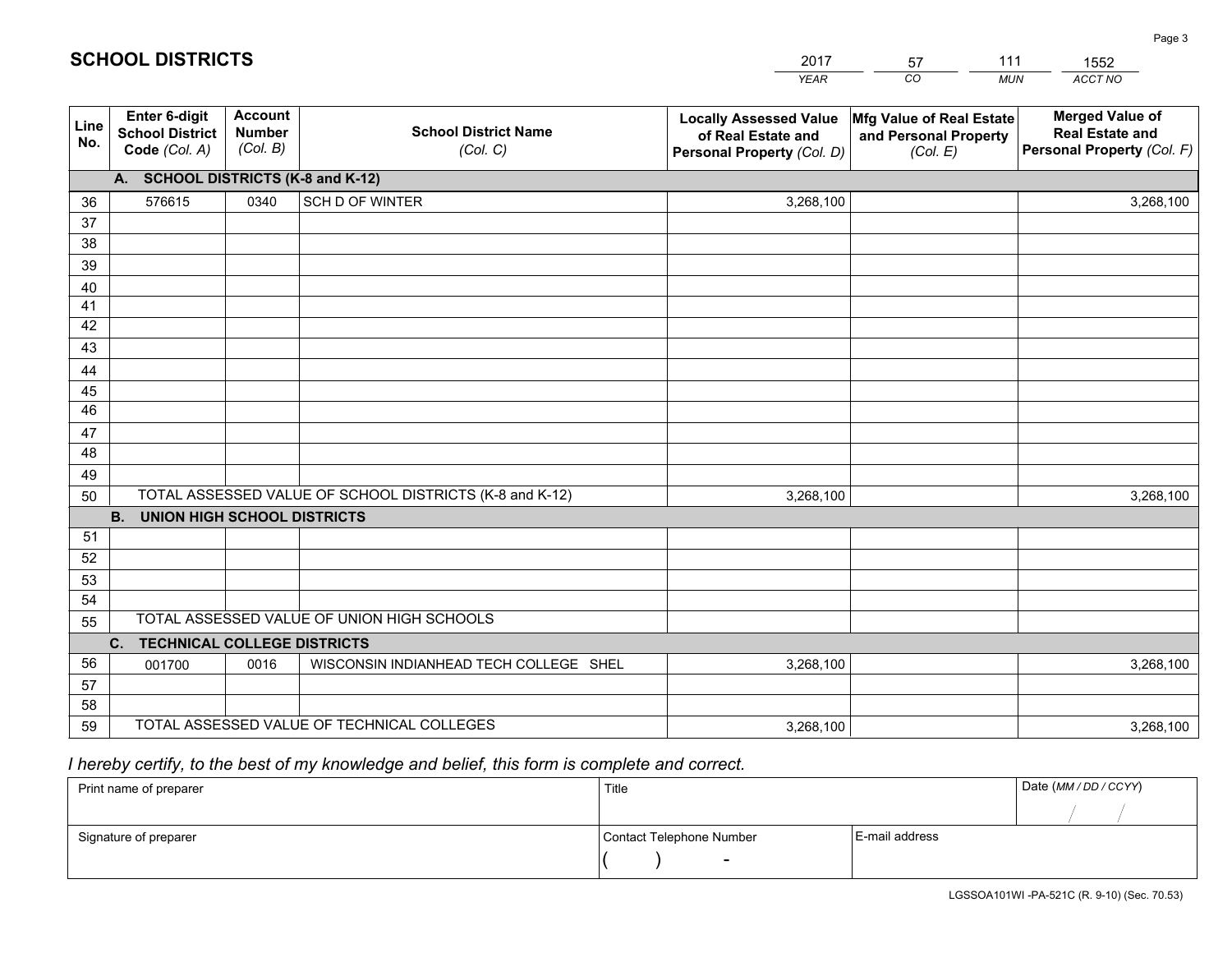|             |                                                          |                                             |                                                         | YEAR                                                                              | CO.<br><b>MUN</b>                                             | ACCT NO                                                                        |
|-------------|----------------------------------------------------------|---------------------------------------------|---------------------------------------------------------|-----------------------------------------------------------------------------------|---------------------------------------------------------------|--------------------------------------------------------------------------------|
| Line<br>No. | Enter 6-digit<br><b>School District</b><br>Code (Col. A) | <b>Account</b><br><b>Number</b><br>(Col. B) | <b>School District Name</b><br>(Col. C)                 | <b>Locally Assessed Value</b><br>of Real Estate and<br>Personal Property (Col. D) | Mfg Value of Real Estate<br>and Personal Property<br>(Col. E) | <b>Merged Value of</b><br><b>Real Estate and</b><br>Personal Property (Col. F) |
|             | A. SCHOOL DISTRICTS (K-8 and K-12)                       |                                             |                                                         |                                                                                   |                                                               |                                                                                |
| 36          | 576615                                                   | 0340                                        | SCH D OF WINTER                                         | 3,268,100                                                                         |                                                               | 3,268,100                                                                      |
| 37          |                                                          |                                             |                                                         |                                                                                   |                                                               |                                                                                |
| 38          |                                                          |                                             |                                                         |                                                                                   |                                                               |                                                                                |
| 39          |                                                          |                                             |                                                         |                                                                                   |                                                               |                                                                                |
| 40          |                                                          |                                             |                                                         |                                                                                   |                                                               |                                                                                |
| 41<br>42    |                                                          |                                             |                                                         |                                                                                   |                                                               |                                                                                |
| 43          |                                                          |                                             |                                                         |                                                                                   |                                                               |                                                                                |
| 44          |                                                          |                                             |                                                         |                                                                                   |                                                               |                                                                                |
| 45          |                                                          |                                             |                                                         |                                                                                   |                                                               |                                                                                |
| 46          |                                                          |                                             |                                                         |                                                                                   |                                                               |                                                                                |
| 47          |                                                          |                                             |                                                         |                                                                                   |                                                               |                                                                                |
| 48          |                                                          |                                             |                                                         |                                                                                   |                                                               |                                                                                |
| 49          |                                                          |                                             |                                                         |                                                                                   |                                                               |                                                                                |
| 50          |                                                          |                                             | TOTAL ASSESSED VALUE OF SCHOOL DISTRICTS (K-8 and K-12) | 3,268,100                                                                         |                                                               | 3,268,100                                                                      |
|             | <b>UNION HIGH SCHOOL DISTRICTS</b><br><b>B.</b>          |                                             |                                                         |                                                                                   |                                                               |                                                                                |
| 51          |                                                          |                                             |                                                         |                                                                                   |                                                               |                                                                                |
| 52          |                                                          |                                             |                                                         |                                                                                   |                                                               |                                                                                |
| 53          |                                                          |                                             |                                                         |                                                                                   |                                                               |                                                                                |
| 54          |                                                          |                                             | TOTAL ASSESSED VALUE OF UNION HIGH SCHOOLS              |                                                                                   |                                                               |                                                                                |
| 55          |                                                          |                                             |                                                         |                                                                                   |                                                               |                                                                                |
|             | C.<br><b>TECHNICAL COLLEGE DISTRICTS</b>                 |                                             |                                                         |                                                                                   |                                                               |                                                                                |
| 56<br>57    | 001700                                                   | 0016                                        | WISCONSIN INDIANHEAD TECH COLLEGE SHEL                  | 3,268,100                                                                         |                                                               | 3,268,100                                                                      |
| 58          |                                                          |                                             |                                                         |                                                                                   |                                                               |                                                                                |
| 59          |                                                          |                                             | TOTAL ASSESSED VALUE OF TECHNICAL COLLEGES              | 3,268,100                                                                         |                                                               | 3,268,100                                                                      |

2017

57

111

 *I hereby certify, to the best of my knowledge and belief, this form is complete and correct.*

**SCHOOL DISTRICTS**

| Print name of preparer | Title                    |                | Date (MM / DD / CCYY) |
|------------------------|--------------------------|----------------|-----------------------|
|                        |                          |                |                       |
| Signature of preparer  | Contact Telephone Number | E-mail address |                       |
|                        | -                        |                |                       |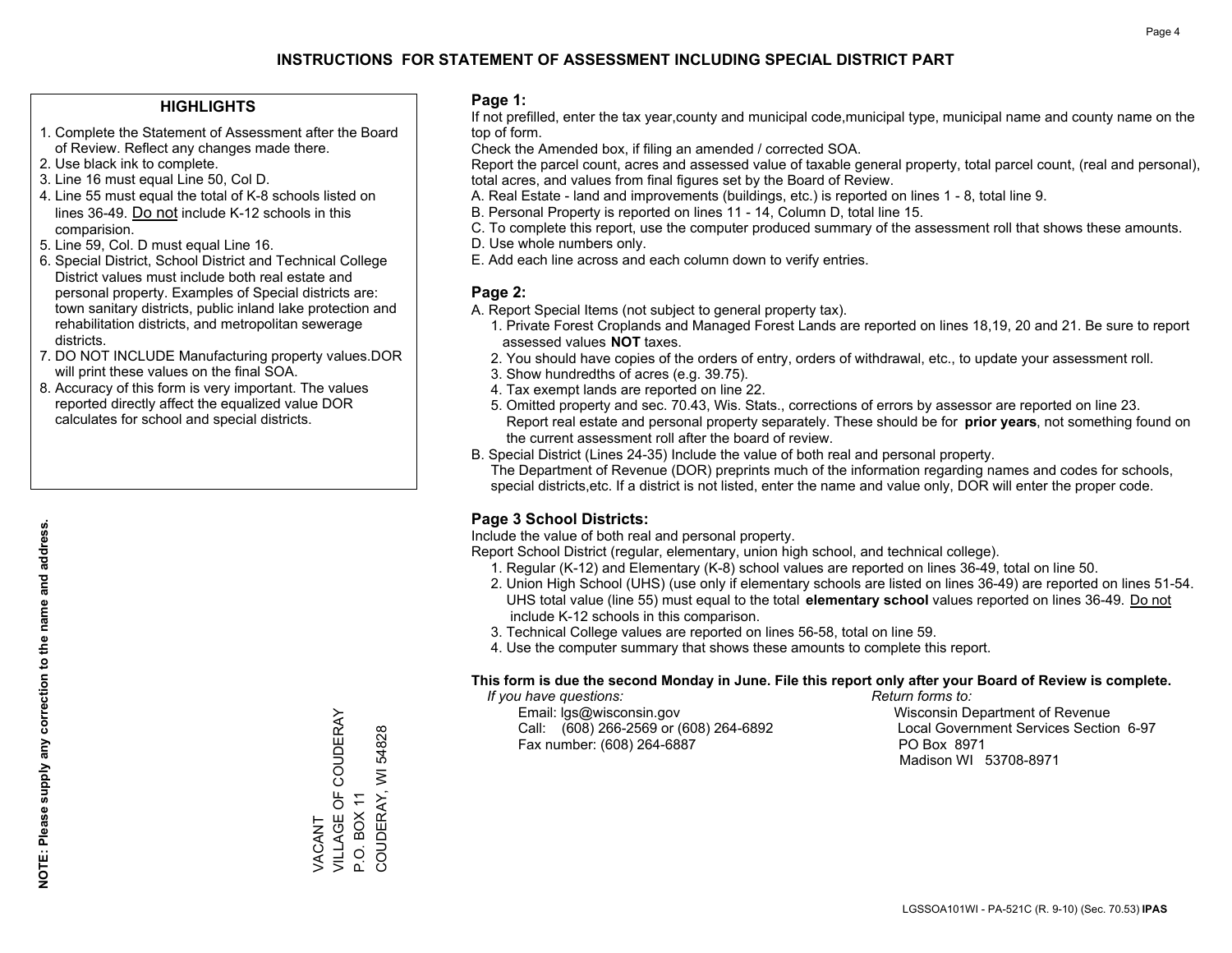### **HIGHLIGHTS**

- 1. Complete the Statement of Assessment after the Board of Review. Reflect any changes made there.
- 2. Use black ink to complete.
- 3. Line 16 must equal Line 50, Col D.
- 4. Line 55 must equal the total of K-8 schools listed on lines 36-49. Do not include K-12 schools in this comparision.
- 5. Line 59, Col. D must equal Line 16.
- 6. Special District, School District and Technical College District values must include both real estate and personal property. Examples of Special districts are: town sanitary districts, public inland lake protection and rehabilitation districts, and metropolitan sewerage districts.
- 7. DO NOT INCLUDE Manufacturing property values.DOR will print these values on the final SOA.

VACANT

**VACANT** 

VILLAGE OF COUDERAY

VILLAGE OF COUDERAY

P.O. BOX 11

COUDERAY, WI 54828

COUDERAY, WI P.O. BOX 11

54828

 8. Accuracy of this form is very important. The values reported directly affect the equalized value DOR calculates for school and special districts.

#### **Page 1:**

 If not prefilled, enter the tax year,county and municipal code,municipal type, municipal name and county name on the top of form.

Check the Amended box, if filing an amended / corrected SOA.

 Report the parcel count, acres and assessed value of taxable general property, total parcel count, (real and personal), total acres, and values from final figures set by the Board of Review.

- A. Real Estate land and improvements (buildings, etc.) is reported on lines 1 8, total line 9.
- B. Personal Property is reported on lines 11 14, Column D, total line 15.
- C. To complete this report, use the computer produced summary of the assessment roll that shows these amounts.
- D. Use whole numbers only.
- E. Add each line across and each column down to verify entries.

### **Page 2:**

- A. Report Special Items (not subject to general property tax).
- 1. Private Forest Croplands and Managed Forest Lands are reported on lines 18,19, 20 and 21. Be sure to report assessed values **NOT** taxes.
- 2. You should have copies of the orders of entry, orders of withdrawal, etc., to update your assessment roll.
	- 3. Show hundredths of acres (e.g. 39.75).
- 4. Tax exempt lands are reported on line 22.
- 5. Omitted property and sec. 70.43, Wis. Stats., corrections of errors by assessor are reported on line 23. Report real estate and personal property separately. These should be for **prior years**, not something found on the current assessment roll after the board of review.
- B. Special District (Lines 24-35) Include the value of both real and personal property.

 The Department of Revenue (DOR) preprints much of the information regarding names and codes for schools, special districts,etc. If a district is not listed, enter the name and value only, DOR will enter the proper code.

### **Page 3 School Districts:**

Include the value of both real and personal property.

Report School District (regular, elementary, union high school, and technical college).

- 1. Regular (K-12) and Elementary (K-8) school values are reported on lines 36-49, total on line 50.
- 2. Union High School (UHS) (use only if elementary schools are listed on lines 36-49) are reported on lines 51-54. UHS total value (line 55) must equal to the total **elementary school** values reported on lines 36-49. Do notinclude K-12 schools in this comparison.
- 3. Technical College values are reported on lines 56-58, total on line 59.
- 4. Use the computer summary that shows these amounts to complete this report.

#### **This form is due the second Monday in June. File this report only after your Board of Review is complete.**

 *If you have questions: Return forms to:*

 Email: lgs@wisconsin.gov Wisconsin Department of RevenueCall:  $(608)$  266-2569 or  $(608)$  264-6892 Fax number: (608) 264-6887 PO Box 8971

Local Government Services Section 6-97 Madison WI 53708-8971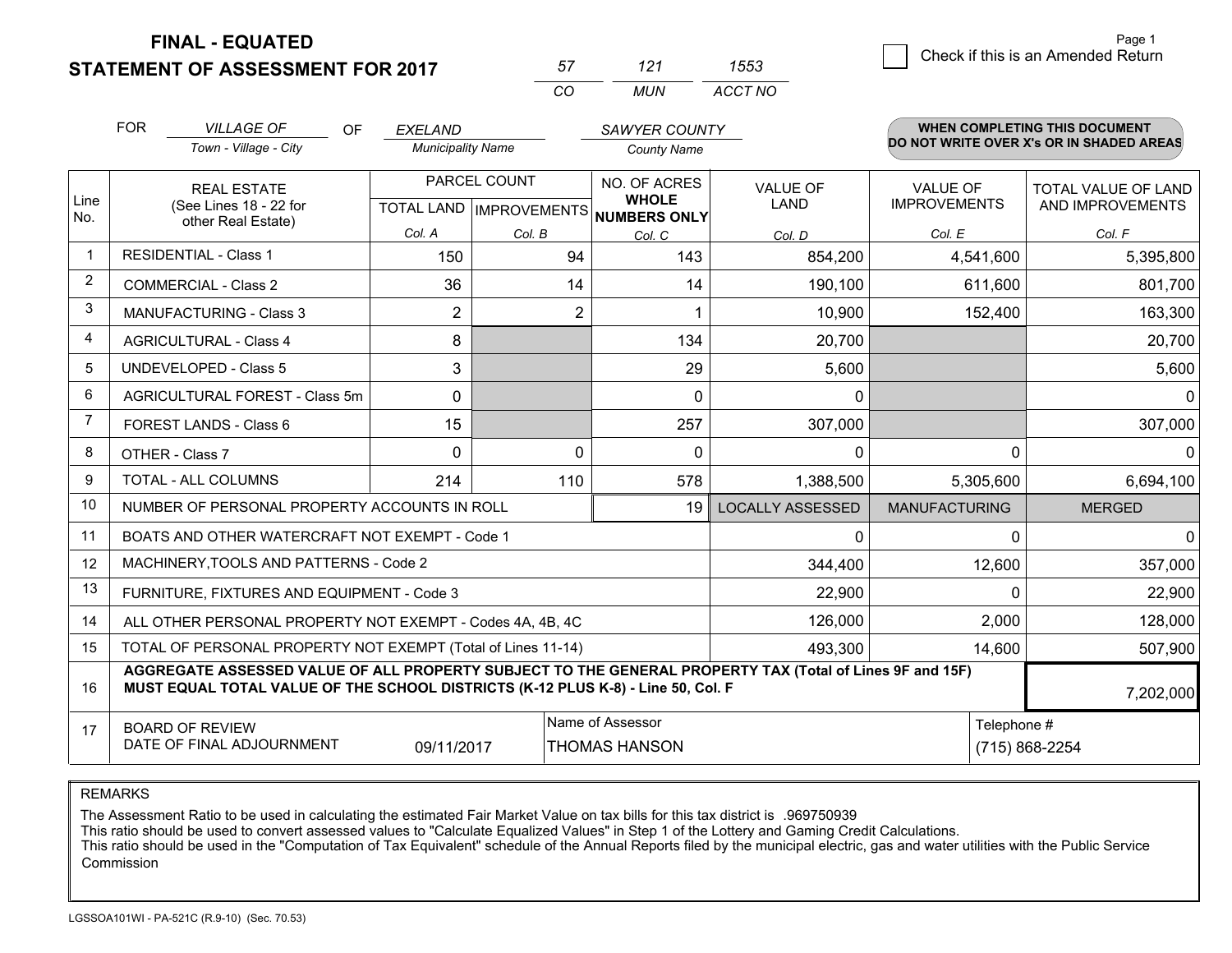**STATEMENT OF ASSESSMENT FOR 2017** 

| 57       | 121 | 1553    |
|----------|-----|---------|
| $\cdots$ | MUN | ACCT NO |

|                         | <b>FOR</b><br><b>VILLAGE OF</b><br>OF<br>Town - Village - City                                                                                                                                            | <b>EXELAND</b><br><b>Municipality Name</b>           |          | <b>SAWYER COUNTY</b><br><b>County Name</b> |                                |                                        | WHEN COMPLETING THIS DOCUMENT<br>DO NOT WRITE OVER X's OR IN SHADED AREAS |
|-------------------------|-----------------------------------------------------------------------------------------------------------------------------------------------------------------------------------------------------------|------------------------------------------------------|----------|--------------------------------------------|--------------------------------|----------------------------------------|---------------------------------------------------------------------------|
| Line<br>No.             | <b>REAL ESTATE</b><br>(See Lines 18 - 22 for<br>other Real Estate)                                                                                                                                        | PARCEL COUNT<br>TOTAL LAND IMPROVEMENTS NUMBERS ONLY |          | NO. OF ACRES<br><b>WHOLE</b>               | <b>VALUE OF</b><br><b>LAND</b> | <b>VALUE OF</b><br><b>IMPROVEMENTS</b> | <b>TOTAL VALUE OF LAND</b><br>AND IMPROVEMENTS                            |
|                         |                                                                                                                                                                                                           | Col. A                                               | Col. B   | Col. C                                     | Col. D                         | Col. E                                 | Col. F                                                                    |
| $\overline{\mathbf{1}}$ | <b>RESIDENTIAL - Class 1</b>                                                                                                                                                                              | 150                                                  | 94       | 143                                        | 854,200                        | 4,541,600                              | 5,395,800                                                                 |
| 2                       | <b>COMMERCIAL - Class 2</b>                                                                                                                                                                               | 36                                                   | 14       | 14                                         | 190,100                        | 611,600                                | 801,700                                                                   |
| 3                       | <b>MANUFACTURING - Class 3</b>                                                                                                                                                                            | $\overline{2}$                                       | 2        |                                            | 10,900                         | 152,400                                | 163,300                                                                   |
| 4                       | <b>AGRICULTURAL - Class 4</b>                                                                                                                                                                             | 8                                                    |          | 134                                        | 20,700                         |                                        | 20,700                                                                    |
| 5                       | UNDEVELOPED - Class 5                                                                                                                                                                                     | 3                                                    |          | 29                                         | 5,600                          |                                        | 5,600                                                                     |
| 6                       | AGRICULTURAL FOREST - Class 5m                                                                                                                                                                            | $\Omega$                                             |          | $\Omega$                                   | $\mathbf{0}$                   |                                        | $\mathbf{0}$                                                              |
| $\overline{7}$          | FOREST LANDS - Class 6                                                                                                                                                                                    | 15                                                   |          | 257                                        | 307,000                        |                                        | 307,000                                                                   |
| 8                       | OTHER - Class 7                                                                                                                                                                                           | $\Omega$                                             | $\Omega$ | $\Omega$                                   | $\mathbf{0}$                   | $\Omega$                               | $\Omega$                                                                  |
| 9                       | TOTAL - ALL COLUMNS                                                                                                                                                                                       | 214                                                  | 110      | 578                                        | 1,388,500                      | 5,305,600                              | 6,694,100                                                                 |
| 10                      | NUMBER OF PERSONAL PROPERTY ACCOUNTS IN ROLL                                                                                                                                                              |                                                      |          | 19                                         | <b>LOCALLY ASSESSED</b>        | <b>MANUFACTURING</b>                   | <b>MERGED</b>                                                             |
| 11                      | BOATS AND OTHER WATERCRAFT NOT EXEMPT - Code 1                                                                                                                                                            |                                                      | 0        | 0                                          | $\mathbf 0$                    |                                        |                                                                           |
| 12                      | MACHINERY, TOOLS AND PATTERNS - Code 2                                                                                                                                                                    |                                                      |          |                                            | 344,400                        | 12,600                                 | 357,000                                                                   |
| 13                      | FURNITURE, FIXTURES AND EQUIPMENT - Code 3                                                                                                                                                                |                                                      |          |                                            | 22,900                         | $\Omega$                               | 22,900                                                                    |
| 14                      | ALL OTHER PERSONAL PROPERTY NOT EXEMPT - Codes 4A, 4B, 4C                                                                                                                                                 |                                                      |          | 126,000                                    | 2,000                          | 128,000                                |                                                                           |
| 15                      | TOTAL OF PERSONAL PROPERTY NOT EXEMPT (Total of Lines 11-14)                                                                                                                                              |                                                      | 493,300  | 14,600                                     | 507,900                        |                                        |                                                                           |
| 16                      | AGGREGATE ASSESSED VALUE OF ALL PROPERTY SUBJECT TO THE GENERAL PROPERTY TAX (Total of Lines 9F and 15F)<br>MUST EQUAL TOTAL VALUE OF THE SCHOOL DISTRICTS (K-12 PLUS K-8) - Line 50, Col. F<br>7,202,000 |                                                      |          |                                            |                                |                                        |                                                                           |
| 17                      | Name of Assessor<br>Telephone #<br><b>BOARD OF REVIEW</b><br>DATE OF FINAL ADJOURNMENT<br>09/11/2017<br>THOMAS HANSON                                                                                     |                                                      |          |                                            |                                | (715) 868-2254                         |                                                                           |

REMARKS

The Assessment Ratio to be used in calculating the estimated Fair Market Value on tax bills for this tax district is .969750939<br>This ratio should be used to convert assessed values to "Calculate Equalized Values" in Step 1 Commission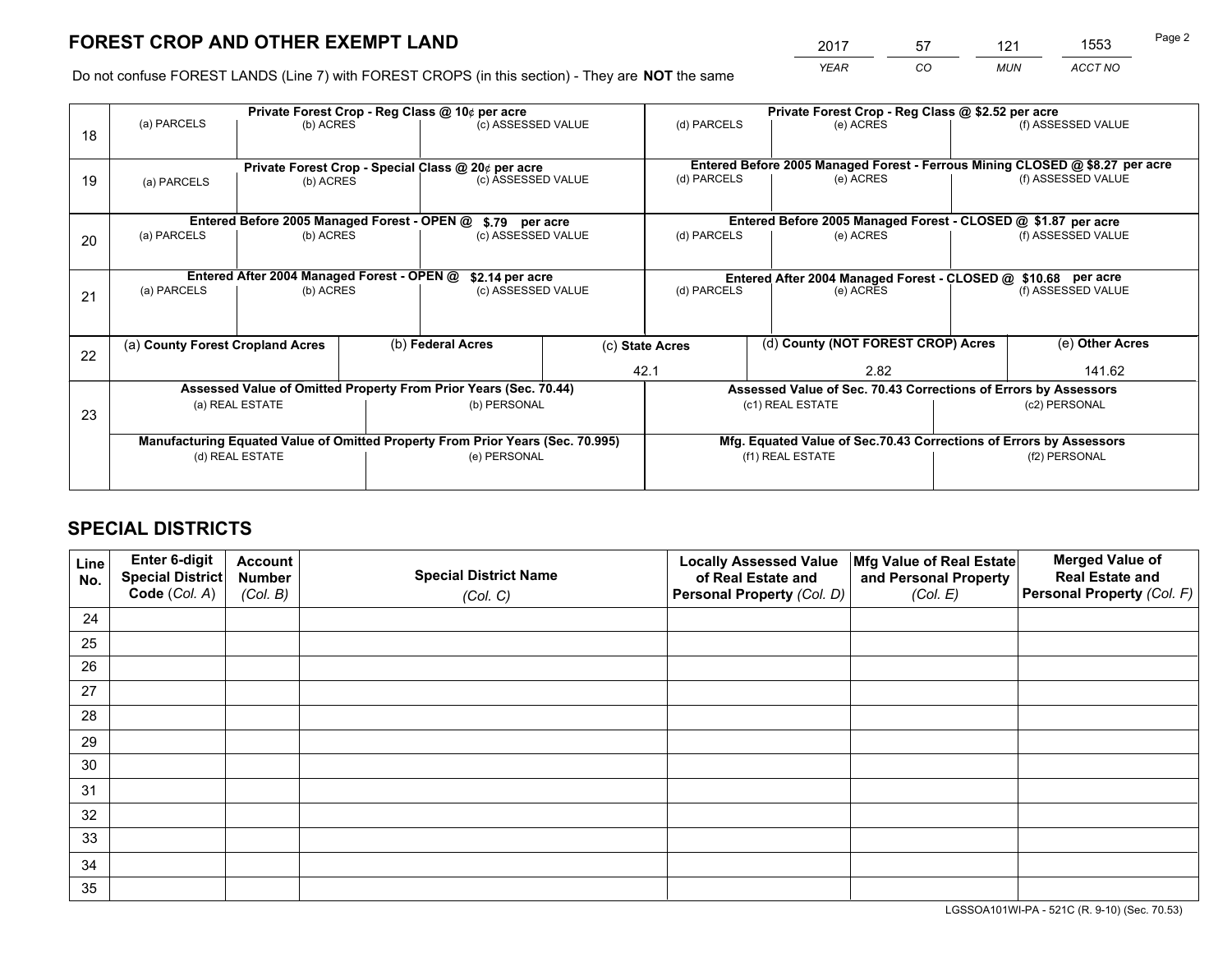*YEAR CO MUN ACCT NO* <sup>2017</sup> <sup>57</sup> <sup>121</sup> <sup>1553</sup>

Do not confuse FOREST LANDS (Line 7) with FOREST CROPS (in this section) - They are **NOT** the same

|    | Private Forest Crop - Reg Class @ 10¢ per acre                                 |                                             |              |                                                    |      | Private Forest Crop - Reg Class @ \$2.52 per acre               |                                                                              |                    |                    |  |
|----|--------------------------------------------------------------------------------|---------------------------------------------|--------------|----------------------------------------------------|------|-----------------------------------------------------------------|------------------------------------------------------------------------------|--------------------|--------------------|--|
| 18 | (a) PARCELS                                                                    | (b) ACRES                                   |              | (c) ASSESSED VALUE                                 |      | (d) PARCELS                                                     | (e) ACRES                                                                    |                    | (f) ASSESSED VALUE |  |
|    |                                                                                |                                             |              | Private Forest Crop - Special Class @ 20¢ per acre |      |                                                                 | Entered Before 2005 Managed Forest - Ferrous Mining CLOSED @ \$8.27 per acre |                    |                    |  |
| 19 | (a) PARCELS                                                                    | (b) ACRES                                   |              | (c) ASSESSED VALUE                                 |      | (d) PARCELS                                                     | (e) ACRES                                                                    |                    | (f) ASSESSED VALUE |  |
|    |                                                                                | Entered Before 2005 Managed Forest - OPEN @ |              |                                                    |      |                                                                 | Entered Before 2005 Managed Forest - CLOSED @ \$1.87 per acre                |                    |                    |  |
| 20 | (a) PARCELS<br>(b) ACRES                                                       |                                             |              | \$.79 per acre<br>(c) ASSESSED VALUE               |      | (d) PARCELS<br>(e) ACRES                                        |                                                                              |                    | (f) ASSESSED VALUE |  |
|    |                                                                                | Entered After 2004 Managed Forest - OPEN @  |              | \$2.14 per acre                                    |      | Entered After 2004 Managed Forest - CLOSED @ \$10.68 per acre   |                                                                              |                    |                    |  |
| 21 | (a) PARCELS<br>(b) ACRES                                                       |                                             |              | (c) ASSESSED VALUE                                 |      | (d) PARCELS<br>(e) ACRES                                        |                                                                              | (f) ASSESSED VALUE |                    |  |
| 22 | (b) Federal Acres<br>(a) County Forest Cropland Acres                          |                                             |              |                                                    |      | (d) County (NOT FOREST CROP) Acres<br>(c) State Acres           |                                                                              |                    | (e) Other Acres    |  |
|    |                                                                                |                                             |              | 42.1                                               | 2.82 |                                                                 | 141.62                                                                       |                    |                    |  |
|    | Assessed Value of Omitted Property From Prior Years (Sec. 70.44)               |                                             |              |                                                    |      | Assessed Value of Sec. 70.43 Corrections of Errors by Assessors |                                                                              |                    |                    |  |
| 23 | (a) REAL ESTATE                                                                |                                             | (b) PERSONAL |                                                    |      | (c1) REAL ESTATE                                                |                                                                              | (c2) PERSONAL      |                    |  |
|    | Manufacturing Equated Value of Omitted Property From Prior Years (Sec. 70.995) |                                             |              |                                                    |      |                                                                 | Mfg. Equated Value of Sec.70.43 Corrections of Errors by Assessors           |                    |                    |  |
|    | (d) REAL ESTATE                                                                |                                             |              | (e) PERSONAL                                       |      | (f1) REAL ESTATE                                                |                                                                              |                    | (f2) PERSONAL      |  |
|    |                                                                                |                                             |              |                                                    |      |                                                                 |                                                                              |                    |                    |  |

# **SPECIAL DISTRICTS**

| Line<br>No. | Enter 6-digit<br>Special District<br>Code (Col. A) | <b>Account</b><br><b>Number</b> | <b>Special District Name</b> | <b>Locally Assessed Value</b><br>of Real Estate and | Mfg Value of Real Estate<br>and Personal Property | <b>Merged Value of</b><br><b>Real Estate and</b><br>Personal Property (Col. F) |
|-------------|----------------------------------------------------|---------------------------------|------------------------------|-----------------------------------------------------|---------------------------------------------------|--------------------------------------------------------------------------------|
|             |                                                    | (Col. B)                        | (Col. C)                     | Personal Property (Col. D)                          | (Col. E)                                          |                                                                                |
| 24          |                                                    |                                 |                              |                                                     |                                                   |                                                                                |
| 25          |                                                    |                                 |                              |                                                     |                                                   |                                                                                |
| 26          |                                                    |                                 |                              |                                                     |                                                   |                                                                                |
| 27          |                                                    |                                 |                              |                                                     |                                                   |                                                                                |
| 28          |                                                    |                                 |                              |                                                     |                                                   |                                                                                |
| 29          |                                                    |                                 |                              |                                                     |                                                   |                                                                                |
| 30          |                                                    |                                 |                              |                                                     |                                                   |                                                                                |
| 31          |                                                    |                                 |                              |                                                     |                                                   |                                                                                |
| 32          |                                                    |                                 |                              |                                                     |                                                   |                                                                                |
| 33          |                                                    |                                 |                              |                                                     |                                                   |                                                                                |
| 34          |                                                    |                                 |                              |                                                     |                                                   |                                                                                |
| 35          |                                                    |                                 |                              |                                                     |                                                   |                                                                                |

LGSSOA101WI-PA - 521C (R. 9-10) (Sec. 70.53)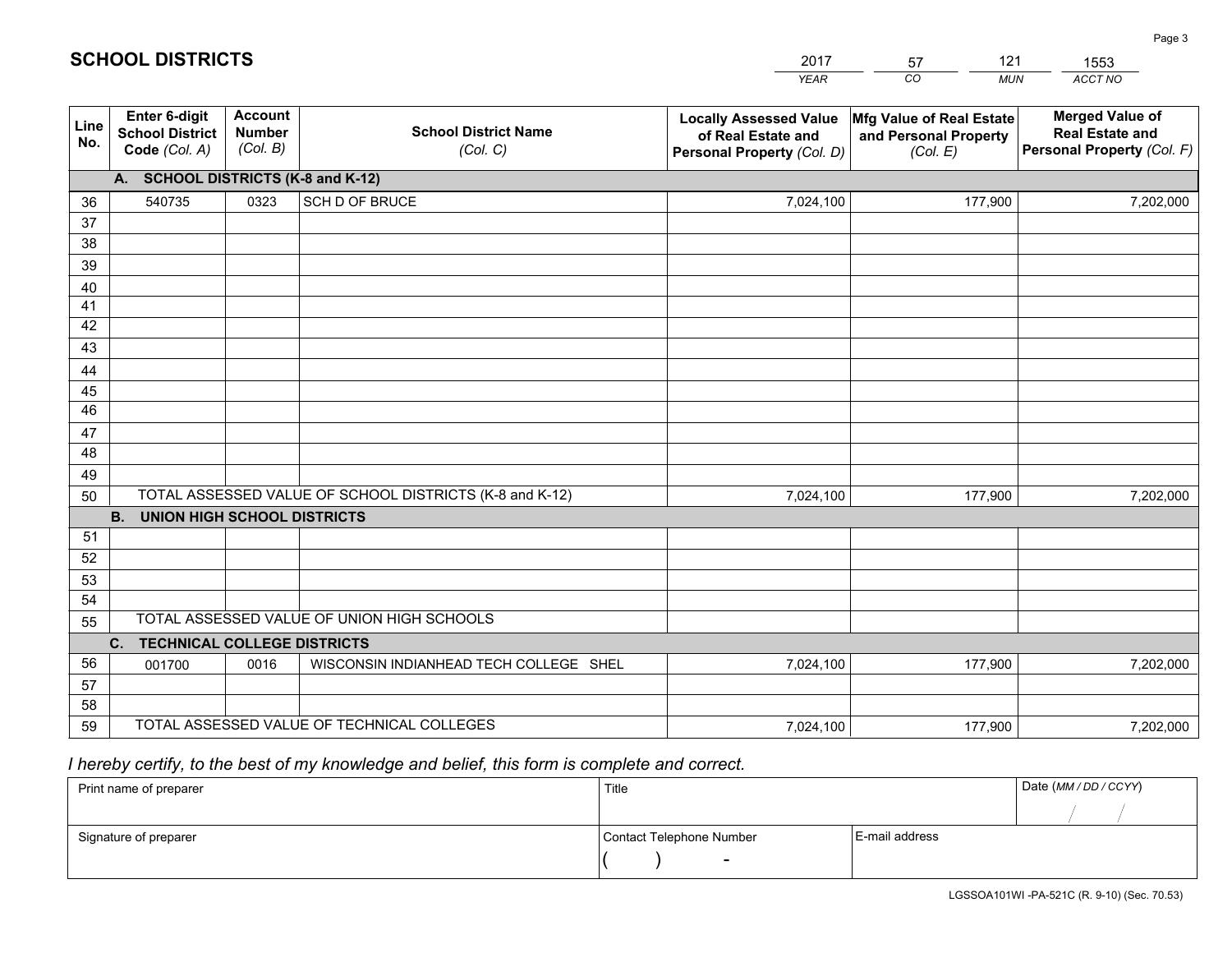|                 |                                                                                                   |                                             |                                                         | YEAR                                                                              | CO.<br><b>MUN</b>                                             | ACCT NO                                                                        |  |  |
|-----------------|---------------------------------------------------------------------------------------------------|---------------------------------------------|---------------------------------------------------------|-----------------------------------------------------------------------------------|---------------------------------------------------------------|--------------------------------------------------------------------------------|--|--|
| Line<br>No.     | Enter 6-digit<br><b>School District</b><br>Code (Col. A)                                          | <b>Account</b><br><b>Number</b><br>(Col. B) | <b>School District Name</b><br>(Col. C)                 | <b>Locally Assessed Value</b><br>of Real Estate and<br>Personal Property (Col. D) | Mfg Value of Real Estate<br>and Personal Property<br>(Col. E) | <b>Merged Value of</b><br><b>Real Estate and</b><br>Personal Property (Col. F) |  |  |
|                 | A. SCHOOL DISTRICTS (K-8 and K-12)                                                                |                                             |                                                         |                                                                                   |                                                               |                                                                                |  |  |
| 36              | 540735                                                                                            | 0323                                        | SCH D OF BRUCE                                          | 7,024,100                                                                         | 177,900                                                       | 7,202,000                                                                      |  |  |
| 37              |                                                                                                   |                                             |                                                         |                                                                                   |                                                               |                                                                                |  |  |
| 38              |                                                                                                   |                                             |                                                         |                                                                                   |                                                               |                                                                                |  |  |
| 39              |                                                                                                   |                                             |                                                         |                                                                                   |                                                               |                                                                                |  |  |
| 40              |                                                                                                   |                                             |                                                         |                                                                                   |                                                               |                                                                                |  |  |
| 41<br>42        |                                                                                                   |                                             |                                                         |                                                                                   |                                                               |                                                                                |  |  |
| 43              |                                                                                                   |                                             |                                                         |                                                                                   |                                                               |                                                                                |  |  |
| 44              |                                                                                                   |                                             |                                                         |                                                                                   |                                                               |                                                                                |  |  |
| 45              |                                                                                                   |                                             |                                                         |                                                                                   |                                                               |                                                                                |  |  |
| $\overline{46}$ |                                                                                                   |                                             |                                                         |                                                                                   |                                                               |                                                                                |  |  |
| 47              |                                                                                                   |                                             |                                                         |                                                                                   |                                                               |                                                                                |  |  |
| 48              |                                                                                                   |                                             |                                                         |                                                                                   |                                                               |                                                                                |  |  |
| 49              |                                                                                                   |                                             |                                                         |                                                                                   |                                                               |                                                                                |  |  |
| 50              |                                                                                                   |                                             | TOTAL ASSESSED VALUE OF SCHOOL DISTRICTS (K-8 and K-12) | 7,024,100                                                                         | 177,900                                                       | 7,202,000                                                                      |  |  |
|                 | <b>B.</b><br>UNION HIGH SCHOOL DISTRICTS                                                          |                                             |                                                         |                                                                                   |                                                               |                                                                                |  |  |
| 51              |                                                                                                   |                                             |                                                         |                                                                                   |                                                               |                                                                                |  |  |
| 52              |                                                                                                   |                                             |                                                         |                                                                                   |                                                               |                                                                                |  |  |
| 53              |                                                                                                   |                                             |                                                         |                                                                                   |                                                               |                                                                                |  |  |
| 54              |                                                                                                   |                                             |                                                         |                                                                                   |                                                               |                                                                                |  |  |
|                 | TOTAL ASSESSED VALUE OF UNION HIGH SCHOOLS<br>55<br>$C_{1}$<br><b>TECHNICAL COLLEGE DISTRICTS</b> |                                             |                                                         |                                                                                   |                                                               |                                                                                |  |  |
| 56              | 001700                                                                                            | 0016                                        | WISCONSIN INDIANHEAD TECH COLLEGE SHEL                  | 7,024,100                                                                         | 177,900                                                       | 7,202,000                                                                      |  |  |
| 57              |                                                                                                   |                                             |                                                         |                                                                                   |                                                               |                                                                                |  |  |
| 58              |                                                                                                   |                                             |                                                         |                                                                                   |                                                               |                                                                                |  |  |
| 59              |                                                                                                   |                                             | TOTAL ASSESSED VALUE OF TECHNICAL COLLEGES              | 7,024,100                                                                         | 177,900                                                       | 7,202,000                                                                      |  |  |

2017

57

121

 *I hereby certify, to the best of my knowledge and belief, this form is complete and correct.*

**SCHOOL DISTRICTS**

| Print name of preparer | Title                    | Date (MM / DD / CCYY) |  |
|------------------------|--------------------------|-----------------------|--|
|                        |                          |                       |  |
| Signature of preparer  | Contact Telephone Number | E-mail address        |  |
|                        | $\sim$                   |                       |  |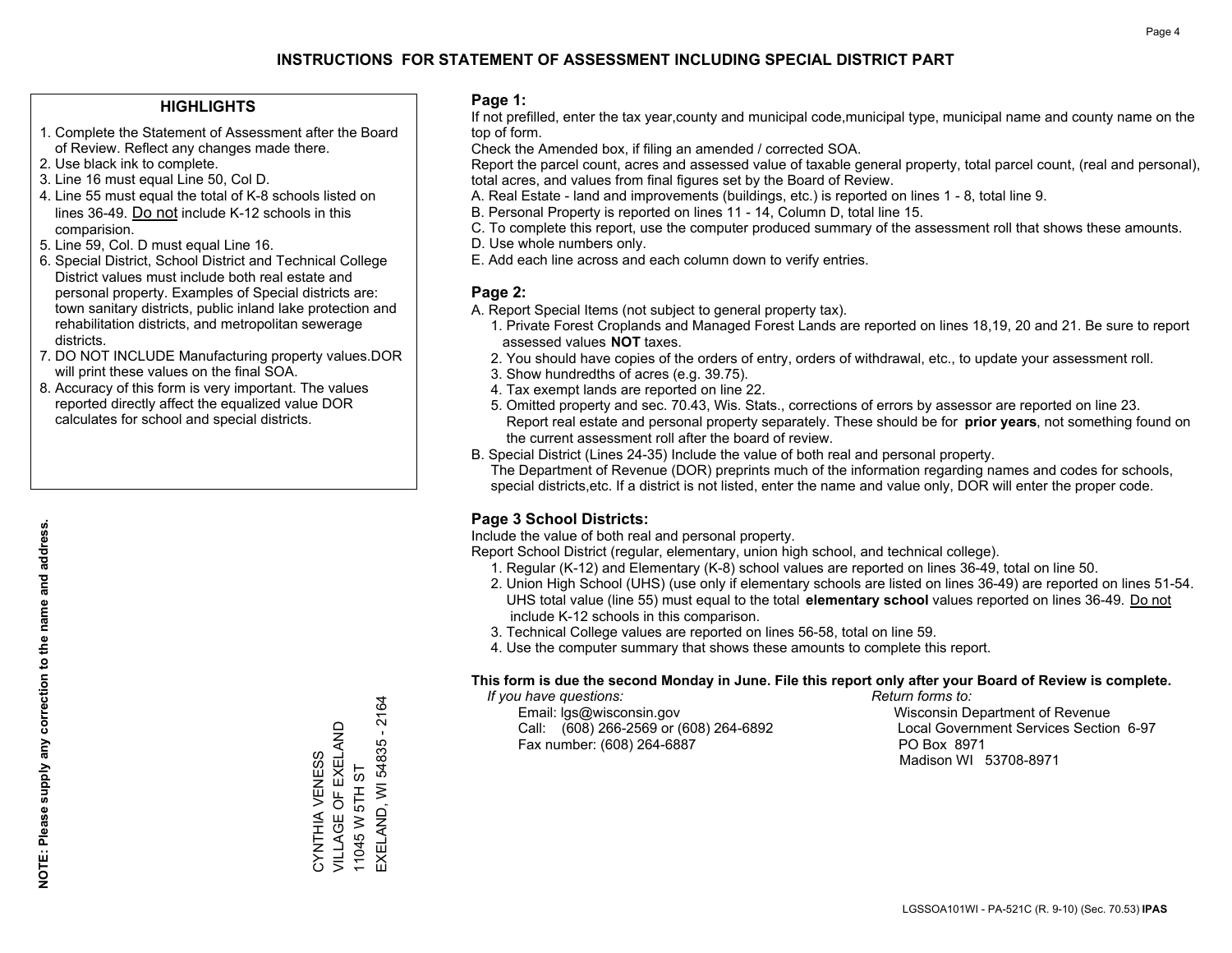### **HIGHLIGHTS**

- 1. Complete the Statement of Assessment after the Board of Review. Reflect any changes made there.
- 2. Use black ink to complete.
- 3. Line 16 must equal Line 50, Col D.
- 4. Line 55 must equal the total of K-8 schools listed on lines 36-49. Do not include K-12 schools in this comparision.
- 5. Line 59, Col. D must equal Line 16.
- 6. Special District, School District and Technical College District values must include both real estate and personal property. Examples of Special districts are: town sanitary districts, public inland lake protection and rehabilitation districts, and metropolitan sewerage districts.
- 7. DO NOT INCLUDE Manufacturing property values.DOR will print these values on the final SOA.
- 8. Accuracy of this form is very important. The values reported directly affect the equalized value DOR calculates for school and special districts.

#### **Page 1:**

 If not prefilled, enter the tax year,county and municipal code,municipal type, municipal name and county name on the top of form.

Check the Amended box, if filing an amended / corrected SOA.

 Report the parcel count, acres and assessed value of taxable general property, total parcel count, (real and personal), total acres, and values from final figures set by the Board of Review.

- A. Real Estate land and improvements (buildings, etc.) is reported on lines 1 8, total line 9.
- B. Personal Property is reported on lines 11 14, Column D, total line 15.
- C. To complete this report, use the computer produced summary of the assessment roll that shows these amounts.
- D. Use whole numbers only.
- E. Add each line across and each column down to verify entries.

#### **Page 2:**

- A. Report Special Items (not subject to general property tax).
- 1. Private Forest Croplands and Managed Forest Lands are reported on lines 18,19, 20 and 21. Be sure to report assessed values **NOT** taxes.
- 2. You should have copies of the orders of entry, orders of withdrawal, etc., to update your assessment roll.
	- 3. Show hundredths of acres (e.g. 39.75).
- 4. Tax exempt lands are reported on line 22.
- 5. Omitted property and sec. 70.43, Wis. Stats., corrections of errors by assessor are reported on line 23. Report real estate and personal property separately. These should be for **prior years**, not something found on the current assessment roll after the board of review.
- B. Special District (Lines 24-35) Include the value of both real and personal property.
- The Department of Revenue (DOR) preprints much of the information regarding names and codes for schools, special districts,etc. If a district is not listed, enter the name and value only, DOR will enter the proper code.

### **Page 3 School Districts:**

Include the value of both real and personal property.

Report School District (regular, elementary, union high school, and technical college).

- 1. Regular (K-12) and Elementary (K-8) school values are reported on lines 36-49, total on line 50.
- 2. Union High School (UHS) (use only if elementary schools are listed on lines 36-49) are reported on lines 51-54. UHS total value (line 55) must equal to the total **elementary school** values reported on lines 36-49. Do notinclude K-12 schools in this comparison.
- 3. Technical College values are reported on lines 56-58, total on line 59.
- 4. Use the computer summary that shows these amounts to complete this report.

#### **This form is due the second Monday in June. File this report only after your Board of Review is complete.**

 *If you have questions: Return forms to:*

 Email: lgs@wisconsin.gov Wisconsin Department of RevenueCall:  $(608)$  266-2569 or  $(608)$  264-6892 Fax number: (608) 264-6887 PO Box 8971

Local Government Services Section 6-97 Madison WI 53708-8971

EXELAND, WI 54835 - 2164 EXELAND, WI 54835 - 2164 VILLAGE OF EXELAND CYNTHIA VENESS<br>VILLAGE OF EXELAND CYNTHIA VENESS 11045 W 5TH ST 11045 W 5TH ST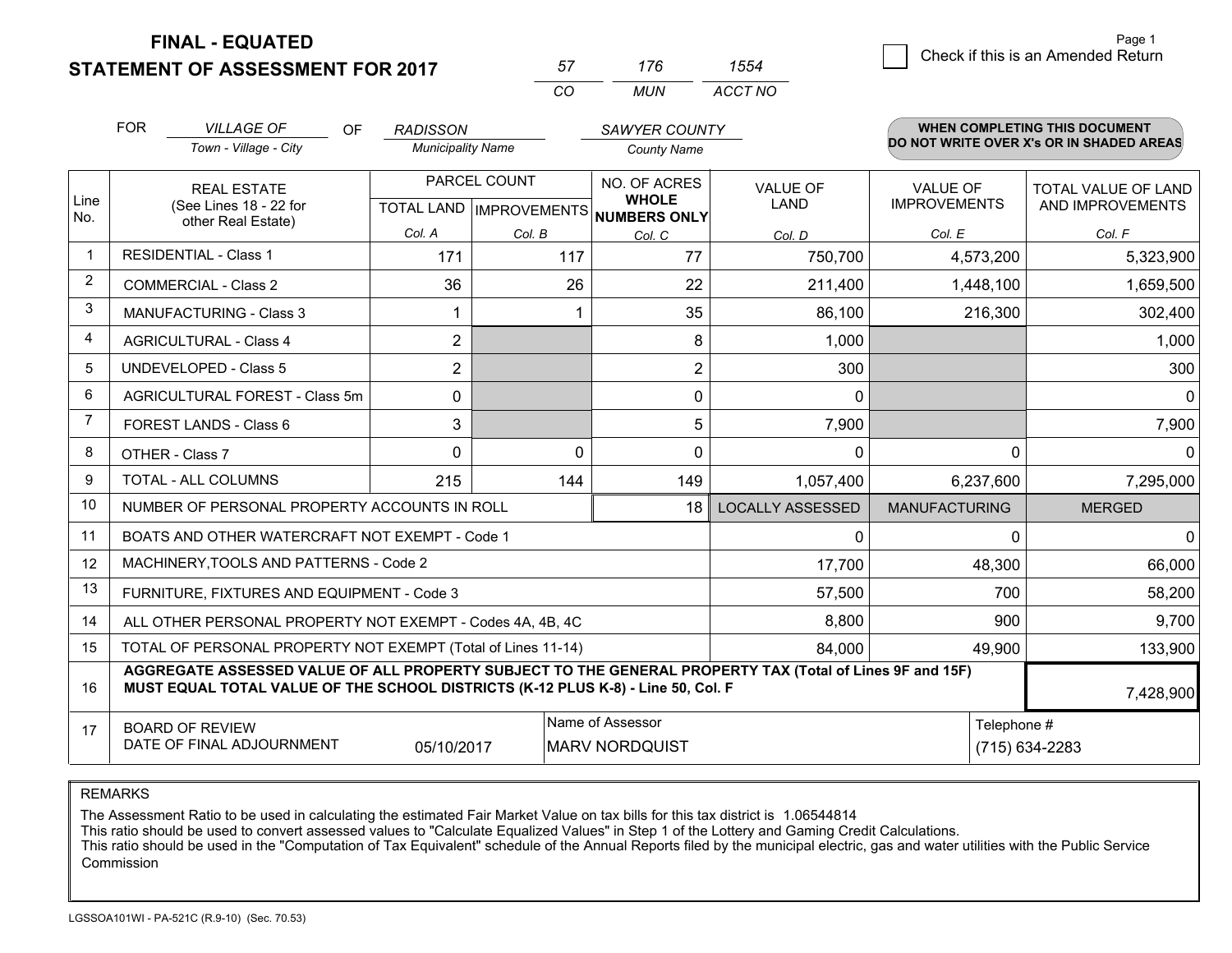**FINAL - EQUATED**

**STATEMENT OF ASSESSMENT FOR 2017** 

| 57  | 176 | 1554    |
|-----|-----|---------|
| ΓO. | MUN | ACCT NO |

|                         | <b>FOR</b>                                                                                                                                                                                   | <b>VILLAGE OF</b><br>OF.<br>Town - Village - City         | <b>RADISSON</b><br><b>Municipality Name</b> |                                                     | <b>SAWYER COUNTY</b><br><b>County Name</b> |                                |                                        | <b>WHEN COMPLETING THIS DOCUMENT</b><br>DO NOT WRITE OVER X's OR IN SHADED AREAS |
|-------------------------|----------------------------------------------------------------------------------------------------------------------------------------------------------------------------------------------|-----------------------------------------------------------|---------------------------------------------|-----------------------------------------------------|--------------------------------------------|--------------------------------|----------------------------------------|----------------------------------------------------------------------------------|
| Line<br>No.             | <b>REAL ESTATE</b><br>(See Lines 18 - 22 for                                                                                                                                                 |                                                           |                                             | PARCEL COUNT<br>TOTAL LAND MPROVEMENTS NUMBERS ONLY |                                            | <b>VALUE OF</b><br><b>LAND</b> | <b>VALUE OF</b><br><b>IMPROVEMENTS</b> | TOTAL VALUE OF LAND<br>AND IMPROVEMENTS                                          |
|                         |                                                                                                                                                                                              | other Real Estate)                                        | Col. A                                      | Col. B                                              | Col. C                                     | Col. D                         | Col. E                                 | Col. F                                                                           |
| -1                      |                                                                                                                                                                                              | <b>RESIDENTIAL - Class 1</b>                              | 171                                         | 117                                                 | 77                                         | 750,700                        | 4,573,200                              | 5,323,900                                                                        |
| 2                       |                                                                                                                                                                                              | <b>COMMERCIAL - Class 2</b>                               | 36                                          | 26                                                  | 22                                         | 211,400                        | 1,448,100                              | 1,659,500                                                                        |
| 3                       |                                                                                                                                                                                              | <b>MANUFACTURING - Class 3</b>                            |                                             |                                                     | 35                                         | 86,100                         | 216,300                                | 302,400                                                                          |
| $\overline{\mathbf{4}}$ |                                                                                                                                                                                              | <b>AGRICULTURAL - Class 4</b>                             | $\overline{2}$                              |                                                     | 8                                          | 1,000                          |                                        | 1,000                                                                            |
| 5                       |                                                                                                                                                                                              | <b>UNDEVELOPED - Class 5</b>                              | $\overline{2}$                              |                                                     | $\overline{2}$                             | 300                            |                                        | 300                                                                              |
| 6                       |                                                                                                                                                                                              | AGRICULTURAL FOREST - Class 5m                            | 0                                           |                                                     | $\mathbf 0$                                | 0                              |                                        | $\overline{0}$                                                                   |
| 7                       |                                                                                                                                                                                              | FOREST LANDS - Class 6                                    | 3                                           |                                                     | 5                                          | 7,900                          |                                        | 7,900                                                                            |
| 8                       | OTHER - Class 7                                                                                                                                                                              |                                                           | $\Omega$                                    | $\Omega$                                            | $\Omega$                                   | 0                              | 0                                      | $\Omega$                                                                         |
| 9                       |                                                                                                                                                                                              | TOTAL - ALL COLUMNS                                       | 215                                         | 144                                                 | 149                                        | 1,057,400                      | 6,237,600                              | 7,295,000                                                                        |
| 10                      |                                                                                                                                                                                              | NUMBER OF PERSONAL PROPERTY ACCOUNTS IN ROLL              |                                             |                                                     | 18                                         | <b>LOCALLY ASSESSED</b>        | <b>MANUFACTURING</b>                   | <b>MERGED</b>                                                                    |
| 11                      |                                                                                                                                                                                              | BOATS AND OTHER WATERCRAFT NOT EXEMPT - Code 1            |                                             |                                                     |                                            | 0                              | $\Omega$                               | $\overline{0}$                                                                   |
| 12                      |                                                                                                                                                                                              | MACHINERY, TOOLS AND PATTERNS - Code 2                    |                                             |                                                     |                                            | 17,700                         | 48,300                                 | 66,000                                                                           |
| 13                      |                                                                                                                                                                                              | FURNITURE, FIXTURES AND EQUIPMENT - Code 3                |                                             |                                                     |                                            | 57,500                         | 700                                    | 58,200                                                                           |
| 14                      |                                                                                                                                                                                              | ALL OTHER PERSONAL PROPERTY NOT EXEMPT - Codes 4A, 4B, 4C |                                             |                                                     |                                            | 8,800                          | 900                                    | 9,700                                                                            |
| 15                      | TOTAL OF PERSONAL PROPERTY NOT EXEMPT (Total of Lines 11-14)<br>84,000                                                                                                                       |                                                           |                                             |                                                     |                                            |                                | 49,900                                 | 133,900                                                                          |
| 16                      | AGGREGATE ASSESSED VALUE OF ALL PROPERTY SUBJECT TO THE GENERAL PROPERTY TAX (Total of Lines 9F and 15F)<br>MUST EQUAL TOTAL VALUE OF THE SCHOOL DISTRICTS (K-12 PLUS K-8) - Line 50, Col. F |                                                           |                                             |                                                     |                                            |                                | 7,428,900                              |                                                                                  |
| 17                      | Name of Assessor<br><b>BOARD OF REVIEW</b><br>DATE OF FINAL ADJOURNMENT<br>05/10/2017<br><b>MARV NORDQUIST</b>                                                                               |                                                           |                                             |                                                     |                                            | Telephone #                    | (715) 634-2283                         |                                                                                  |

REMARKS

The Assessment Ratio to be used in calculating the estimated Fair Market Value on tax bills for this tax district is 1.06544814

This ratio should be used to convert assessed values to "Calculate Equalized Values" in Step 1 of the Lottery and Gaming Credit Calculations.<br>This ratio should be used in the "Computation of Tax Equivalent" schedule of the Commission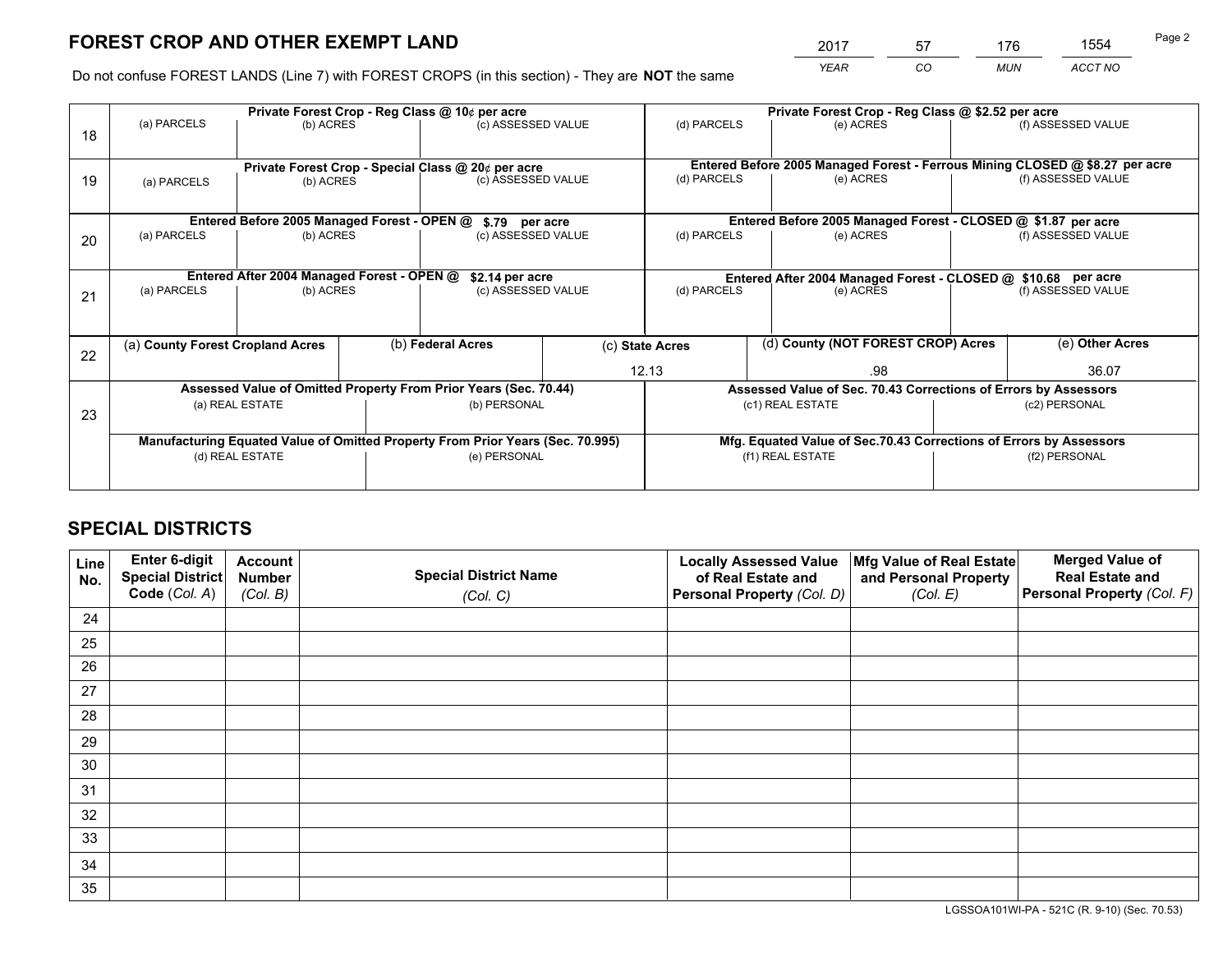# **FOREST CROP AND OTHER EXEMPT LAND**

 *YEAR CO MUN ACCT NO* <sup>2017</sup> <sup>57</sup> <sup>176</sup> <sup>1554</sup> Page 2

Do not confuse FOREST LANDS (Line 7) with FOREST CROPS (in this section) - They are **NOT** the same

|    | Private Forest Crop - Reg Class @ 10¢ per acre                                 |                                             |  |                                                                  |                    | Private Forest Crop - Reg Class @ \$2.52 per acre             |                  |                                                                 |                                                                              |                    |
|----|--------------------------------------------------------------------------------|---------------------------------------------|--|------------------------------------------------------------------|--------------------|---------------------------------------------------------------|------------------|-----------------------------------------------------------------|------------------------------------------------------------------------------|--------------------|
| 18 | (a) PARCELS                                                                    | (b) ACRES                                   |  | (c) ASSESSED VALUE                                               |                    | (d) PARCELS                                                   |                  | (e) ACRES                                                       |                                                                              | (f) ASSESSED VALUE |
|    | Private Forest Crop - Special Class @ 20¢ per acre                             |                                             |  |                                                                  |                    |                                                               |                  |                                                                 | Entered Before 2005 Managed Forest - Ferrous Mining CLOSED @ \$8.27 per acre |                    |
| 19 | (b) ACRES<br>(a) PARCELS                                                       |                                             |  | (c) ASSESSED VALUE                                               |                    | (d) PARCELS                                                   |                  | (e) ACRES                                                       |                                                                              | (f) ASSESSED VALUE |
|    |                                                                                | Entered Before 2005 Managed Forest - OPEN @ |  | \$.79 per acre                                                   |                    |                                                               |                  | Entered Before 2005 Managed Forest - CLOSED @ \$1.87 per acre   |                                                                              |                    |
|    | (a) PARCELS                                                                    | (b) ACRES                                   |  |                                                                  |                    | (d) PARCELS                                                   |                  | (e) ACRES                                                       |                                                                              | (f) ASSESSED VALUE |
| 20 |                                                                                |                                             |  |                                                                  | (c) ASSESSED VALUE |                                                               |                  |                                                                 |                                                                              |                    |
|    | Entered After 2004 Managed Forest - OPEN @<br>\$2.14 per acre                  |                                             |  |                                                                  |                    | Entered After 2004 Managed Forest - CLOSED @ \$10.68 per acre |                  |                                                                 |                                                                              |                    |
| 21 | (a) PARCELS                                                                    | (b) ACRES                                   |  | (c) ASSESSED VALUE                                               |                    | (d) PARCELS<br>(e) ACRES                                      |                  |                                                                 | (f) ASSESSED VALUE                                                           |                    |
|    |                                                                                |                                             |  |                                                                  |                    |                                                               |                  |                                                                 |                                                                              |                    |
| 22 | (a) County Forest Cropland Acres                                               |                                             |  | (b) Federal Acres                                                |                    | (d) County (NOT FOREST CROP) Acres<br>(c) State Acres         |                  |                                                                 |                                                                              | (e) Other Acres    |
|    |                                                                                |                                             |  |                                                                  |                    | 12.13<br>.98                                                  |                  |                                                                 |                                                                              | 36.07              |
|    |                                                                                |                                             |  | Assessed Value of Omitted Property From Prior Years (Sec. 70.44) |                    |                                                               |                  | Assessed Value of Sec. 70.43 Corrections of Errors by Assessors |                                                                              |                    |
| 23 |                                                                                | (a) REAL ESTATE                             |  | (b) PERSONAL                                                     |                    |                                                               | (c1) REAL ESTATE |                                                                 |                                                                              | (c2) PERSONAL      |
|    |                                                                                |                                             |  |                                                                  |                    |                                                               |                  |                                                                 |                                                                              |                    |
|    | Manufacturing Equated Value of Omitted Property From Prior Years (Sec. 70.995) |                                             |  |                                                                  |                    |                                                               |                  |                                                                 | Mfg. Equated Value of Sec.70.43 Corrections of Errors by Assessors           |                    |
|    |                                                                                | (d) REAL ESTATE                             |  | (e) PERSONAL                                                     |                    |                                                               | (f1) REAL ESTATE |                                                                 | (f2) PERSONAL                                                                |                    |
|    |                                                                                |                                             |  |                                                                  |                    |                                                               |                  |                                                                 |                                                                              |                    |

## **SPECIAL DISTRICTS**

| Line<br>No. | Enter 6-digit<br>Special District<br>Code (Col. A) | <b>Account</b><br><b>Number</b><br>(Col. B) | <b>Special District Name</b><br>(Col. C) | <b>Locally Assessed Value</b><br>of Real Estate and<br>Personal Property (Col. D) | Mfg Value of Real Estate<br>and Personal Property<br>(Col. E) | <b>Merged Value of</b><br><b>Real Estate and</b><br>Personal Property (Col. F) |
|-------------|----------------------------------------------------|---------------------------------------------|------------------------------------------|-----------------------------------------------------------------------------------|---------------------------------------------------------------|--------------------------------------------------------------------------------|
| 24          |                                                    |                                             |                                          |                                                                                   |                                                               |                                                                                |
| 25          |                                                    |                                             |                                          |                                                                                   |                                                               |                                                                                |
| 26          |                                                    |                                             |                                          |                                                                                   |                                                               |                                                                                |
| 27          |                                                    |                                             |                                          |                                                                                   |                                                               |                                                                                |
| 28          |                                                    |                                             |                                          |                                                                                   |                                                               |                                                                                |
| 29          |                                                    |                                             |                                          |                                                                                   |                                                               |                                                                                |
| 30          |                                                    |                                             |                                          |                                                                                   |                                                               |                                                                                |
| 31          |                                                    |                                             |                                          |                                                                                   |                                                               |                                                                                |
| 32          |                                                    |                                             |                                          |                                                                                   |                                                               |                                                                                |
| 33          |                                                    |                                             |                                          |                                                                                   |                                                               |                                                                                |
| 34          |                                                    |                                             |                                          |                                                                                   |                                                               |                                                                                |
| 35          |                                                    |                                             |                                          |                                                                                   |                                                               |                                                                                |

LGSSOA101WI-PA - 521C (R. 9-10) (Sec. 70.53)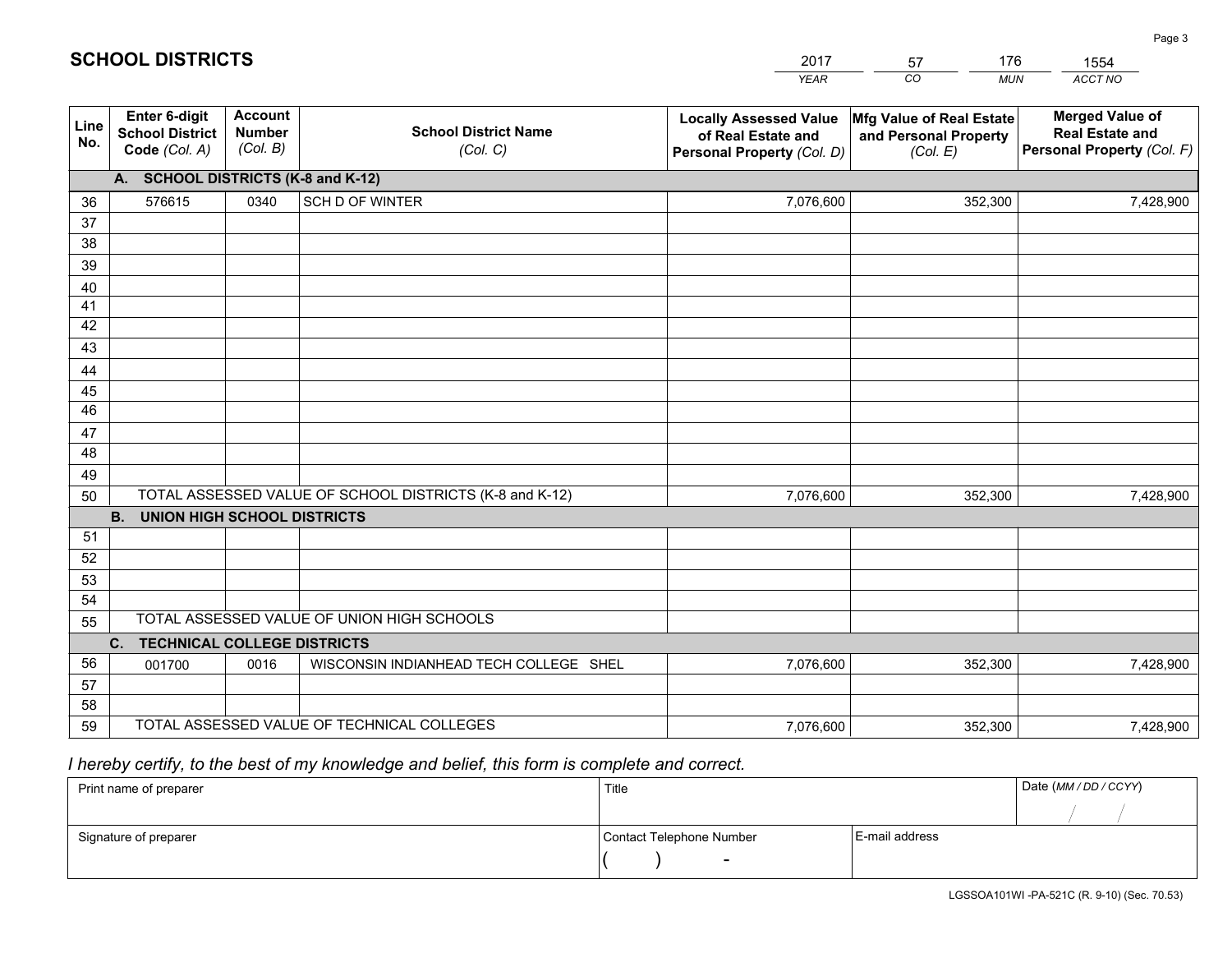|             |                                                          |                                             |                                                         | YEAR                                                                              | CO.<br><b>MUN</b>                                             | ACCT NO                                                                        |
|-------------|----------------------------------------------------------|---------------------------------------------|---------------------------------------------------------|-----------------------------------------------------------------------------------|---------------------------------------------------------------|--------------------------------------------------------------------------------|
| Line<br>No. | Enter 6-digit<br><b>School District</b><br>Code (Col. A) | <b>Account</b><br><b>Number</b><br>(Col. B) | <b>School District Name</b><br>(Col. C)                 | <b>Locally Assessed Value</b><br>of Real Estate and<br>Personal Property (Col. D) | Mfg Value of Real Estate<br>and Personal Property<br>(Col. E) | <b>Merged Value of</b><br><b>Real Estate and</b><br>Personal Property (Col. F) |
|             | A. SCHOOL DISTRICTS (K-8 and K-12)                       |                                             |                                                         |                                                                                   |                                                               |                                                                                |
| 36          | 576615                                                   | 0340                                        | SCH D OF WINTER                                         | 7,076,600                                                                         | 352,300                                                       | 7,428,900                                                                      |
| 37          |                                                          |                                             |                                                         |                                                                                   |                                                               |                                                                                |
| 38          |                                                          |                                             |                                                         |                                                                                   |                                                               |                                                                                |
| 39          |                                                          |                                             |                                                         |                                                                                   |                                                               |                                                                                |
| 40          |                                                          |                                             |                                                         |                                                                                   |                                                               |                                                                                |
| 41<br>42    |                                                          |                                             |                                                         |                                                                                   |                                                               |                                                                                |
| 43          |                                                          |                                             |                                                         |                                                                                   |                                                               |                                                                                |
| 44          |                                                          |                                             |                                                         |                                                                                   |                                                               |                                                                                |
| 45          |                                                          |                                             |                                                         |                                                                                   |                                                               |                                                                                |
| 46          |                                                          |                                             |                                                         |                                                                                   |                                                               |                                                                                |
| 47          |                                                          |                                             |                                                         |                                                                                   |                                                               |                                                                                |
| 48          |                                                          |                                             |                                                         |                                                                                   |                                                               |                                                                                |
| 49          |                                                          |                                             |                                                         |                                                                                   |                                                               |                                                                                |
| 50          |                                                          |                                             | TOTAL ASSESSED VALUE OF SCHOOL DISTRICTS (K-8 and K-12) | 7,076,600                                                                         | 352,300                                                       | 7,428,900                                                                      |
|             | <b>B.</b><br><b>UNION HIGH SCHOOL DISTRICTS</b>          |                                             |                                                         |                                                                                   |                                                               |                                                                                |
| 51          |                                                          |                                             |                                                         |                                                                                   |                                                               |                                                                                |
| 52          |                                                          |                                             |                                                         |                                                                                   |                                                               |                                                                                |
| 53<br>54    |                                                          |                                             |                                                         |                                                                                   |                                                               |                                                                                |
| 55          |                                                          |                                             | TOTAL ASSESSED VALUE OF UNION HIGH SCHOOLS              |                                                                                   |                                                               |                                                                                |
|             | C.<br><b>TECHNICAL COLLEGE DISTRICTS</b>                 |                                             |                                                         |                                                                                   |                                                               |                                                                                |
| 56          | 001700                                                   | 0016                                        | WISCONSIN INDIANHEAD TECH COLLEGE SHEL                  | 7,076,600                                                                         | 352,300                                                       | 7,428,900                                                                      |
| 57          |                                                          |                                             |                                                         |                                                                                   |                                                               |                                                                                |
| 58          |                                                          |                                             |                                                         |                                                                                   |                                                               |                                                                                |
| 59          |                                                          |                                             | TOTAL ASSESSED VALUE OF TECHNICAL COLLEGES              | 7,076,600                                                                         | 352,300                                                       | 7,428,900                                                                      |

2017

57

176

 *I hereby certify, to the best of my knowledge and belief, this form is complete and correct.*

**SCHOOL DISTRICTS**

| Print name of preparer | Title                    |                | Date (MM / DD / CCYY) |
|------------------------|--------------------------|----------------|-----------------------|
|                        |                          |                |                       |
| Signature of preparer  | Contact Telephone Number | E-mail address |                       |
|                        | $\sim$                   |                |                       |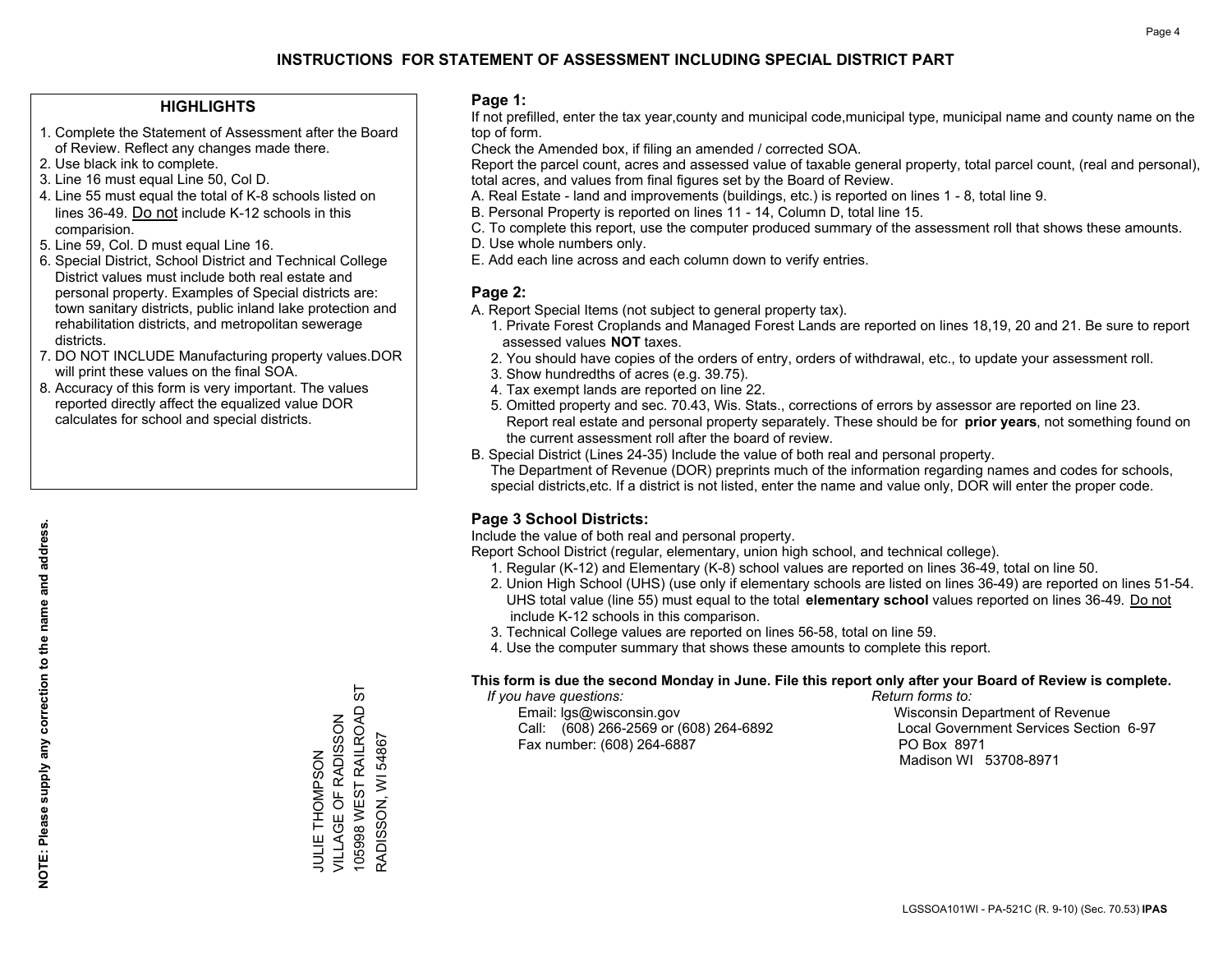## **INSTRUCTIONS FOR STATEMENT OF ASSESSMENT INCLUDING SPECIAL DISTRICT PART**

#### **HIGHLIGHTS**

- 1. Complete the Statement of Assessment after the Board of Review. Reflect any changes made there.
- 2. Use black ink to complete.
- 3. Line 16 must equal Line 50, Col D.
- 4. Line 55 must equal the total of K-8 schools listed on lines 36-49. Do not include K-12 schools in this comparision.
- 5. Line 59, Col. D must equal Line 16.
- 6. Special District, School District and Technical College District values must include both real estate and personal property. Examples of Special districts are: town sanitary districts, public inland lake protection and rehabilitation districts, and metropolitan sewerage districts.
- 7. DO NOT INCLUDE Manufacturing property values.DOR will print these values on the final SOA.
- 8. Accuracy of this form is very important. The values reported directly affect the equalized value DOR calculates for school and special districts.

#### **Page 1:**

 If not prefilled, enter the tax year,county and municipal code,municipal type, municipal name and county name on the top of form.

Check the Amended box, if filing an amended / corrected SOA.

 Report the parcel count, acres and assessed value of taxable general property, total parcel count, (real and personal), total acres, and values from final figures set by the Board of Review.

- A. Real Estate land and improvements (buildings, etc.) is reported on lines 1 8, total line 9.
- B. Personal Property is reported on lines 11 14, Column D, total line 15.
- C. To complete this report, use the computer produced summary of the assessment roll that shows these amounts.
- D. Use whole numbers only.
- E. Add each line across and each column down to verify entries.

#### **Page 2:**

- A. Report Special Items (not subject to general property tax).
- 1. Private Forest Croplands and Managed Forest Lands are reported on lines 18,19, 20 and 21. Be sure to report assessed values **NOT** taxes.
- 2. You should have copies of the orders of entry, orders of withdrawal, etc., to update your assessment roll.
	- 3. Show hundredths of acres (e.g. 39.75).
- 4. Tax exempt lands are reported on line 22.
- 5. Omitted property and sec. 70.43, Wis. Stats., corrections of errors by assessor are reported on line 23. Report real estate and personal property separately. These should be for **prior years**, not something found on the current assessment roll after the board of review.
- B. Special District (Lines 24-35) Include the value of both real and personal property.

 The Department of Revenue (DOR) preprints much of the information regarding names and codes for schools, special districts,etc. If a district is not listed, enter the name and value only, DOR will enter the proper code.

### **Page 3 School Districts:**

Include the value of both real and personal property.

Report School District (regular, elementary, union high school, and technical college).

- 1. Regular (K-12) and Elementary (K-8) school values are reported on lines 36-49, total on line 50.
- 2. Union High School (UHS) (use only if elementary schools are listed on lines 36-49) are reported on lines 51-54. UHS total value (line 55) must equal to the total **elementary school** values reported on lines 36-49. Do notinclude K-12 schools in this comparison.
- 3. Technical College values are reported on lines 56-58, total on line 59.
- 4. Use the computer summary that shows these amounts to complete this report.

#### **This form is due the second Monday in June. File this report only after your Board of Review is complete.**

 *If you have questions: Return forms to:*

 Email: lgs@wisconsin.gov Wisconsin Department of RevenueCall:  $(608)$  266-2569 or  $(608)$  264-6892 Fax number: (608) 264-6887 PO Box 8971

Local Government Services Section 6-97 Madison WI 53708-8971

105998 WEST RAILROAD ST 105998 WEST RAILROAD VILLAGE OF RADISSON VILLAGE OF RADISSON RADISSON, WI 54867 RADISSON, WI 54867 **JULIE THOMPSON** JULIE THOMPSON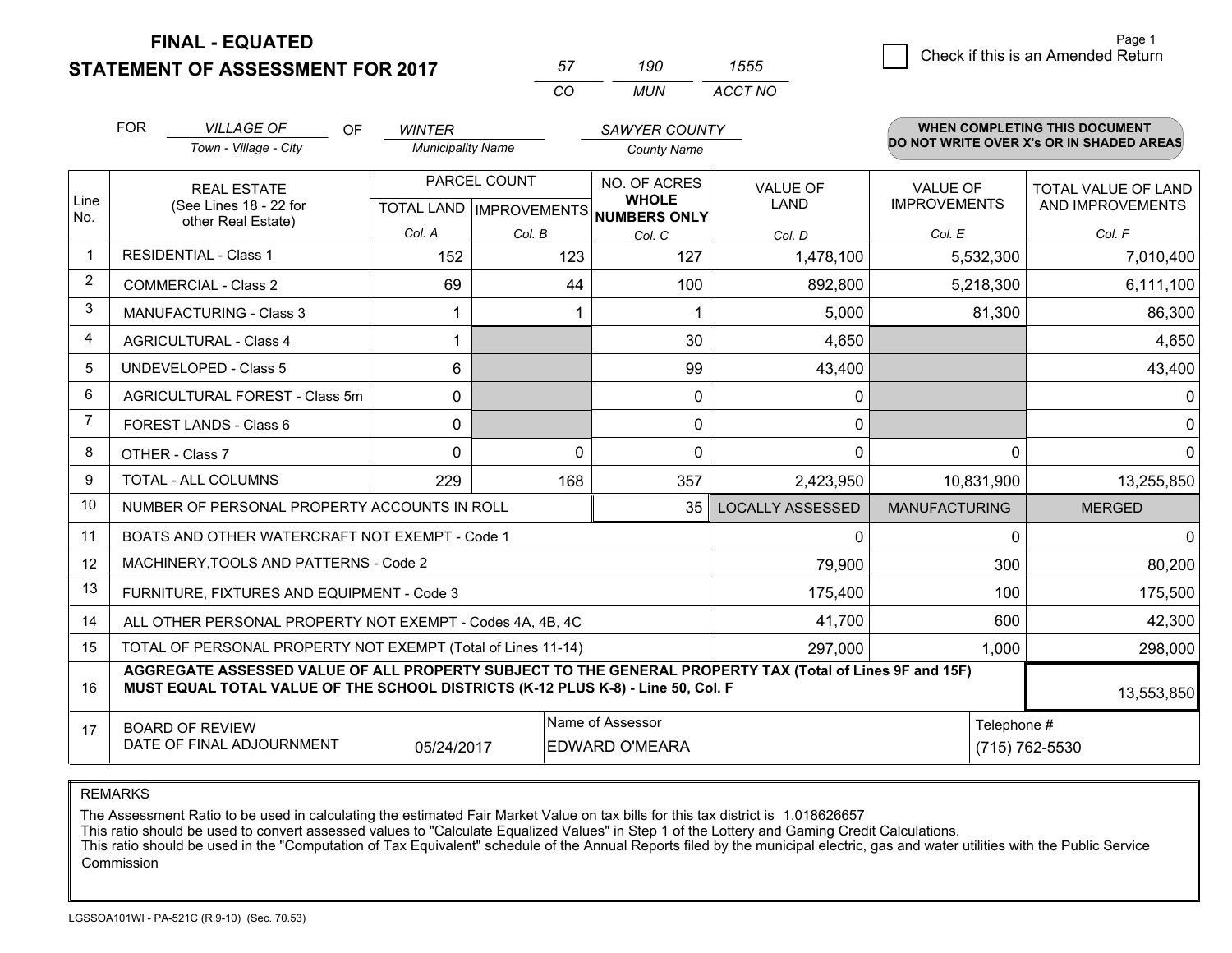**FINAL - EQUATED**

**STATEMENT OF ASSESSMENT FOR 2017** 

| 57       | an    | מממי    |
|----------|-------|---------|
| $\cdots$ | MI IN | ACCT NO |

|                         | <b>FOR</b><br><b>VILLAGE OF</b><br><b>OF</b><br><b>WINTER</b><br>Town - Village - City<br><b>Municipality Name</b>                                                                           |          |                                                                     | <b>SAWYER COUNTY</b><br><b>County Name</b> |                         |                                        | <b>WHEN COMPLETING THIS DOCUMENT</b><br>DO NOT WRITE OVER X's OR IN SHADED AREAS |
|-------------------------|----------------------------------------------------------------------------------------------------------------------------------------------------------------------------------------------|----------|---------------------------------------------------------------------|--------------------------------------------|-------------------------|----------------------------------------|----------------------------------------------------------------------------------|
| Line<br>No.             | <b>REAL ESTATE</b><br>(See Lines 18 - 22 for<br>other Real Estate)                                                                                                                           |          | PARCEL COUNT<br>NO. OF ACRES<br>TOTAL LAND MPROVEMENTS NUMBERS ONLY |                                            | <b>VALUE OF</b><br>LAND | <b>VALUE OF</b><br><b>IMPROVEMENTS</b> | <b>TOTAL VALUE OF LAND</b><br>AND IMPROVEMENTS                                   |
|                         |                                                                                                                                                                                              | Col. A   | Col. B                                                              | Col. C                                     | Col. D                  | Col. E                                 | Col. F                                                                           |
| $\mathbf 1$             | <b>RESIDENTIAL - Class 1</b>                                                                                                                                                                 | 152      | 123                                                                 | 127                                        | 1,478,100               | 5,532,300                              | 7,010,400                                                                        |
| $\overline{2}$          | <b>COMMERCIAL - Class 2</b>                                                                                                                                                                  | 69       | 44                                                                  | 100                                        | 892,800                 | 5,218,300                              | 6,111,100                                                                        |
| 3                       | <b>MANUFACTURING - Class 3</b>                                                                                                                                                               |          |                                                                     |                                            | 5,000                   | 81,300                                 | 86,300                                                                           |
| $\overline{\mathbf{4}}$ | <b>AGRICULTURAL - Class 4</b>                                                                                                                                                                | 1        |                                                                     | 30                                         | 4,650                   |                                        | 4,650                                                                            |
| 5                       | <b>UNDEVELOPED - Class 5</b>                                                                                                                                                                 | 6        |                                                                     | 99                                         | 43,400                  |                                        | 43,400                                                                           |
| 6                       | AGRICULTURAL FOREST - Class 5m                                                                                                                                                               | 0        |                                                                     | 0                                          | 0                       |                                        | $\mathbf 0$                                                                      |
| $\overline{7}$          | FOREST LANDS - Class 6                                                                                                                                                                       | 0        |                                                                     | $\mathbf{0}$                               | 0                       |                                        | $\mathbf 0$                                                                      |
| 8                       | OTHER - Class 7                                                                                                                                                                              | $\Omega$ | $\Omega$                                                            | $\mathbf{0}$                               | 0                       | $\Omega$                               | $\mathbf 0$                                                                      |
| 9                       | TOTAL - ALL COLUMNS                                                                                                                                                                          | 229      | 168                                                                 | 357                                        | 2,423,950               | 10,831,900                             | 13,255,850                                                                       |
| 10                      | NUMBER OF PERSONAL PROPERTY ACCOUNTS IN ROLL                                                                                                                                                 |          |                                                                     | 35                                         | <b>LOCALLY ASSESSED</b> | <b>MANUFACTURING</b>                   | <b>MERGED</b>                                                                    |
| 11                      | BOATS AND OTHER WATERCRAFT NOT EXEMPT - Code 1                                                                                                                                               |          |                                                                     |                                            | 0                       | 0                                      | $\mathbf 0$                                                                      |
| 12                      | MACHINERY, TOOLS AND PATTERNS - Code 2                                                                                                                                                       |          |                                                                     |                                            | 79,900                  | 300                                    | 80,200                                                                           |
| 13                      | FURNITURE, FIXTURES AND EQUIPMENT - Code 3                                                                                                                                                   |          |                                                                     |                                            | 175,400                 | 100                                    | 175,500                                                                          |
| 14                      | ALL OTHER PERSONAL PROPERTY NOT EXEMPT - Codes 4A, 4B, 4C                                                                                                                                    |          |                                                                     |                                            | 41,700                  | 600                                    | 42,300                                                                           |
| 15                      | TOTAL OF PERSONAL PROPERTY NOT EXEMPT (Total of Lines 11-14)                                                                                                                                 |          |                                                                     |                                            | 297,000                 | 1,000                                  | 298,000                                                                          |
| 16                      | AGGREGATE ASSESSED VALUE OF ALL PROPERTY SUBJECT TO THE GENERAL PROPERTY TAX (Total of Lines 9F and 15F)<br>MUST EQUAL TOTAL VALUE OF THE SCHOOL DISTRICTS (K-12 PLUS K-8) - Line 50, Col. F |          |                                                                     |                                            |                         |                                        | 13,553,850                                                                       |
| 17                      | Name of Assessor<br>Telephone #<br><b>BOARD OF REVIEW</b><br>DATE OF FINAL ADJOURNMENT<br>05/24/2017<br><b>EDWARD O'MEARA</b><br>(715) 762-5530                                              |          |                                                                     |                                            |                         |                                        |                                                                                  |

REMARKS

The Assessment Ratio to be used in calculating the estimated Fair Market Value on tax bills for this tax district is 1.018626657

This ratio should be used to convert assessed values to "Calculate Equalized Values" in Step 1 of the Lottery and Gaming Credit Calculations.<br>This ratio should be used in the "Computation of Tax Equivalent" schedule of the Commission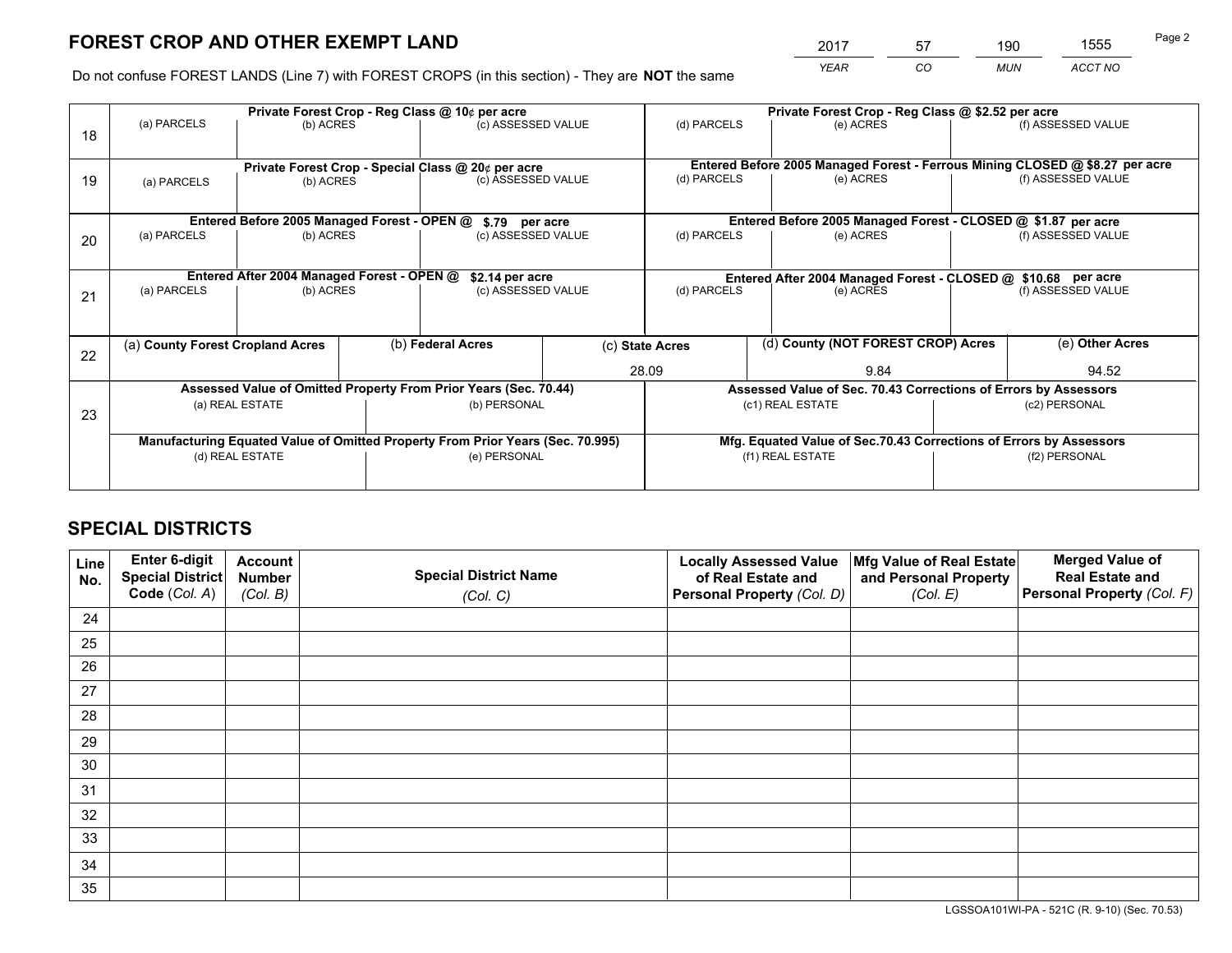# **FOREST CROP AND OTHER EXEMPT LAND**

 *YEAR CO MUN ACCT NO* <sup>2017</sup> <sup>57</sup> <sup>190</sup> <sup>1555</sup>

Do not confuse FOREST LANDS (Line 7) with FOREST CROPS (in this section) - They are **NOT** the same

|    | Private Forest Crop - Reg Class @ 10¢ per acre                                 |                                             |  |                                                                  |       | Private Forest Crop - Reg Class @ \$2.52 per acre             |                                                                 |  |                                                                              |  |
|----|--------------------------------------------------------------------------------|---------------------------------------------|--|------------------------------------------------------------------|-------|---------------------------------------------------------------|-----------------------------------------------------------------|--|------------------------------------------------------------------------------|--|
| 18 | (a) PARCELS                                                                    | (b) ACRES                                   |  | (c) ASSESSED VALUE                                               |       | (d) PARCELS                                                   | (e) ACRES                                                       |  | (f) ASSESSED VALUE                                                           |  |
|    |                                                                                |                                             |  | Private Forest Crop - Special Class @ 20¢ per acre               |       |                                                               |                                                                 |  | Entered Before 2005 Managed Forest - Ferrous Mining CLOSED @ \$8.27 per acre |  |
| 19 | (b) ACRES<br>(a) PARCELS                                                       |                                             |  | (c) ASSESSED VALUE                                               |       | (d) PARCELS                                                   | (e) ACRES                                                       |  | (f) ASSESSED VALUE                                                           |  |
|    |                                                                                | Entered Before 2005 Managed Forest - OPEN @ |  | \$.79 per acre                                                   |       |                                                               | Entered Before 2005 Managed Forest - CLOSED @ \$1.87 per acre   |  |                                                                              |  |
|    | (a) PARCELS                                                                    | (b) ACRES                                   |  | (c) ASSESSED VALUE                                               |       | (d) PARCELS                                                   | (e) ACRES                                                       |  | (f) ASSESSED VALUE                                                           |  |
| 20 |                                                                                |                                             |  |                                                                  |       |                                                               |                                                                 |  |                                                                              |  |
|    | Entered After 2004 Managed Forest - OPEN @<br>\$2.14 per acre                  |                                             |  |                                                                  |       | Entered After 2004 Managed Forest - CLOSED @ \$10.68 per acre |                                                                 |  |                                                                              |  |
| 21 | (a) PARCELS                                                                    | (b) ACRES                                   |  | (c) ASSESSED VALUE                                               |       | (d) PARCELS<br>(e) ACRES                                      |                                                                 |  | (f) ASSESSED VALUE                                                           |  |
|    |                                                                                |                                             |  |                                                                  |       |                                                               |                                                                 |  |                                                                              |  |
| 22 | (a) County Forest Cropland Acres                                               |                                             |  | (b) Federal Acres                                                |       | (d) County (NOT FOREST CROP) Acres<br>(c) State Acres         |                                                                 |  | (e) Other Acres                                                              |  |
|    |                                                                                |                                             |  |                                                                  | 28.09 |                                                               | 9.84                                                            |  | 94.52                                                                        |  |
|    |                                                                                |                                             |  | Assessed Value of Omitted Property From Prior Years (Sec. 70.44) |       |                                                               | Assessed Value of Sec. 70.43 Corrections of Errors by Assessors |  |                                                                              |  |
| 23 |                                                                                | (a) REAL ESTATE                             |  | (b) PERSONAL                                                     |       |                                                               | (c1) REAL ESTATE                                                |  | (c2) PERSONAL                                                                |  |
|    |                                                                                |                                             |  |                                                                  |       |                                                               |                                                                 |  |                                                                              |  |
|    | Manufacturing Equated Value of Omitted Property From Prior Years (Sec. 70.995) |                                             |  |                                                                  |       |                                                               |                                                                 |  | Mfg. Equated Value of Sec.70.43 Corrections of Errors by Assessors           |  |
|    |                                                                                | (d) REAL ESTATE                             |  | (e) PERSONAL                                                     |       |                                                               | (f1) REAL ESTATE                                                |  | (f2) PERSONAL                                                                |  |
|    |                                                                                |                                             |  |                                                                  |       |                                                               |                                                                 |  |                                                                              |  |

## **SPECIAL DISTRICTS**

| Line<br>No. | Enter 6-digit<br><b>Special District</b> | <b>Account</b><br><b>Number</b> | <b>Special District Name</b> | <b>Locally Assessed Value</b><br>of Real Estate and | Mfg Value of Real Estate<br>and Personal Property | <b>Merged Value of</b><br><b>Real Estate and</b> |
|-------------|------------------------------------------|---------------------------------|------------------------------|-----------------------------------------------------|---------------------------------------------------|--------------------------------------------------|
|             | Code (Col. A)                            | (Col. B)                        | (Col. C)                     | Personal Property (Col. D)                          | (Col. E)                                          | Personal Property (Col. F)                       |
| 24          |                                          |                                 |                              |                                                     |                                                   |                                                  |
| 25          |                                          |                                 |                              |                                                     |                                                   |                                                  |
| 26          |                                          |                                 |                              |                                                     |                                                   |                                                  |
| 27          |                                          |                                 |                              |                                                     |                                                   |                                                  |
| 28          |                                          |                                 |                              |                                                     |                                                   |                                                  |
| 29          |                                          |                                 |                              |                                                     |                                                   |                                                  |
| 30          |                                          |                                 |                              |                                                     |                                                   |                                                  |
| 31          |                                          |                                 |                              |                                                     |                                                   |                                                  |
| 32          |                                          |                                 |                              |                                                     |                                                   |                                                  |
| 33          |                                          |                                 |                              |                                                     |                                                   |                                                  |
| 34          |                                          |                                 |                              |                                                     |                                                   |                                                  |
| 35          |                                          |                                 |                              |                                                     |                                                   |                                                  |

LGSSOA101WI-PA - 521C (R. 9-10) (Sec. 70.53)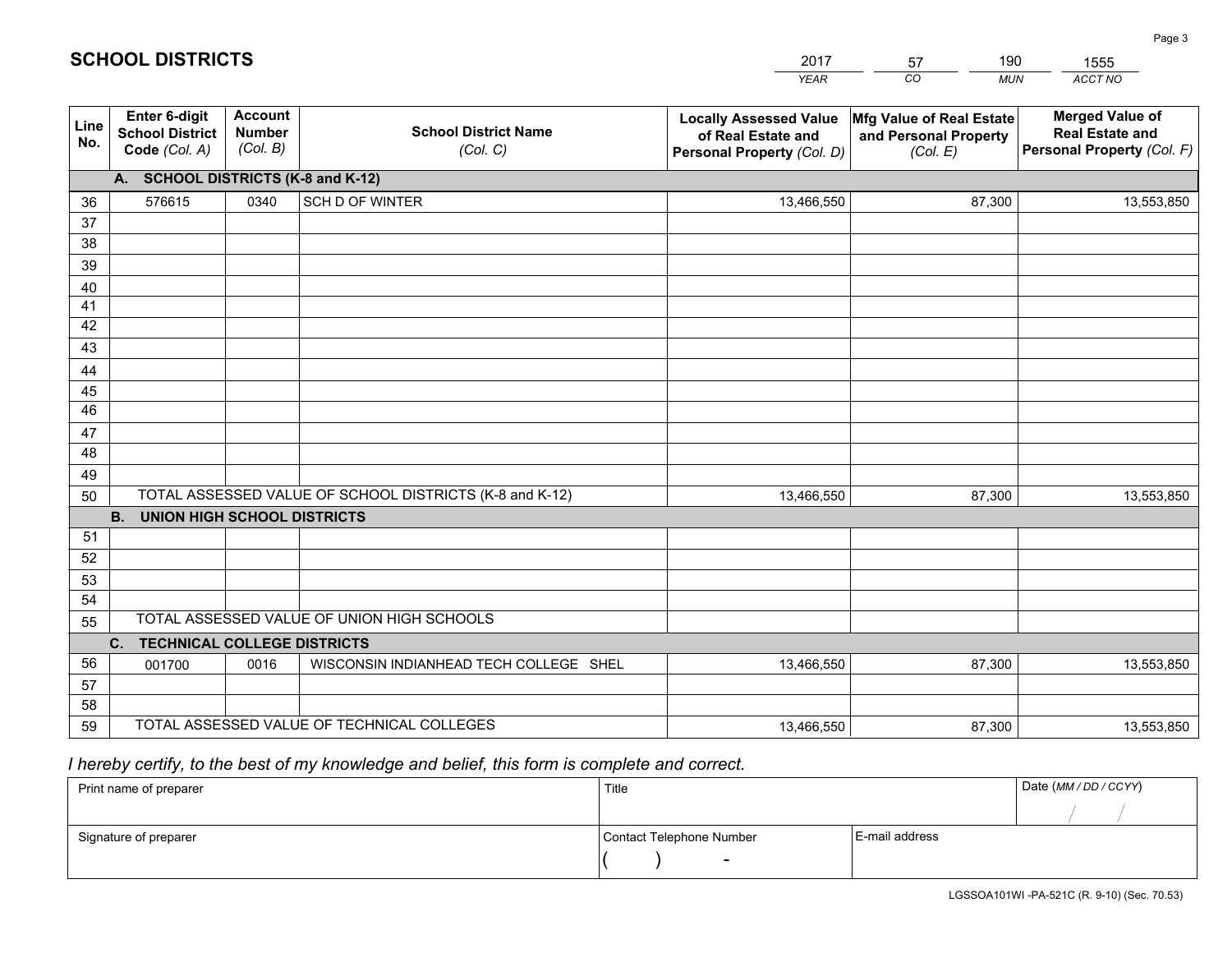|             |                                                          |                                             |                                                         | YEAR                                                                              | CO.<br><b>MUN</b>                                             | ACCT NO                                                                        |
|-------------|----------------------------------------------------------|---------------------------------------------|---------------------------------------------------------|-----------------------------------------------------------------------------------|---------------------------------------------------------------|--------------------------------------------------------------------------------|
| Line<br>No. | Enter 6-digit<br><b>School District</b><br>Code (Col. A) | <b>Account</b><br><b>Number</b><br>(Col. B) | <b>School District Name</b><br>(Col. C)                 | <b>Locally Assessed Value</b><br>of Real Estate and<br>Personal Property (Col. D) | Mfg Value of Real Estate<br>and Personal Property<br>(Col. E) | <b>Merged Value of</b><br><b>Real Estate and</b><br>Personal Property (Col. F) |
|             | A. SCHOOL DISTRICTS (K-8 and K-12)                       |                                             |                                                         |                                                                                   |                                                               |                                                                                |
| 36          | 576615                                                   | 0340                                        | SCH D OF WINTER                                         | 13,466,550                                                                        | 87,300                                                        | 13,553,850                                                                     |
| 37          |                                                          |                                             |                                                         |                                                                                   |                                                               |                                                                                |
| 38          |                                                          |                                             |                                                         |                                                                                   |                                                               |                                                                                |
| 39          |                                                          |                                             |                                                         |                                                                                   |                                                               |                                                                                |
| 40          |                                                          |                                             |                                                         |                                                                                   |                                                               |                                                                                |
| 41<br>42    |                                                          |                                             |                                                         |                                                                                   |                                                               |                                                                                |
| 43          |                                                          |                                             |                                                         |                                                                                   |                                                               |                                                                                |
| 44          |                                                          |                                             |                                                         |                                                                                   |                                                               |                                                                                |
| 45          |                                                          |                                             |                                                         |                                                                                   |                                                               |                                                                                |
| 46          |                                                          |                                             |                                                         |                                                                                   |                                                               |                                                                                |
| 47          |                                                          |                                             |                                                         |                                                                                   |                                                               |                                                                                |
| 48          |                                                          |                                             |                                                         |                                                                                   |                                                               |                                                                                |
| 49          |                                                          |                                             |                                                         |                                                                                   |                                                               |                                                                                |
| 50          |                                                          |                                             | TOTAL ASSESSED VALUE OF SCHOOL DISTRICTS (K-8 and K-12) | 13,466,550                                                                        | 87,300                                                        | 13,553,850                                                                     |
|             | <b>B.</b><br><b>UNION HIGH SCHOOL DISTRICTS</b>          |                                             |                                                         |                                                                                   |                                                               |                                                                                |
| 51          |                                                          |                                             |                                                         |                                                                                   |                                                               |                                                                                |
| 52          |                                                          |                                             |                                                         |                                                                                   |                                                               |                                                                                |
| 53<br>54    |                                                          |                                             |                                                         |                                                                                   |                                                               |                                                                                |
| 55          |                                                          |                                             | TOTAL ASSESSED VALUE OF UNION HIGH SCHOOLS              |                                                                                   |                                                               |                                                                                |
|             | C.<br><b>TECHNICAL COLLEGE DISTRICTS</b>                 |                                             |                                                         |                                                                                   |                                                               |                                                                                |
| 56          | 001700                                                   | 0016                                        | WISCONSIN INDIANHEAD TECH COLLEGE SHEL                  | 13,466,550                                                                        | 87,300                                                        | 13,553,850                                                                     |
| 57          |                                                          |                                             |                                                         |                                                                                   |                                                               |                                                                                |
| 58          |                                                          |                                             |                                                         |                                                                                   |                                                               |                                                                                |
| 59          |                                                          |                                             | TOTAL ASSESSED VALUE OF TECHNICAL COLLEGES              | 13,466,550                                                                        | 87,300                                                        | 13,553,850                                                                     |

2017

57

190

 *I hereby certify, to the best of my knowledge and belief, this form is complete and correct.*

**SCHOOL DISTRICTS**

| Print name of preparer | Title                    |                | Date (MM / DD / CCYY) |
|------------------------|--------------------------|----------------|-----------------------|
|                        |                          |                |                       |
| Signature of preparer  | Contact Telephone Number | E-mail address |                       |
|                        | $\sim$                   |                |                       |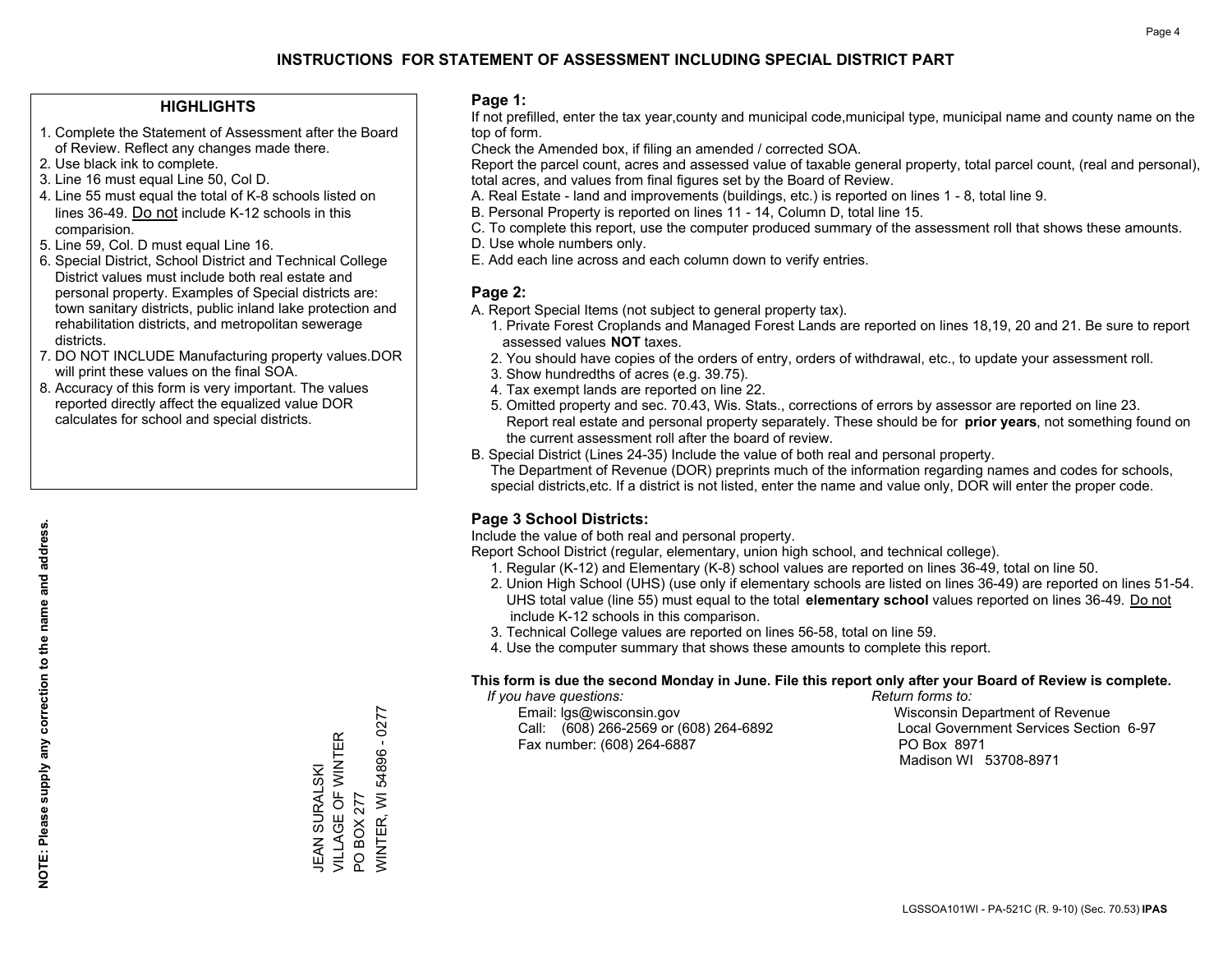## **INSTRUCTIONS FOR STATEMENT OF ASSESSMENT INCLUDING SPECIAL DISTRICT PART**

#### **HIGHLIGHTS**

- 1. Complete the Statement of Assessment after the Board of Review. Reflect any changes made there.
- 2. Use black ink to complete.
- 3. Line 16 must equal Line 50, Col D.
- 4. Line 55 must equal the total of K-8 schools listed on lines 36-49. Do not include K-12 schools in this comparision.
- 5. Line 59, Col. D must equal Line 16.
- 6. Special District, School District and Technical College District values must include both real estate and personal property. Examples of Special districts are: town sanitary districts, public inland lake protection and rehabilitation districts, and metropolitan sewerage districts.
- 7. DO NOT INCLUDE Manufacturing property values.DOR will print these values on the final SOA.
- 8. Accuracy of this form is very important. The values reported directly affect the equalized value DOR calculates for school and special districts.

#### **Page 1:**

 If not prefilled, enter the tax year,county and municipal code,municipal type, municipal name and county name on the top of form.

Check the Amended box, if filing an amended / corrected SOA.

 Report the parcel count, acres and assessed value of taxable general property, total parcel count, (real and personal), total acres, and values from final figures set by the Board of Review.

- A. Real Estate land and improvements (buildings, etc.) is reported on lines 1 8, total line 9.
- B. Personal Property is reported on lines 11 14, Column D, total line 15.
- C. To complete this report, use the computer produced summary of the assessment roll that shows these amounts.
- D. Use whole numbers only.
- E. Add each line across and each column down to verify entries.

#### **Page 2:**

- A. Report Special Items (not subject to general property tax).
- 1. Private Forest Croplands and Managed Forest Lands are reported on lines 18,19, 20 and 21. Be sure to report assessed values **NOT** taxes.
- 2. You should have copies of the orders of entry, orders of withdrawal, etc., to update your assessment roll.
	- 3. Show hundredths of acres (e.g. 39.75).
- 4. Tax exempt lands are reported on line 22.
- 5. Omitted property and sec. 70.43, Wis. Stats., corrections of errors by assessor are reported on line 23. Report real estate and personal property separately. These should be for **prior years**, not something found on the current assessment roll after the board of review.
- B. Special District (Lines 24-35) Include the value of both real and personal property.
- The Department of Revenue (DOR) preprints much of the information regarding names and codes for schools, special districts,etc. If a district is not listed, enter the name and value only, DOR will enter the proper code.

### **Page 3 School Districts:**

Include the value of both real and personal property.

Report School District (regular, elementary, union high school, and technical college).

- 1. Regular (K-12) and Elementary (K-8) school values are reported on lines 36-49, total on line 50.
- 2. Union High School (UHS) (use only if elementary schools are listed on lines 36-49) are reported on lines 51-54. UHS total value (line 55) must equal to the total **elementary school** values reported on lines 36-49. Do notinclude K-12 schools in this comparison.
- 3. Technical College values are reported on lines 56-58, total on line 59.
- 4. Use the computer summary that shows these amounts to complete this report.

#### **This form is due the second Monday in June. File this report only after your Board of Review is complete.**

 *If you have questions: Return forms to:*

 Email: lgs@wisconsin.gov Wisconsin Department of RevenueCall:  $(608)$  266-2569 or  $(608)$  264-6892 Fax number: (608) 264-6887 PO Box 8971

Local Government Services Section 6-97 Madison WI 53708-8971

/VINTER, WI 54896 - 0277 WINTER, WI 54896 - 0277 VILLAGE OF WINTER JEAN SURALSKI<br>VILLAGE OF WINTER JEAN SURALSKI PO BOX 277 PO BOX 277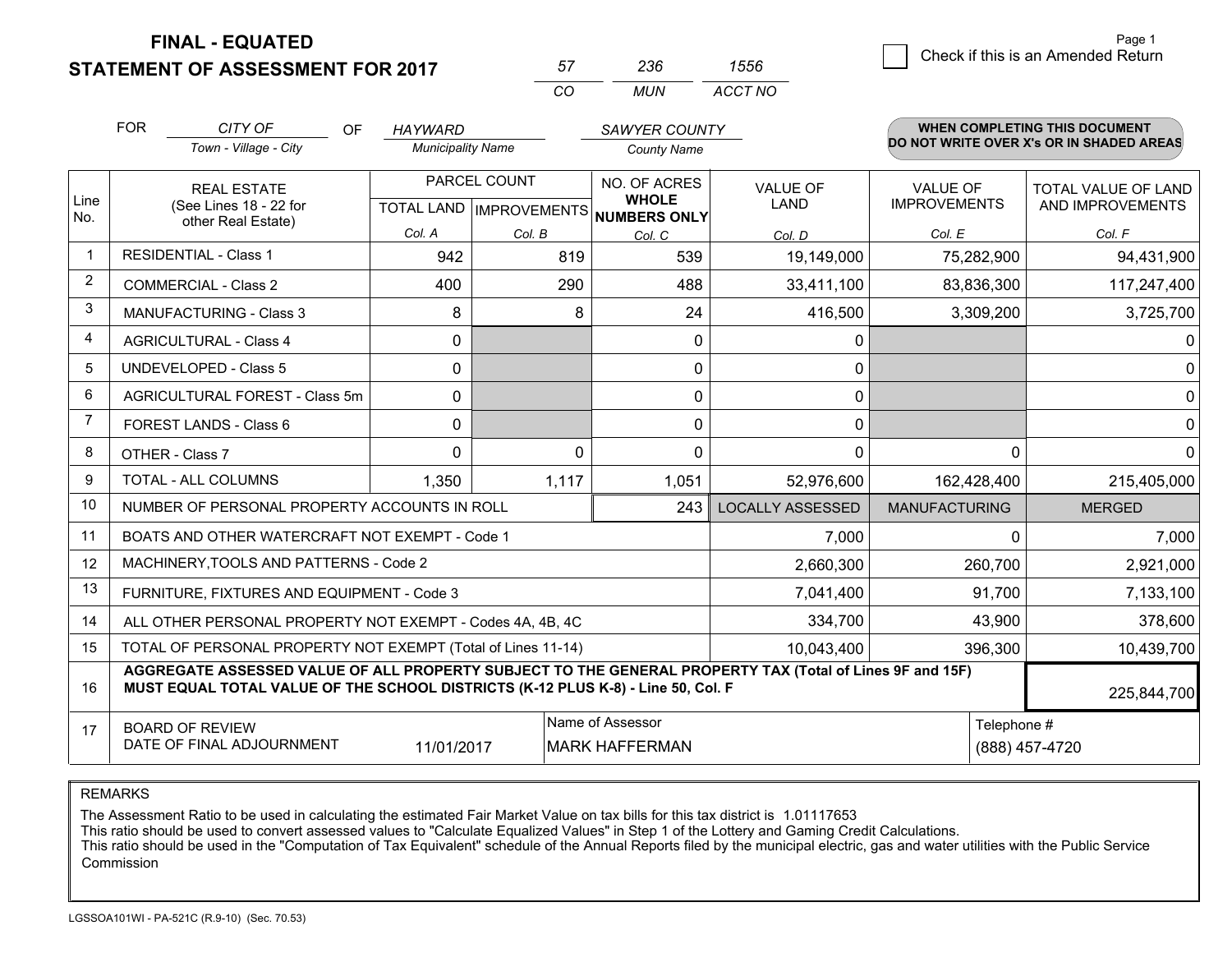**FINAL - EQUATED**

**STATEMENT OF ASSESSMENT FOR 2017** 

| 57. | 236   | 1556    |
|-----|-------|---------|
| CO. | MI IN | ACCT NO |

|                | <b>FOR</b>                                                                                                                                      | CITY OF<br>OF<br>Town - Village - City                                                                                                                                                                      | <b>HAYWARD</b><br><b>Municipality Name</b>               |          | <b>SAWYER COUNTY</b><br><b>County Name</b> |                                |                                        | <b>WHEN COMPLETING THIS DOCUMENT</b><br>DO NOT WRITE OVER X's OR IN SHADED AREAS |
|----------------|-------------------------------------------------------------------------------------------------------------------------------------------------|-------------------------------------------------------------------------------------------------------------------------------------------------------------------------------------------------------------|----------------------------------------------------------|----------|--------------------------------------------|--------------------------------|----------------------------------------|----------------------------------------------------------------------------------|
| Line<br>No.    | <b>REAL ESTATE</b><br>(See Lines 18 - 22 for<br>other Real Estate)                                                                              |                                                                                                                                                                                                             | PARCEL COUNT<br>TOTAL LAND   IMPROVEMENTS   NUMBERS ONLY |          | NO. OF ACRES<br><b>WHOLE</b>               | <b>VALUE OF</b><br><b>LAND</b> | <b>VALUE OF</b><br><b>IMPROVEMENTS</b> | <b>TOTAL VALUE OF LAND</b><br>AND IMPROVEMENTS                                   |
|                |                                                                                                                                                 |                                                                                                                                                                                                             | Col. A                                                   | Col. B   | Col. C                                     | Col. D                         | Col. E                                 | Col. F                                                                           |
| -1             |                                                                                                                                                 | <b>RESIDENTIAL - Class 1</b>                                                                                                                                                                                | 942                                                      | 819      | 539                                        | 19,149,000                     | 75,282,900                             | 94,431,900                                                                       |
| 2              |                                                                                                                                                 | <b>COMMERCIAL - Class 2</b>                                                                                                                                                                                 | 400                                                      | 290      | 488                                        | 33,411,100                     | 83,836,300                             | 117,247,400                                                                      |
| 3              |                                                                                                                                                 | <b>MANUFACTURING - Class 3</b>                                                                                                                                                                              | 8                                                        | 8        | 24                                         | 416,500                        | 3,309,200                              | 3,725,700                                                                        |
| 4              |                                                                                                                                                 | <b>AGRICULTURAL - Class 4</b>                                                                                                                                                                               | 0                                                        |          | $\mathbf{0}$                               | 0                              |                                        | 0                                                                                |
| 5              |                                                                                                                                                 | UNDEVELOPED - Class 5                                                                                                                                                                                       | 0                                                        |          | $\mathbf{0}$                               | 0                              |                                        | $\mathbf 0$                                                                      |
| 6              |                                                                                                                                                 | AGRICULTURAL FOREST - Class 5m                                                                                                                                                                              | 0                                                        |          | 0                                          | 0                              |                                        | $\mathbf 0$                                                                      |
| $\overline{7}$ | FOREST LANDS - Class 6                                                                                                                          |                                                                                                                                                                                                             | 0                                                        |          | $\mathbf{0}$                               | 0                              |                                        | 0                                                                                |
| 8              |                                                                                                                                                 | OTHER - Class 7                                                                                                                                                                                             | $\Omega$                                                 | $\Omega$ | $\Omega$                                   | 0                              | $\Omega$                               | $\Omega$                                                                         |
| 9              | TOTAL - ALL COLUMNS                                                                                                                             |                                                                                                                                                                                                             | 1,350                                                    | 1,117    | 1,051                                      | 52,976,600                     | 162,428,400                            | 215,405,000                                                                      |
| 10             | NUMBER OF PERSONAL PROPERTY ACCOUNTS IN ROLL                                                                                                    |                                                                                                                                                                                                             |                                                          |          | 243                                        | <b>LOCALLY ASSESSED</b>        | <b>MANUFACTURING</b>                   | <b>MERGED</b>                                                                    |
| 11             | BOATS AND OTHER WATERCRAFT NOT EXEMPT - Code 1<br>7,000                                                                                         |                                                                                                                                                                                                             |                                                          |          |                                            |                                | 0                                      | 7,000                                                                            |
| 12             |                                                                                                                                                 | MACHINERY, TOOLS AND PATTERNS - Code 2                                                                                                                                                                      |                                                          |          |                                            | 2,660,300                      | 260,700                                | 2,921,000                                                                        |
| 13             | FURNITURE, FIXTURES AND EQUIPMENT - Code 3                                                                                                      |                                                                                                                                                                                                             |                                                          |          |                                            | 7,041,400                      | 91,700                                 | 7,133,100                                                                        |
| 14             |                                                                                                                                                 | ALL OTHER PERSONAL PROPERTY NOT EXEMPT - Codes 4A, 4B, 4C                                                                                                                                                   |                                                          | 334,700  | 43,900                                     | 378,600                        |                                        |                                                                                  |
| 15             | TOTAL OF PERSONAL PROPERTY NOT EXEMPT (Total of Lines 11-14)                                                                                    |                                                                                                                                                                                                             |                                                          |          |                                            | 10,043,400                     | 396,300                                | 10,439,700                                                                       |
| 16             |                                                                                                                                                 | AGGREGATE ASSESSED VALUE OF ALL PROPERTY SUBJECT TO THE GENERAL PROPERTY TAX (Total of Lines 9F and 15F)<br>MUST EQUAL TOTAL VALUE OF THE SCHOOL DISTRICTS (K-12 PLUS K-8) - Line 50, Col. F<br>225,844,700 |                                                          |          |                                            |                                |                                        |                                                                                  |
| 17             | Name of Assessor<br>Telephone #<br><b>BOARD OF REVIEW</b><br>DATE OF FINAL ADJOURNMENT<br>11/01/2017<br><b>MARK HAFFERMAN</b><br>(888) 457-4720 |                                                                                                                                                                                                             |                                                          |          |                                            |                                |                                        |                                                                                  |

REMARKS

The Assessment Ratio to be used in calculating the estimated Fair Market Value on tax bills for this tax district is 1.01117653<br>This ratio should be used to convert assessed values to "Calculate Equalized Values" in Step 1 Commission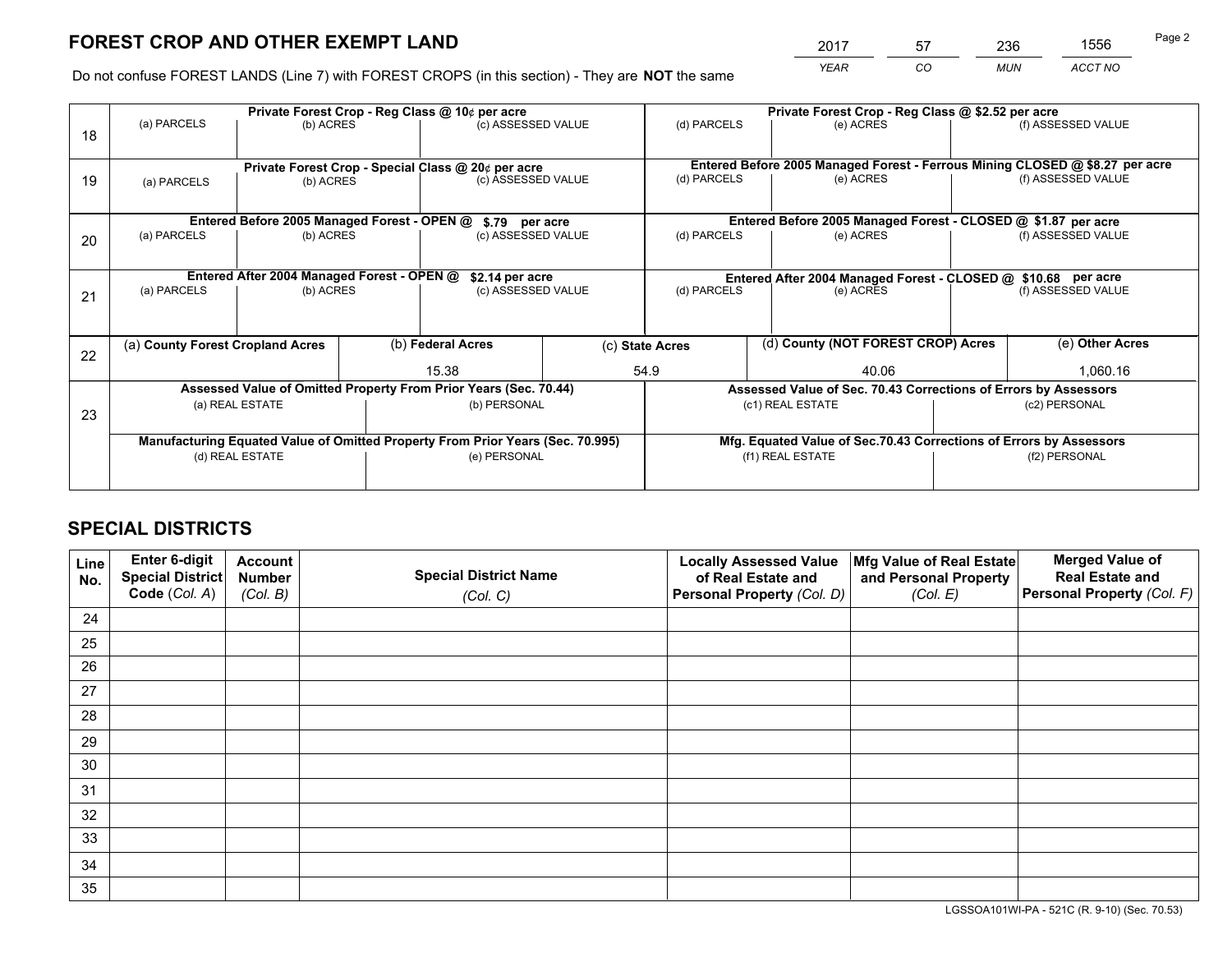# **FOREST CROP AND OTHER EXEMPT LAND**

 *YEAR CO MUN ACCT NO* <sup>2017</sup> <sup>57</sup> <sup>236</sup> <sup>1556</sup>

Do not confuse FOREST LANDS (Line 7) with FOREST CROPS (in this section) - They are **NOT** the same

|                                                                  | Private Forest Crop - Reg Class @ 10¢ per acre                                 |                                             |  |                                                    |  | Private Forest Crop - Reg Class @ \$2.52 per acre                  |                                                                              |          |                    |  |
|------------------------------------------------------------------|--------------------------------------------------------------------------------|---------------------------------------------|--|----------------------------------------------------|--|--------------------------------------------------------------------|------------------------------------------------------------------------------|----------|--------------------|--|
| 18                                                               | (a) PARCELS                                                                    | (b) ACRES                                   |  | (c) ASSESSED VALUE                                 |  | (d) PARCELS                                                        | (e) ACRES                                                                    |          | (f) ASSESSED VALUE |  |
|                                                                  |                                                                                |                                             |  | Private Forest Crop - Special Class @ 20¢ per acre |  |                                                                    | Entered Before 2005 Managed Forest - Ferrous Mining CLOSED @ \$8.27 per acre |          |                    |  |
| 19                                                               | (a) PARCELS                                                                    | (b) ACRES                                   |  | (c) ASSESSED VALUE                                 |  | (d) PARCELS                                                        | (e) ACRES                                                                    |          | (f) ASSESSED VALUE |  |
|                                                                  |                                                                                | Entered Before 2005 Managed Forest - OPEN @ |  |                                                    |  |                                                                    | Entered Before 2005 Managed Forest - CLOSED @ \$1.87 per acre                |          |                    |  |
| 20                                                               | (a) PARCELS<br>(b) ACRES                                                       |                                             |  | \$.79 per acre<br>(c) ASSESSED VALUE               |  | (d) PARCELS<br>(e) ACRES                                           |                                                                              |          | (f) ASSESSED VALUE |  |
|                                                                  |                                                                                | Entered After 2004 Managed Forest - OPEN @  |  | \$2.14 per acre                                    |  | Entered After 2004 Managed Forest - CLOSED @ \$10.68 per acre      |                                                                              |          |                    |  |
| 21                                                               | (a) PARCELS<br>(b) ACRES                                                       |                                             |  | (c) ASSESSED VALUE                                 |  | (d) PARCELS                                                        | (e) ACRES                                                                    |          |                    |  |
| 22                                                               | (a) County Forest Cropland Acres                                               |                                             |  | (b) Federal Acres<br>15.38                         |  | (d) County (NOT FOREST CROP) Acres<br>(c) State Acres              |                                                                              |          | (e) Other Acres    |  |
|                                                                  |                                                                                |                                             |  |                                                    |  | 54.9<br>40.06                                                      |                                                                              | 1,060.16 |                    |  |
| Assessed Value of Omitted Property From Prior Years (Sec. 70.44) |                                                                                |                                             |  |                                                    |  | Assessed Value of Sec. 70.43 Corrections of Errors by Assessors    |                                                                              |          |                    |  |
| 23                                                               |                                                                                | (a) REAL ESTATE<br>(b) PERSONAL             |  | (c1) REAL ESTATE<br>(c2) PERSONAL                  |  |                                                                    |                                                                              |          |                    |  |
|                                                                  | Manufacturing Equated Value of Omitted Property From Prior Years (Sec. 70.995) |                                             |  |                                                    |  | Mfg. Equated Value of Sec.70.43 Corrections of Errors by Assessors |                                                                              |          |                    |  |
|                                                                  | (d) REAL ESTATE                                                                |                                             |  | (e) PERSONAL                                       |  | (f1) REAL ESTATE                                                   |                                                                              |          | (f2) PERSONAL      |  |
|                                                                  |                                                                                |                                             |  |                                                    |  |                                                                    |                                                                              |          |                    |  |

## **SPECIAL DISTRICTS**

| Line<br>No. | Enter 6-digit<br><b>Special District</b> | <b>Account</b><br><b>Number</b> | <b>Special District Name</b> | <b>Locally Assessed Value</b><br>of Real Estate and | Mfg Value of Real Estate<br>and Personal Property | <b>Merged Value of</b><br><b>Real Estate and</b> |
|-------------|------------------------------------------|---------------------------------|------------------------------|-----------------------------------------------------|---------------------------------------------------|--------------------------------------------------|
|             | Code (Col. A)                            | (Col. B)                        | (Col. C)                     | Personal Property (Col. D)                          | (Col. E)                                          | Personal Property (Col. F)                       |
| 24          |                                          |                                 |                              |                                                     |                                                   |                                                  |
| 25          |                                          |                                 |                              |                                                     |                                                   |                                                  |
| 26          |                                          |                                 |                              |                                                     |                                                   |                                                  |
| 27          |                                          |                                 |                              |                                                     |                                                   |                                                  |
| 28          |                                          |                                 |                              |                                                     |                                                   |                                                  |
| 29          |                                          |                                 |                              |                                                     |                                                   |                                                  |
| 30          |                                          |                                 |                              |                                                     |                                                   |                                                  |
| 31          |                                          |                                 |                              |                                                     |                                                   |                                                  |
| 32          |                                          |                                 |                              |                                                     |                                                   |                                                  |
| 33          |                                          |                                 |                              |                                                     |                                                   |                                                  |
| 34          |                                          |                                 |                              |                                                     |                                                   |                                                  |
| 35          |                                          |                                 |                              |                                                     |                                                   |                                                  |

LGSSOA101WI-PA - 521C (R. 9-10) (Sec. 70.53)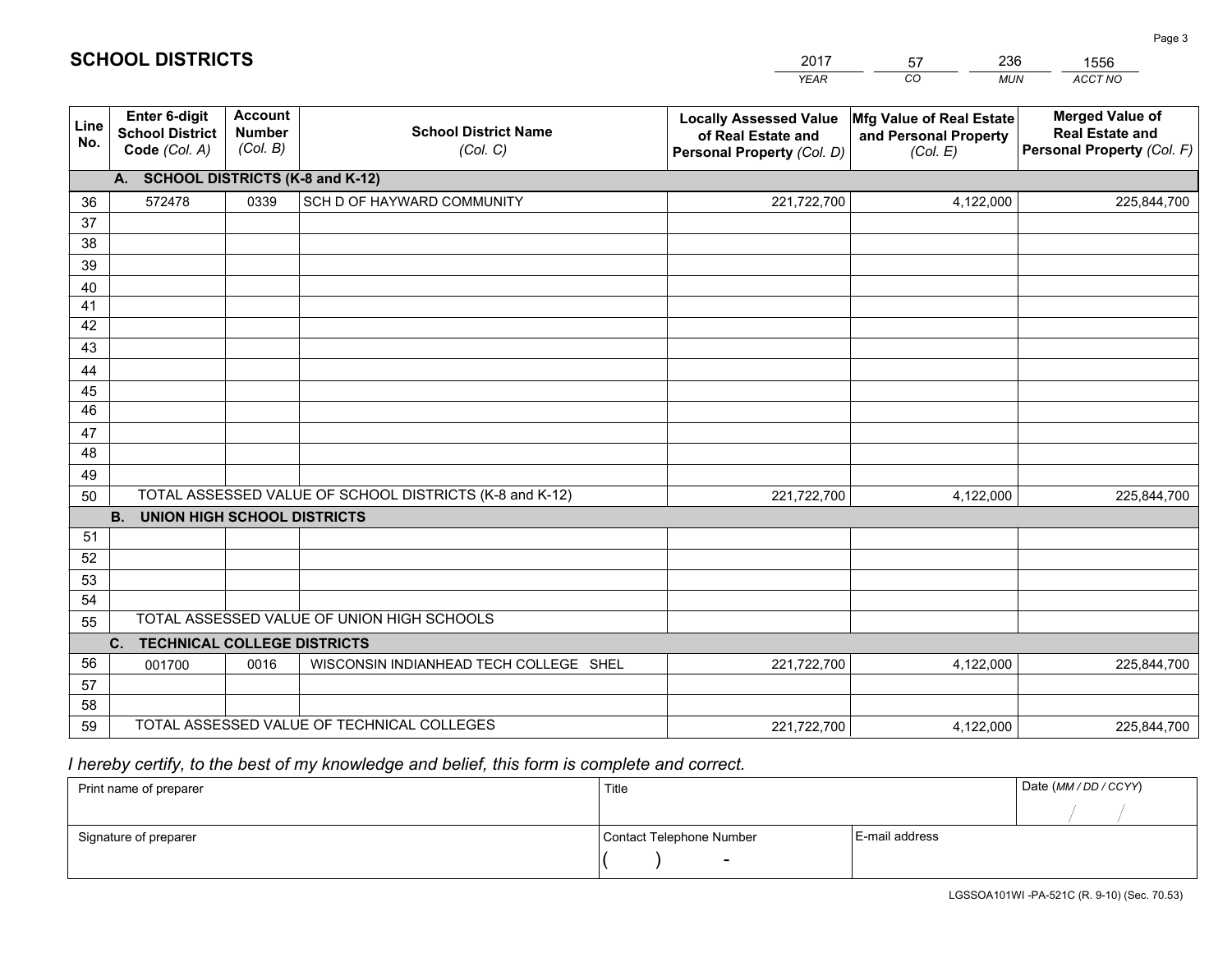|             |                                                                 |                                             |                                                         | <b>YEAR</b>                                                                       | CO<br><b>MUN</b>                                              | <b>ACCT NO</b>                                                                 |
|-------------|-----------------------------------------------------------------|---------------------------------------------|---------------------------------------------------------|-----------------------------------------------------------------------------------|---------------------------------------------------------------|--------------------------------------------------------------------------------|
| Line<br>No. | <b>Enter 6-digit</b><br><b>School District</b><br>Code (Col. A) | <b>Account</b><br><b>Number</b><br>(Col. B) | <b>School District Name</b><br>(Col. C)                 | <b>Locally Assessed Value</b><br>of Real Estate and<br>Personal Property (Col. D) | Mfg Value of Real Estate<br>and Personal Property<br>(Col. E) | <b>Merged Value of</b><br><b>Real Estate and</b><br>Personal Property (Col. F) |
|             | A. SCHOOL DISTRICTS (K-8 and K-12)                              |                                             |                                                         |                                                                                   |                                                               |                                                                                |
| 36          | 572478                                                          | 0339                                        | SCH D OF HAYWARD COMMUNITY                              | 221,722,700                                                                       | 4,122,000                                                     | 225,844,700                                                                    |
| 37          |                                                                 |                                             |                                                         |                                                                                   |                                                               |                                                                                |
| 38          |                                                                 |                                             |                                                         |                                                                                   |                                                               |                                                                                |
| 39          |                                                                 |                                             |                                                         |                                                                                   |                                                               |                                                                                |
| 40          |                                                                 |                                             |                                                         |                                                                                   |                                                               |                                                                                |
| 41          |                                                                 |                                             |                                                         |                                                                                   |                                                               |                                                                                |
| 42          |                                                                 |                                             |                                                         |                                                                                   |                                                               |                                                                                |
| 43          |                                                                 |                                             |                                                         |                                                                                   |                                                               |                                                                                |
| 44<br>45    |                                                                 |                                             |                                                         |                                                                                   |                                                               |                                                                                |
| 46          |                                                                 |                                             |                                                         |                                                                                   |                                                               |                                                                                |
| 47          |                                                                 |                                             |                                                         |                                                                                   |                                                               |                                                                                |
| 48          |                                                                 |                                             |                                                         |                                                                                   |                                                               |                                                                                |
| 49          |                                                                 |                                             |                                                         |                                                                                   |                                                               |                                                                                |
| 50          |                                                                 |                                             | TOTAL ASSESSED VALUE OF SCHOOL DISTRICTS (K-8 and K-12) | 221,722,700                                                                       | 4,122,000                                                     | 225,844,700                                                                    |
|             | <b>B.</b><br><b>UNION HIGH SCHOOL DISTRICTS</b>                 |                                             |                                                         |                                                                                   |                                                               |                                                                                |
| 51          |                                                                 |                                             |                                                         |                                                                                   |                                                               |                                                                                |
| 52          |                                                                 |                                             |                                                         |                                                                                   |                                                               |                                                                                |
| 53          |                                                                 |                                             |                                                         |                                                                                   |                                                               |                                                                                |
| 54          |                                                                 |                                             |                                                         |                                                                                   |                                                               |                                                                                |
| 55          |                                                                 |                                             | TOTAL ASSESSED VALUE OF UNION HIGH SCHOOLS              |                                                                                   |                                                               |                                                                                |
|             | C.<br><b>TECHNICAL COLLEGE DISTRICTS</b>                        |                                             |                                                         |                                                                                   |                                                               |                                                                                |
| 56          | 001700                                                          | 0016                                        | WISCONSIN INDIANHEAD TECH COLLEGE SHEL                  | 221,722,700                                                                       | 4,122,000                                                     | 225,844,700                                                                    |
| 57          |                                                                 |                                             |                                                         |                                                                                   |                                                               |                                                                                |
| 58          |                                                                 |                                             |                                                         |                                                                                   |                                                               |                                                                                |
| 59          |                                                                 |                                             | TOTAL ASSESSED VALUE OF TECHNICAL COLLEGES              | 221,722,700                                                                       | 4,122,000                                                     | 225,844,700                                                                    |

2017

57

236

## *I hereby certify, to the best of my knowledge and belief, this form is complete and correct.*

**SCHOOL DISTRICTS**

| Print name of preparer | Title                    |                | Date (MM / DD / CCYY) |
|------------------------|--------------------------|----------------|-----------------------|
|                        |                          |                |                       |
| Signature of preparer  | Contact Telephone Number | E-mail address |                       |
|                        | $\overline{\phantom{0}}$ |                |                       |